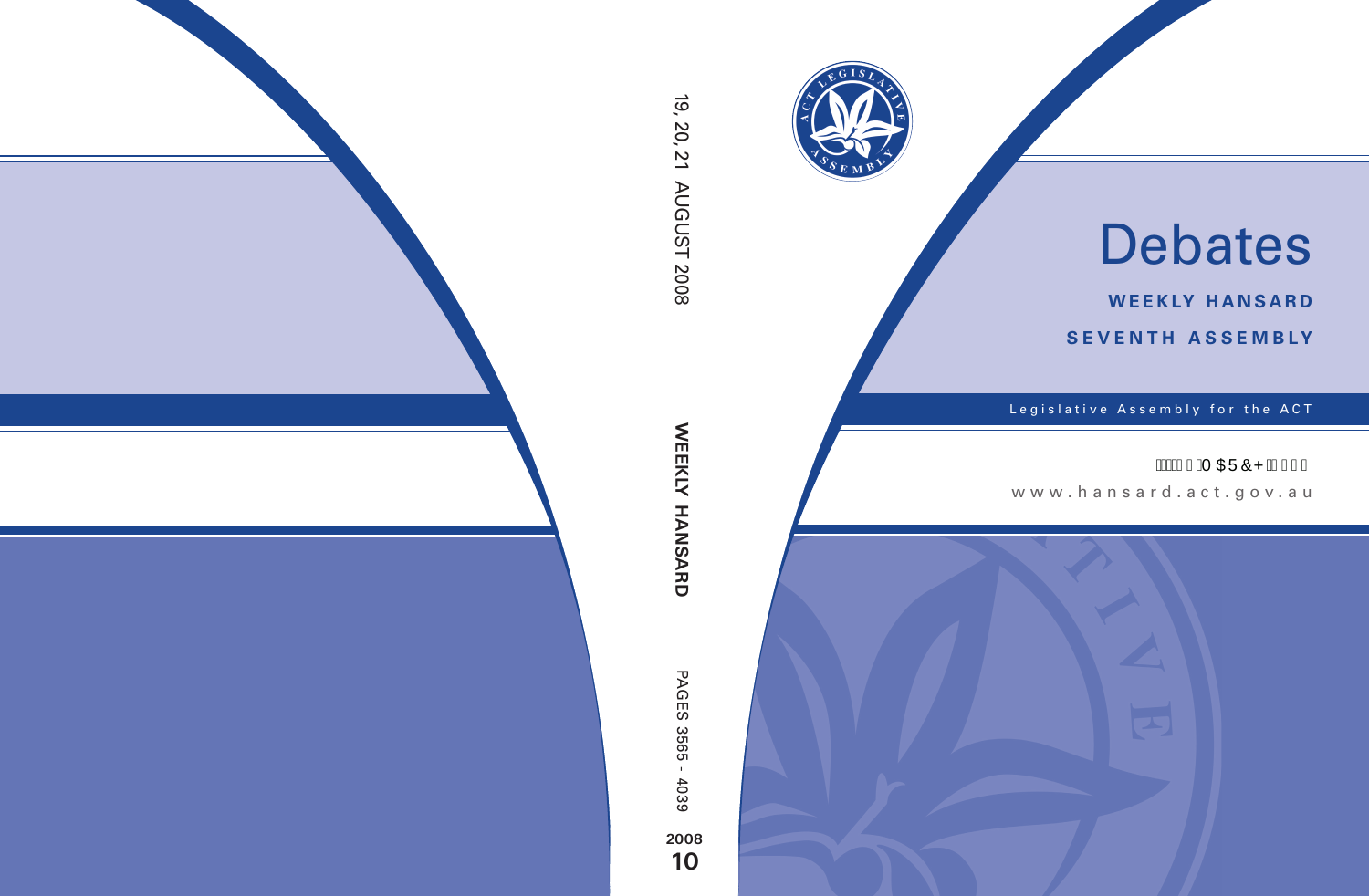

# Debates

**weekly hansard seventh asseMBly**

Legislative Assembly for the ACT

## Á SÁ GEÜÔPÁG€F€

www .hansard.act.gov.au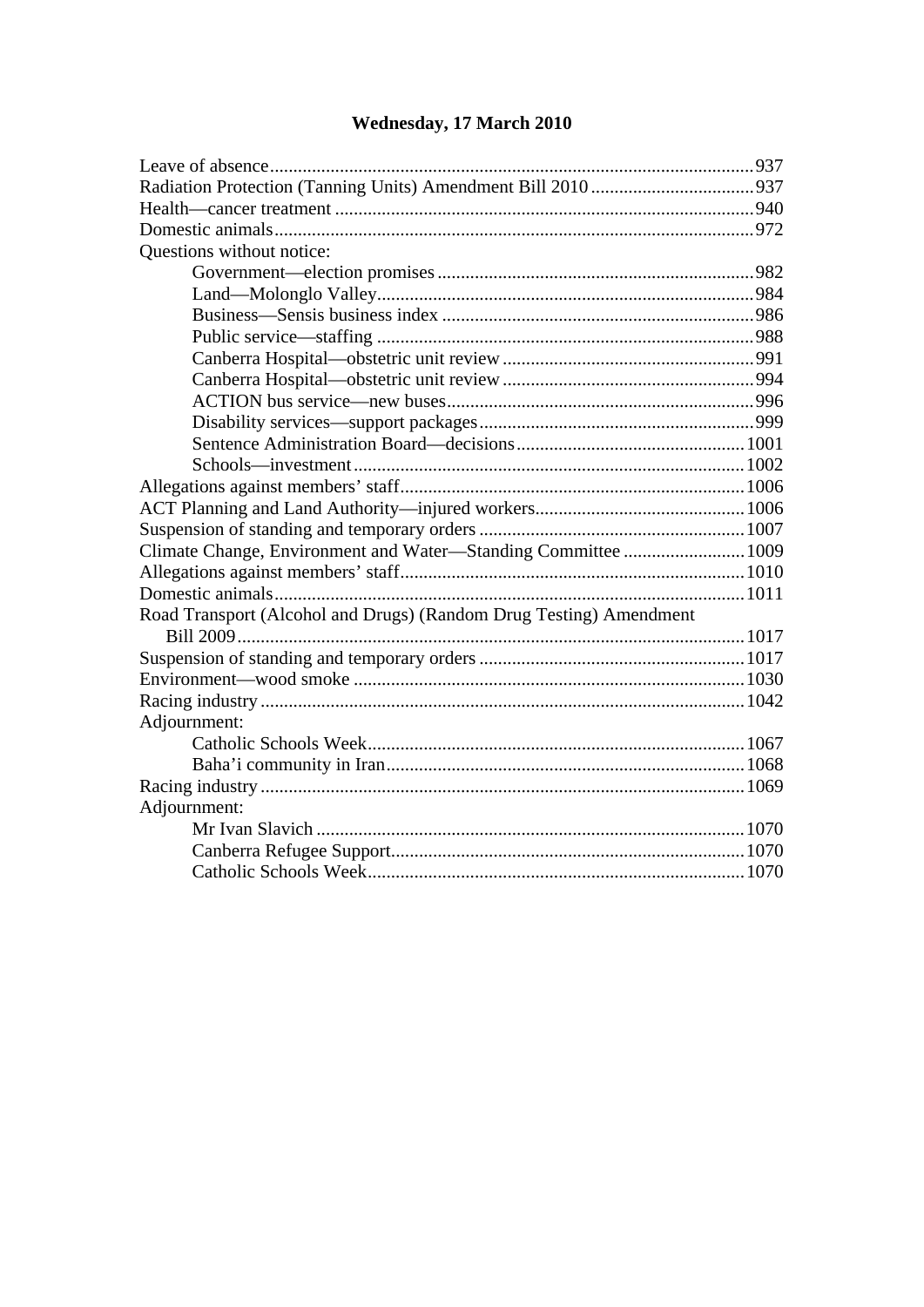| Questions without notice:                                          |  |
|--------------------------------------------------------------------|--|
|                                                                    |  |
|                                                                    |  |
|                                                                    |  |
|                                                                    |  |
|                                                                    |  |
|                                                                    |  |
|                                                                    |  |
|                                                                    |  |
|                                                                    |  |
|                                                                    |  |
|                                                                    |  |
|                                                                    |  |
|                                                                    |  |
| Climate Change, Environment and Water-Standing Committee  1009     |  |
|                                                                    |  |
|                                                                    |  |
| Road Transport (Alcohol and Drugs) (Random Drug Testing) Amendment |  |
|                                                                    |  |
|                                                                    |  |
|                                                                    |  |
|                                                                    |  |
| Adjournment:                                                       |  |
|                                                                    |  |
|                                                                    |  |
|                                                                    |  |
| Adjournment:                                                       |  |
|                                                                    |  |
|                                                                    |  |
|                                                                    |  |

## **[Wednesday, 17 March 2010](#page-2-0)**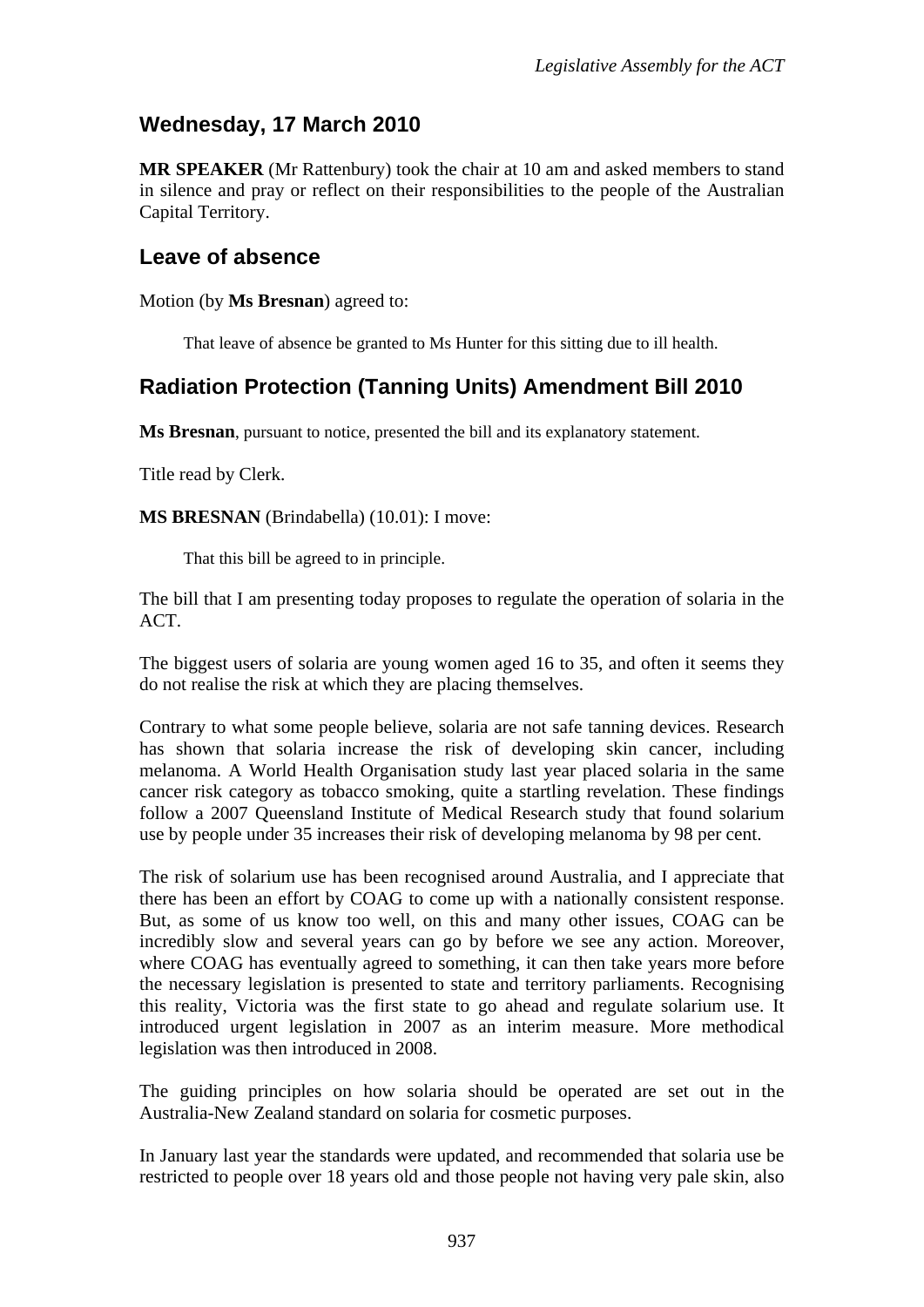## <span id="page-2-0"></span>**Wednesday, 17 March 2010**

**MR SPEAKER** (Mr Rattenbury) took the chair at 10 am and asked members to stand in silence and pray or reflect on their responsibilities to the people of the Australian Capital Territory.

#### <span id="page-2-1"></span>**Leave of absence**

Motion (by **Ms Bresnan**) agreed to:

That leave of absence be granted to Ms Hunter for this sitting due to ill health.

## <span id="page-2-2"></span>**Radiation Protection (Tanning Units) Amendment Bill 2010**

**Ms Bresnan**, pursuant to notice, presented the bill and its explanatory statement.

Title read by Clerk.

**MS BRESNAN** (Brindabella) (10.01): I move:

That this bill be agreed to in principle.

The bill that I am presenting today proposes to regulate the operation of solaria in the ACT.

The biggest users of solaria are young women aged 16 to 35, and often it seems they do not realise the risk at which they are placing themselves.

Contrary to what some people believe, solaria are not safe tanning devices. Research has shown that solaria increase the risk of developing skin cancer, including melanoma. A World Health Organisation study last year placed solaria in the same cancer risk category as tobacco smoking, quite a startling revelation. These findings follow a 2007 Queensland Institute of Medical Research study that found solarium use by people under 35 increases their risk of developing melanoma by 98 per cent.

The risk of solarium use has been recognised around Australia, and I appreciate that there has been an effort by COAG to come up with a nationally consistent response. But, as some of us know too well, on this and many other issues, COAG can be incredibly slow and several years can go by before we see any action. Moreover, where COAG has eventually agreed to something, it can then take years more before the necessary legislation is presented to state and territory parliaments. Recognising this reality, Victoria was the first state to go ahead and regulate solarium use. It introduced urgent legislation in 2007 as an interim measure. More methodical legislation was then introduced in 2008.

The guiding principles on how solaria should be operated are set out in the Australia-New Zealand standard on solaria for cosmetic purposes.

In January last year the standards were updated, and recommended that solaria use be restricted to people over 18 years old and those people not having very pale skin, also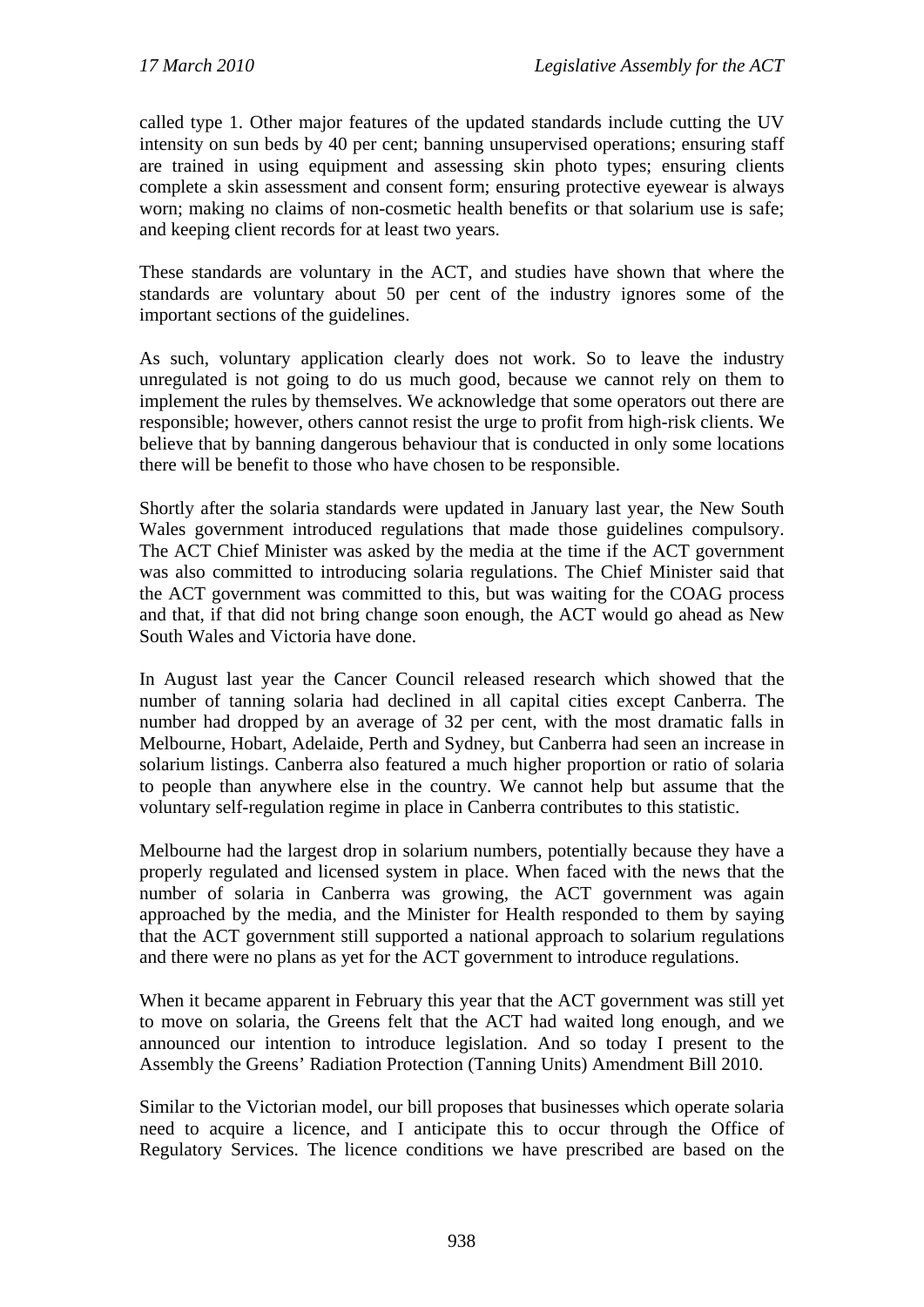called type 1. Other major features of the updated standards include cutting the UV intensity on sun beds by 40 per cent; banning unsupervised operations; ensuring staff are trained in using equipment and assessing skin photo types; ensuring clients complete a skin assessment and consent form; ensuring protective eyewear is always worn; making no claims of non-cosmetic health benefits or that solarium use is safe; and keeping client records for at least two years.

These standards are voluntary in the ACT, and studies have shown that where the standards are voluntary about 50 per cent of the industry ignores some of the important sections of the guidelines.

As such, voluntary application clearly does not work. So to leave the industry unregulated is not going to do us much good, because we cannot rely on them to implement the rules by themselves. We acknowledge that some operators out there are responsible; however, others cannot resist the urge to profit from high-risk clients. We believe that by banning dangerous behaviour that is conducted in only some locations there will be benefit to those who have chosen to be responsible.

Shortly after the solaria standards were updated in January last year, the New South Wales government introduced regulations that made those guidelines compulsory. The ACT Chief Minister was asked by the media at the time if the ACT government was also committed to introducing solaria regulations. The Chief Minister said that the ACT government was committed to this, but was waiting for the COAG process and that, if that did not bring change soon enough, the ACT would go ahead as New South Wales and Victoria have done.

In August last year the Cancer Council released research which showed that the number of tanning solaria had declined in all capital cities except Canberra. The number had dropped by an average of 32 per cent, with the most dramatic falls in Melbourne, Hobart, Adelaide, Perth and Sydney, but Canberra had seen an increase in solarium listings. Canberra also featured a much higher proportion or ratio of solaria to people than anywhere else in the country. We cannot help but assume that the voluntary self-regulation regime in place in Canberra contributes to this statistic.

Melbourne had the largest drop in solarium numbers, potentially because they have a properly regulated and licensed system in place. When faced with the news that the number of solaria in Canberra was growing, the ACT government was again approached by the media, and the Minister for Health responded to them by saying that the ACT government still supported a national approach to solarium regulations and there were no plans as yet for the ACT government to introduce regulations.

When it became apparent in February this year that the ACT government was still yet to move on solaria, the Greens felt that the ACT had waited long enough, and we announced our intention to introduce legislation. And so today I present to the Assembly the Greens' Radiation Protection (Tanning Units) Amendment Bill 2010.

Similar to the Victorian model, our bill proposes that businesses which operate solaria need to acquire a licence, and I anticipate this to occur through the Office of Regulatory Services. The licence conditions we have prescribed are based on the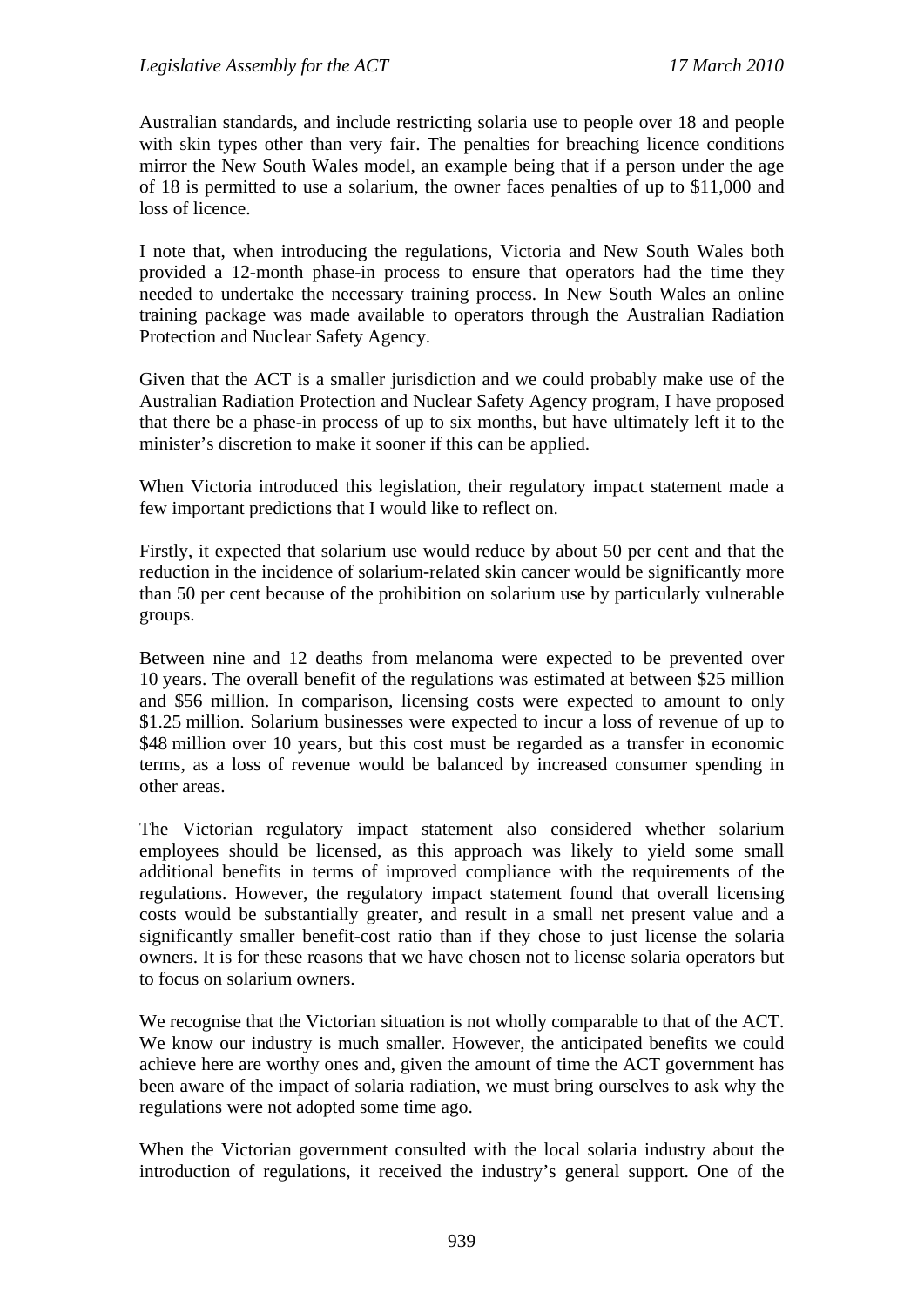Australian standards, and include restricting solaria use to people over 18 and people with skin types other than very fair. The penalties for breaching licence conditions mirror the New South Wales model, an example being that if a person under the age of 18 is permitted to use a solarium, the owner faces penalties of up to \$11,000 and loss of licence.

I note that, when introducing the regulations, Victoria and New South Wales both provided a 12-month phase-in process to ensure that operators had the time they needed to undertake the necessary training process. In New South Wales an online training package was made available to operators through the Australian Radiation Protection and Nuclear Safety Agency.

Given that the ACT is a smaller jurisdiction and we could probably make use of the Australian Radiation Protection and Nuclear Safety Agency program, I have proposed that there be a phase-in process of up to six months, but have ultimately left it to the minister's discretion to make it sooner if this can be applied.

When Victoria introduced this legislation, their regulatory impact statement made a few important predictions that I would like to reflect on.

Firstly, it expected that solarium use would reduce by about 50 per cent and that the reduction in the incidence of solarium-related skin cancer would be significantly more than 50 per cent because of the prohibition on solarium use by particularly vulnerable groups.

Between nine and 12 deaths from melanoma were expected to be prevented over 10 years. The overall benefit of the regulations was estimated at between \$25 million and \$56 million. In comparison, licensing costs were expected to amount to only \$1.25 million. Solarium businesses were expected to incur a loss of revenue of up to \$48 million over 10 years, but this cost must be regarded as a transfer in economic terms, as a loss of revenue would be balanced by increased consumer spending in other areas.

The Victorian regulatory impact statement also considered whether solarium employees should be licensed, as this approach was likely to yield some small additional benefits in terms of improved compliance with the requirements of the regulations. However, the regulatory impact statement found that overall licensing costs would be substantially greater, and result in a small net present value and a significantly smaller benefit-cost ratio than if they chose to just license the solaria owners. It is for these reasons that we have chosen not to license solaria operators but to focus on solarium owners.

We recognise that the Victorian situation is not wholly comparable to that of the ACT. We know our industry is much smaller. However, the anticipated benefits we could achieve here are worthy ones and, given the amount of time the ACT government has been aware of the impact of solaria radiation, we must bring ourselves to ask why the regulations were not adopted some time ago.

When the Victorian government consulted with the local solaria industry about the introduction of regulations, it received the industry's general support. One of the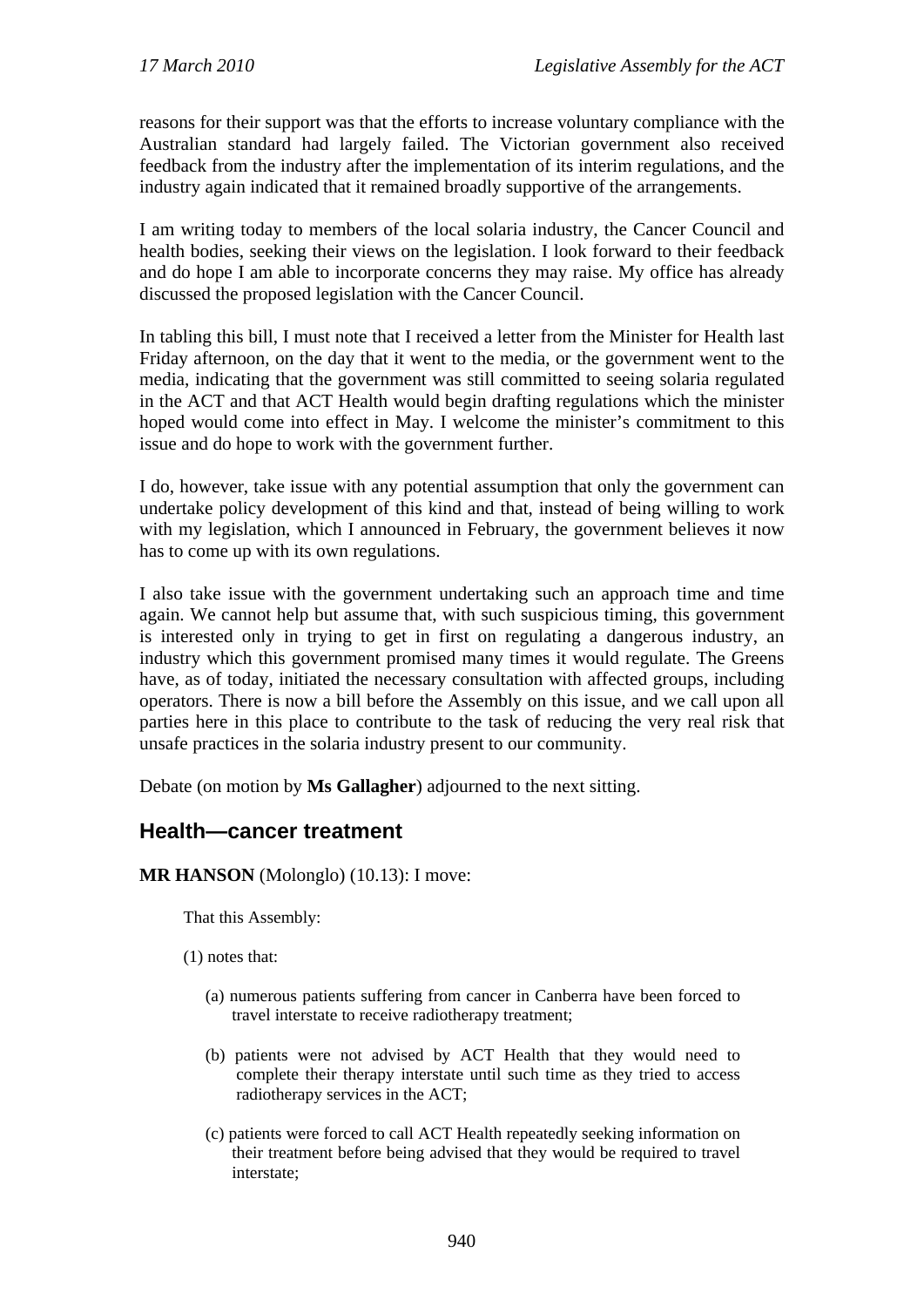reasons for their support was that the efforts to increase voluntary compliance with the Australian standard had largely failed. The Victorian government also received feedback from the industry after the implementation of its interim regulations, and the industry again indicated that it remained broadly supportive of the arrangements.

I am writing today to members of the local solaria industry, the Cancer Council and health bodies, seeking their views on the legislation. I look forward to their feedback and do hope I am able to incorporate concerns they may raise. My office has already discussed the proposed legislation with the Cancer Council.

In tabling this bill, I must note that I received a letter from the Minister for Health last Friday afternoon, on the day that it went to the media, or the government went to the media, indicating that the government was still committed to seeing solaria regulated in the ACT and that ACT Health would begin drafting regulations which the minister hoped would come into effect in May. I welcome the minister's commitment to this issue and do hope to work with the government further.

I do, however, take issue with any potential assumption that only the government can undertake policy development of this kind and that, instead of being willing to work with my legislation, which I announced in February, the government believes it now has to come up with its own regulations.

I also take issue with the government undertaking such an approach time and time again. We cannot help but assume that, with such suspicious timing, this government is interested only in trying to get in first on regulating a dangerous industry, an industry which this government promised many times it would regulate. The Greens have, as of today, initiated the necessary consultation with affected groups, including operators. There is now a bill before the Assembly on this issue, and we call upon all parties here in this place to contribute to the task of reducing the very real risk that unsafe practices in the solaria industry present to our community.

Debate (on motion by **Ms Gallagher**) adjourned to the next sitting.

### <span id="page-5-0"></span>**Health—cancer treatment**

**MR HANSON** (Molonglo) (10.13): I move:

That this Assembly:

(1) notes that:

- (a) numerous patients suffering from cancer in Canberra have been forced to travel interstate to receive radiotherapy treatment;
- (b) patients were not advised by ACT Health that they would need to complete their therapy interstate until such time as they tried to access radiotherapy services in the ACT;
- (c) patients were forced to call ACT Health repeatedly seeking information on their treatment before being advised that they would be required to travel interstate;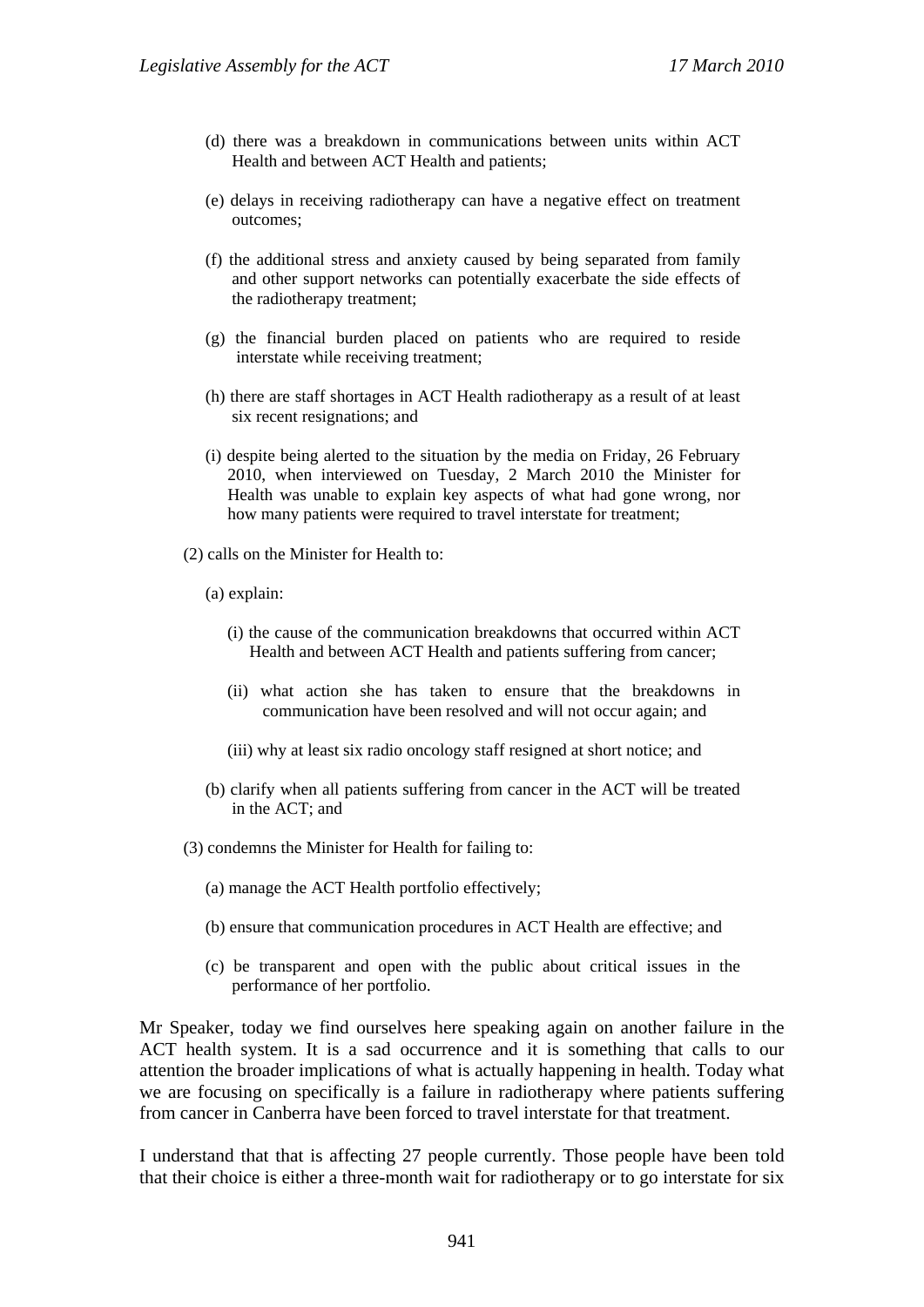- (d) there was a breakdown in communications between units within ACT Health and between ACT Health and patients;
- (e) delays in receiving radiotherapy can have a negative effect on treatment outcomes;
- (f) the additional stress and anxiety caused by being separated from family and other support networks can potentially exacerbate the side effects of the radiotherapy treatment;
- (g) the financial burden placed on patients who are required to reside interstate while receiving treatment;
- (h) there are staff shortages in ACT Health radiotherapy as a result of at least six recent resignations; and
- (i) despite being alerted to the situation by the media on Friday, 26 February 2010, when interviewed on Tuesday, 2 March 2010 the Minister for Health was unable to explain key aspects of what had gone wrong, nor how many patients were required to travel interstate for treatment;
- (2) calls on the Minister for Health to:
	- (a) explain:
		- (i) the cause of the communication breakdowns that occurred within ACT Health and between ACT Health and patients suffering from cancer;
		- (ii) what action she has taken to ensure that the breakdowns in communication have been resolved and will not occur again; and
		- (iii) why at least six radio oncology staff resigned at short notice; and
	- (b) clarify when all patients suffering from cancer in the ACT will be treated in the ACT; and
- (3) condemns the Minister for Health for failing to:
	- (a) manage the ACT Health portfolio effectively;
	- (b) ensure that communication procedures in ACT Health are effective; and
	- (c) be transparent and open with the public about critical issues in the performance of her portfolio.

Mr Speaker, today we find ourselves here speaking again on another failure in the ACT health system. It is a sad occurrence and it is something that calls to our attention the broader implications of what is actually happening in health. Today what we are focusing on specifically is a failure in radiotherapy where patients suffering from cancer in Canberra have been forced to travel interstate for that treatment.

I understand that that is affecting 27 people currently. Those people have been told that their choice is either a three-month wait for radiotherapy or to go interstate for six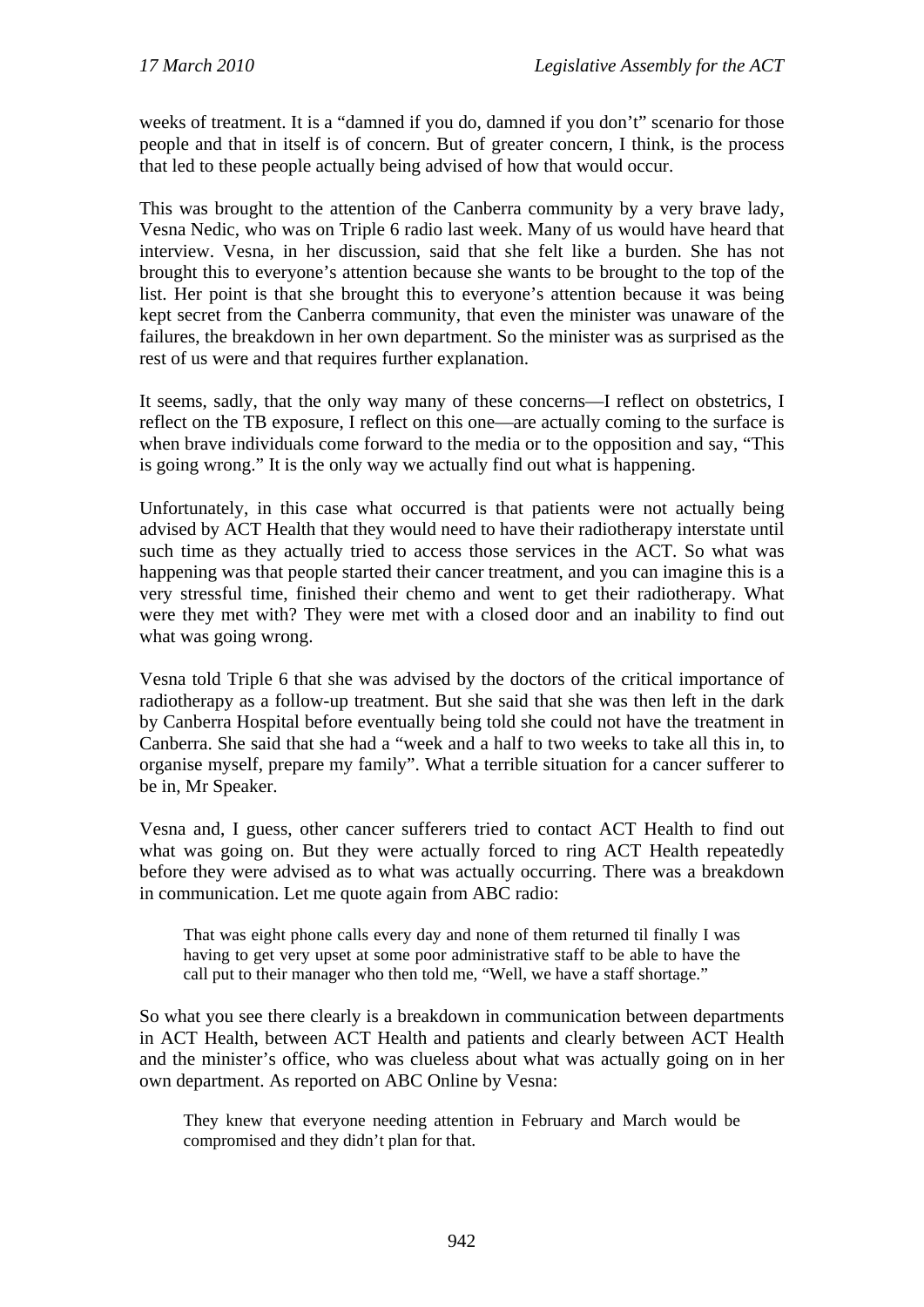weeks of treatment. It is a "damned if you do, damned if you don't" scenario for those people and that in itself is of concern. But of greater concern, I think, is the process that led to these people actually being advised of how that would occur.

This was brought to the attention of the Canberra community by a very brave lady, Vesna Nedic, who was on Triple 6 radio last week. Many of us would have heard that interview. Vesna, in her discussion, said that she felt like a burden. She has not brought this to everyone's attention because she wants to be brought to the top of the list. Her point is that she brought this to everyone's attention because it was being kept secret from the Canberra community, that even the minister was unaware of the failures, the breakdown in her own department. So the minister was as surprised as the rest of us were and that requires further explanation.

It seems, sadly, that the only way many of these concerns—I reflect on obstetrics, I reflect on the TB exposure, I reflect on this one—are actually coming to the surface is when brave individuals come forward to the media or to the opposition and say, "This is going wrong." It is the only way we actually find out what is happening.

Unfortunately, in this case what occurred is that patients were not actually being advised by ACT Health that they would need to have their radiotherapy interstate until such time as they actually tried to access those services in the ACT. So what was happening was that people started their cancer treatment, and you can imagine this is a very stressful time, finished their chemo and went to get their radiotherapy. What were they met with? They were met with a closed door and an inability to find out what was going wrong.

Vesna told Triple 6 that she was advised by the doctors of the critical importance of radiotherapy as a follow-up treatment. But she said that she was then left in the dark by Canberra Hospital before eventually being told she could not have the treatment in Canberra. She said that she had a "week and a half to two weeks to take all this in, to organise myself, prepare my family". What a terrible situation for a cancer sufferer to be in, Mr Speaker.

Vesna and, I guess, other cancer sufferers tried to contact ACT Health to find out what was going on. But they were actually forced to ring ACT Health repeatedly before they were advised as to what was actually occurring. There was a breakdown in communication. Let me quote again from ABC radio:

That was eight phone calls every day and none of them returned til finally I was having to get very upset at some poor administrative staff to be able to have the call put to their manager who then told me, "Well, we have a staff shortage."

So what you see there clearly is a breakdown in communication between departments in ACT Health, between ACT Health and patients and clearly between ACT Health and the minister's office, who was clueless about what was actually going on in her own department. As reported on ABC Online by Vesna:

They knew that everyone needing attention in February and March would be compromised and they didn't plan for that.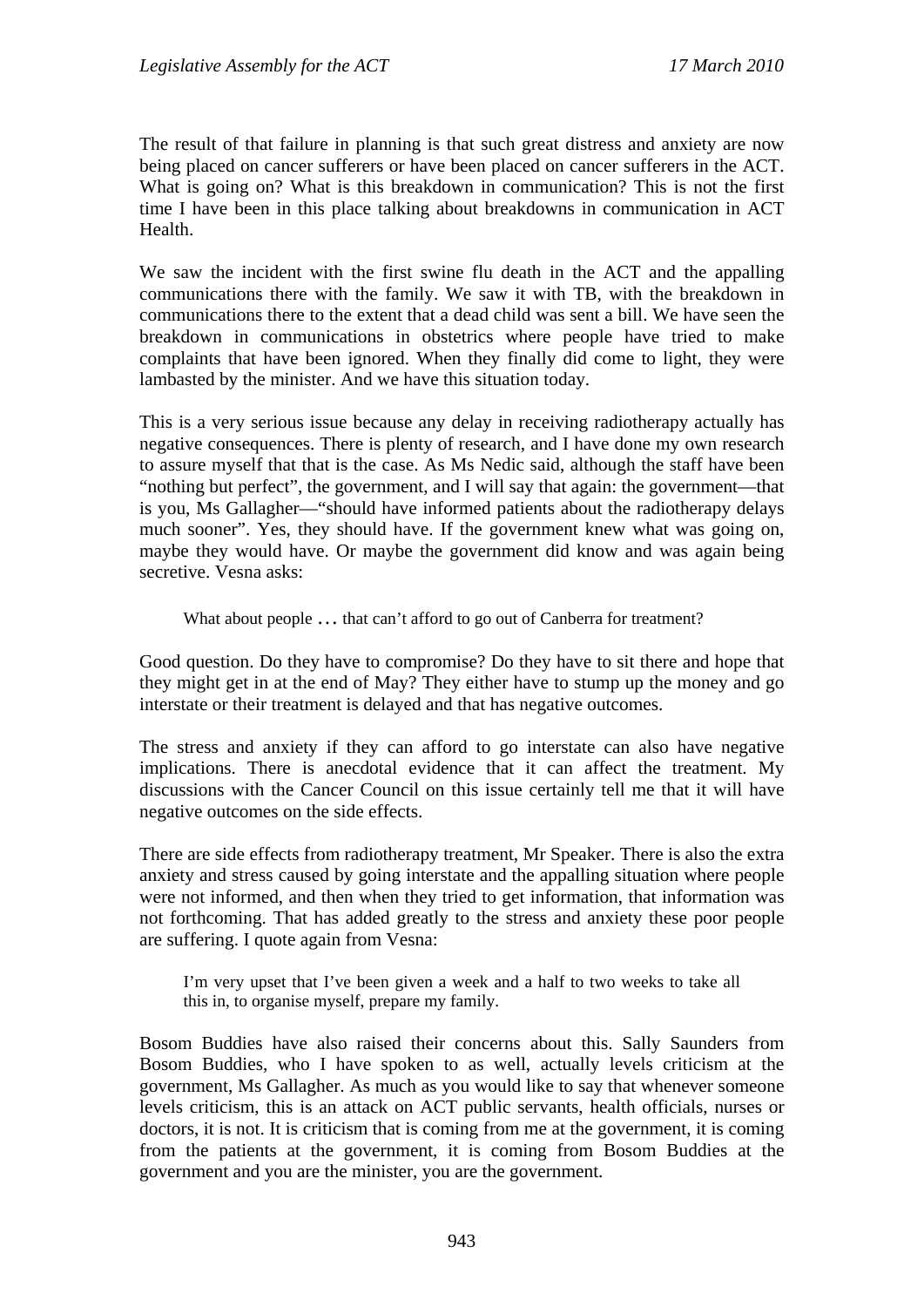The result of that failure in planning is that such great distress and anxiety are now being placed on cancer sufferers or have been placed on cancer sufferers in the ACT. What is going on? What is this breakdown in communication? This is not the first time I have been in this place talking about breakdowns in communication in ACT Health.

We saw the incident with the first swine flu death in the ACT and the appalling communications there with the family. We saw it with TB, with the breakdown in communications there to the extent that a dead child was sent a bill. We have seen the breakdown in communications in obstetrics where people have tried to make complaints that have been ignored. When they finally did come to light, they were lambasted by the minister. And we have this situation today.

This is a very serious issue because any delay in receiving radiotherapy actually has negative consequences. There is plenty of research, and I have done my own research to assure myself that that is the case. As Ms Nedic said, although the staff have been "nothing but perfect", the government, and I will say that again: the government—that is you, Ms Gallagher—"should have informed patients about the radiotherapy delays much sooner". Yes, they should have. If the government knew what was going on, maybe they would have. Or maybe the government did know and was again being secretive. Vesna asks:

What about people ... that can't afford to go out of Canberra for treatment?

Good question. Do they have to compromise? Do they have to sit there and hope that they might get in at the end of May? They either have to stump up the money and go interstate or their treatment is delayed and that has negative outcomes.

The stress and anxiety if they can afford to go interstate can also have negative implications. There is anecdotal evidence that it can affect the treatment. My discussions with the Cancer Council on this issue certainly tell me that it will have negative outcomes on the side effects.

There are side effects from radiotherapy treatment, Mr Speaker. There is also the extra anxiety and stress caused by going interstate and the appalling situation where people were not informed, and then when they tried to get information, that information was not forthcoming. That has added greatly to the stress and anxiety these poor people are suffering. I quote again from Vesna:

I'm very upset that I've been given a week and a half to two weeks to take all this in, to organise myself, prepare my family.

Bosom Buddies have also raised their concerns about this. Sally Saunders from Bosom Buddies, who I have spoken to as well, actually levels criticism at the government, Ms Gallagher. As much as you would like to say that whenever someone levels criticism, this is an attack on ACT public servants, health officials, nurses or doctors, it is not. It is criticism that is coming from me at the government, it is coming from the patients at the government, it is coming from Bosom Buddies at the government and you are the minister, you are the government.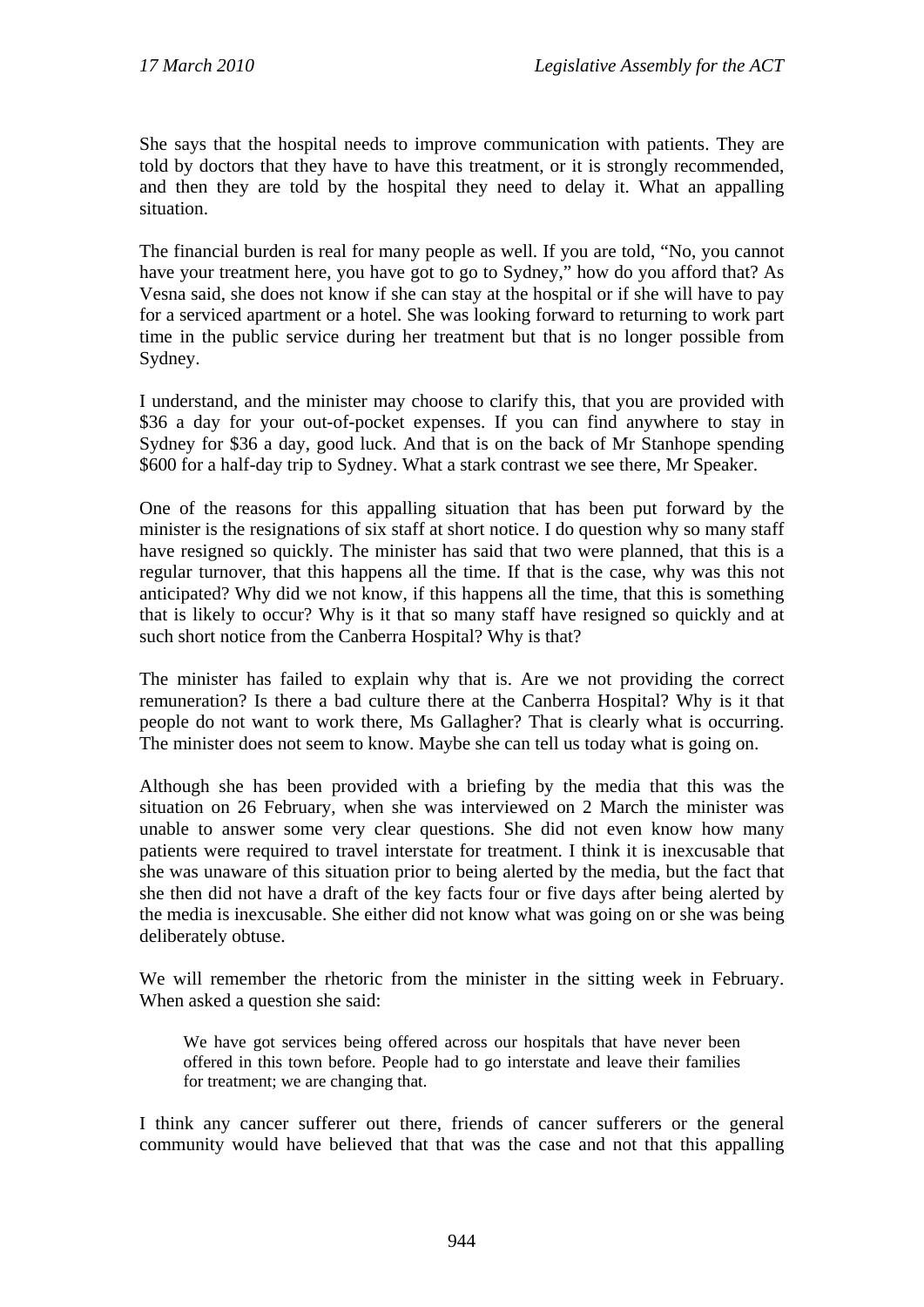She says that the hospital needs to improve communication with patients. They are told by doctors that they have to have this treatment, or it is strongly recommended, and then they are told by the hospital they need to delay it. What an appalling situation.

The financial burden is real for many people as well. If you are told, "No, you cannot have your treatment here, you have got to go to Sydney," how do you afford that? As Vesna said, she does not know if she can stay at the hospital or if she will have to pay for a serviced apartment or a hotel. She was looking forward to returning to work part time in the public service during her treatment but that is no longer possible from Sydney.

I understand, and the minister may choose to clarify this, that you are provided with \$36 a day for your out-of-pocket expenses. If you can find anywhere to stay in Sydney for \$36 a day, good luck. And that is on the back of Mr Stanhope spending \$600 for a half-day trip to Sydney. What a stark contrast we see there, Mr Speaker.

One of the reasons for this appalling situation that has been put forward by the minister is the resignations of six staff at short notice. I do question why so many staff have resigned so quickly. The minister has said that two were planned, that this is a regular turnover, that this happens all the time. If that is the case, why was this not anticipated? Why did we not know, if this happens all the time, that this is something that is likely to occur? Why is it that so many staff have resigned so quickly and at such short notice from the Canberra Hospital? Why is that?

The minister has failed to explain why that is. Are we not providing the correct remuneration? Is there a bad culture there at the Canberra Hospital? Why is it that people do not want to work there, Ms Gallagher? That is clearly what is occurring. The minister does not seem to know. Maybe she can tell us today what is going on.

Although she has been provided with a briefing by the media that this was the situation on 26 February, when she was interviewed on 2 March the minister was unable to answer some very clear questions. She did not even know how many patients were required to travel interstate for treatment. I think it is inexcusable that she was unaware of this situation prior to being alerted by the media, but the fact that she then did not have a draft of the key facts four or five days after being alerted by the media is inexcusable. She either did not know what was going on or she was being deliberately obtuse.

We will remember the rhetoric from the minister in the sitting week in February. When asked a question she said:

We have got services being offered across our hospitals that have never been offered in this town before. People had to go interstate and leave their families for treatment; we are changing that.

I think any cancer sufferer out there, friends of cancer sufferers or the general community would have believed that that was the case and not that this appalling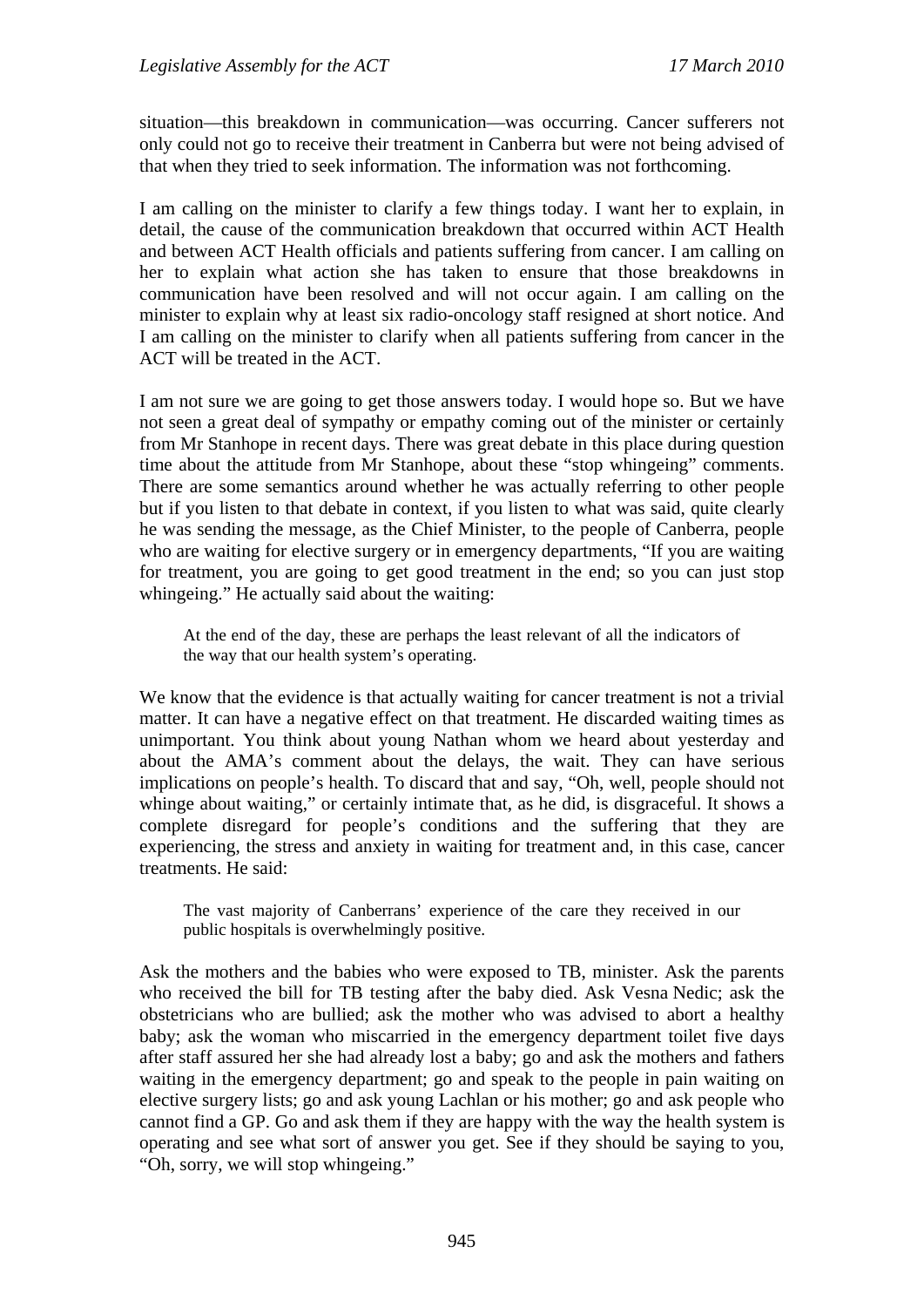situation—this breakdown in communication—was occurring. Cancer sufferers not only could not go to receive their treatment in Canberra but were not being advised of that when they tried to seek information. The information was not forthcoming.

I am calling on the minister to clarify a few things today. I want her to explain, in detail, the cause of the communication breakdown that occurred within ACT Health and between ACT Health officials and patients suffering from cancer. I am calling on her to explain what action she has taken to ensure that those breakdowns in communication have been resolved and will not occur again. I am calling on the minister to explain why at least six radio-oncology staff resigned at short notice. And I am calling on the minister to clarify when all patients suffering from cancer in the ACT will be treated in the ACT.

I am not sure we are going to get those answers today. I would hope so. But we have not seen a great deal of sympathy or empathy coming out of the minister or certainly from Mr Stanhope in recent days. There was great debate in this place during question time about the attitude from Mr Stanhope, about these "stop whingeing" comments. There are some semantics around whether he was actually referring to other people but if you listen to that debate in context, if you listen to what was said, quite clearly he was sending the message, as the Chief Minister, to the people of Canberra, people who are waiting for elective surgery or in emergency departments, "If you are waiting for treatment, you are going to get good treatment in the end; so you can just stop whingeing." He actually said about the waiting:

At the end of the day, these are perhaps the least relevant of all the indicators of the way that our health system's operating.

We know that the evidence is that actually waiting for cancer treatment is not a trivial matter. It can have a negative effect on that treatment. He discarded waiting times as unimportant. You think about young Nathan whom we heard about yesterday and about the AMA's comment about the delays, the wait. They can have serious implications on people's health. To discard that and say, "Oh, well, people should not whinge about waiting," or certainly intimate that, as he did, is disgraceful. It shows a complete disregard for people's conditions and the suffering that they are experiencing, the stress and anxiety in waiting for treatment and, in this case, cancer treatments. He said:

The vast majority of Canberrans' experience of the care they received in our public hospitals is overwhelmingly positive.

Ask the mothers and the babies who were exposed to TB, minister. Ask the parents who received the bill for TB testing after the baby died. Ask Vesna Nedic; ask the obstetricians who are bullied; ask the mother who was advised to abort a healthy baby; ask the woman who miscarried in the emergency department toilet five days after staff assured her she had already lost a baby; go and ask the mothers and fathers waiting in the emergency department; go and speak to the people in pain waiting on elective surgery lists; go and ask young Lachlan or his mother; go and ask people who cannot find a GP. Go and ask them if they are happy with the way the health system is operating and see what sort of answer you get. See if they should be saying to you, "Oh, sorry, we will stop whingeing."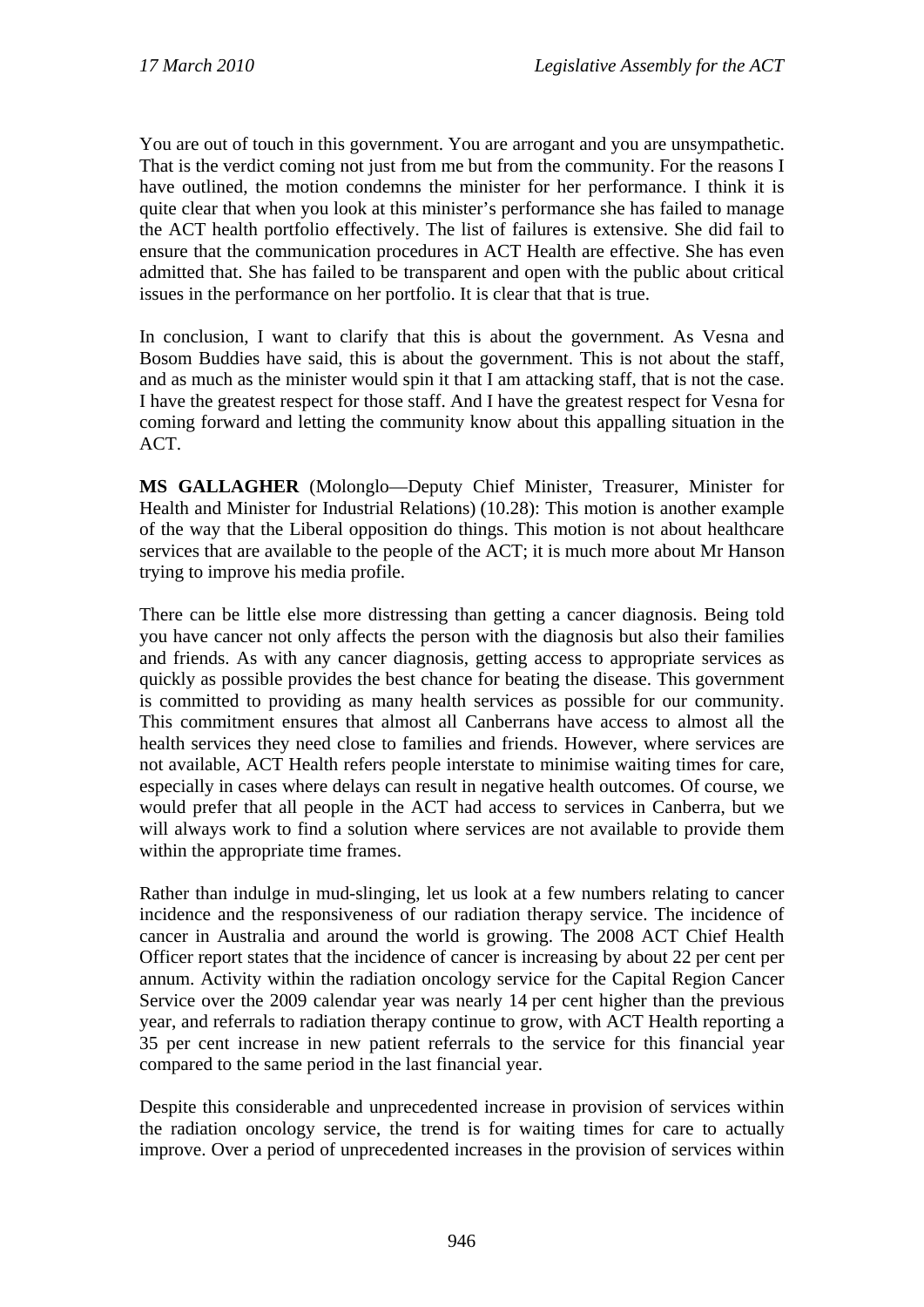You are out of touch in this government. You are arrogant and you are unsympathetic. That is the verdict coming not just from me but from the community. For the reasons I have outlined, the motion condemns the minister for her performance. I think it is quite clear that when you look at this minister's performance she has failed to manage the ACT health portfolio effectively. The list of failures is extensive. She did fail to ensure that the communication procedures in ACT Health are effective. She has even admitted that. She has failed to be transparent and open with the public about critical issues in the performance on her portfolio. It is clear that that is true.

In conclusion, I want to clarify that this is about the government. As Vesna and Bosom Buddies have said, this is about the government. This is not about the staff, and as much as the minister would spin it that I am attacking staff, that is not the case. I have the greatest respect for those staff. And I have the greatest respect for Vesna for coming forward and letting the community know about this appalling situation in the ACT.

**MS GALLAGHER** (Molonglo—Deputy Chief Minister, Treasurer, Minister for Health and Minister for Industrial Relations) (10.28): This motion is another example of the way that the Liberal opposition do things. This motion is not about healthcare services that are available to the people of the ACT; it is much more about Mr Hanson trying to improve his media profile.

There can be little else more distressing than getting a cancer diagnosis. Being told you have cancer not only affects the person with the diagnosis but also their families and friends. As with any cancer diagnosis, getting access to appropriate services as quickly as possible provides the best chance for beating the disease. This government is committed to providing as many health services as possible for our community. This commitment ensures that almost all Canberrans have access to almost all the health services they need close to families and friends. However, where services are not available, ACT Health refers people interstate to minimise waiting times for care, especially in cases where delays can result in negative health outcomes. Of course, we would prefer that all people in the ACT had access to services in Canberra, but we will always work to find a solution where services are not available to provide them within the appropriate time frames.

Rather than indulge in mud-slinging, let us look at a few numbers relating to cancer incidence and the responsiveness of our radiation therapy service. The incidence of cancer in Australia and around the world is growing. The 2008 ACT Chief Health Officer report states that the incidence of cancer is increasing by about 22 per cent per annum. Activity within the radiation oncology service for the Capital Region Cancer Service over the 2009 calendar year was nearly 14 per cent higher than the previous year, and referrals to radiation therapy continue to grow, with ACT Health reporting a 35 per cent increase in new patient referrals to the service for this financial year compared to the same period in the last financial year.

Despite this considerable and unprecedented increase in provision of services within the radiation oncology service, the trend is for waiting times for care to actually improve. Over a period of unprecedented increases in the provision of services within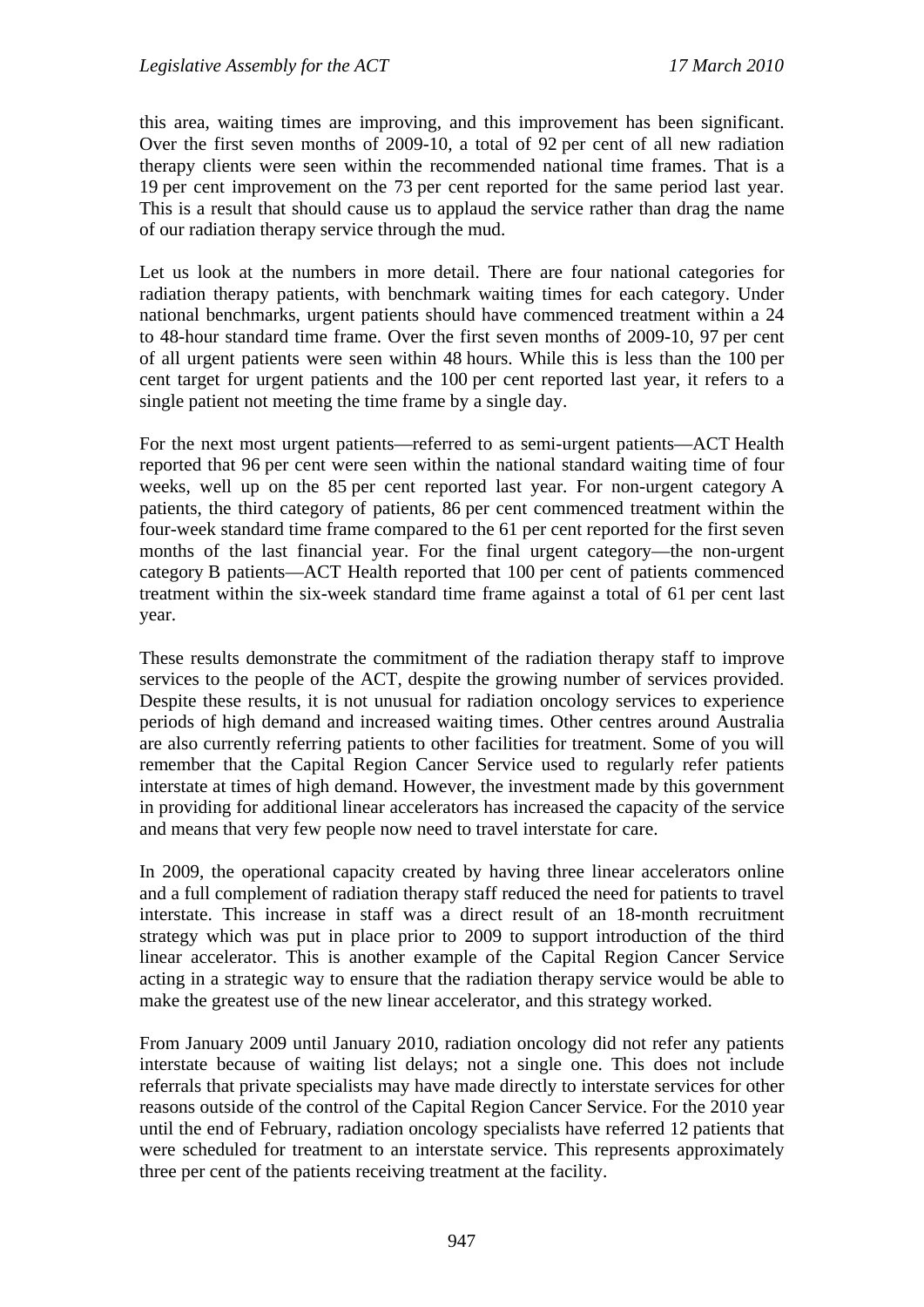this area, waiting times are improving, and this improvement has been significant. Over the first seven months of 2009-10, a total of 92 per cent of all new radiation therapy clients were seen within the recommended national time frames. That is a 19 per cent improvement on the 73 per cent reported for the same period last year. This is a result that should cause us to applaud the service rather than drag the name of our radiation therapy service through the mud.

Let us look at the numbers in more detail. There are four national categories for radiation therapy patients, with benchmark waiting times for each category. Under national benchmarks, urgent patients should have commenced treatment within a 24 to 48-hour standard time frame. Over the first seven months of 2009-10, 97 per cent of all urgent patients were seen within 48 hours. While this is less than the 100 per cent target for urgent patients and the 100 per cent reported last year, it refers to a single patient not meeting the time frame by a single day.

For the next most urgent patients—referred to as semi-urgent patients—ACT Health reported that 96 per cent were seen within the national standard waiting time of four weeks, well up on the 85 per cent reported last year. For non-urgent category A patients, the third category of patients, 86 per cent commenced treatment within the four-week standard time frame compared to the 61 per cent reported for the first seven months of the last financial year. For the final urgent category—the non-urgent category B patients—ACT Health reported that 100 per cent of patients commenced treatment within the six-week standard time frame against a total of 61 per cent last year.

These results demonstrate the commitment of the radiation therapy staff to improve services to the people of the ACT, despite the growing number of services provided. Despite these results, it is not unusual for radiation oncology services to experience periods of high demand and increased waiting times. Other centres around Australia are also currently referring patients to other facilities for treatment. Some of you will remember that the Capital Region Cancer Service used to regularly refer patients interstate at times of high demand. However, the investment made by this government in providing for additional linear accelerators has increased the capacity of the service and means that very few people now need to travel interstate for care.

In 2009, the operational capacity created by having three linear accelerators online and a full complement of radiation therapy staff reduced the need for patients to travel interstate. This increase in staff was a direct result of an 18-month recruitment strategy which was put in place prior to 2009 to support introduction of the third linear accelerator. This is another example of the Capital Region Cancer Service acting in a strategic way to ensure that the radiation therapy service would be able to make the greatest use of the new linear accelerator, and this strategy worked.

From January 2009 until January 2010, radiation oncology did not refer any patients interstate because of waiting list delays; not a single one. This does not include referrals that private specialists may have made directly to interstate services for other reasons outside of the control of the Capital Region Cancer Service. For the 2010 year until the end of February, radiation oncology specialists have referred 12 patients that were scheduled for treatment to an interstate service. This represents approximately three per cent of the patients receiving treatment at the facility.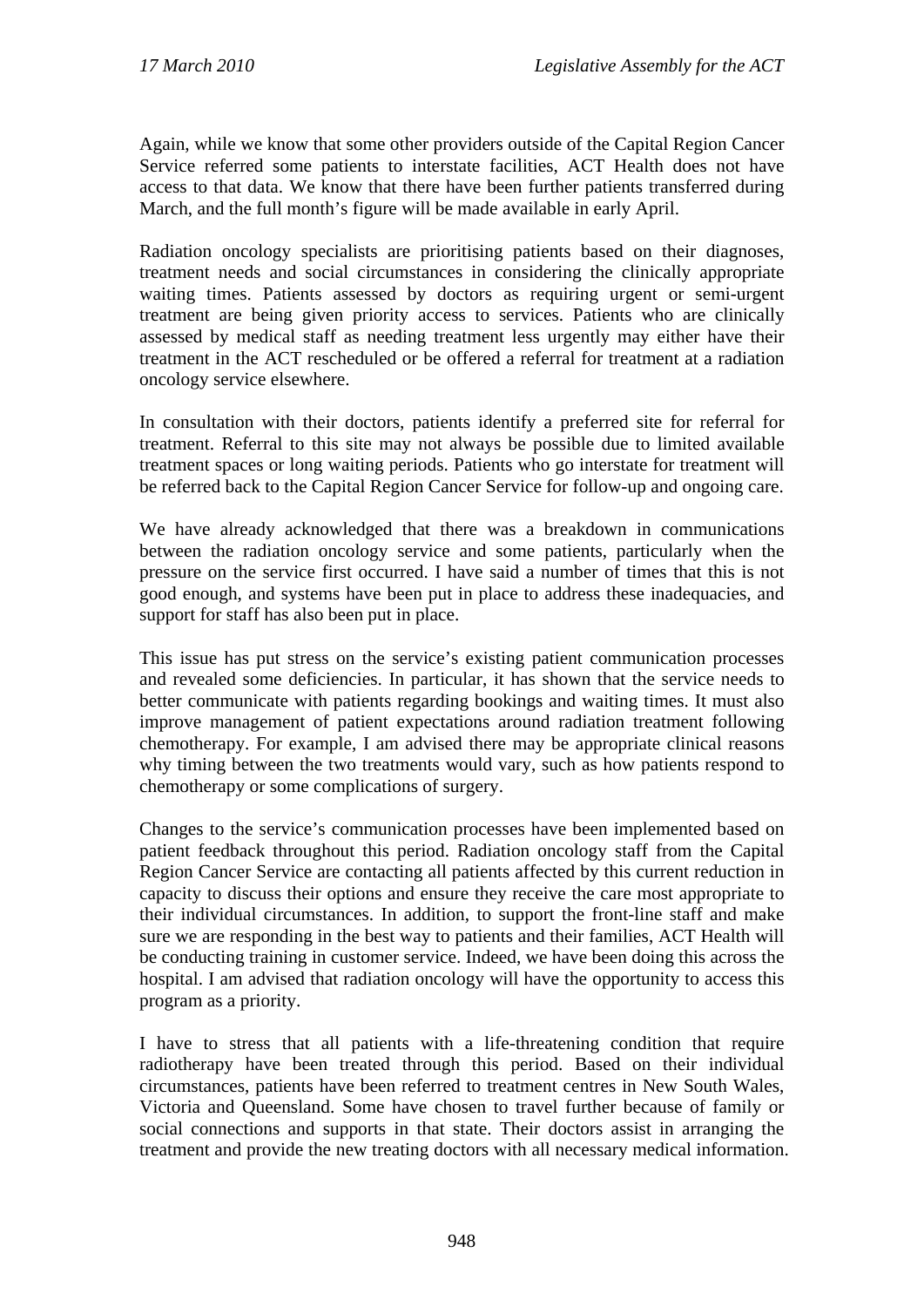Again, while we know that some other providers outside of the Capital Region Cancer Service referred some patients to interstate facilities, ACT Health does not have access to that data. We know that there have been further patients transferred during March, and the full month's figure will be made available in early April.

Radiation oncology specialists are prioritising patients based on their diagnoses, treatment needs and social circumstances in considering the clinically appropriate waiting times. Patients assessed by doctors as requiring urgent or semi-urgent treatment are being given priority access to services. Patients who are clinically assessed by medical staff as needing treatment less urgently may either have their treatment in the ACT rescheduled or be offered a referral for treatment at a radiation oncology service elsewhere.

In consultation with their doctors, patients identify a preferred site for referral for treatment. Referral to this site may not always be possible due to limited available treatment spaces or long waiting periods. Patients who go interstate for treatment will be referred back to the Capital Region Cancer Service for follow-up and ongoing care.

We have already acknowledged that there was a breakdown in communications between the radiation oncology service and some patients, particularly when the pressure on the service first occurred. I have said a number of times that this is not good enough, and systems have been put in place to address these inadequacies, and support for staff has also been put in place.

This issue has put stress on the service's existing patient communication processes and revealed some deficiencies. In particular, it has shown that the service needs to better communicate with patients regarding bookings and waiting times. It must also improve management of patient expectations around radiation treatment following chemotherapy. For example, I am advised there may be appropriate clinical reasons why timing between the two treatments would vary, such as how patients respond to chemotherapy or some complications of surgery.

Changes to the service's communication processes have been implemented based on patient feedback throughout this period. Radiation oncology staff from the Capital Region Cancer Service are contacting all patients affected by this current reduction in capacity to discuss their options and ensure they receive the care most appropriate to their individual circumstances. In addition, to support the front-line staff and make sure we are responding in the best way to patients and their families, ACT Health will be conducting training in customer service. Indeed, we have been doing this across the hospital. I am advised that radiation oncology will have the opportunity to access this program as a priority.

I have to stress that all patients with a life-threatening condition that require radiotherapy have been treated through this period. Based on their individual circumstances, patients have been referred to treatment centres in New South Wales, Victoria and Queensland. Some have chosen to travel further because of family or social connections and supports in that state. Their doctors assist in arranging the treatment and provide the new treating doctors with all necessary medical information.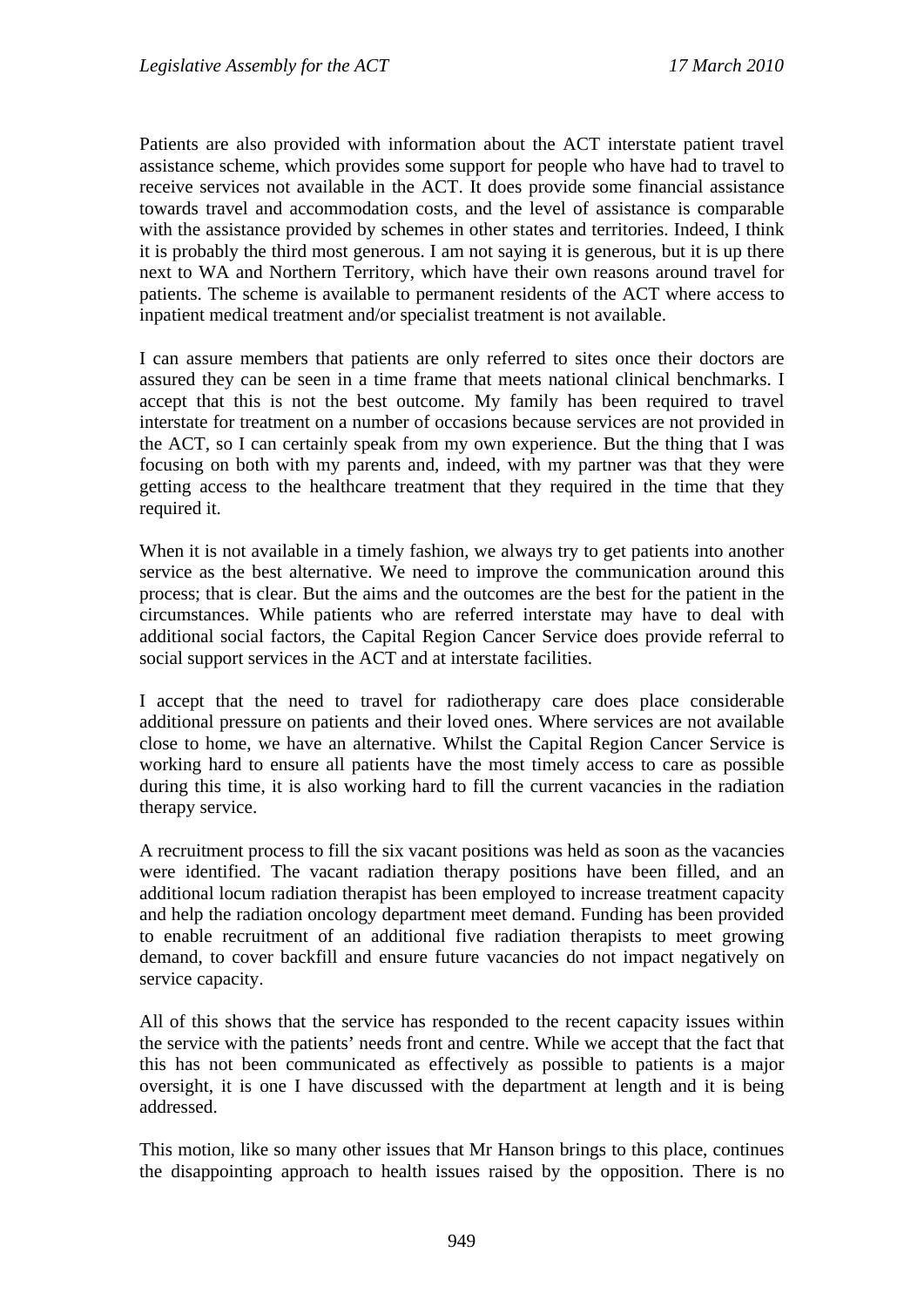Patients are also provided with information about the ACT interstate patient travel assistance scheme, which provides some support for people who have had to travel to receive services not available in the ACT. It does provide some financial assistance towards travel and accommodation costs, and the level of assistance is comparable with the assistance provided by schemes in other states and territories. Indeed, I think it is probably the third most generous. I am not saying it is generous, but it is up there next to WA and Northern Territory, which have their own reasons around travel for patients. The scheme is available to permanent residents of the ACT where access to inpatient medical treatment and/or specialist treatment is not available.

I can assure members that patients are only referred to sites once their doctors are assured they can be seen in a time frame that meets national clinical benchmarks. I accept that this is not the best outcome. My family has been required to travel interstate for treatment on a number of occasions because services are not provided in the ACT, so I can certainly speak from my own experience. But the thing that I was focusing on both with my parents and, indeed, with my partner was that they were getting access to the healthcare treatment that they required in the time that they required it.

When it is not available in a timely fashion, we always try to get patients into another service as the best alternative. We need to improve the communication around this process; that is clear. But the aims and the outcomes are the best for the patient in the circumstances. While patients who are referred interstate may have to deal with additional social factors, the Capital Region Cancer Service does provide referral to social support services in the ACT and at interstate facilities.

I accept that the need to travel for radiotherapy care does place considerable additional pressure on patients and their loved ones. Where services are not available close to home, we have an alternative. Whilst the Capital Region Cancer Service is working hard to ensure all patients have the most timely access to care as possible during this time, it is also working hard to fill the current vacancies in the radiation therapy service.

A recruitment process to fill the six vacant positions was held as soon as the vacancies were identified. The vacant radiation therapy positions have been filled, and an additional locum radiation therapist has been employed to increase treatment capacity and help the radiation oncology department meet demand. Funding has been provided to enable recruitment of an additional five radiation therapists to meet growing demand, to cover backfill and ensure future vacancies do not impact negatively on service capacity.

All of this shows that the service has responded to the recent capacity issues within the service with the patients' needs front and centre. While we accept that the fact that this has not been communicated as effectively as possible to patients is a major oversight, it is one I have discussed with the department at length and it is being addressed.

This motion, like so many other issues that Mr Hanson brings to this place, continues the disappointing approach to health issues raised by the opposition. There is no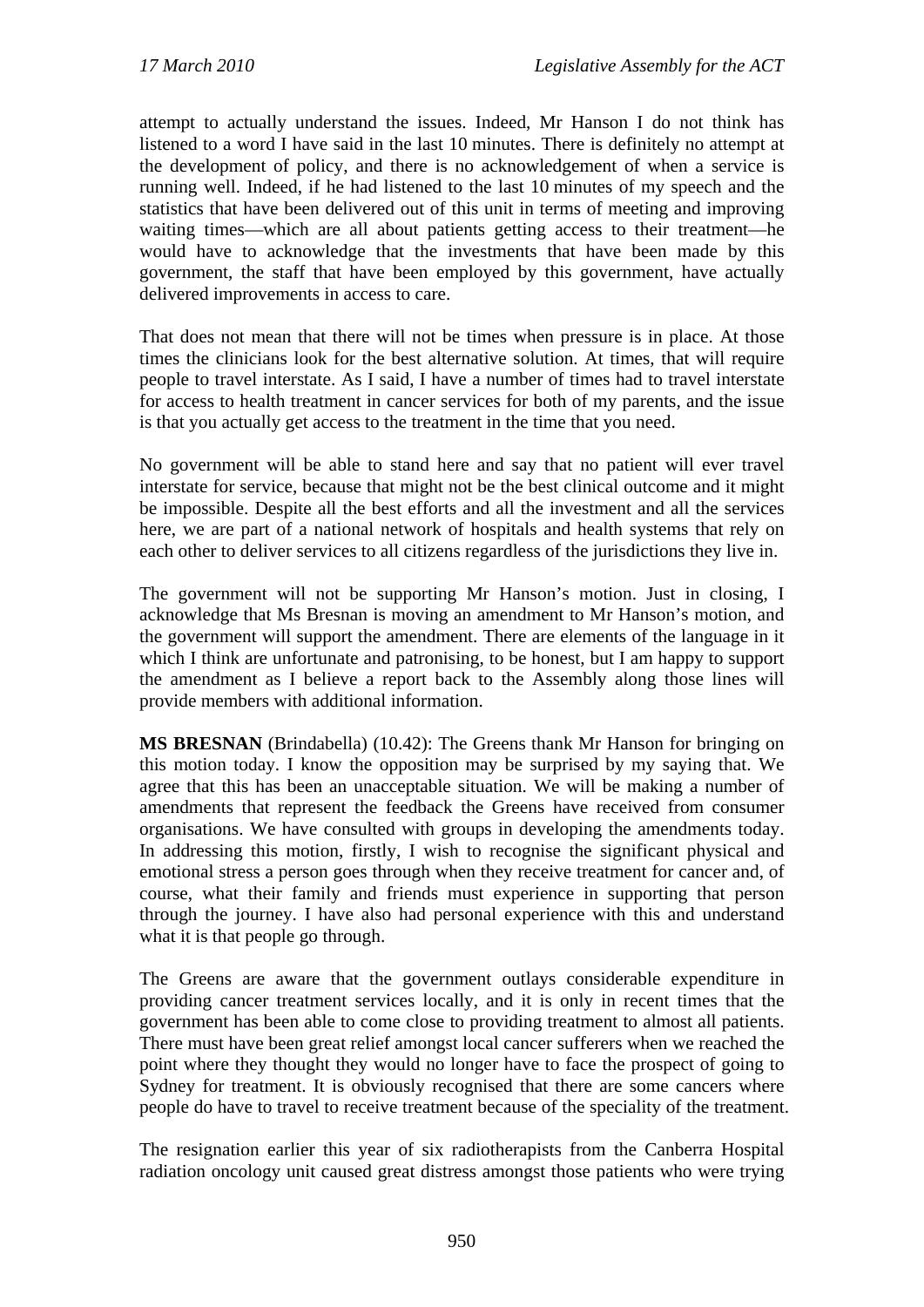attempt to actually understand the issues. Indeed, Mr Hanson I do not think has listened to a word I have said in the last 10 minutes. There is definitely no attempt at the development of policy, and there is no acknowledgement of when a service is running well. Indeed, if he had listened to the last 10 minutes of my speech and the statistics that have been delivered out of this unit in terms of meeting and improving waiting times—which are all about patients getting access to their treatment—he would have to acknowledge that the investments that have been made by this government, the staff that have been employed by this government, have actually delivered improvements in access to care.

That does not mean that there will not be times when pressure is in place. At those times the clinicians look for the best alternative solution. At times, that will require people to travel interstate. As I said, I have a number of times had to travel interstate for access to health treatment in cancer services for both of my parents, and the issue is that you actually get access to the treatment in the time that you need.

No government will be able to stand here and say that no patient will ever travel interstate for service, because that might not be the best clinical outcome and it might be impossible. Despite all the best efforts and all the investment and all the services here, we are part of a national network of hospitals and health systems that rely on each other to deliver services to all citizens regardless of the jurisdictions they live in.

The government will not be supporting Mr Hanson's motion. Just in closing, I acknowledge that Ms Bresnan is moving an amendment to Mr Hanson's motion, and the government will support the amendment. There are elements of the language in it which I think are unfortunate and patronising, to be honest, but I am happy to support the amendment as I believe a report back to the Assembly along those lines will provide members with additional information.

**MS BRESNAN** (Brindabella) (10.42): The Greens thank Mr Hanson for bringing on this motion today. I know the opposition may be surprised by my saying that. We agree that this has been an unacceptable situation. We will be making a number of amendments that represent the feedback the Greens have received from consumer organisations. We have consulted with groups in developing the amendments today. In addressing this motion, firstly, I wish to recognise the significant physical and emotional stress a person goes through when they receive treatment for cancer and, of course, what their family and friends must experience in supporting that person through the journey. I have also had personal experience with this and understand what it is that people go through.

The Greens are aware that the government outlays considerable expenditure in providing cancer treatment services locally, and it is only in recent times that the government has been able to come close to providing treatment to almost all patients. There must have been great relief amongst local cancer sufferers when we reached the point where they thought they would no longer have to face the prospect of going to Sydney for treatment. It is obviously recognised that there are some cancers where people do have to travel to receive treatment because of the speciality of the treatment.

The resignation earlier this year of six radiotherapists from the Canberra Hospital radiation oncology unit caused great distress amongst those patients who were trying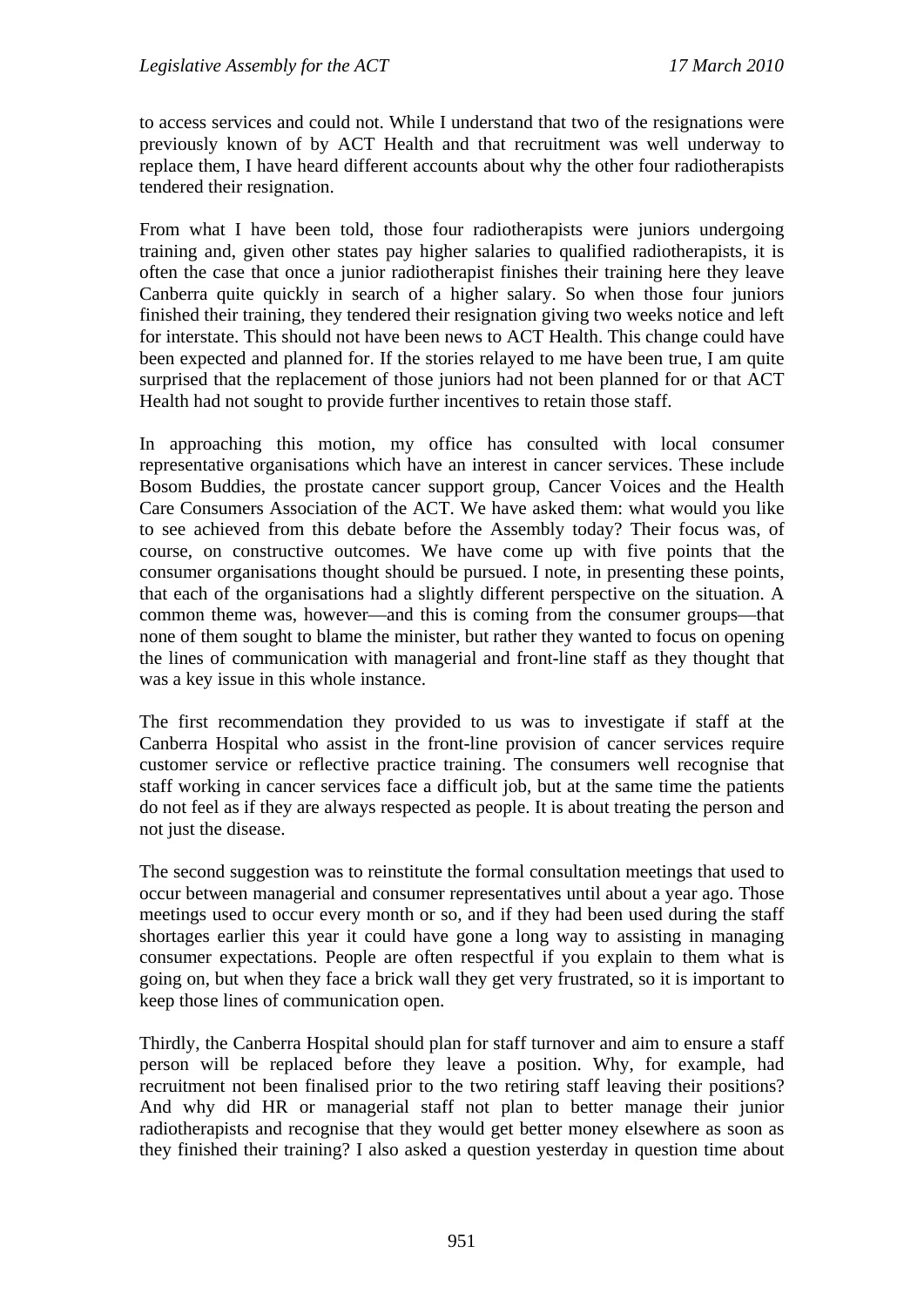to access services and could not. While I understand that two of the resignations were previously known of by ACT Health and that recruitment was well underway to replace them, I have heard different accounts about why the other four radiotherapists tendered their resignation.

From what I have been told, those four radiotherapists were juniors undergoing training and, given other states pay higher salaries to qualified radiotherapists, it is often the case that once a junior radiotherapist finishes their training here they leave Canberra quite quickly in search of a higher salary. So when those four juniors finished their training, they tendered their resignation giving two weeks notice and left for interstate. This should not have been news to ACT Health. This change could have been expected and planned for. If the stories relayed to me have been true, I am quite surprised that the replacement of those juniors had not been planned for or that ACT Health had not sought to provide further incentives to retain those staff.

In approaching this motion, my office has consulted with local consumer representative organisations which have an interest in cancer services. These include Bosom Buddies, the prostate cancer support group, Cancer Voices and the Health Care Consumers Association of the ACT. We have asked them: what would you like to see achieved from this debate before the Assembly today? Their focus was, of course, on constructive outcomes. We have come up with five points that the consumer organisations thought should be pursued. I note, in presenting these points, that each of the organisations had a slightly different perspective on the situation. A common theme was, however—and this is coming from the consumer groups—that none of them sought to blame the minister, but rather they wanted to focus on opening the lines of communication with managerial and front-line staff as they thought that was a key issue in this whole instance.

The first recommendation they provided to us was to investigate if staff at the Canberra Hospital who assist in the front-line provision of cancer services require customer service or reflective practice training. The consumers well recognise that staff working in cancer services face a difficult job, but at the same time the patients do not feel as if they are always respected as people. It is about treating the person and not just the disease.

The second suggestion was to reinstitute the formal consultation meetings that used to occur between managerial and consumer representatives until about a year ago. Those meetings used to occur every month or so, and if they had been used during the staff shortages earlier this year it could have gone a long way to assisting in managing consumer expectations. People are often respectful if you explain to them what is going on, but when they face a brick wall they get very frustrated, so it is important to keep those lines of communication open.

Thirdly, the Canberra Hospital should plan for staff turnover and aim to ensure a staff person will be replaced before they leave a position. Why, for example, had recruitment not been finalised prior to the two retiring staff leaving their positions? And why did HR or managerial staff not plan to better manage their junior radiotherapists and recognise that they would get better money elsewhere as soon as they finished their training? I also asked a question yesterday in question time about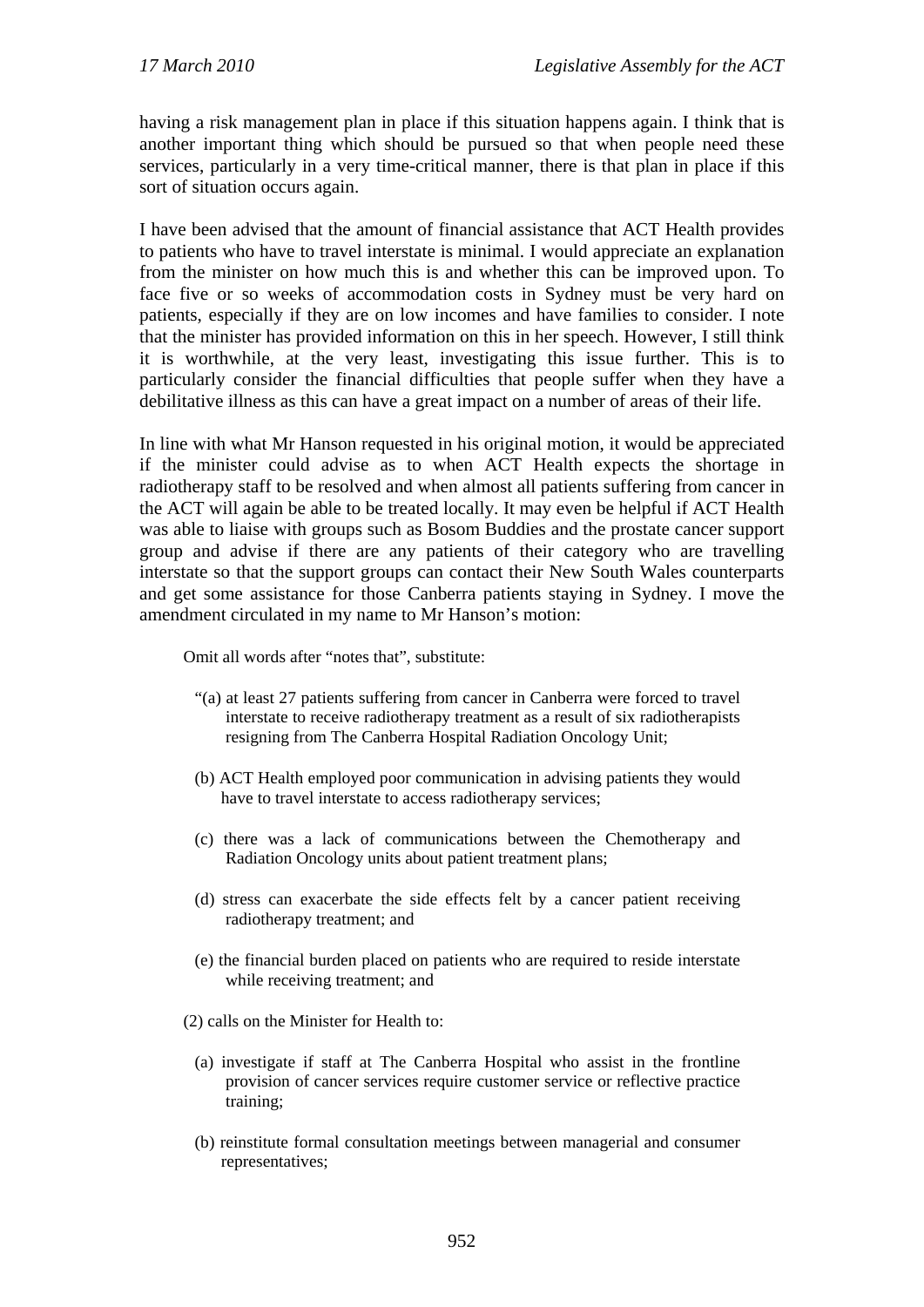having a risk management plan in place if this situation happens again. I think that is another important thing which should be pursued so that when people need these services, particularly in a very time-critical manner, there is that plan in place if this sort of situation occurs again.

I have been advised that the amount of financial assistance that ACT Health provides to patients who have to travel interstate is minimal. I would appreciate an explanation from the minister on how much this is and whether this can be improved upon. To face five or so weeks of accommodation costs in Sydney must be very hard on patients, especially if they are on low incomes and have families to consider. I note that the minister has provided information on this in her speech. However, I still think it is worthwhile, at the very least, investigating this issue further. This is to particularly consider the financial difficulties that people suffer when they have a debilitative illness as this can have a great impact on a number of areas of their life.

In line with what Mr Hanson requested in his original motion, it would be appreciated if the minister could advise as to when ACT Health expects the shortage in radiotherapy staff to be resolved and when almost all patients suffering from cancer in the ACT will again be able to be treated locally. It may even be helpful if ACT Health was able to liaise with groups such as Bosom Buddies and the prostate cancer support group and advise if there are any patients of their category who are travelling interstate so that the support groups can contact their New South Wales counterparts and get some assistance for those Canberra patients staying in Sydney. I move the amendment circulated in my name to Mr Hanson's motion:

Omit all words after "notes that", substitute:

- "(a) at least 27 patients suffering from cancer in Canberra were forced to travel interstate to receive radiotherapy treatment as a result of six radiotherapists resigning from The Canberra Hospital Radiation Oncology Unit;
- (b) ACT Health employed poor communication in advising patients they would have to travel interstate to access radiotherapy services;
- (c) there was a lack of communications between the Chemotherapy and Radiation Oncology units about patient treatment plans;
- (d) stress can exacerbate the side effects felt by a cancer patient receiving radiotherapy treatment; and
- (e) the financial burden placed on patients who are required to reside interstate while receiving treatment; and
- (2) calls on the Minister for Health to:
	- (a) investigate if staff at The Canberra Hospital who assist in the frontline provision of cancer services require customer service or reflective practice training;
	- (b) reinstitute formal consultation meetings between managerial and consumer representatives;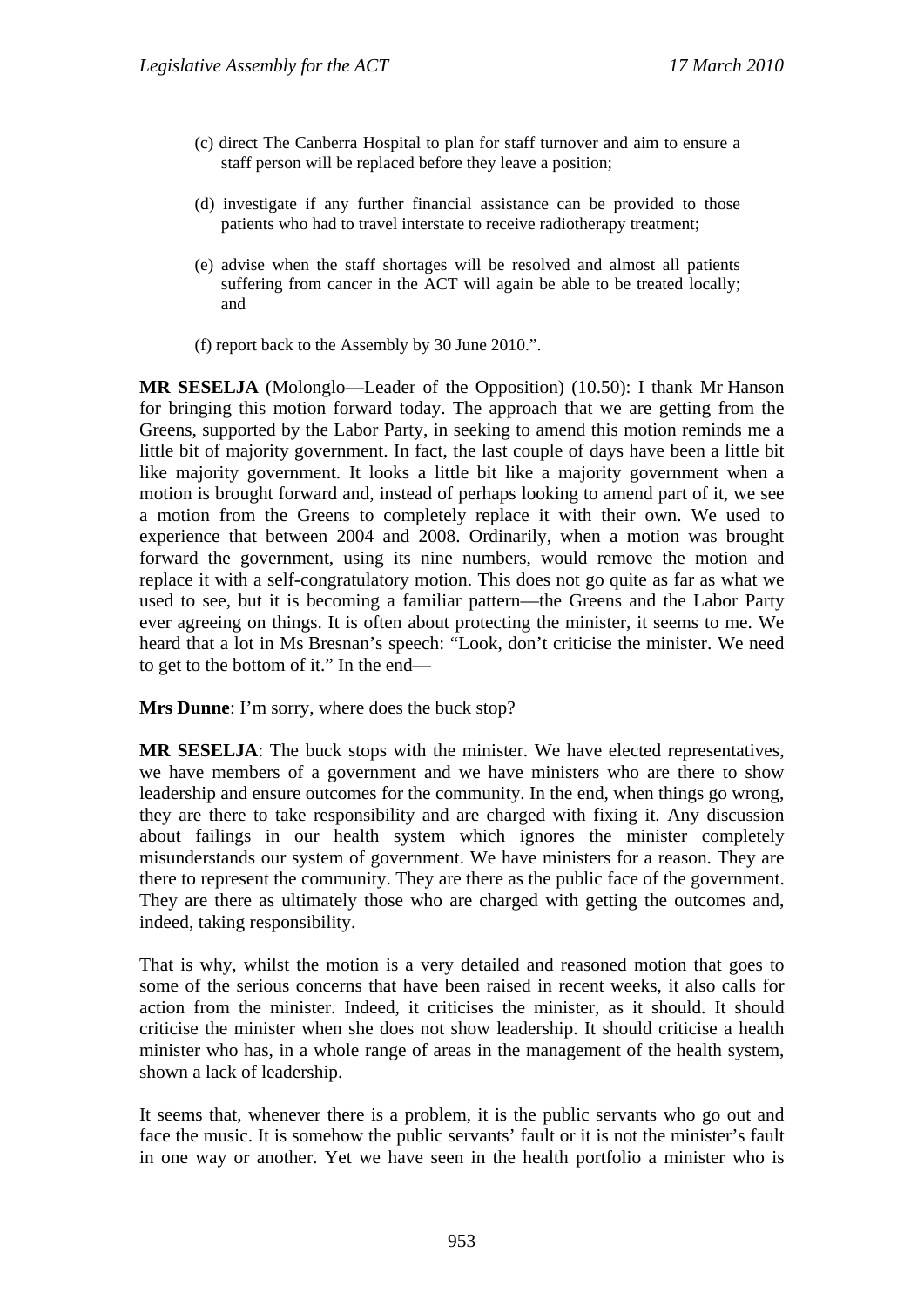- (c) direct The Canberra Hospital to plan for staff turnover and aim to ensure a staff person will be replaced before they leave a position;
- (d) investigate if any further financial assistance can be provided to those patients who had to travel interstate to receive radiotherapy treatment;
- (e) advise when the staff shortages will be resolved and almost all patients suffering from cancer in the ACT will again be able to be treated locally; and
- (f) report back to the Assembly by 30 June 2010.".

**MR SESELJA** (Molonglo—Leader of the Opposition) (10.50): I thank Mr Hanson for bringing this motion forward today. The approach that we are getting from the Greens, supported by the Labor Party, in seeking to amend this motion reminds me a little bit of majority government. In fact, the last couple of days have been a little bit like majority government. It looks a little bit like a majority government when a motion is brought forward and, instead of perhaps looking to amend part of it, we see a motion from the Greens to completely replace it with their own. We used to experience that between 2004 and 2008. Ordinarily, when a motion was brought forward the government, using its nine numbers, would remove the motion and replace it with a self-congratulatory motion. This does not go quite as far as what we used to see, but it is becoming a familiar pattern—the Greens and the Labor Party ever agreeing on things. It is often about protecting the minister, it seems to me. We heard that a lot in Ms Bresnan's speech: "Look, don't criticise the minister. We need to get to the bottom of it." In the end—

**Mrs Dunne**: I'm sorry, where does the buck stop?

**MR SESELJA**: The buck stops with the minister. We have elected representatives, we have members of a government and we have ministers who are there to show leadership and ensure outcomes for the community. In the end, when things go wrong, they are there to take responsibility and are charged with fixing it. Any discussion about failings in our health system which ignores the minister completely misunderstands our system of government. We have ministers for a reason. They are there to represent the community. They are there as the public face of the government. They are there as ultimately those who are charged with getting the outcomes and, indeed, taking responsibility.

That is why, whilst the motion is a very detailed and reasoned motion that goes to some of the serious concerns that have been raised in recent weeks, it also calls for action from the minister. Indeed, it criticises the minister, as it should. It should criticise the minister when she does not show leadership. It should criticise a health minister who has, in a whole range of areas in the management of the health system, shown a lack of leadership.

It seems that, whenever there is a problem, it is the public servants who go out and face the music. It is somehow the public servants' fault or it is not the minister's fault in one way or another. Yet we have seen in the health portfolio a minister who is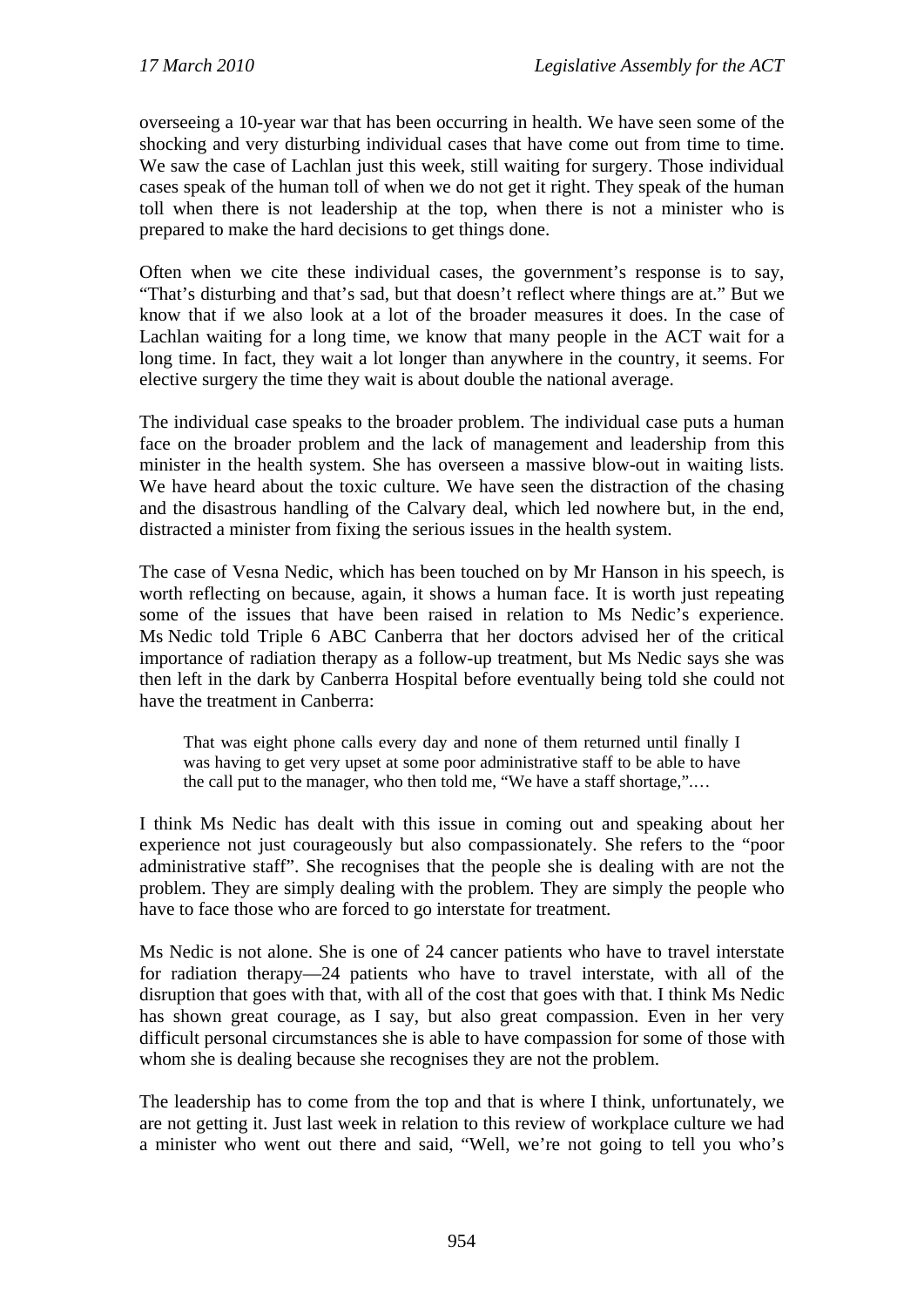overseeing a 10-year war that has been occurring in health. We have seen some of the shocking and very disturbing individual cases that have come out from time to time. We saw the case of Lachlan just this week, still waiting for surgery. Those individual cases speak of the human toll of when we do not get it right. They speak of the human toll when there is not leadership at the top, when there is not a minister who is prepared to make the hard decisions to get things done.

Often when we cite these individual cases, the government's response is to say, "That's disturbing and that's sad, but that doesn't reflect where things are at." But we know that if we also look at a lot of the broader measures it does. In the case of Lachlan waiting for a long time, we know that many people in the ACT wait for a long time. In fact, they wait a lot longer than anywhere in the country, it seems. For elective surgery the time they wait is about double the national average.

The individual case speaks to the broader problem. The individual case puts a human face on the broader problem and the lack of management and leadership from this minister in the health system. She has overseen a massive blow-out in waiting lists. We have heard about the toxic culture. We have seen the distraction of the chasing and the disastrous handling of the Calvary deal, which led nowhere but, in the end, distracted a minister from fixing the serious issues in the health system.

The case of Vesna Nedic, which has been touched on by Mr Hanson in his speech, is worth reflecting on because, again, it shows a human face. It is worth just repeating some of the issues that have been raised in relation to Ms Nedic's experience. Ms Nedic told Triple 6 ABC Canberra that her doctors advised her of the critical importance of radiation therapy as a follow-up treatment, but Ms Nedic says she was then left in the dark by Canberra Hospital before eventually being told she could not have the treatment in Canberra:

That was eight phone calls every day and none of them returned until finally I was having to get very upset at some poor administrative staff to be able to have the call put to the manager, who then told me, "We have a staff shortage,".…

I think Ms Nedic has dealt with this issue in coming out and speaking about her experience not just courageously but also compassionately. She refers to the "poor administrative staff". She recognises that the people she is dealing with are not the problem. They are simply dealing with the problem. They are simply the people who have to face those who are forced to go interstate for treatment.

Ms Nedic is not alone. She is one of 24 cancer patients who have to travel interstate for radiation therapy—24 patients who have to travel interstate, with all of the disruption that goes with that, with all of the cost that goes with that. I think Ms Nedic has shown great courage, as I say, but also great compassion. Even in her very difficult personal circumstances she is able to have compassion for some of those with whom she is dealing because she recognises they are not the problem.

The leadership has to come from the top and that is where I think, unfortunately, we are not getting it. Just last week in relation to this review of workplace culture we had a minister who went out there and said, "Well, we're not going to tell you who's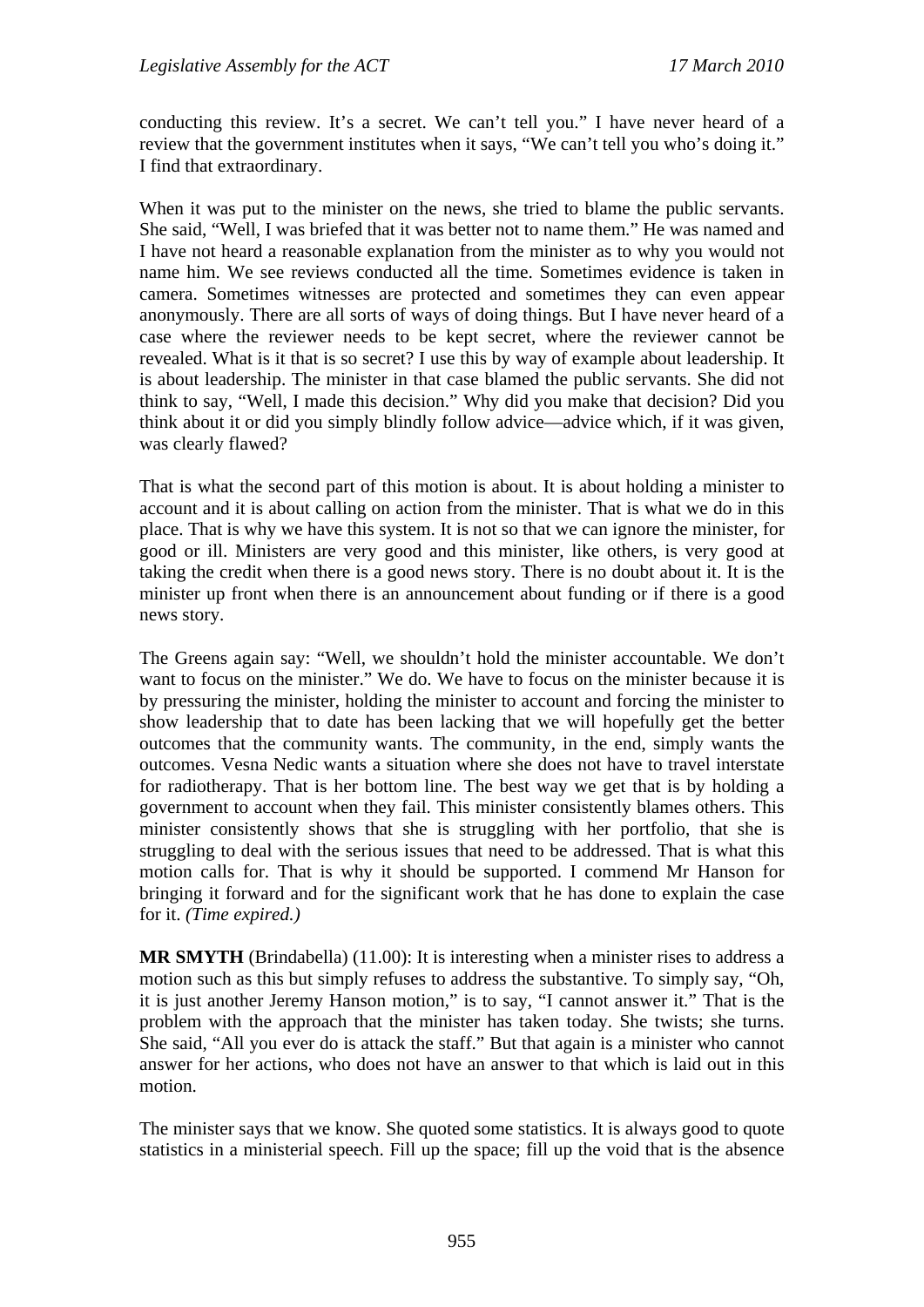conducting this review. It's a secret. We can't tell you." I have never heard of a review that the government institutes when it says, "We can't tell you who's doing it." I find that extraordinary.

When it was put to the minister on the news, she tried to blame the public servants. She said, "Well, I was briefed that it was better not to name them." He was named and I have not heard a reasonable explanation from the minister as to why you would not name him. We see reviews conducted all the time. Sometimes evidence is taken in camera. Sometimes witnesses are protected and sometimes they can even appear anonymously. There are all sorts of ways of doing things. But I have never heard of a case where the reviewer needs to be kept secret, where the reviewer cannot be revealed. What is it that is so secret? I use this by way of example about leadership. It is about leadership. The minister in that case blamed the public servants. She did not think to say, "Well, I made this decision." Why did you make that decision? Did you think about it or did you simply blindly follow advice—advice which, if it was given, was clearly flawed?

That is what the second part of this motion is about. It is about holding a minister to account and it is about calling on action from the minister. That is what we do in this place. That is why we have this system. It is not so that we can ignore the minister, for good or ill. Ministers are very good and this minister, like others, is very good at taking the credit when there is a good news story. There is no doubt about it. It is the minister up front when there is an announcement about funding or if there is a good news story.

The Greens again say: "Well, we shouldn't hold the minister accountable. We don't want to focus on the minister." We do. We have to focus on the minister because it is by pressuring the minister, holding the minister to account and forcing the minister to show leadership that to date has been lacking that we will hopefully get the better outcomes that the community wants. The community, in the end, simply wants the outcomes. Vesna Nedic wants a situation where she does not have to travel interstate for radiotherapy. That is her bottom line. The best way we get that is by holding a government to account when they fail. This minister consistently blames others. This minister consistently shows that she is struggling with her portfolio, that she is struggling to deal with the serious issues that need to be addressed. That is what this motion calls for. That is why it should be supported. I commend Mr Hanson for bringing it forward and for the significant work that he has done to explain the case for it. *(Time expired.)*

**MR SMYTH** (Brindabella) (11.00): It is interesting when a minister rises to address a motion such as this but simply refuses to address the substantive. To simply say, "Oh, it is just another Jeremy Hanson motion," is to say, "I cannot answer it." That is the problem with the approach that the minister has taken today. She twists; she turns. She said, "All you ever do is attack the staff." But that again is a minister who cannot answer for her actions, who does not have an answer to that which is laid out in this motion.

The minister says that we know. She quoted some statistics. It is always good to quote statistics in a ministerial speech. Fill up the space; fill up the void that is the absence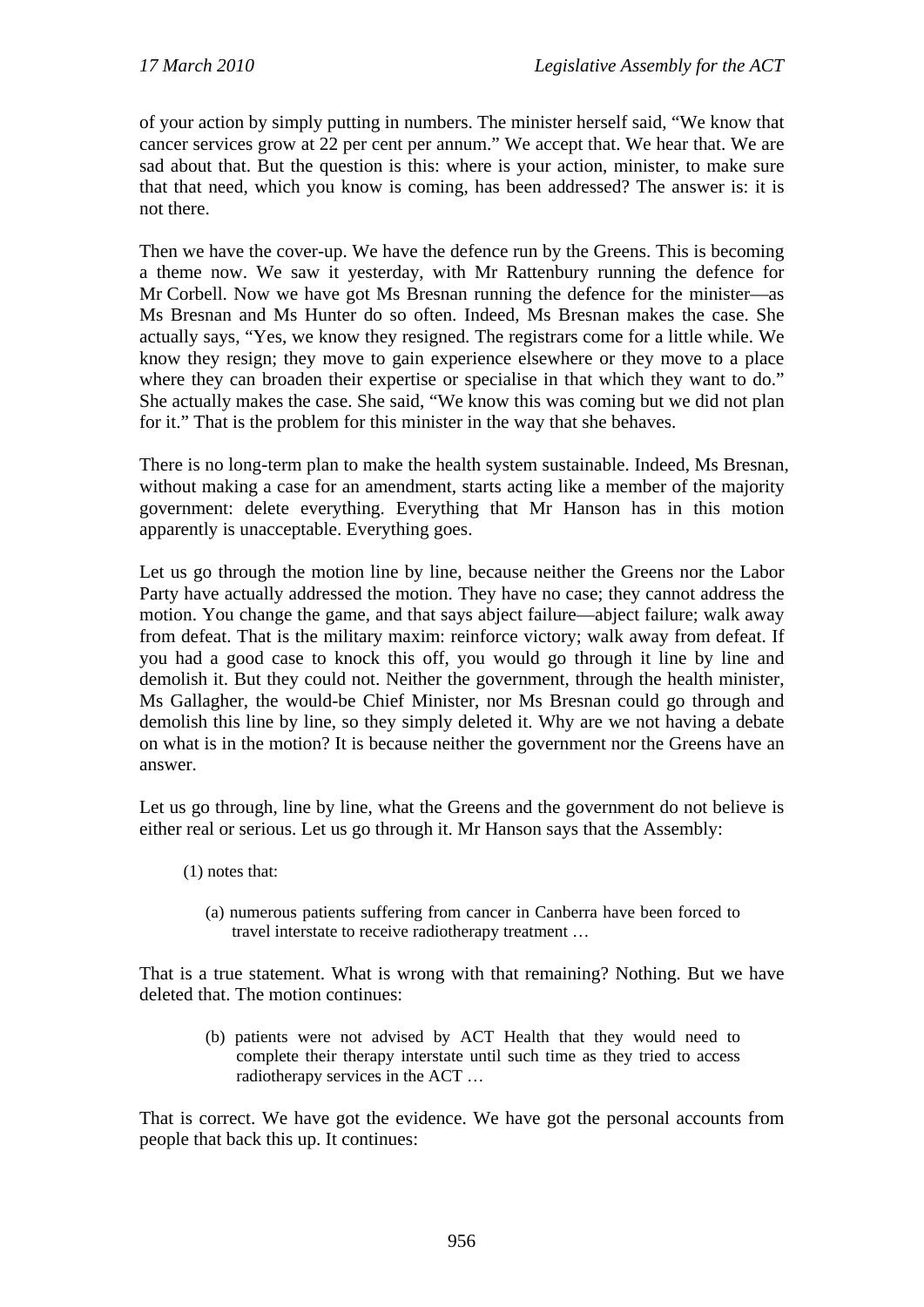of your action by simply putting in numbers. The minister herself said, "We know that cancer services grow at 22 per cent per annum." We accept that. We hear that. We are sad about that. But the question is this: where is your action, minister, to make sure that that need, which you know is coming, has been addressed? The answer is: it is not there.

Then we have the cover-up. We have the defence run by the Greens. This is becoming a theme now. We saw it yesterday, with Mr Rattenbury running the defence for Mr Corbell. Now we have got Ms Bresnan running the defence for the minister—as Ms Bresnan and Ms Hunter do so often. Indeed, Ms Bresnan makes the case. She actually says, "Yes, we know they resigned. The registrars come for a little while. We know they resign; they move to gain experience elsewhere or they move to a place where they can broaden their expertise or specialise in that which they want to do." She actually makes the case. She said, "We know this was coming but we did not plan for it." That is the problem for this minister in the way that she behaves.

There is no long-term plan to make the health system sustainable. Indeed, Ms Bresnan, without making a case for an amendment, starts acting like a member of the majority government: delete everything. Everything that Mr Hanson has in this motion apparently is unacceptable. Everything goes.

Let us go through the motion line by line, because neither the Greens nor the Labor Party have actually addressed the motion. They have no case; they cannot address the motion. You change the game, and that says abject failure—abject failure; walk away from defeat. That is the military maxim: reinforce victory; walk away from defeat. If you had a good case to knock this off, you would go through it line by line and demolish it. But they could not. Neither the government, through the health minister, Ms Gallagher, the would-be Chief Minister, nor Ms Bresnan could go through and demolish this line by line, so they simply deleted it. Why are we not having a debate on what is in the motion? It is because neither the government nor the Greens have an answer.

Let us go through, line by line, what the Greens and the government do not believe is either real or serious. Let us go through it. Mr Hanson says that the Assembly:

- (1) notes that:
	- (a) numerous patients suffering from cancer in Canberra have been forced to travel interstate to receive radiotherapy treatment …

That is a true statement. What is wrong with that remaining? Nothing. But we have deleted that. The motion continues:

(b) patients were not advised by ACT Health that they would need to complete their therapy interstate until such time as they tried to access radiotherapy services in the ACT …

That is correct. We have got the evidence. We have got the personal accounts from people that back this up. It continues: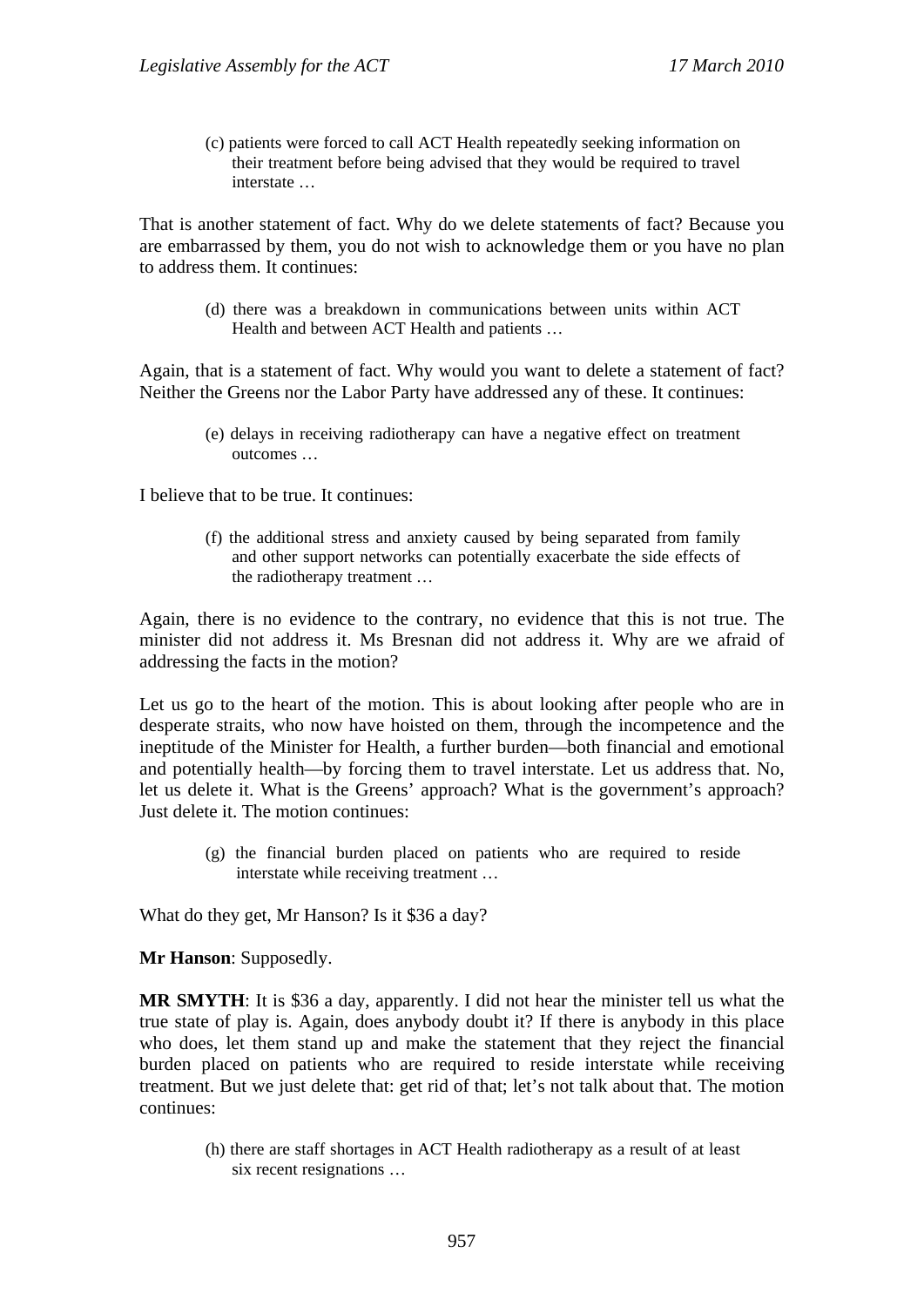(c) patients were forced to call ACT Health repeatedly seeking information on their treatment before being advised that they would be required to travel interstate …

That is another statement of fact. Why do we delete statements of fact? Because you are embarrassed by them, you do not wish to acknowledge them or you have no plan to address them. It continues:

> (d) there was a breakdown in communications between units within ACT Health and between ACT Health and patients …

Again, that is a statement of fact. Why would you want to delete a statement of fact? Neither the Greens nor the Labor Party have addressed any of these. It continues:

(e) delays in receiving radiotherapy can have a negative effect on treatment outcomes …

I believe that to be true. It continues:

(f) the additional stress and anxiety caused by being separated from family and other support networks can potentially exacerbate the side effects of the radiotherapy treatment …

Again, there is no evidence to the contrary, no evidence that this is not true. The minister did not address it. Ms Bresnan did not address it. Why are we afraid of addressing the facts in the motion?

Let us go to the heart of the motion. This is about looking after people who are in desperate straits, who now have hoisted on them, through the incompetence and the ineptitude of the Minister for Health, a further burden—both financial and emotional and potentially health—by forcing them to travel interstate. Let us address that. No, let us delete it. What is the Greens' approach? What is the government's approach? Just delete it. The motion continues:

(g) the financial burden placed on patients who are required to reside interstate while receiving treatment …

What do they get, Mr Hanson? Is it \$36 a day?

**Mr Hanson**: Supposedly.

**MR SMYTH**: It is \$36 a day, apparently. I did not hear the minister tell us what the true state of play is. Again, does anybody doubt it? If there is anybody in this place who does, let them stand up and make the statement that they reject the financial burden placed on patients who are required to reside interstate while receiving treatment. But we just delete that: get rid of that; let's not talk about that. The motion continues:

> (h) there are staff shortages in ACT Health radiotherapy as a result of at least six recent resignations …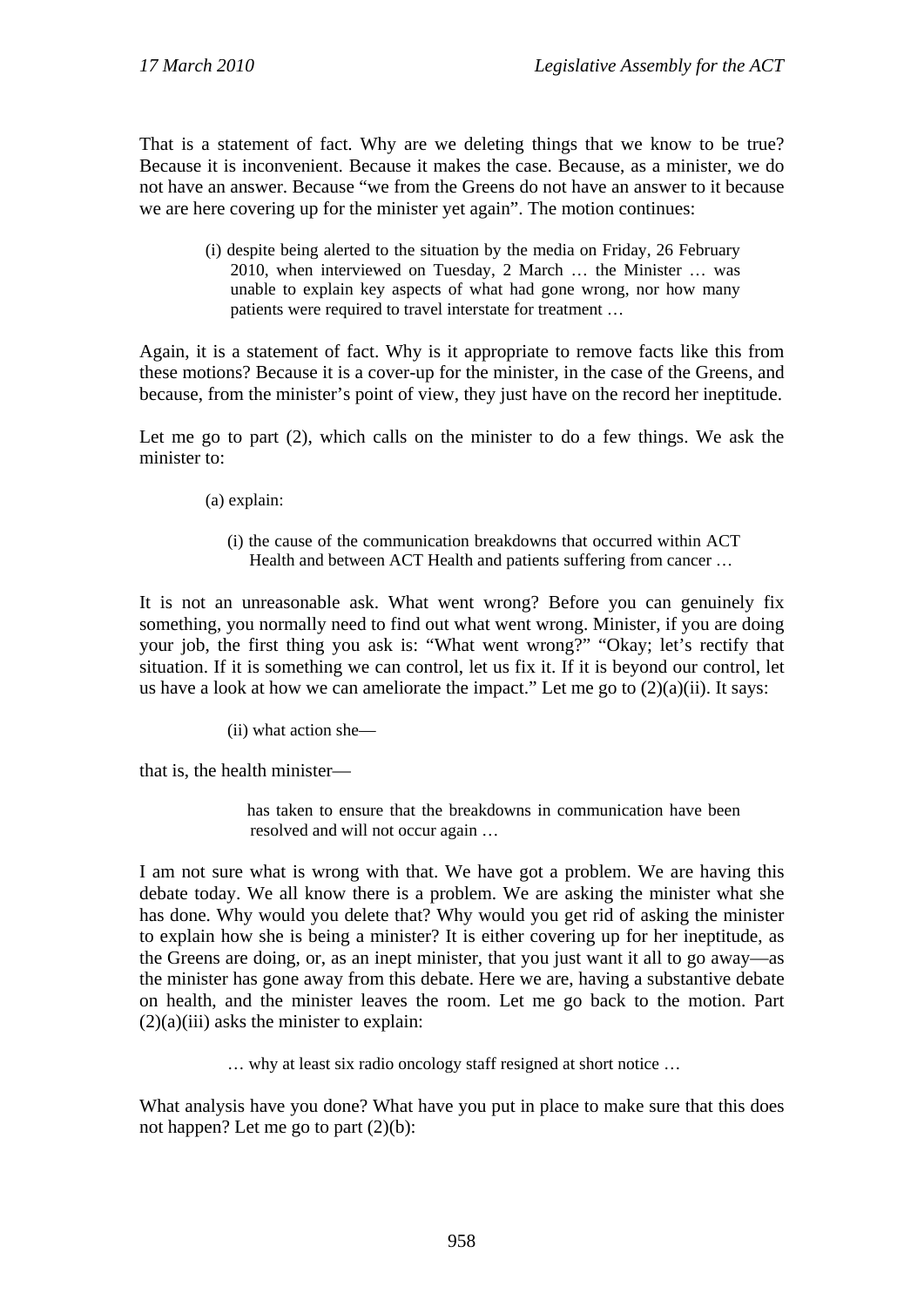That is a statement of fact. Why are we deleting things that we know to be true? Because it is inconvenient. Because it makes the case. Because, as a minister, we do not have an answer. Because "we from the Greens do not have an answer to it because we are here covering up for the minister yet again". The motion continues:

(i) despite being alerted to the situation by the media on Friday, 26 February 2010, when interviewed on Tuesday, 2 March … the Minister … was unable to explain key aspects of what had gone wrong, nor how many patients were required to travel interstate for treatment …

Again, it is a statement of fact. Why is it appropriate to remove facts like this from these motions? Because it is a cover-up for the minister, in the case of the Greens, and because, from the minister's point of view, they just have on the record her ineptitude.

Let me go to part (2), which calls on the minister to do a few things. We ask the minister to:

- (a) explain:
	- (i) the cause of the communication breakdowns that occurred within ACT Health and between ACT Health and patients suffering from cancer ...

It is not an unreasonable ask. What went wrong? Before you can genuinely fix something, you normally need to find out what went wrong. Minister, if you are doing your job, the first thing you ask is: "What went wrong?" "Okay; let's rectify that situation. If it is something we can control, let us fix it. If it is beyond our control, let us have a look at how we can ameliorate the impact." Let me go to  $(2)(a)(ii)$ . It says:

(ii) what action she—

that is, the health minister—

has taken to ensure that the breakdowns in communication have been resolved and will not occur again …

I am not sure what is wrong with that. We have got a problem. We are having this debate today. We all know there is a problem. We are asking the minister what she has done. Why would you delete that? Why would you get rid of asking the minister to explain how she is being a minister? It is either covering up for her ineptitude, as the Greens are doing, or, as an inept minister, that you just want it all to go away—as the minister has gone away from this debate. Here we are, having a substantive debate on health, and the minister leaves the room. Let me go back to the motion. Part  $(2)(a)(iii)$  asks the minister to explain:

… why at least six radio oncology staff resigned at short notice …

What analysis have you done? What have you put in place to make sure that this does not happen? Let me go to part (2)(b):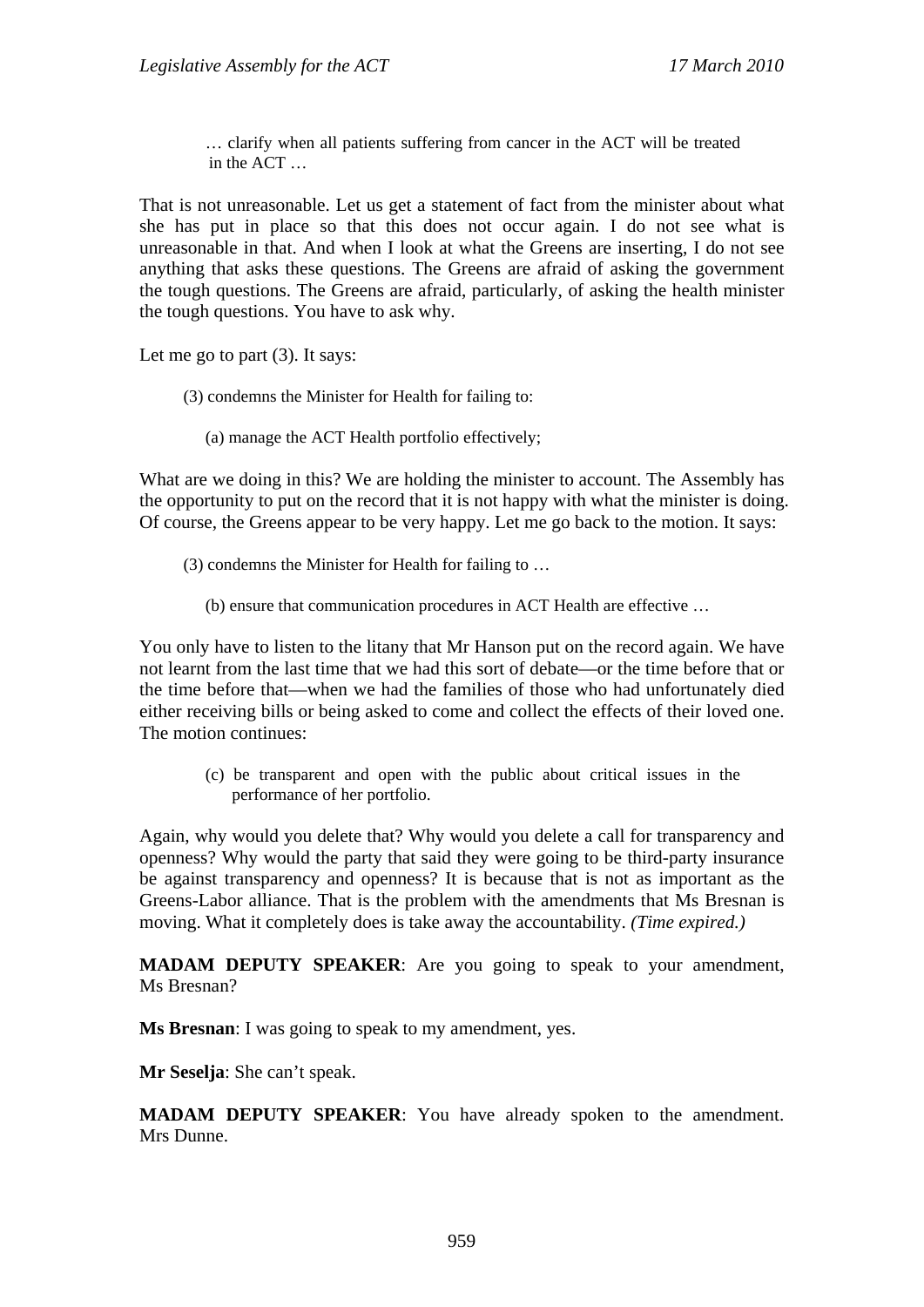… clarify when all patients suffering from cancer in the ACT will be treated in the ACT …

That is not unreasonable. Let us get a statement of fact from the minister about what she has put in place so that this does not occur again. I do not see what is unreasonable in that. And when I look at what the Greens are inserting, I do not see anything that asks these questions. The Greens are afraid of asking the government the tough questions. The Greens are afraid, particularly, of asking the health minister the tough questions. You have to ask why.

Let me go to part (3). It says:

- (3) condemns the Minister for Health for failing to:
	- (a) manage the ACT Health portfolio effectively;

What are we doing in this? We are holding the minister to account. The Assembly has the opportunity to put on the record that it is not happy with what the minister is doing. Of course, the Greens appear to be very happy. Let me go back to the motion. It says:

- (3) condemns the Minister for Health for failing to …
	- (b) ensure that communication procedures in ACT Health are effective …

You only have to listen to the litany that Mr Hanson put on the record again. We have not learnt from the last time that we had this sort of debate—or the time before that or the time before that—when we had the families of those who had unfortunately died either receiving bills or being asked to come and collect the effects of their loved one. The motion continues:

(c) be transparent and open with the public about critical issues in the performance of her portfolio.

Again, why would you delete that? Why would you delete a call for transparency and openness? Why would the party that said they were going to be third-party insurance be against transparency and openness? It is because that is not as important as the Greens-Labor alliance. That is the problem with the amendments that Ms Bresnan is moving. What it completely does is take away the accountability. *(Time expired.)*

**MADAM DEPUTY SPEAKER**: Are you going to speak to your amendment, Ms Bresnan?

**Ms Bresnan**: I was going to speak to my amendment, yes.

**Mr Seselja**: She can't speak.

**MADAM DEPUTY SPEAKER**: You have already spoken to the amendment. Mrs Dunne.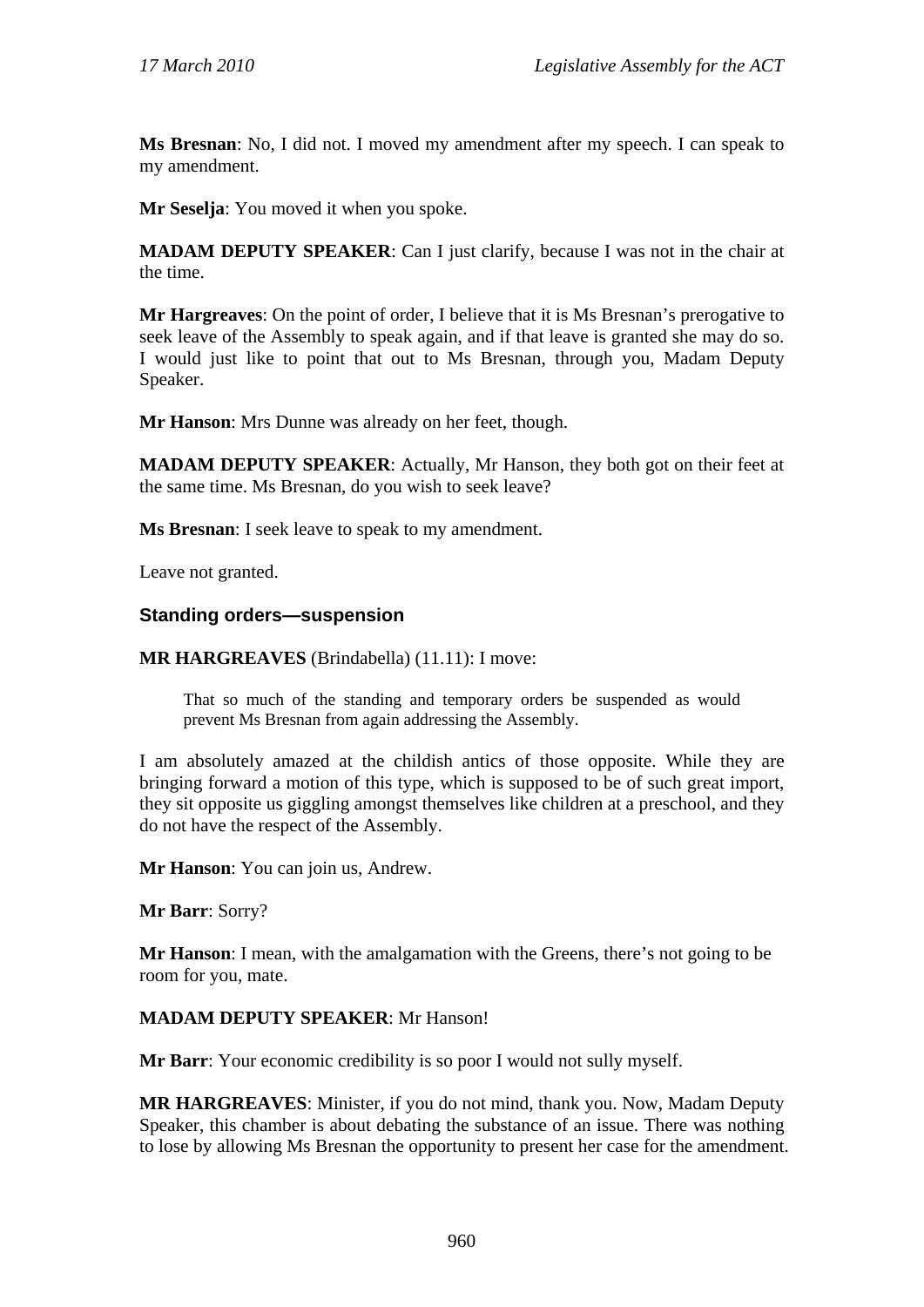**Ms Bresnan**: No, I did not. I moved my amendment after my speech. I can speak to my amendment.

**Mr Seselja**: You moved it when you spoke.

**MADAM DEPUTY SPEAKER**: Can I just clarify, because I was not in the chair at the time.

**Mr Hargreaves**: On the point of order, I believe that it is Ms Bresnan's prerogative to seek leave of the Assembly to speak again, and if that leave is granted she may do so. I would just like to point that out to Ms Bresnan, through you, Madam Deputy Speaker.

**Mr Hanson**: Mrs Dunne was already on her feet, though.

**MADAM DEPUTY SPEAKER**: Actually, Mr Hanson, they both got on their feet at the same time. Ms Bresnan, do you wish to seek leave?

**Ms Bresnan**: I seek leave to speak to my amendment.

Leave not granted.

#### **Standing orders—suspension**

**MR HARGREAVES** (Brindabella) (11.11): I move:

That so much of the standing and temporary orders be suspended as would prevent Ms Bresnan from again addressing the Assembly.

I am absolutely amazed at the childish antics of those opposite. While they are bringing forward a motion of this type, which is supposed to be of such great import, they sit opposite us giggling amongst themselves like children at a preschool, and they do not have the respect of the Assembly.

**Mr Hanson**: You can join us, Andrew.

**Mr Barr**: Sorry?

**Mr Hanson**: I mean, with the amalgamation with the Greens, there's not going to be room for you, mate.

#### **MADAM DEPUTY SPEAKER**: Mr Hanson!

**Mr Barr**: Your economic credibility is so poor I would not sully myself.

**MR HARGREAVES**: Minister, if you do not mind, thank you. Now, Madam Deputy Speaker, this chamber is about debating the substance of an issue. There was nothing to lose by allowing Ms Bresnan the opportunity to present her case for the amendment.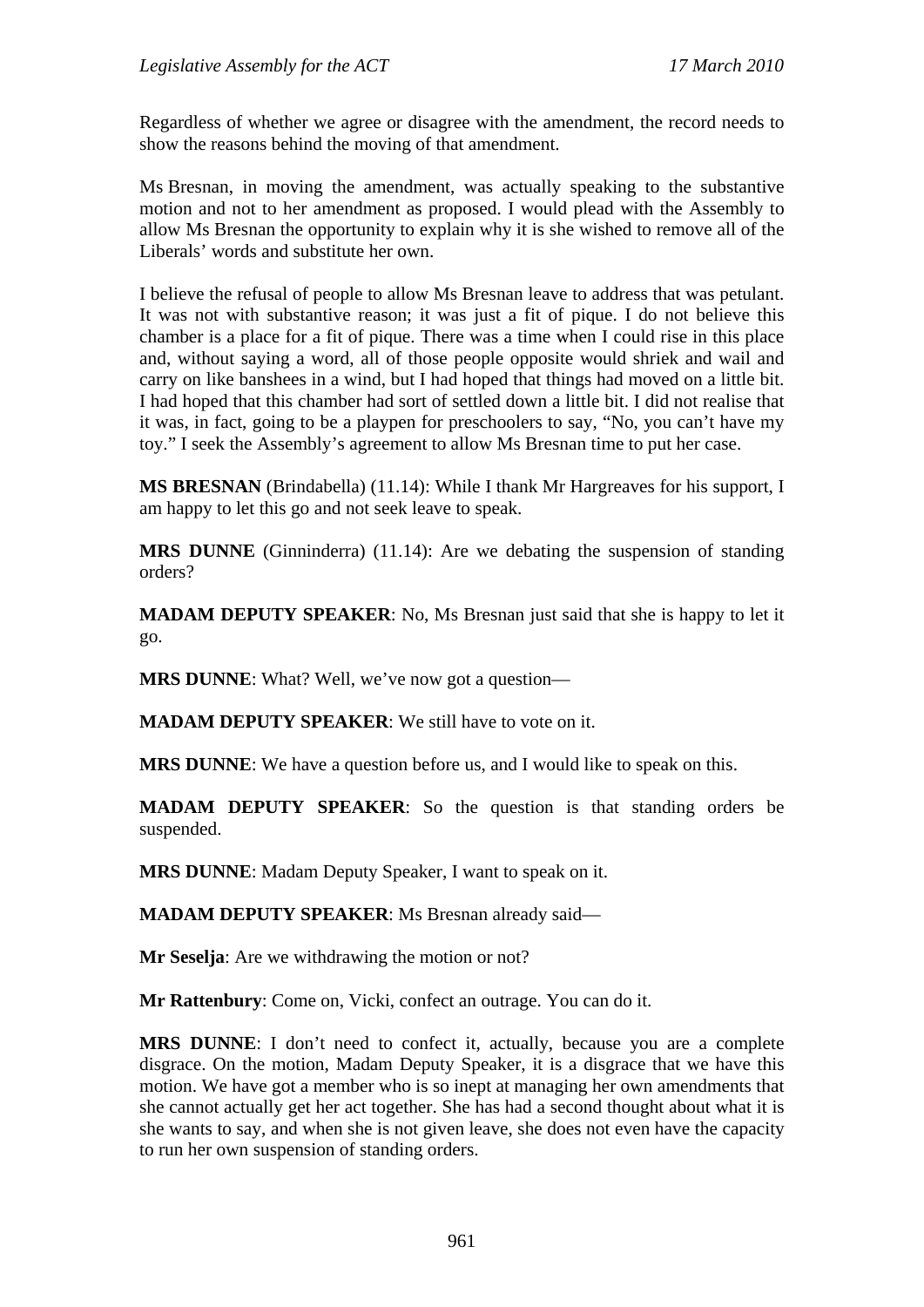Regardless of whether we agree or disagree with the amendment, the record needs to show the reasons behind the moving of that amendment.

Ms Bresnan, in moving the amendment, was actually speaking to the substantive motion and not to her amendment as proposed. I would plead with the Assembly to allow Ms Bresnan the opportunity to explain why it is she wished to remove all of the Liberals' words and substitute her own.

I believe the refusal of people to allow Ms Bresnan leave to address that was petulant. It was not with substantive reason; it was just a fit of pique. I do not believe this chamber is a place for a fit of pique. There was a time when I could rise in this place and, without saying a word, all of those people opposite would shriek and wail and carry on like banshees in a wind, but I had hoped that things had moved on a little bit. I had hoped that this chamber had sort of settled down a little bit. I did not realise that it was, in fact, going to be a playpen for preschoolers to say, "No, you can't have my toy." I seek the Assembly's agreement to allow Ms Bresnan time to put her case.

**MS BRESNAN** (Brindabella) (11.14): While I thank Mr Hargreaves for his support, I am happy to let this go and not seek leave to speak.

**MRS DUNNE** (Ginninderra) (11.14): Are we debating the suspension of standing orders?

**MADAM DEPUTY SPEAKER**: No, Ms Bresnan just said that she is happy to let it go.

**MRS DUNNE:** What? Well, we've now got a question—

**MADAM DEPUTY SPEAKER**: We still have to vote on it.

**MRS DUNNE**: We have a question before us, and I would like to speak on this.

**MADAM DEPUTY SPEAKER**: So the question is that standing orders be suspended.

**MRS DUNNE**: Madam Deputy Speaker, I want to speak on it.

**MADAM DEPUTY SPEAKER**: Ms Bresnan already said—

**Mr Seselja**: Are we withdrawing the motion or not?

**Mr Rattenbury**: Come on, Vicki, confect an outrage. You can do it.

**MRS DUNNE**: I don't need to confect it, actually, because you are a complete disgrace. On the motion, Madam Deputy Speaker, it is a disgrace that we have this motion. We have got a member who is so inept at managing her own amendments that she cannot actually get her act together. She has had a second thought about what it is she wants to say, and when she is not given leave, she does not even have the capacity to run her own suspension of standing orders.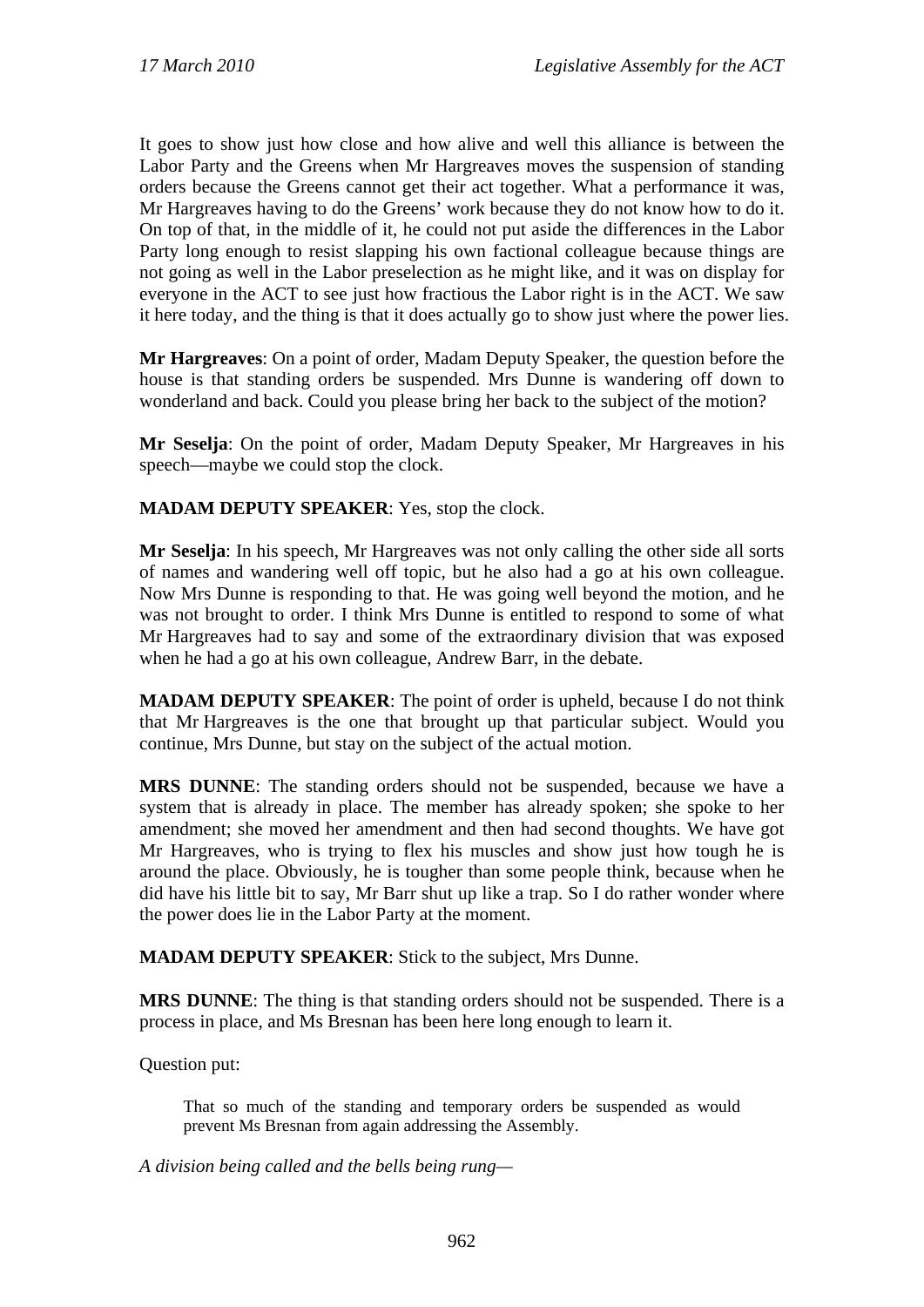It goes to show just how close and how alive and well this alliance is between the Labor Party and the Greens when Mr Hargreaves moves the suspension of standing orders because the Greens cannot get their act together. What a performance it was, Mr Hargreaves having to do the Greens' work because they do not know how to do it. On top of that, in the middle of it, he could not put aside the differences in the Labor Party long enough to resist slapping his own factional colleague because things are not going as well in the Labor preselection as he might like, and it was on display for everyone in the ACT to see just how fractious the Labor right is in the ACT. We saw it here today, and the thing is that it does actually go to show just where the power lies.

**Mr Hargreaves**: On a point of order, Madam Deputy Speaker, the question before the house is that standing orders be suspended. Mrs Dunne is wandering off down to wonderland and back. Could you please bring her back to the subject of the motion?

**Mr Seselja**: On the point of order, Madam Deputy Speaker, Mr Hargreaves in his speech—maybe we could stop the clock.

**MADAM DEPUTY SPEAKER**: Yes, stop the clock.

**Mr Seselja**: In his speech, Mr Hargreaves was not only calling the other side all sorts of names and wandering well off topic, but he also had a go at his own colleague. Now Mrs Dunne is responding to that. He was going well beyond the motion, and he was not brought to order. I think Mrs Dunne is entitled to respond to some of what Mr Hargreaves had to say and some of the extraordinary division that was exposed when he had a go at his own colleague, Andrew Barr, in the debate.

**MADAM DEPUTY SPEAKER**: The point of order is upheld, because I do not think that Mr Hargreaves is the one that brought up that particular subject. Would you continue, Mrs Dunne, but stay on the subject of the actual motion.

**MRS DUNNE**: The standing orders should not be suspended, because we have a system that is already in place. The member has already spoken; she spoke to her amendment; she moved her amendment and then had second thoughts. We have got Mr Hargreaves, who is trying to flex his muscles and show just how tough he is around the place. Obviously, he is tougher than some people think, because when he did have his little bit to say, Mr Barr shut up like a trap. So I do rather wonder where the power does lie in the Labor Party at the moment.

**MADAM DEPUTY SPEAKER**: Stick to the subject, Mrs Dunne.

**MRS DUNNE**: The thing is that standing orders should not be suspended. There is a process in place, and Ms Bresnan has been here long enough to learn it.

Question put:

That so much of the standing and temporary orders be suspended as would prevent Ms Bresnan from again addressing the Assembly.

*A division being called and the bells being rung—*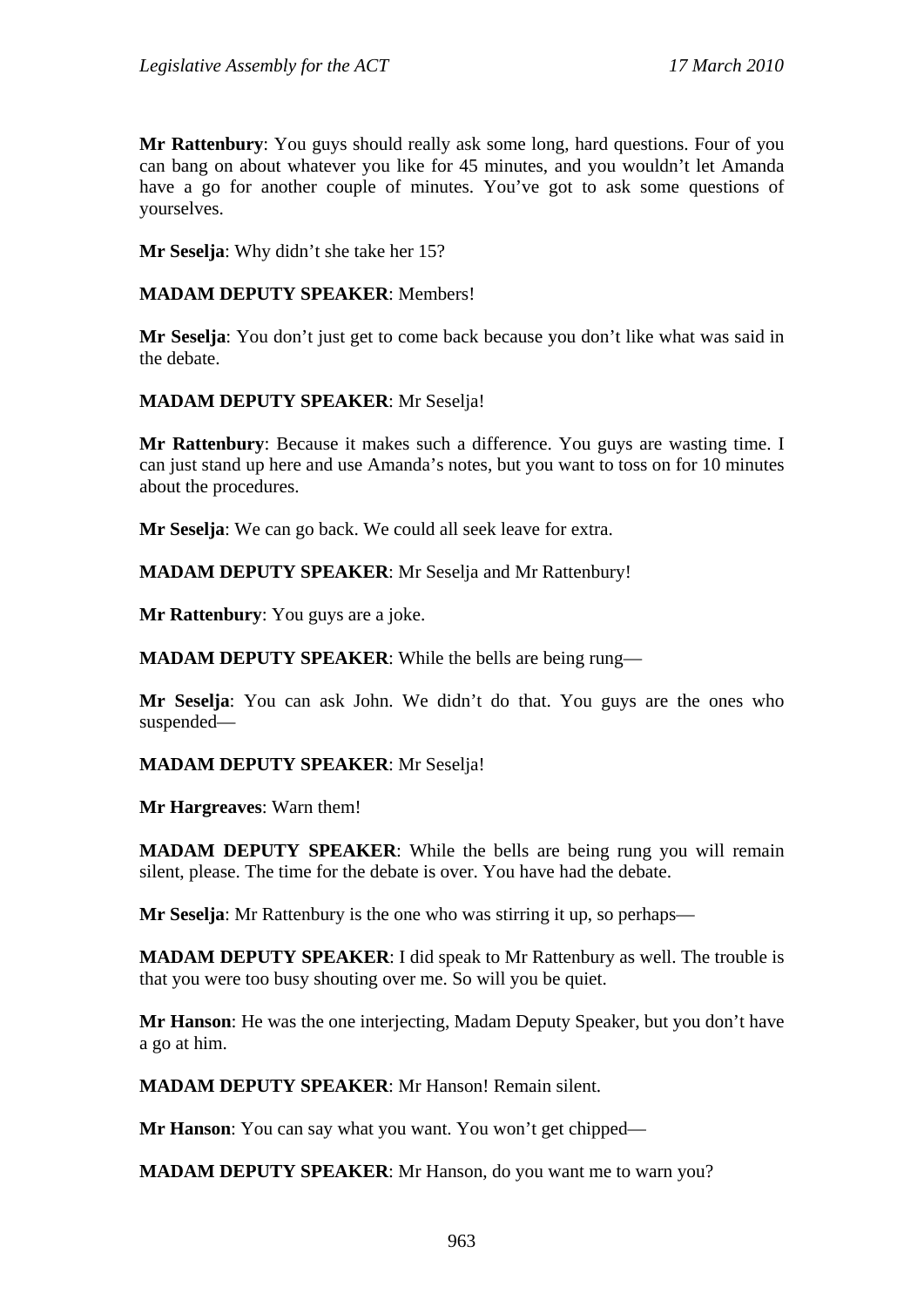**Mr Rattenbury**: You guys should really ask some long, hard questions. Four of you can bang on about whatever you like for 45 minutes, and you wouldn't let Amanda have a go for another couple of minutes. You've got to ask some questions of yourselves.

**Mr Seselja**: Why didn't she take her 15?

#### **MADAM DEPUTY SPEAKER**: Members!

**Mr Seselja**: You don't just get to come back because you don't like what was said in the debate.

#### **MADAM DEPUTY SPEAKER**: Mr Seselja!

**Mr Rattenbury**: Because it makes such a difference. You guys are wasting time. I can just stand up here and use Amanda's notes, but you want to toss on for 10 minutes about the procedures.

**Mr Seselja**: We can go back. We could all seek leave for extra.

**MADAM DEPUTY SPEAKER**: Mr Seselja and Mr Rattenbury!

**Mr Rattenbury**: You guys are a joke.

**MADAM DEPUTY SPEAKER**: While the bells are being rung—

**Mr Seselja**: You can ask John. We didn't do that. You guys are the ones who suspended—

#### **MADAM DEPUTY SPEAKER**: Mr Seselja!

**Mr Hargreaves**: Warn them!

**MADAM DEPUTY SPEAKER**: While the bells are being rung you will remain silent, please. The time for the debate is over. You have had the debate.

**Mr Seselja**: Mr Rattenbury is the one who was stirring it up, so perhaps—

**MADAM DEPUTY SPEAKER**: I did speak to Mr Rattenbury as well. The trouble is that you were too busy shouting over me. So will you be quiet.

**Mr Hanson**: He was the one interjecting, Madam Deputy Speaker, but you don't have a go at him.

**MADAM DEPUTY SPEAKER**: Mr Hanson! Remain silent.

**Mr Hanson**: You can say what you want. You won't get chipped—

**MADAM DEPUTY SPEAKER**: Mr Hanson, do you want me to warn you?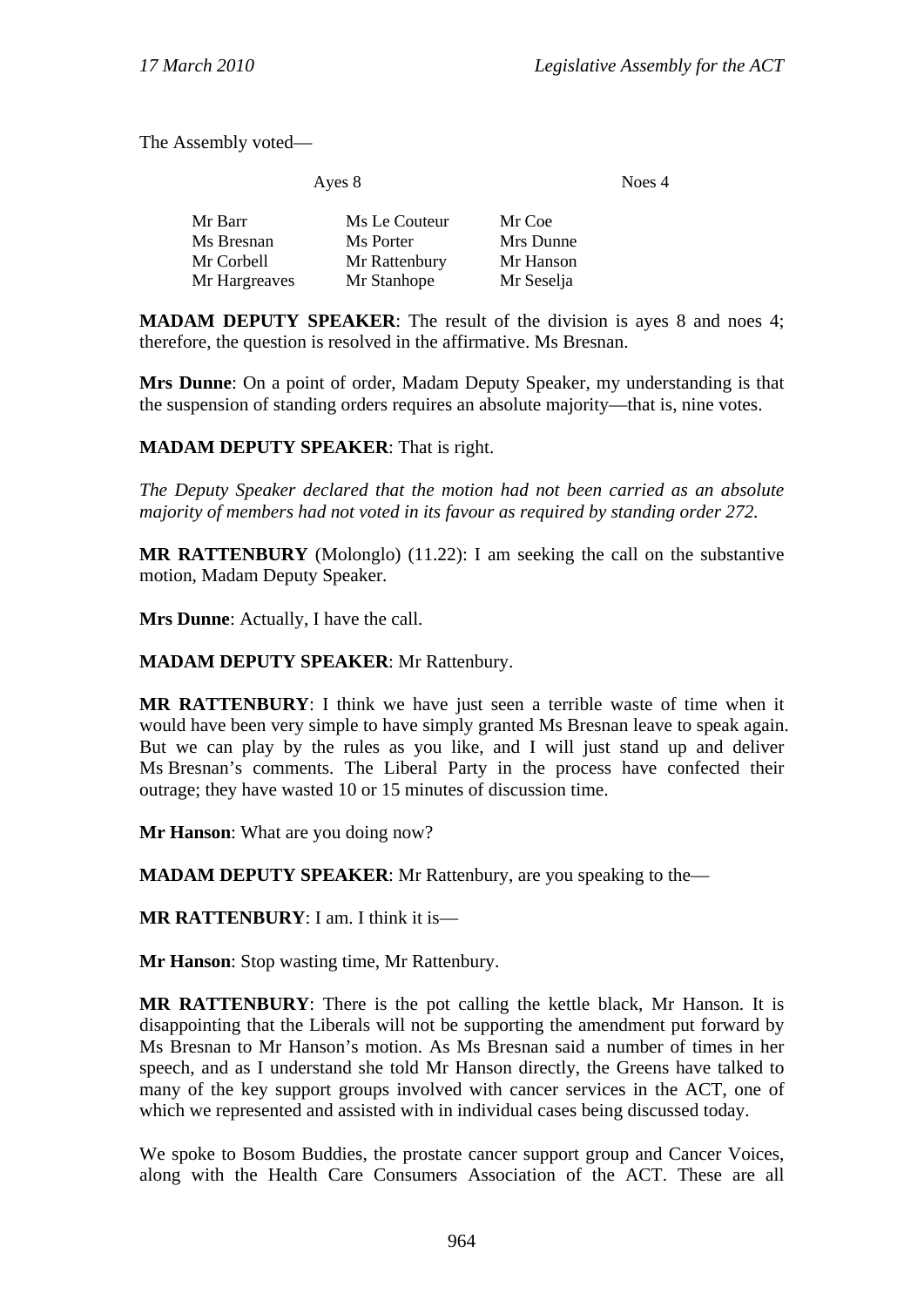The Assembly voted—

| Ayes 8        |               | Noes 4     |  |
|---------------|---------------|------------|--|
| Mr Barr       | Ms Le Couteur | Mr Coe     |  |
| Ms Bresnan    | Ms Porter     | Mrs Dunne  |  |
| Mr Corbell    | Mr Rattenbury | Mr Hanson  |  |
| Mr Hargreaves | Mr Stanhope   | Mr Seselja |  |

**MADAM DEPUTY SPEAKER:** The result of the division is ayes 8 and noes 4; therefore, the question is resolved in the affirmative. Ms Bresnan.

**Mrs Dunne**: On a point of order, Madam Deputy Speaker, my understanding is that the suspension of standing orders requires an absolute majority—that is, nine votes.

#### **MADAM DEPUTY SPEAKER**: That is right.

*The Deputy Speaker declared that the motion had not been carried as an absolute majority of members had not voted in its favour as required by standing order 272.* 

**MR RATTENBURY** (Molonglo) (11.22): I am seeking the call on the substantive motion, Madam Deputy Speaker.

**Mrs Dunne**: Actually, I have the call.

#### **MADAM DEPUTY SPEAKER**: Mr Rattenbury.

**MR RATTENBURY**: I think we have just seen a terrible waste of time when it would have been very simple to have simply granted Ms Bresnan leave to speak again. But we can play by the rules as you like, and I will just stand up and deliver Ms Bresnan's comments. The Liberal Party in the process have confected their outrage; they have wasted 10 or 15 minutes of discussion time.

**Mr Hanson**: What are you doing now?

**MADAM DEPUTY SPEAKER**: Mr Rattenbury, are you speaking to the—

**MR RATTENBURY**: I am. I think it is—

**Mr Hanson**: Stop wasting time, Mr Rattenbury.

**MR RATTENBURY**: There is the pot calling the kettle black, Mr Hanson. It is disappointing that the Liberals will not be supporting the amendment put forward by Ms Bresnan to Mr Hanson's motion. As Ms Bresnan said a number of times in her speech, and as I understand she told Mr Hanson directly, the Greens have talked to many of the key support groups involved with cancer services in the ACT, one of which we represented and assisted with in individual cases being discussed today.

We spoke to Bosom Buddies, the prostate cancer support group and Cancer Voices, along with the Health Care Consumers Association of the ACT. These are all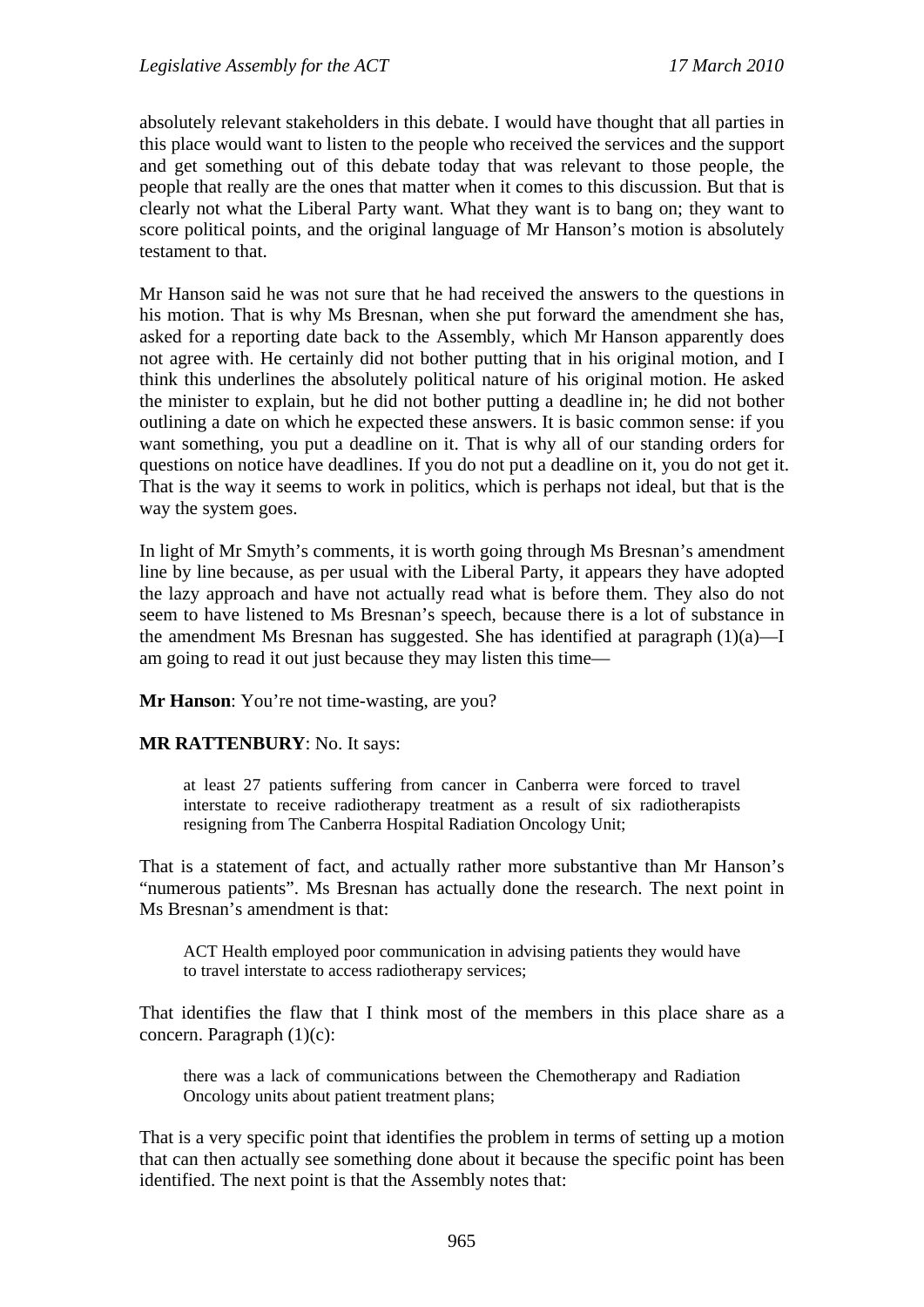absolutely relevant stakeholders in this debate. I would have thought that all parties in this place would want to listen to the people who received the services and the support and get something out of this debate today that was relevant to those people, the people that really are the ones that matter when it comes to this discussion. But that is clearly not what the Liberal Party want. What they want is to bang on; they want to score political points, and the original language of Mr Hanson's motion is absolutely testament to that.

Mr Hanson said he was not sure that he had received the answers to the questions in his motion. That is why Ms Bresnan, when she put forward the amendment she has, asked for a reporting date back to the Assembly, which Mr Hanson apparently does not agree with. He certainly did not bother putting that in his original motion, and I think this underlines the absolutely political nature of his original motion. He asked the minister to explain, but he did not bother putting a deadline in; he did not bother outlining a date on which he expected these answers. It is basic common sense: if you want something, you put a deadline on it. That is why all of our standing orders for questions on notice have deadlines. If you do not put a deadline on it, you do not get it. That is the way it seems to work in politics, which is perhaps not ideal, but that is the way the system goes.

In light of Mr Smyth's comments, it is worth going through Ms Bresnan's amendment line by line because, as per usual with the Liberal Party, it appears they have adopted the lazy approach and have not actually read what is before them. They also do not seem to have listened to Ms Bresnan's speech, because there is a lot of substance in the amendment Ms Bresnan has suggested. She has identified at paragraph (1)(a)—I am going to read it out just because they may listen this time—

**Mr Hanson**: You're not time-wasting, are you?

#### **MR RATTENBURY**: No. It says:

at least 27 patients suffering from cancer in Canberra were forced to travel interstate to receive radiotherapy treatment as a result of six radiotherapists resigning from The Canberra Hospital Radiation Oncology Unit;

That is a statement of fact, and actually rather more substantive than Mr Hanson's "numerous patients". Ms Bresnan has actually done the research. The next point in Ms Bresnan's amendment is that:

ACT Health employed poor communication in advising patients they would have to travel interstate to access radiotherapy services;

That identifies the flaw that I think most of the members in this place share as a concern. Paragraph (1)(c):

there was a lack of communications between the Chemotherapy and Radiation Oncology units about patient treatment plans;

That is a very specific point that identifies the problem in terms of setting up a motion that can then actually see something done about it because the specific point has been identified. The next point is that the Assembly notes that: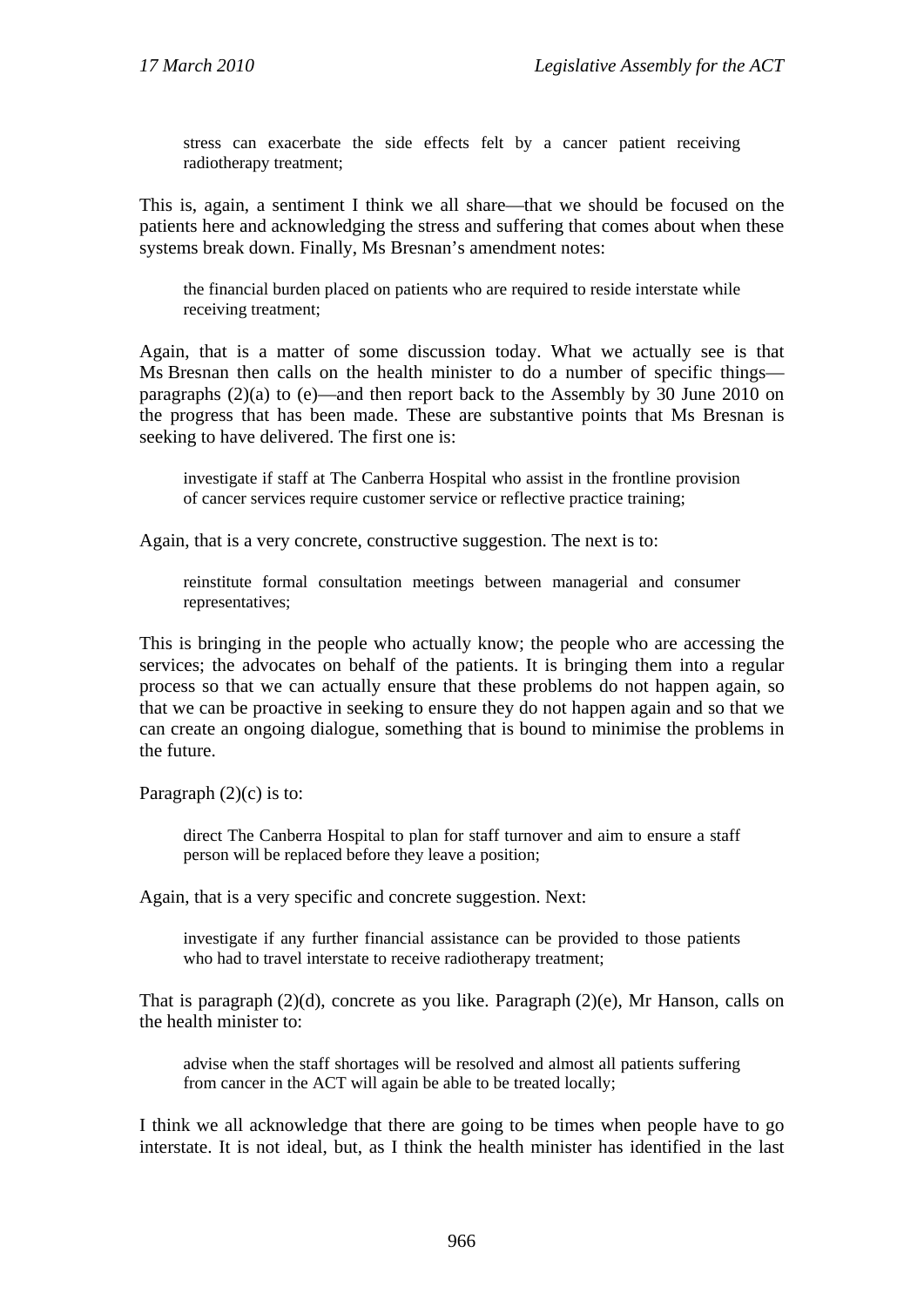stress can exacerbate the side effects felt by a cancer patient receiving radiotherapy treatment;

This is, again, a sentiment I think we all share—that we should be focused on the patients here and acknowledging the stress and suffering that comes about when these systems break down. Finally, Ms Bresnan's amendment notes:

the financial burden placed on patients who are required to reside interstate while receiving treatment;

Again, that is a matter of some discussion today. What we actually see is that Ms Bresnan then calls on the health minister to do a number of specific things paragraphs (2)(a) to (e)—and then report back to the Assembly by 30 June 2010 on the progress that has been made. These are substantive points that Ms Bresnan is seeking to have delivered. The first one is:

investigate if staff at The Canberra Hospital who assist in the frontline provision of cancer services require customer service or reflective practice training;

Again, that is a very concrete, constructive suggestion. The next is to:

reinstitute formal consultation meetings between managerial and consumer representatives;

This is bringing in the people who actually know; the people who are accessing the services; the advocates on behalf of the patients. It is bringing them into a regular process so that we can actually ensure that these problems do not happen again, so that we can be proactive in seeking to ensure they do not happen again and so that we can create an ongoing dialogue, something that is bound to minimise the problems in the future.

Paragraph  $(2)(c)$  is to:

direct The Canberra Hospital to plan for staff turnover and aim to ensure a staff person will be replaced before they leave a position;

Again, that is a very specific and concrete suggestion. Next:

investigate if any further financial assistance can be provided to those patients who had to travel interstate to receive radiotherapy treatment;

That is paragraph (2)(d), concrete as you like. Paragraph (2)(e), Mr Hanson, calls on the health minister to:

advise when the staff shortages will be resolved and almost all patients suffering from cancer in the ACT will again be able to be treated locally;

I think we all acknowledge that there are going to be times when people have to go interstate. It is not ideal, but, as I think the health minister has identified in the last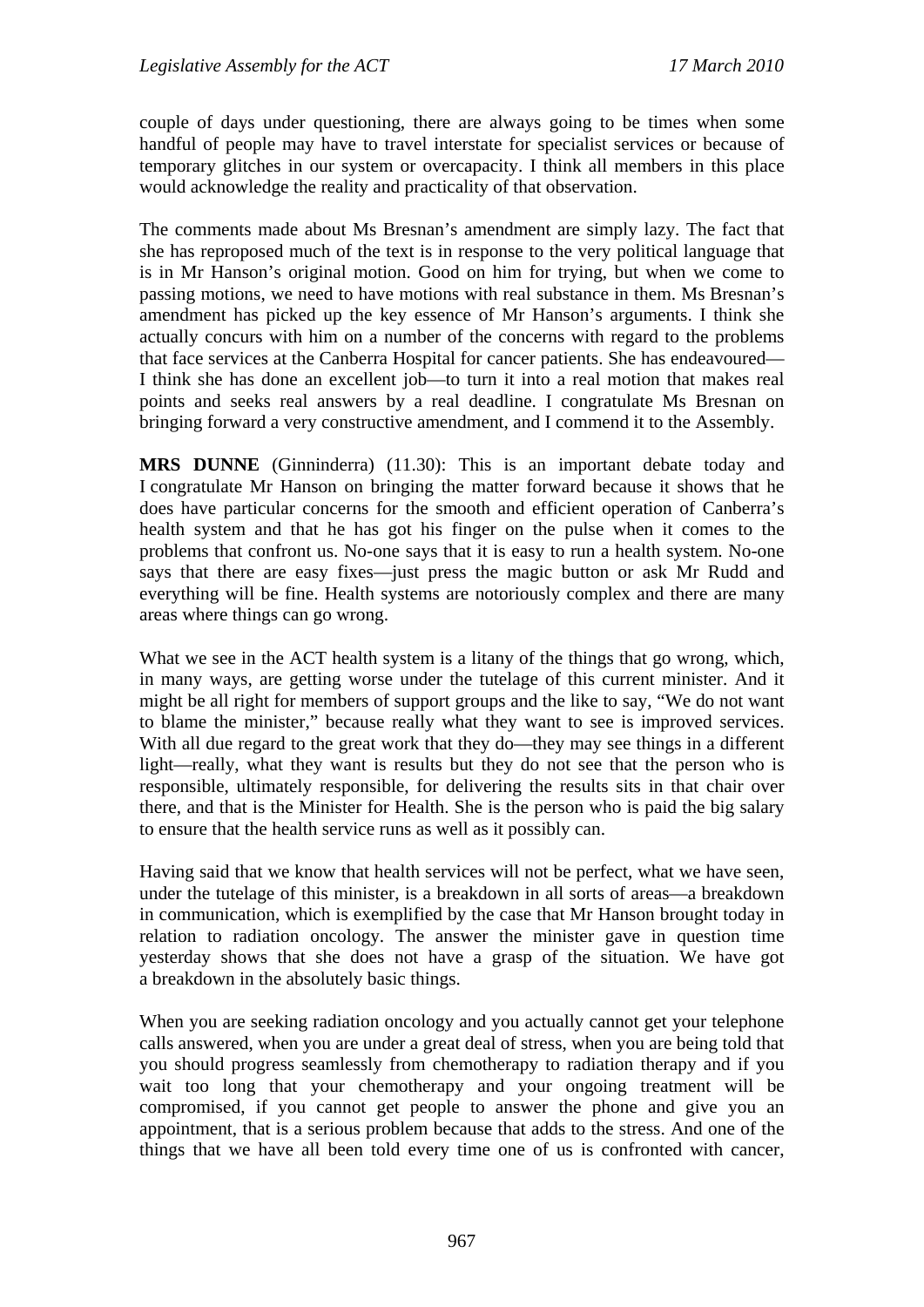couple of days under questioning, there are always going to be times when some handful of people may have to travel interstate for specialist services or because of temporary glitches in our system or overcapacity. I think all members in this place would acknowledge the reality and practicality of that observation.

The comments made about Ms Bresnan's amendment are simply lazy. The fact that she has reproposed much of the text is in response to the very political language that is in Mr Hanson's original motion. Good on him for trying, but when we come to passing motions, we need to have motions with real substance in them. Ms Bresnan's amendment has picked up the key essence of Mr Hanson's arguments. I think she actually concurs with him on a number of the concerns with regard to the problems that face services at the Canberra Hospital for cancer patients. She has endeavoured— I think she has done an excellent job—to turn it into a real motion that makes real points and seeks real answers by a real deadline. I congratulate Ms Bresnan on bringing forward a very constructive amendment, and I commend it to the Assembly.

**MRS DUNNE** (Ginninderra) (11.30): This is an important debate today and I congratulate Mr Hanson on bringing the matter forward because it shows that he does have particular concerns for the smooth and efficient operation of Canberra's health system and that he has got his finger on the pulse when it comes to the problems that confront us. No-one says that it is easy to run a health system. No-one says that there are easy fixes—just press the magic button or ask Mr Rudd and everything will be fine. Health systems are notoriously complex and there are many areas where things can go wrong.

What we see in the ACT health system is a litany of the things that go wrong, which, in many ways, are getting worse under the tutelage of this current minister. And it might be all right for members of support groups and the like to say, "We do not want to blame the minister," because really what they want to see is improved services. With all due regard to the great work that they do—they may see things in a different light—really, what they want is results but they do not see that the person who is responsible, ultimately responsible, for delivering the results sits in that chair over there, and that is the Minister for Health. She is the person who is paid the big salary to ensure that the health service runs as well as it possibly can.

Having said that we know that health services will not be perfect, what we have seen, under the tutelage of this minister, is a breakdown in all sorts of areas—a breakdown in communication, which is exemplified by the case that Mr Hanson brought today in relation to radiation oncology. The answer the minister gave in question time yesterday shows that she does not have a grasp of the situation. We have got a breakdown in the absolutely basic things.

When you are seeking radiation oncology and you actually cannot get your telephone calls answered, when you are under a great deal of stress, when you are being told that you should progress seamlessly from chemotherapy to radiation therapy and if you wait too long that your chemotherapy and your ongoing treatment will be compromised, if you cannot get people to answer the phone and give you an appointment, that is a serious problem because that adds to the stress. And one of the things that we have all been told every time one of us is confronted with cancer,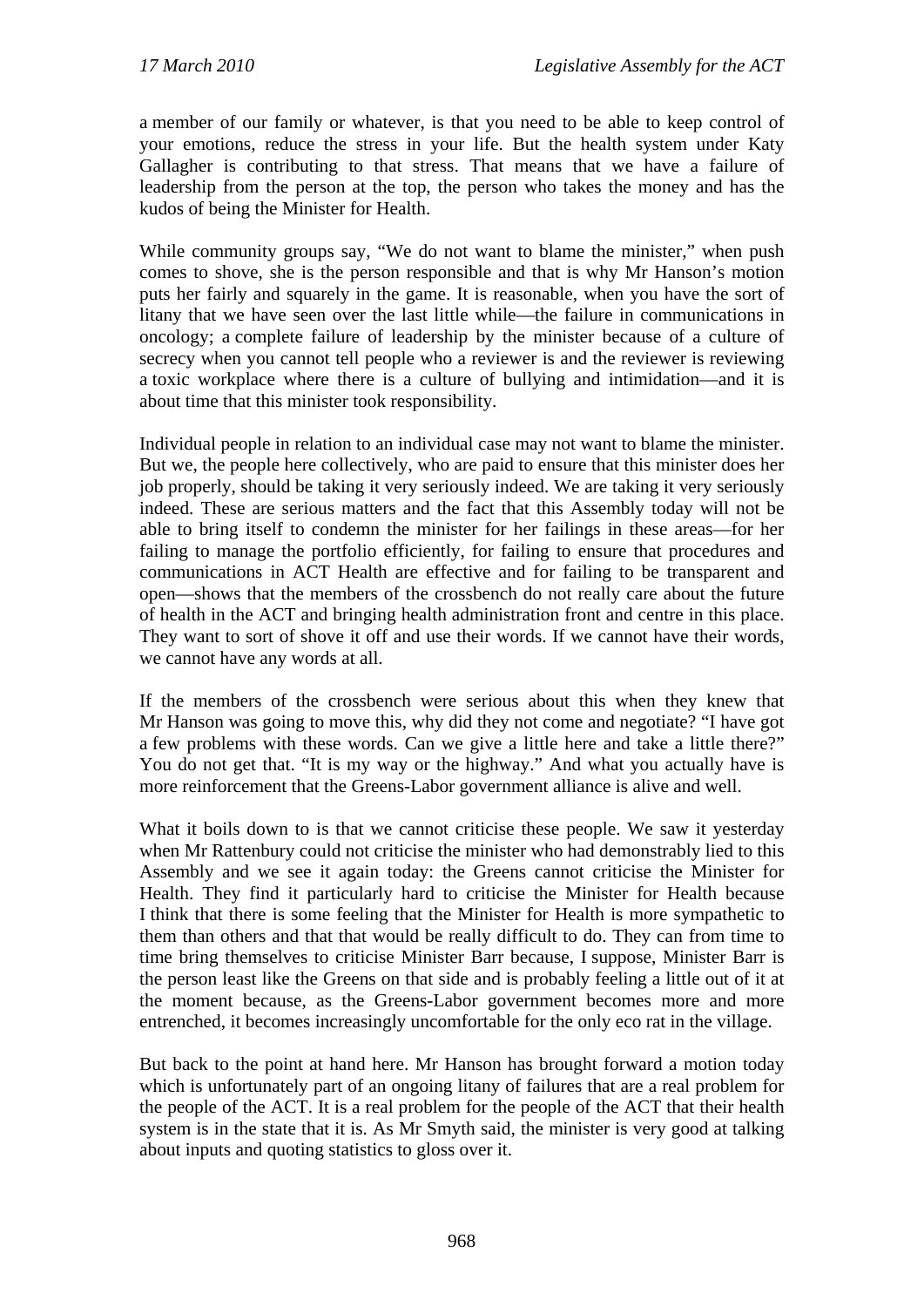a member of our family or whatever, is that you need to be able to keep control of your emotions, reduce the stress in your life. But the health system under Katy Gallagher is contributing to that stress. That means that we have a failure of leadership from the person at the top, the person who takes the money and has the kudos of being the Minister for Health.

While community groups say, "We do not want to blame the minister," when push comes to shove, she is the person responsible and that is why Mr Hanson's motion puts her fairly and squarely in the game. It is reasonable, when you have the sort of litany that we have seen over the last little while—the failure in communications in oncology; a complete failure of leadership by the minister because of a culture of secrecy when you cannot tell people who a reviewer is and the reviewer is reviewing a toxic workplace where there is a culture of bullying and intimidation—and it is about time that this minister took responsibility.

Individual people in relation to an individual case may not want to blame the minister. But we, the people here collectively, who are paid to ensure that this minister does her job properly, should be taking it very seriously indeed. We are taking it very seriously indeed. These are serious matters and the fact that this Assembly today will not be able to bring itself to condemn the minister for her failings in these areas—for her failing to manage the portfolio efficiently, for failing to ensure that procedures and communications in ACT Health are effective and for failing to be transparent and open—shows that the members of the crossbench do not really care about the future of health in the ACT and bringing health administration front and centre in this place. They want to sort of shove it off and use their words. If we cannot have their words, we cannot have any words at all.

If the members of the crossbench were serious about this when they knew that Mr Hanson was going to move this, why did they not come and negotiate? "I have got a few problems with these words. Can we give a little here and take a little there?" You do not get that. "It is my way or the highway." And what you actually have is more reinforcement that the Greens-Labor government alliance is alive and well.

What it boils down to is that we cannot criticise these people. We saw it yesterday when Mr Rattenbury could not criticise the minister who had demonstrably lied to this Assembly and we see it again today: the Greens cannot criticise the Minister for Health. They find it particularly hard to criticise the Minister for Health because I think that there is some feeling that the Minister for Health is more sympathetic to them than others and that that would be really difficult to do. They can from time to time bring themselves to criticise Minister Barr because, I suppose, Minister Barr is the person least like the Greens on that side and is probably feeling a little out of it at the moment because, as the Greens-Labor government becomes more and more entrenched, it becomes increasingly uncomfortable for the only eco rat in the village.

But back to the point at hand here. Mr Hanson has brought forward a motion today which is unfortunately part of an ongoing litany of failures that are a real problem for the people of the ACT. It is a real problem for the people of the ACT that their health system is in the state that it is. As Mr Smyth said, the minister is very good at talking about inputs and quoting statistics to gloss over it.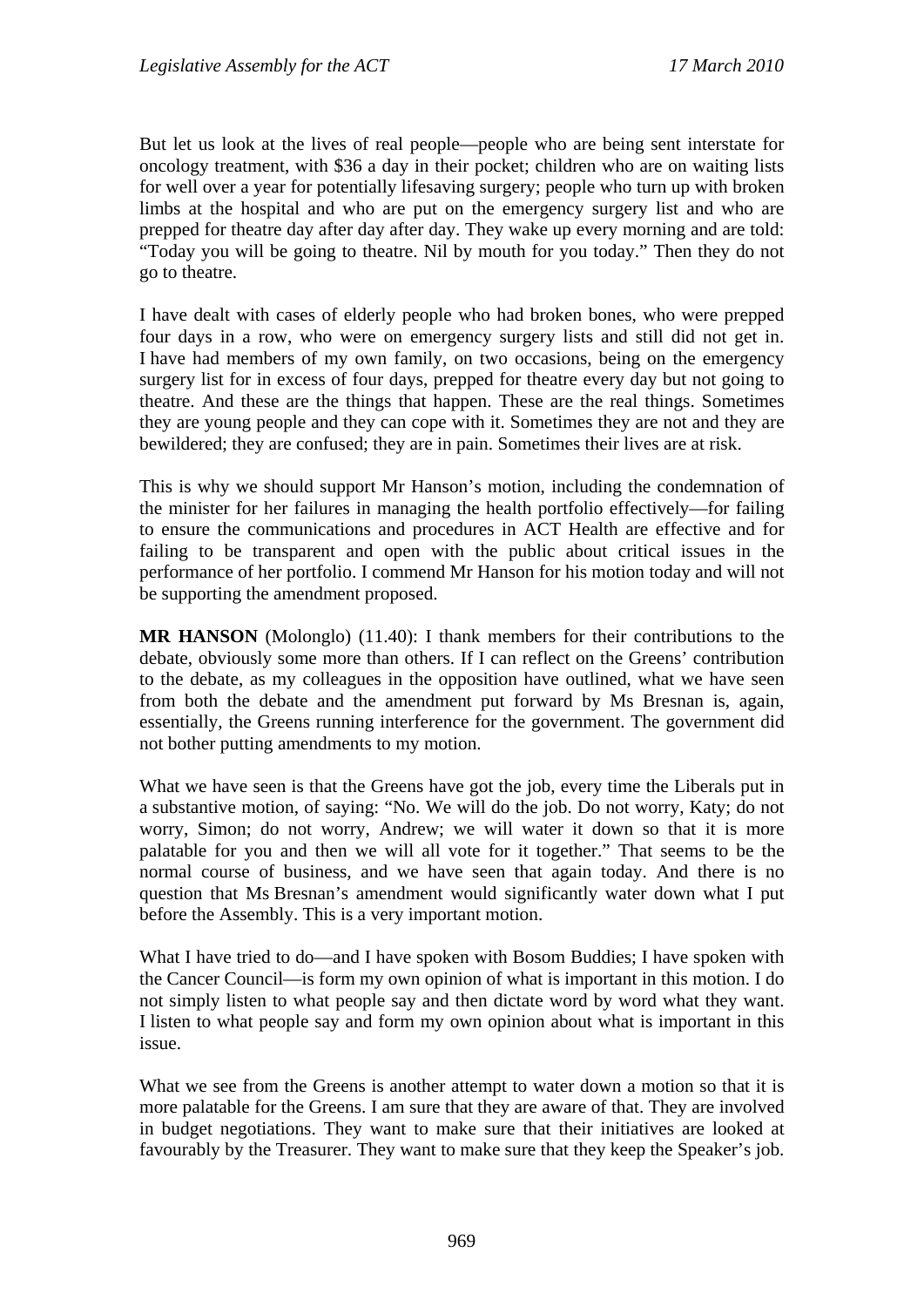But let us look at the lives of real people—people who are being sent interstate for oncology treatment, with \$36 a day in their pocket; children who are on waiting lists for well over a year for potentially lifesaving surgery; people who turn up with broken limbs at the hospital and who are put on the emergency surgery list and who are prepped for theatre day after day after day. They wake up every morning and are told: "Today you will be going to theatre. Nil by mouth for you today." Then they do not go to theatre.

I have dealt with cases of elderly people who had broken bones, who were prepped four days in a row, who were on emergency surgery lists and still did not get in. I have had members of my own family, on two occasions, being on the emergency surgery list for in excess of four days, prepped for theatre every day but not going to theatre. And these are the things that happen. These are the real things. Sometimes they are young people and they can cope with it. Sometimes they are not and they are bewildered; they are confused; they are in pain. Sometimes their lives are at risk.

This is why we should support Mr Hanson's motion, including the condemnation of the minister for her failures in managing the health portfolio effectively—for failing to ensure the communications and procedures in ACT Health are effective and for failing to be transparent and open with the public about critical issues in the performance of her portfolio. I commend Mr Hanson for his motion today and will not be supporting the amendment proposed.

**MR HANSON** (Molonglo) (11.40): I thank members for their contributions to the debate, obviously some more than others. If I can reflect on the Greens' contribution to the debate, as my colleagues in the opposition have outlined, what we have seen from both the debate and the amendment put forward by Ms Bresnan is, again, essentially, the Greens running interference for the government. The government did not bother putting amendments to my motion.

What we have seen is that the Greens have got the job, every time the Liberals put in a substantive motion, of saying: "No. We will do the job. Do not worry, Katy; do not worry, Simon; do not worry, Andrew; we will water it down so that it is more palatable for you and then we will all vote for it together." That seems to be the normal course of business, and we have seen that again today. And there is no question that Ms Bresnan's amendment would significantly water down what I put before the Assembly. This is a very important motion.

What I have tried to do—and I have spoken with Bosom Buddies; I have spoken with the Cancer Council—is form my own opinion of what is important in this motion. I do not simply listen to what people say and then dictate word by word what they want. I listen to what people say and form my own opinion about what is important in this issue.

What we see from the Greens is another attempt to water down a motion so that it is more palatable for the Greens. I am sure that they are aware of that. They are involved in budget negotiations. They want to make sure that their initiatives are looked at favourably by the Treasurer. They want to make sure that they keep the Speaker's job.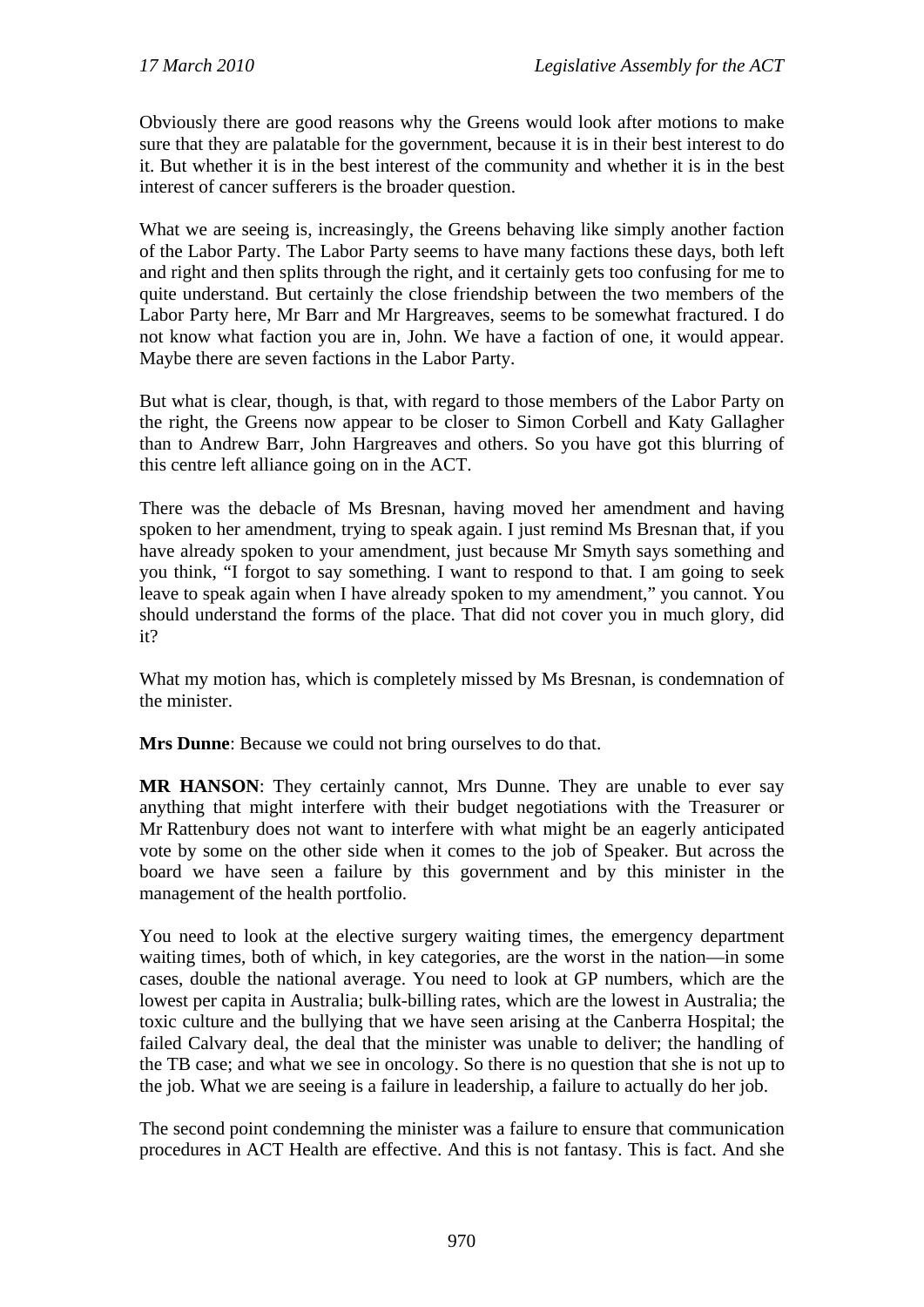Obviously there are good reasons why the Greens would look after motions to make sure that they are palatable for the government, because it is in their best interest to do it. But whether it is in the best interest of the community and whether it is in the best interest of cancer sufferers is the broader question.

What we are seeing is, increasingly, the Greens behaving like simply another faction of the Labor Party. The Labor Party seems to have many factions these days, both left and right and then splits through the right, and it certainly gets too confusing for me to quite understand. But certainly the close friendship between the two members of the Labor Party here, Mr Barr and Mr Hargreaves, seems to be somewhat fractured. I do not know what faction you are in, John. We have a faction of one, it would appear. Maybe there are seven factions in the Labor Party.

But what is clear, though, is that, with regard to those members of the Labor Party on the right, the Greens now appear to be closer to Simon Corbell and Katy Gallagher than to Andrew Barr, John Hargreaves and others. So you have got this blurring of this centre left alliance going on in the ACT.

There was the debacle of Ms Bresnan, having moved her amendment and having spoken to her amendment, trying to speak again. I just remind Ms Bresnan that, if you have already spoken to your amendment, just because Mr Smyth says something and you think, "I forgot to say something. I want to respond to that. I am going to seek leave to speak again when I have already spoken to my amendment," you cannot. You should understand the forms of the place. That did not cover you in much glory, did it?

What my motion has, which is completely missed by Ms Bresnan, is condemnation of the minister.

**Mrs Dunne**: Because we could not bring ourselves to do that.

**MR HANSON**: They certainly cannot, Mrs Dunne. They are unable to ever say anything that might interfere with their budget negotiations with the Treasurer or Mr Rattenbury does not want to interfere with what might be an eagerly anticipated vote by some on the other side when it comes to the job of Speaker. But across the board we have seen a failure by this government and by this minister in the management of the health portfolio.

You need to look at the elective surgery waiting times, the emergency department waiting times, both of which, in key categories, are the worst in the nation—in some cases, double the national average. You need to look at GP numbers, which are the lowest per capita in Australia; bulk-billing rates, which are the lowest in Australia; the toxic culture and the bullying that we have seen arising at the Canberra Hospital; the failed Calvary deal, the deal that the minister was unable to deliver; the handling of the TB case; and what we see in oncology. So there is no question that she is not up to the job. What we are seeing is a failure in leadership, a failure to actually do her job.

The second point condemning the minister was a failure to ensure that communication procedures in ACT Health are effective. And this is not fantasy. This is fact. And she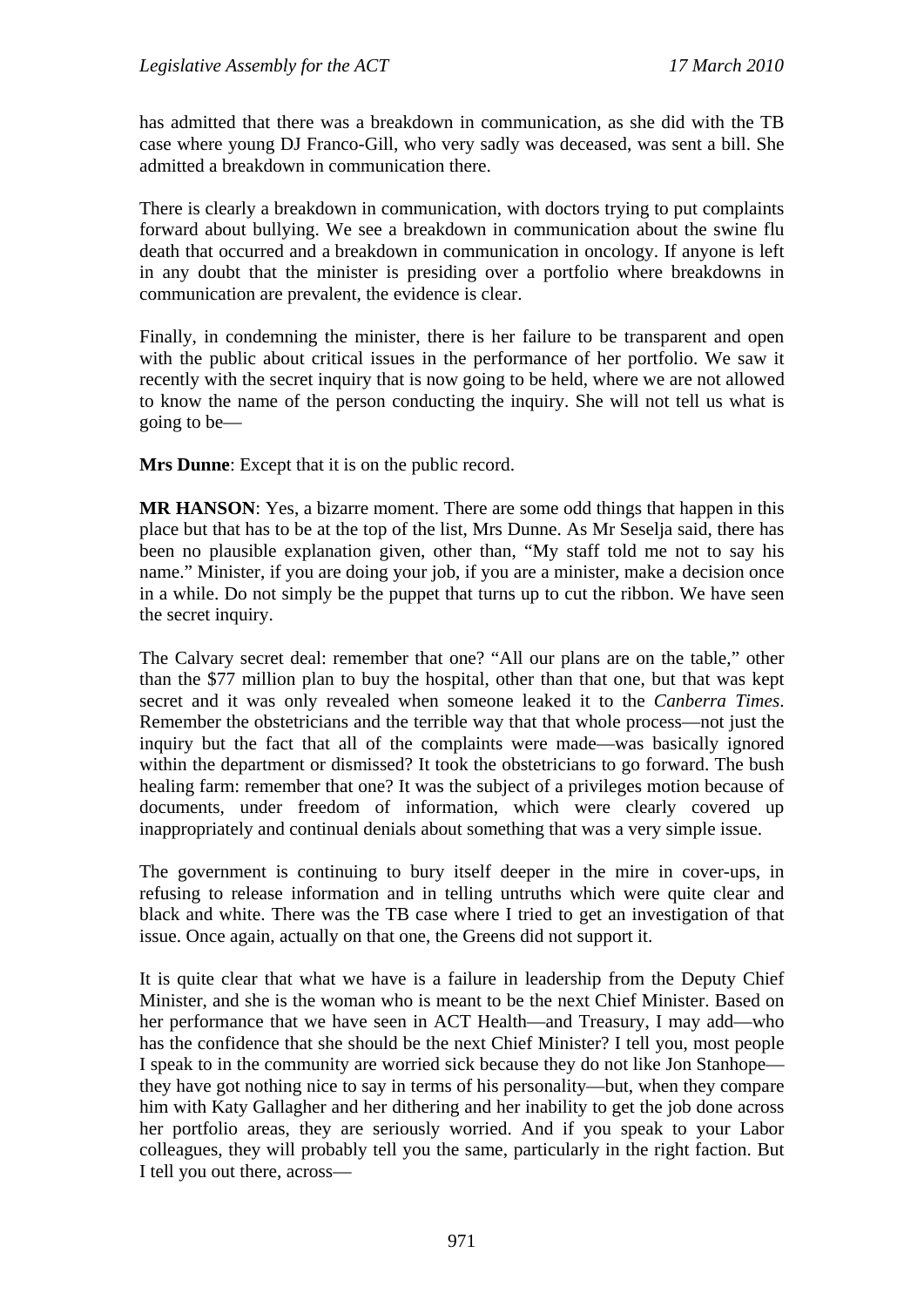has admitted that there was a breakdown in communication, as she did with the TB case where young DJ Franco-Gill, who very sadly was deceased, was sent a bill. She admitted a breakdown in communication there.

There is clearly a breakdown in communication, with doctors trying to put complaints forward about bullying. We see a breakdown in communication about the swine flu death that occurred and a breakdown in communication in oncology. If anyone is left in any doubt that the minister is presiding over a portfolio where breakdowns in communication are prevalent, the evidence is clear.

Finally, in condemning the minister, there is her failure to be transparent and open with the public about critical issues in the performance of her portfolio. We saw it recently with the secret inquiry that is now going to be held, where we are not allowed to know the name of the person conducting the inquiry. She will not tell us what is going to be—

**Mrs Dunne**: Except that it is on the public record.

**MR HANSON**: Yes, a bizarre moment. There are some odd things that happen in this place but that has to be at the top of the list, Mrs Dunne. As Mr Seselja said, there has been no plausible explanation given, other than, "My staff told me not to say his name." Minister, if you are doing your job, if you are a minister, make a decision once in a while. Do not simply be the puppet that turns up to cut the ribbon. We have seen the secret inquiry.

The Calvary secret deal: remember that one? "All our plans are on the table," other than the \$77 million plan to buy the hospital, other than that one, but that was kept secret and it was only revealed when someone leaked it to the *Canberra Times*. Remember the obstetricians and the terrible way that that whole process—not just the inquiry but the fact that all of the complaints were made—was basically ignored within the department or dismissed? It took the obstetricians to go forward. The bush healing farm: remember that one? It was the subject of a privileges motion because of documents, under freedom of information, which were clearly covered up inappropriately and continual denials about something that was a very simple issue.

The government is continuing to bury itself deeper in the mire in cover-ups, in refusing to release information and in telling untruths which were quite clear and black and white. There was the TB case where I tried to get an investigation of that issue. Once again, actually on that one, the Greens did not support it.

It is quite clear that what we have is a failure in leadership from the Deputy Chief Minister, and she is the woman who is meant to be the next Chief Minister. Based on her performance that we have seen in ACT Health—and Treasury, I may add—who has the confidence that she should be the next Chief Minister? I tell you, most people I speak to in the community are worried sick because they do not like Jon Stanhope they have got nothing nice to say in terms of his personality—but, when they compare him with Katy Gallagher and her dithering and her inability to get the job done across her portfolio areas, they are seriously worried. And if you speak to your Labor colleagues, they will probably tell you the same, particularly in the right faction. But I tell you out there, across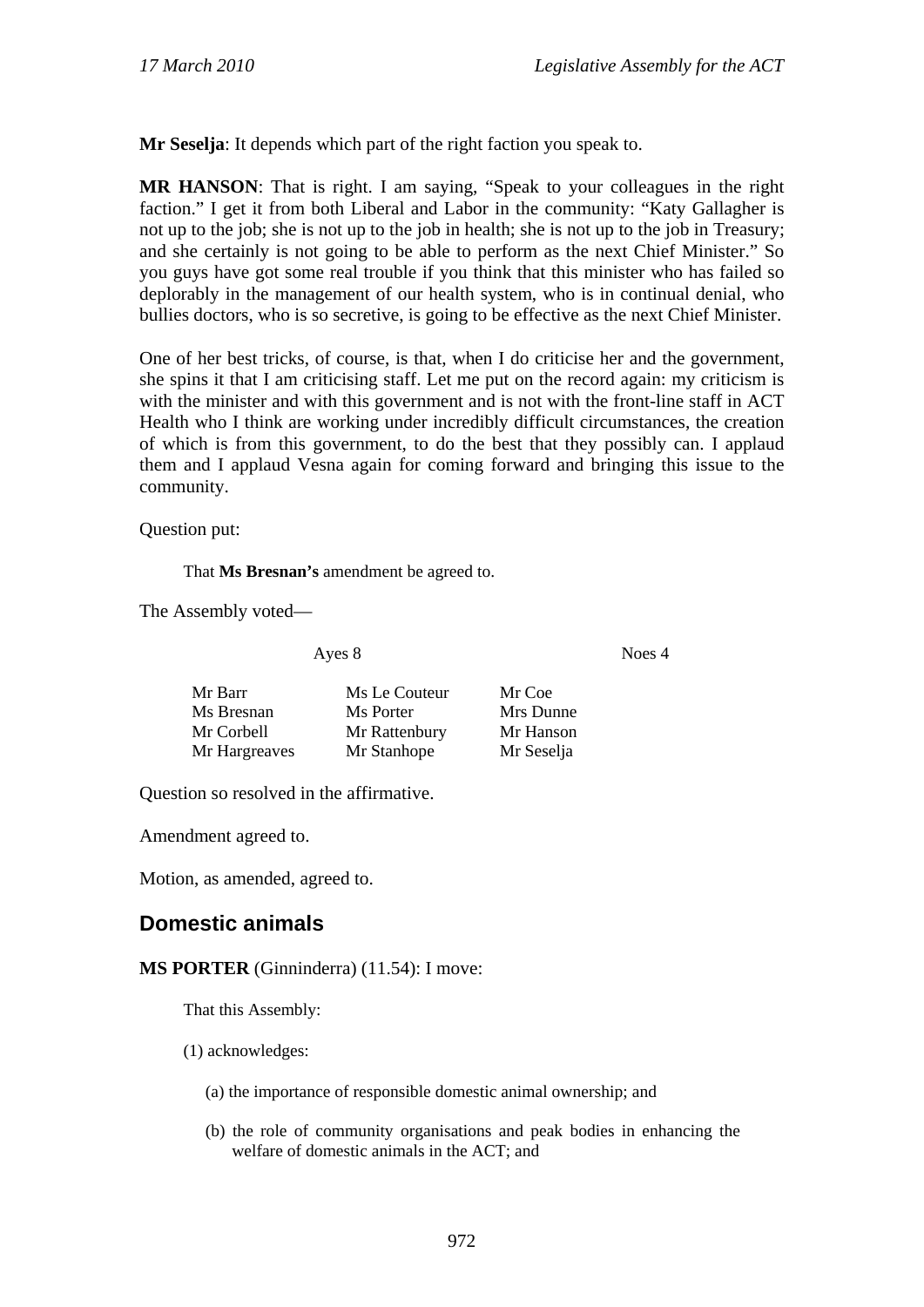**Mr Seselja**: It depends which part of the right faction you speak to.

**MR HANSON**: That is right. I am saying, "Speak to your colleagues in the right faction." I get it from both Liberal and Labor in the community: "Katy Gallagher is not up to the job; she is not up to the job in health; she is not up to the job in Treasury; and she certainly is not going to be able to perform as the next Chief Minister." So you guys have got some real trouble if you think that this minister who has failed so deplorably in the management of our health system, who is in continual denial, who bullies doctors, who is so secretive, is going to be effective as the next Chief Minister.

One of her best tricks, of course, is that, when I do criticise her and the government, she spins it that I am criticising staff. Let me put on the record again: my criticism is with the minister and with this government and is not with the front-line staff in ACT Health who I think are working under incredibly difficult circumstances, the creation of which is from this government, to do the best that they possibly can. I applaud them and I applaud Vesna again for coming forward and bringing this issue to the community.

Question put:

That **Ms Bresnan's** amendment be agreed to.

The Assembly voted—

Ayes 8 Noes 4

| Mr Barr       | Ms Le Couteur | Mr Coe     |
|---------------|---------------|------------|
| Ms Bresnan    | Ms Porter     | Mrs Dunne  |
| Mr Corbell    | Mr Rattenbury | Mr Hanson  |
| Mr Hargreaves | Mr Stanhope   | Mr Seselja |

Question so resolved in the affirmative.

Amendment agreed to.

Motion, as amended, agreed to.

# **Domestic animals**

**MS PORTER** (Ginninderra) (11.54): I move:

That this Assembly:

- (1) acknowledges:
	- (a) the importance of responsible domestic animal ownership; and
	- (b) the role of community organisations and peak bodies in enhancing the welfare of domestic animals in the ACT; and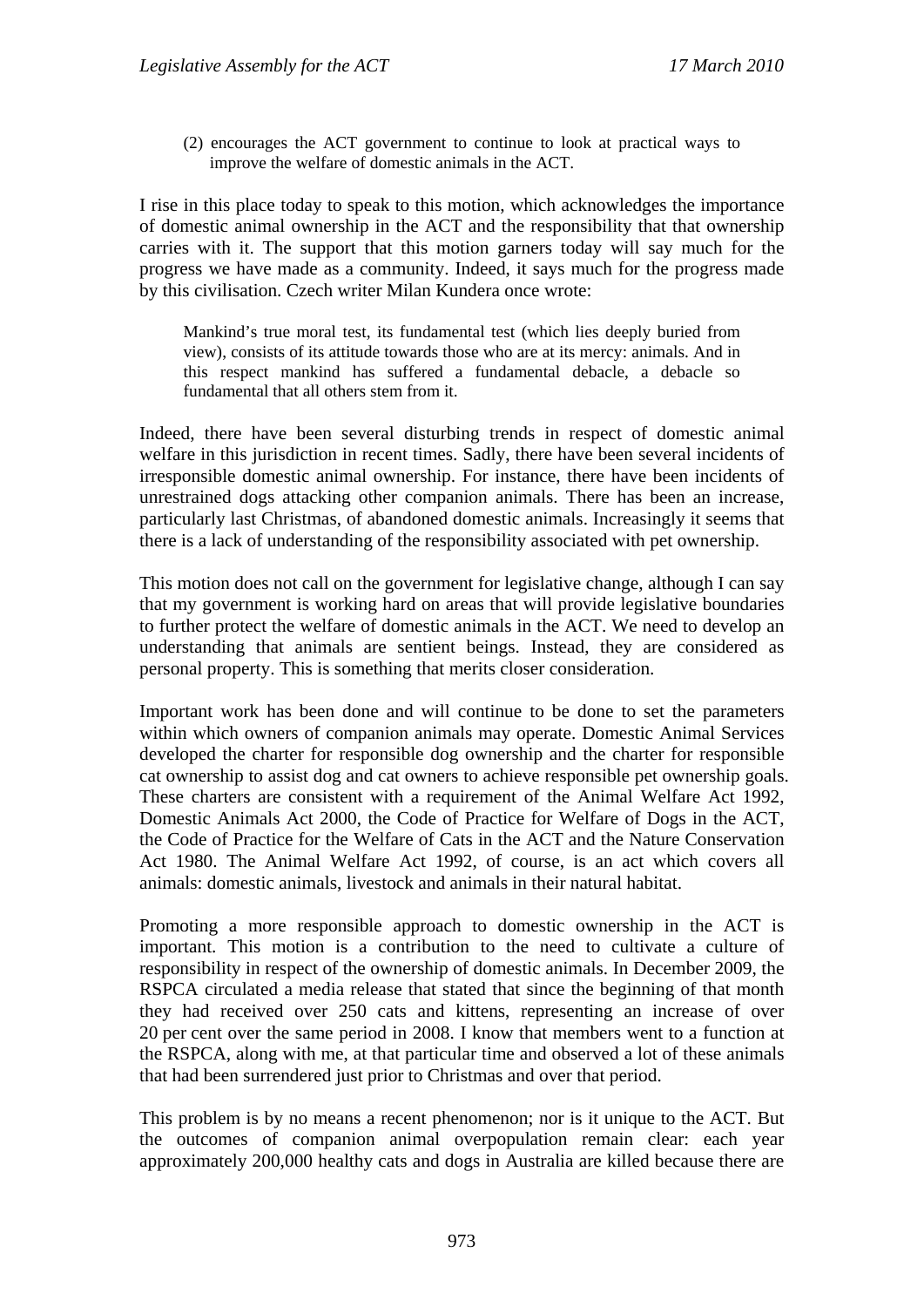(2) encourages the ACT government to continue to look at practical ways to improve the welfare of domestic animals in the ACT.

I rise in this place today to speak to this motion, which acknowledges the importance of domestic animal ownership in the ACT and the responsibility that that ownership carries with it. The support that this motion garners today will say much for the progress we have made as a community. Indeed, it says much for the progress made by this civilisation. Czech writer Milan Kundera once wrote:

Mankind's true moral test, its fundamental test (which lies deeply buried from view), consists of its attitude towards those who are at its mercy: animals. And in this respect mankind has suffered a fundamental debacle, a debacle so fundamental that all others stem from it.

Indeed, there have been several disturbing trends in respect of domestic animal welfare in this jurisdiction in recent times. Sadly, there have been several incidents of irresponsible domestic animal ownership. For instance, there have been incidents of unrestrained dogs attacking other companion animals. There has been an increase, particularly last Christmas, of abandoned domestic animals. Increasingly it seems that there is a lack of understanding of the responsibility associated with pet ownership.

This motion does not call on the government for legislative change, although I can say that my government is working hard on areas that will provide legislative boundaries to further protect the welfare of domestic animals in the ACT. We need to develop an understanding that animals are sentient beings. Instead, they are considered as personal property. This is something that merits closer consideration.

Important work has been done and will continue to be done to set the parameters within which owners of companion animals may operate. Domestic Animal Services developed the charter for responsible dog ownership and the charter for responsible cat ownership to assist dog and cat owners to achieve responsible pet ownership goals. These charters are consistent with a requirement of the Animal Welfare Act 1992, Domestic Animals Act 2000, the Code of Practice for Welfare of Dogs in the ACT, the Code of Practice for the Welfare of Cats in the ACT and the Nature Conservation Act 1980. The Animal Welfare Act 1992, of course, is an act which covers all animals: domestic animals, livestock and animals in their natural habitat.

Promoting a more responsible approach to domestic ownership in the ACT is important. This motion is a contribution to the need to cultivate a culture of responsibility in respect of the ownership of domestic animals. In December 2009, the RSPCA circulated a media release that stated that since the beginning of that month they had received over 250 cats and kittens, representing an increase of over 20 per cent over the same period in 2008. I know that members went to a function at the RSPCA, along with me, at that particular time and observed a lot of these animals that had been surrendered just prior to Christmas and over that period.

This problem is by no means a recent phenomenon; nor is it unique to the ACT. But the outcomes of companion animal overpopulation remain clear: each year approximately 200,000 healthy cats and dogs in Australia are killed because there are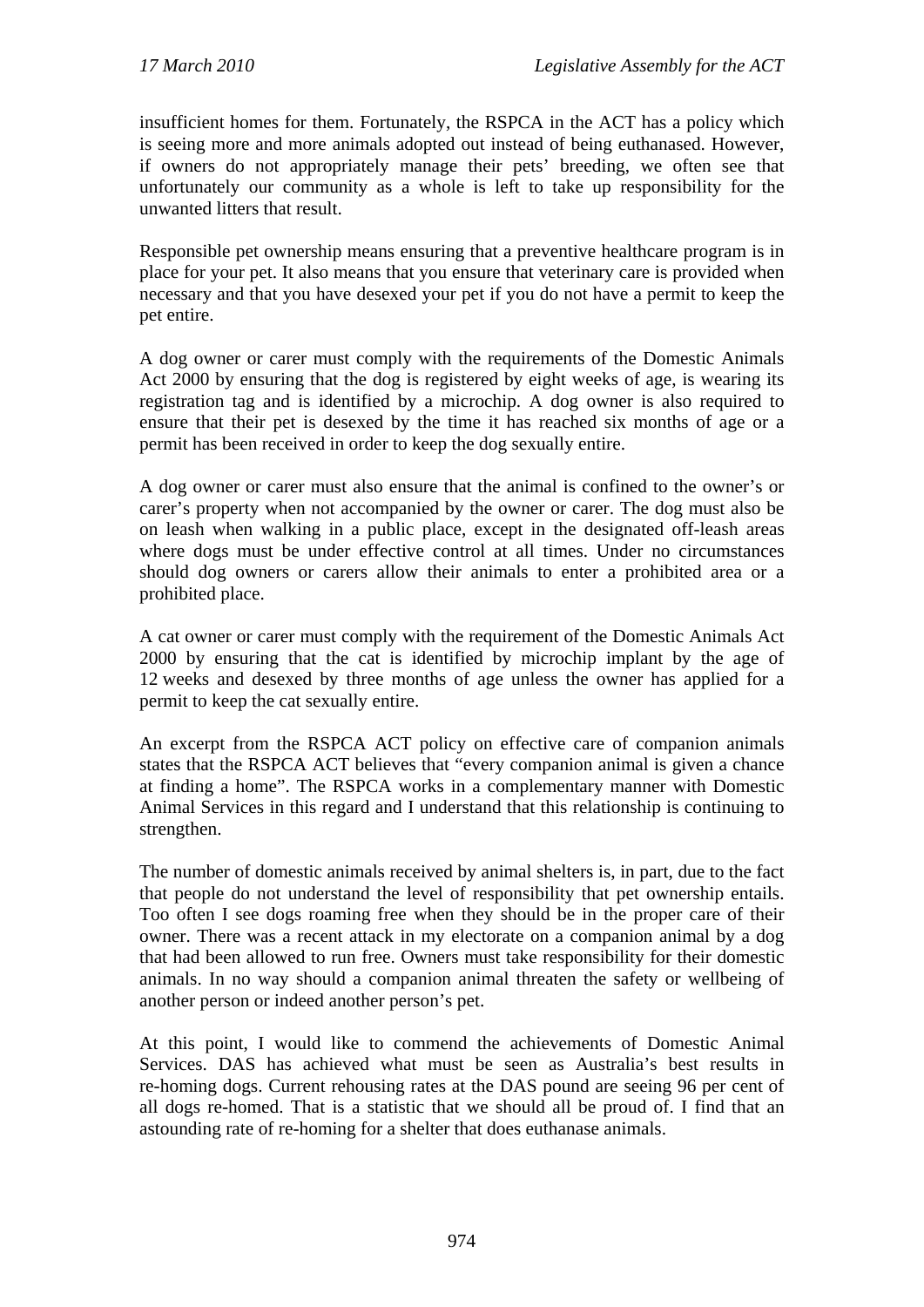insufficient homes for them. Fortunately, the RSPCA in the ACT has a policy which is seeing more and more animals adopted out instead of being euthanased. However, if owners do not appropriately manage their pets' breeding, we often see that unfortunately our community as a whole is left to take up responsibility for the unwanted litters that result.

Responsible pet ownership means ensuring that a preventive healthcare program is in place for your pet. It also means that you ensure that veterinary care is provided when necessary and that you have desexed your pet if you do not have a permit to keep the pet entire.

A dog owner or carer must comply with the requirements of the Domestic Animals Act 2000 by ensuring that the dog is registered by eight weeks of age, is wearing its registration tag and is identified by a microchip. A dog owner is also required to ensure that their pet is desexed by the time it has reached six months of age or a permit has been received in order to keep the dog sexually entire.

A dog owner or carer must also ensure that the animal is confined to the owner's or carer's property when not accompanied by the owner or carer. The dog must also be on leash when walking in a public place, except in the designated off-leash areas where dogs must be under effective control at all times. Under no circumstances should dog owners or carers allow their animals to enter a prohibited area or a prohibited place.

A cat owner or carer must comply with the requirement of the Domestic Animals Act 2000 by ensuring that the cat is identified by microchip implant by the age of 12 weeks and desexed by three months of age unless the owner has applied for a permit to keep the cat sexually entire.

An excerpt from the RSPCA ACT policy on effective care of companion animals states that the RSPCA ACT believes that "every companion animal is given a chance at finding a home". The RSPCA works in a complementary manner with Domestic Animal Services in this regard and I understand that this relationship is continuing to strengthen.

The number of domestic animals received by animal shelters is, in part, due to the fact that people do not understand the level of responsibility that pet ownership entails. Too often I see dogs roaming free when they should be in the proper care of their owner. There was a recent attack in my electorate on a companion animal by a dog that had been allowed to run free. Owners must take responsibility for their domestic animals. In no way should a companion animal threaten the safety or wellbeing of another person or indeed another person's pet.

At this point, I would like to commend the achievements of Domestic Animal Services. DAS has achieved what must be seen as Australia's best results in re-homing dogs. Current rehousing rates at the DAS pound are seeing 96 per cent of all dogs re-homed. That is a statistic that we should all be proud of. I find that an astounding rate of re-homing for a shelter that does euthanase animals.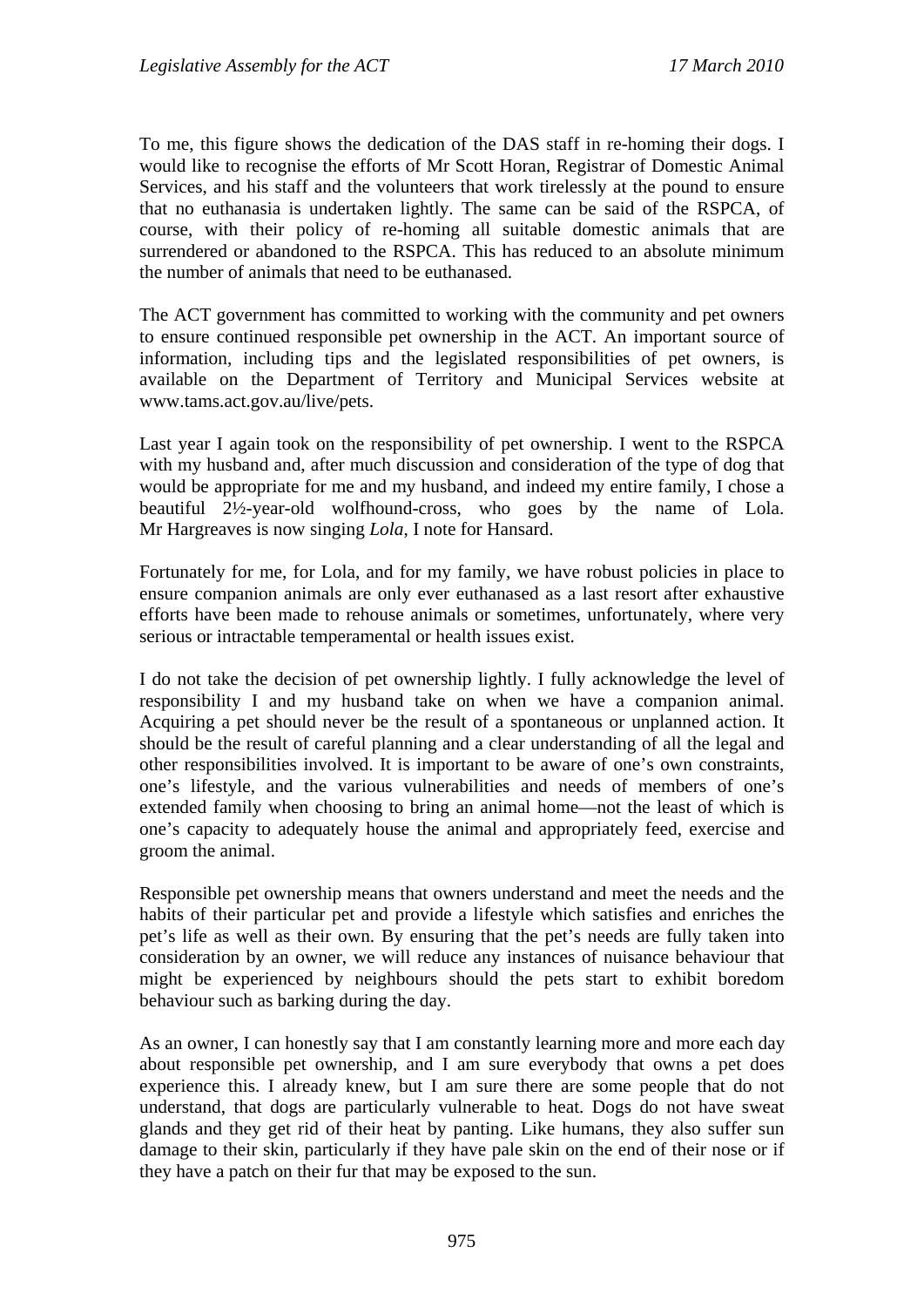To me, this figure shows the dedication of the DAS staff in re-homing their dogs. I would like to recognise the efforts of Mr Scott Horan, Registrar of Domestic Animal Services, and his staff and the volunteers that work tirelessly at the pound to ensure that no euthanasia is undertaken lightly. The same can be said of the RSPCA, of course, with their policy of re-homing all suitable domestic animals that are surrendered or abandoned to the RSPCA. This has reduced to an absolute minimum the number of animals that need to be euthanased.

The ACT government has committed to working with the community and pet owners to ensure continued responsible pet ownership in the ACT. An important source of information, including tips and the legislated responsibilities of pet owners, is available on the Department of Territory and Municipal Services website at www.tams.act.gov.au/live/pets.

Last year I again took on the responsibility of pet ownership. I went to the RSPCA with my husband and, after much discussion and consideration of the type of dog that would be appropriate for me and my husband, and indeed my entire family, I chose a beautiful 2½-year-old wolfhound-cross, who goes by the name of Lola. Mr Hargreaves is now singing *Lola*, I note for Hansard.

Fortunately for me, for Lola, and for my family, we have robust policies in place to ensure companion animals are only ever euthanased as a last resort after exhaustive efforts have been made to rehouse animals or sometimes, unfortunately, where very serious or intractable temperamental or health issues exist.

I do not take the decision of pet ownership lightly. I fully acknowledge the level of responsibility I and my husband take on when we have a companion animal. Acquiring a pet should never be the result of a spontaneous or unplanned action. It should be the result of careful planning and a clear understanding of all the legal and other responsibilities involved. It is important to be aware of one's own constraints, one's lifestyle, and the various vulnerabilities and needs of members of one's extended family when choosing to bring an animal home—not the least of which is one's capacity to adequately house the animal and appropriately feed, exercise and groom the animal.

Responsible pet ownership means that owners understand and meet the needs and the habits of their particular pet and provide a lifestyle which satisfies and enriches the pet's life as well as their own. By ensuring that the pet's needs are fully taken into consideration by an owner, we will reduce any instances of nuisance behaviour that might be experienced by neighbours should the pets start to exhibit boredom behaviour such as barking during the day.

As an owner, I can honestly say that I am constantly learning more and more each day about responsible pet ownership, and I am sure everybody that owns a pet does experience this. I already knew, but I am sure there are some people that do not understand, that dogs are particularly vulnerable to heat. Dogs do not have sweat glands and they get rid of their heat by panting. Like humans, they also suffer sun damage to their skin, particularly if they have pale skin on the end of their nose or if they have a patch on their fur that may be exposed to the sun.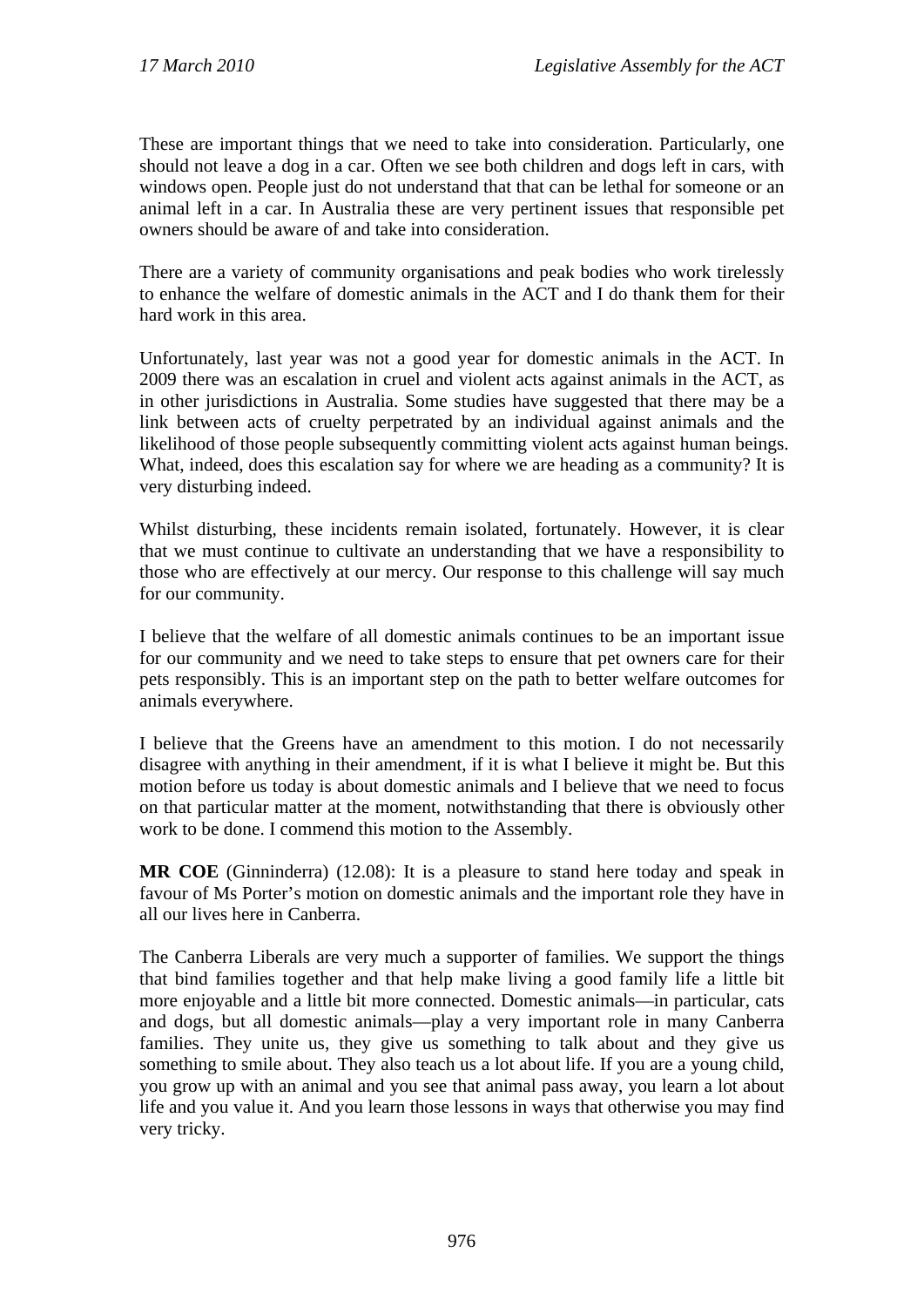These are important things that we need to take into consideration. Particularly, one should not leave a dog in a car. Often we see both children and dogs left in cars, with windows open. People just do not understand that that can be lethal for someone or an animal left in a car. In Australia these are very pertinent issues that responsible pet owners should be aware of and take into consideration.

There are a variety of community organisations and peak bodies who work tirelessly to enhance the welfare of domestic animals in the ACT and I do thank them for their hard work in this area.

Unfortunately, last year was not a good year for domestic animals in the ACT. In 2009 there was an escalation in cruel and violent acts against animals in the ACT, as in other jurisdictions in Australia. Some studies have suggested that there may be a link between acts of cruelty perpetrated by an individual against animals and the likelihood of those people subsequently committing violent acts against human beings. What, indeed, does this escalation say for where we are heading as a community? It is very disturbing indeed.

Whilst disturbing, these incidents remain isolated, fortunately. However, it is clear that we must continue to cultivate an understanding that we have a responsibility to those who are effectively at our mercy. Our response to this challenge will say much for our community.

I believe that the welfare of all domestic animals continues to be an important issue for our community and we need to take steps to ensure that pet owners care for their pets responsibly. This is an important step on the path to better welfare outcomes for animals everywhere.

I believe that the Greens have an amendment to this motion. I do not necessarily disagree with anything in their amendment, if it is what I believe it might be. But this motion before us today is about domestic animals and I believe that we need to focus on that particular matter at the moment, notwithstanding that there is obviously other work to be done. I commend this motion to the Assembly.

**MR COE** (Ginninderra) (12.08): It is a pleasure to stand here today and speak in favour of Ms Porter's motion on domestic animals and the important role they have in all our lives here in Canberra.

The Canberra Liberals are very much a supporter of families. We support the things that bind families together and that help make living a good family life a little bit more enjoyable and a little bit more connected. Domestic animals—in particular, cats and dogs, but all domestic animals—play a very important role in many Canberra families. They unite us, they give us something to talk about and they give us something to smile about. They also teach us a lot about life. If you are a young child, you grow up with an animal and you see that animal pass away, you learn a lot about life and you value it. And you learn those lessons in ways that otherwise you may find very tricky.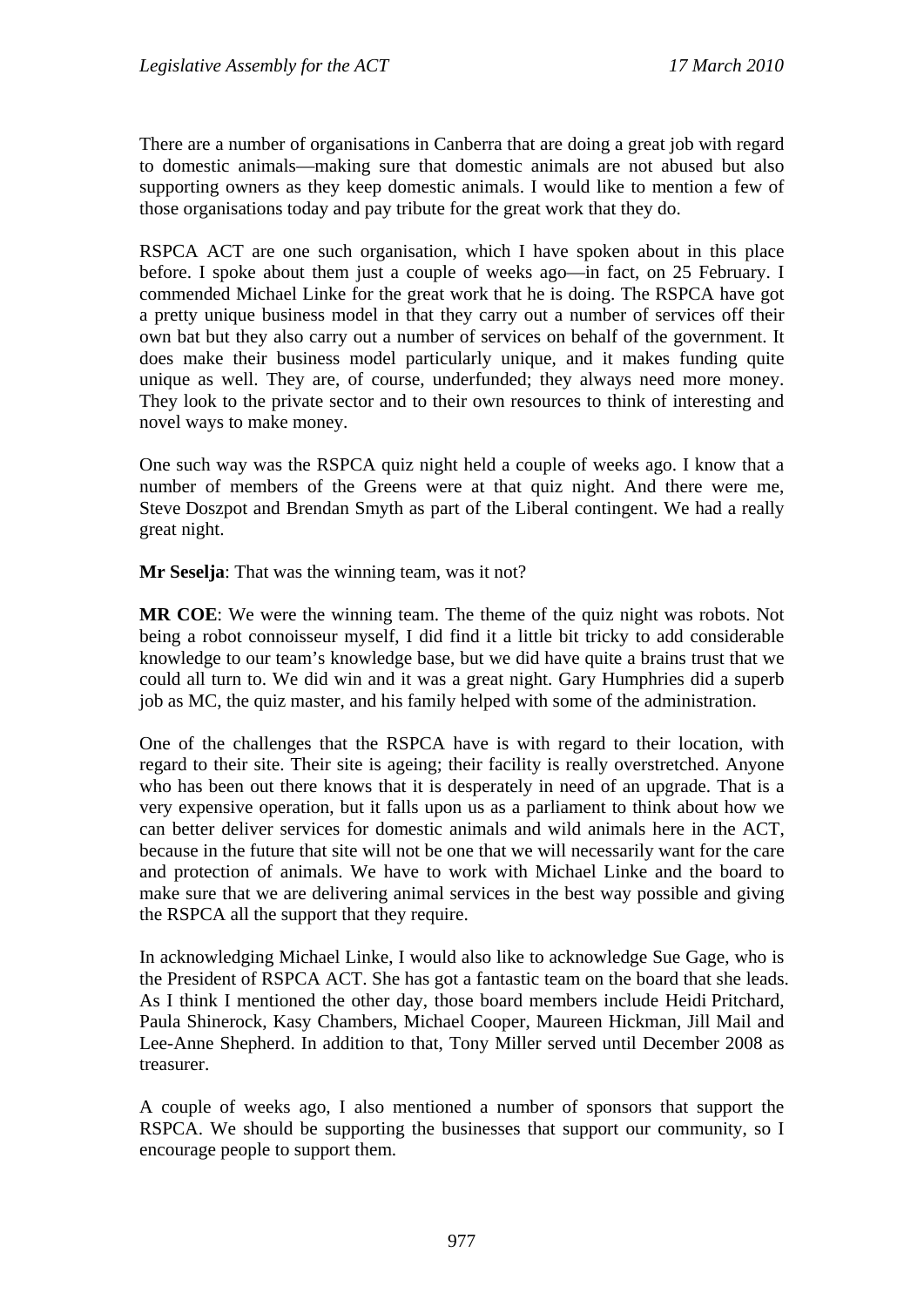There are a number of organisations in Canberra that are doing a great job with regard to domestic animals—making sure that domestic animals are not abused but also supporting owners as they keep domestic animals. I would like to mention a few of those organisations today and pay tribute for the great work that they do.

RSPCA ACT are one such organisation, which I have spoken about in this place before. I spoke about them just a couple of weeks ago—in fact, on 25 February. I commended Michael Linke for the great work that he is doing. The RSPCA have got a pretty unique business model in that they carry out a number of services off their own bat but they also carry out a number of services on behalf of the government. It does make their business model particularly unique, and it makes funding quite unique as well. They are, of course, underfunded; they always need more money. They look to the private sector and to their own resources to think of interesting and novel ways to make money.

One such way was the RSPCA quiz night held a couple of weeks ago. I know that a number of members of the Greens were at that quiz night. And there were me, Steve Doszpot and Brendan Smyth as part of the Liberal contingent. We had a really great night.

**Mr Seselja**: That was the winning team, was it not?

**MR COE**: We were the winning team. The theme of the quiz night was robots. Not being a robot connoisseur myself, I did find it a little bit tricky to add considerable knowledge to our team's knowledge base, but we did have quite a brains trust that we could all turn to. We did win and it was a great night. Gary Humphries did a superb job as MC, the quiz master, and his family helped with some of the administration.

One of the challenges that the RSPCA have is with regard to their location, with regard to their site. Their site is ageing; their facility is really overstretched. Anyone who has been out there knows that it is desperately in need of an upgrade. That is a very expensive operation, but it falls upon us as a parliament to think about how we can better deliver services for domestic animals and wild animals here in the ACT, because in the future that site will not be one that we will necessarily want for the care and protection of animals. We have to work with Michael Linke and the board to make sure that we are delivering animal services in the best way possible and giving the RSPCA all the support that they require.

In acknowledging Michael Linke, I would also like to acknowledge Sue Gage, who is the President of RSPCA ACT. She has got a fantastic team on the board that she leads. As I think I mentioned the other day, those board members include Heidi Pritchard, Paula Shinerock, Kasy Chambers, Michael Cooper, Maureen Hickman, Jill Mail and Lee-Anne Shepherd. In addition to that, Tony Miller served until December 2008 as treasurer.

A couple of weeks ago, I also mentioned a number of sponsors that support the RSPCA. We should be supporting the businesses that support our community, so I encourage people to support them.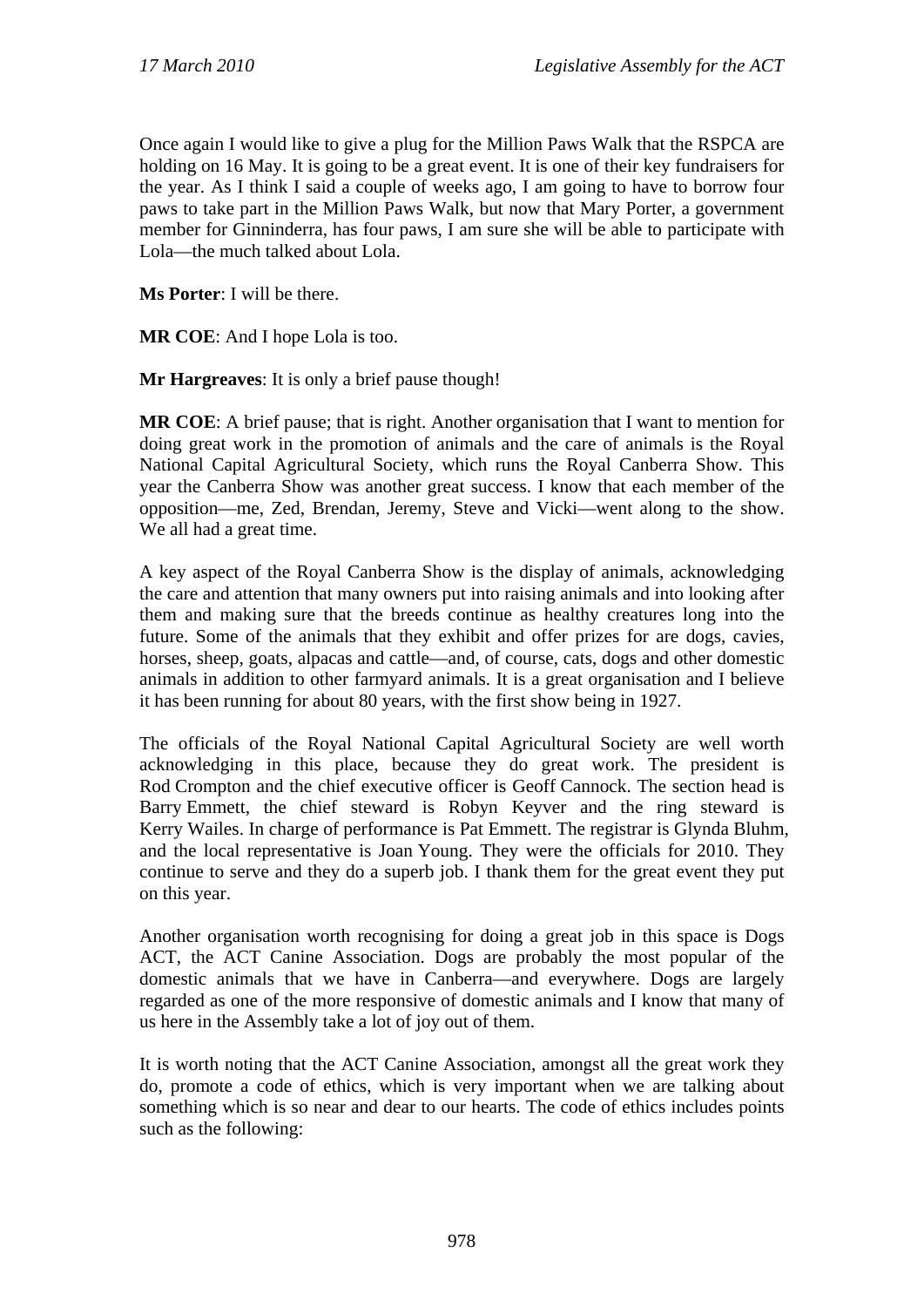Once again I would like to give a plug for the Million Paws Walk that the RSPCA are holding on 16 May. It is going to be a great event. It is one of their key fundraisers for the year. As I think I said a couple of weeks ago, I am going to have to borrow four paws to take part in the Million Paws Walk, but now that Mary Porter, a government member for Ginninderra, has four paws, I am sure she will be able to participate with Lola—the much talked about Lola.

**Ms Porter**: I will be there.

**MR COE**: And I hope Lola is too.

**Mr Hargreaves**: It is only a brief pause though!

**MR COE**: A brief pause; that is right. Another organisation that I want to mention for doing great work in the promotion of animals and the care of animals is the Royal National Capital Agricultural Society, which runs the Royal Canberra Show. This year the Canberra Show was another great success. I know that each member of the opposition—me, Zed, Brendan, Jeremy, Steve and Vicki—went along to the show. We all had a great time.

A key aspect of the Royal Canberra Show is the display of animals, acknowledging the care and attention that many owners put into raising animals and into looking after them and making sure that the breeds continue as healthy creatures long into the future. Some of the animals that they exhibit and offer prizes for are dogs, cavies, horses, sheep, goats, alpacas and cattle—and, of course, cats, dogs and other domestic animals in addition to other farmyard animals. It is a great organisation and I believe it has been running for about 80 years, with the first show being in 1927.

The officials of the Royal National Capital Agricultural Society are well worth acknowledging in this place, because they do great work. The president is Rod Crompton and the chief executive officer is Geoff Cannock. The section head is Barry Emmett, the chief steward is Robyn Keyver and the ring steward is Kerry Wailes. In charge of performance is Pat Emmett. The registrar is Glynda Bluhm, and the local representative is Joan Young. They were the officials for 2010. They continue to serve and they do a superb job. I thank them for the great event they put on this year.

Another organisation worth recognising for doing a great job in this space is Dogs ACT, the ACT Canine Association. Dogs are probably the most popular of the domestic animals that we have in Canberra—and everywhere. Dogs are largely regarded as one of the more responsive of domestic animals and I know that many of us here in the Assembly take a lot of joy out of them.

It is worth noting that the ACT Canine Association, amongst all the great work they do, promote a code of ethics, which is very important when we are talking about something which is so near and dear to our hearts. The code of ethics includes points such as the following: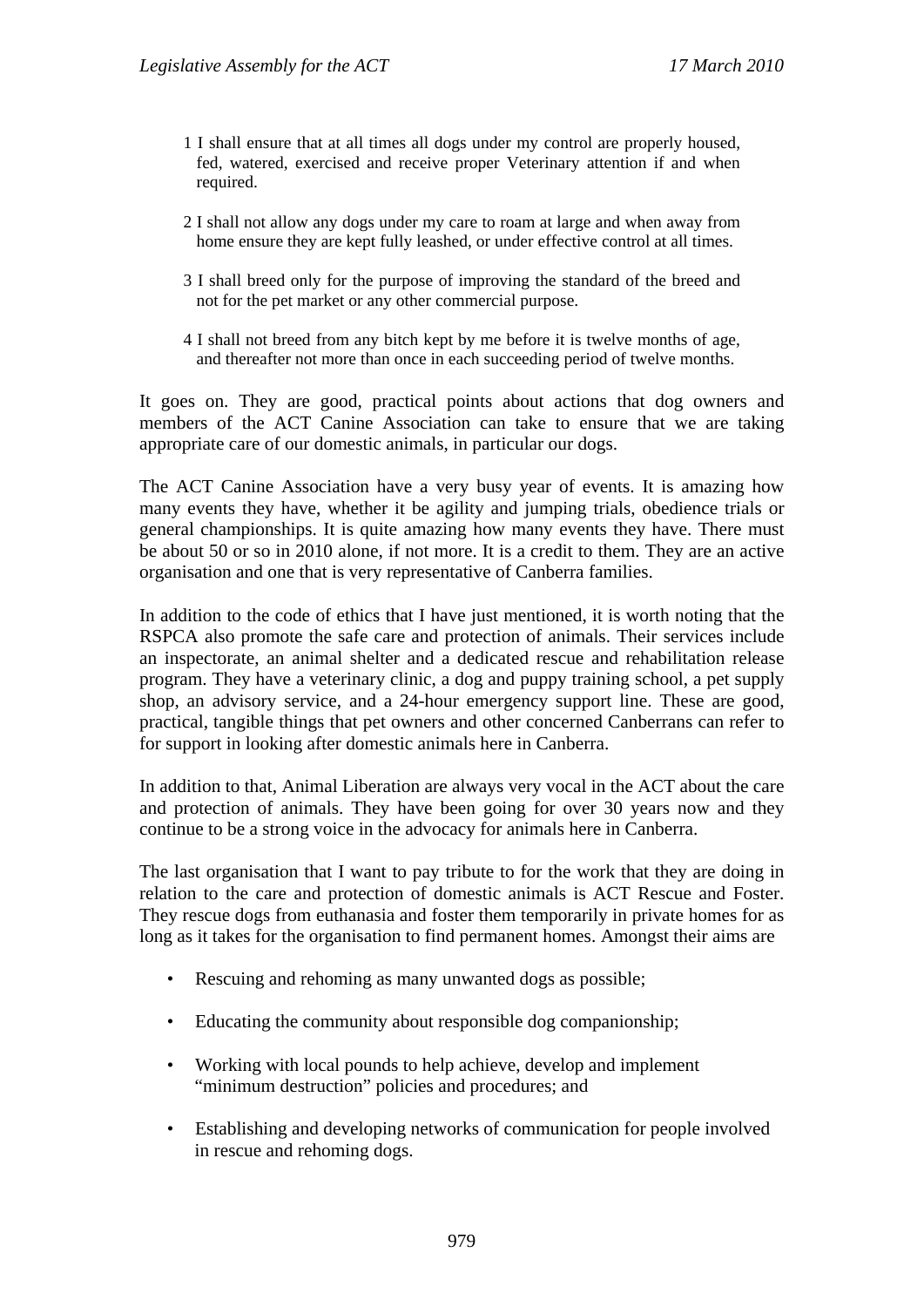- 1 I shall ensure that at all times all dogs under my control are properly housed, fed, watered, exercised and receive proper Veterinary attention if and when required.
- 2 I shall not allow any dogs under my care to roam at large and when away from home ensure they are kept fully leashed, or under effective control at all times.
- 3 I shall breed only for the purpose of improving the standard of the breed and not for the pet market or any other commercial purpose.
- 4 I shall not breed from any bitch kept by me before it is twelve months of age, and thereafter not more than once in each succeeding period of twelve months.

It goes on. They are good, practical points about actions that dog owners and members of the ACT Canine Association can take to ensure that we are taking appropriate care of our domestic animals, in particular our dogs.

The ACT Canine Association have a very busy year of events. It is amazing how many events they have, whether it be agility and jumping trials, obedience trials or general championships. It is quite amazing how many events they have. There must be about 50 or so in 2010 alone, if not more. It is a credit to them. They are an active organisation and one that is very representative of Canberra families.

In addition to the code of ethics that I have just mentioned, it is worth noting that the RSPCA also promote the safe care and protection of animals. Their services include an inspectorate, an animal shelter and a dedicated rescue and rehabilitation release program. They have a veterinary clinic, a dog and puppy training school, a pet supply shop, an advisory service, and a 24-hour emergency support line. These are good, practical, tangible things that pet owners and other concerned Canberrans can refer to for support in looking after domestic animals here in Canberra.

In addition to that, Animal Liberation are always very vocal in the ACT about the care and protection of animals. They have been going for over 30 years now and they continue to be a strong voice in the advocacy for animals here in Canberra.

The last organisation that I want to pay tribute to for the work that they are doing in relation to the care and protection of domestic animals is ACT Rescue and Foster. They rescue dogs from euthanasia and foster them temporarily in private homes for as long as it takes for the organisation to find permanent homes. Amongst their aims are

- Rescuing and rehoming as many unwanted dogs as possible;
- Educating the community about responsible dog companionship;
- Working with local pounds to help achieve, develop and implement "minimum destruction" policies and procedures; and
- Establishing and developing networks of communication for people involved in rescue and rehoming dogs.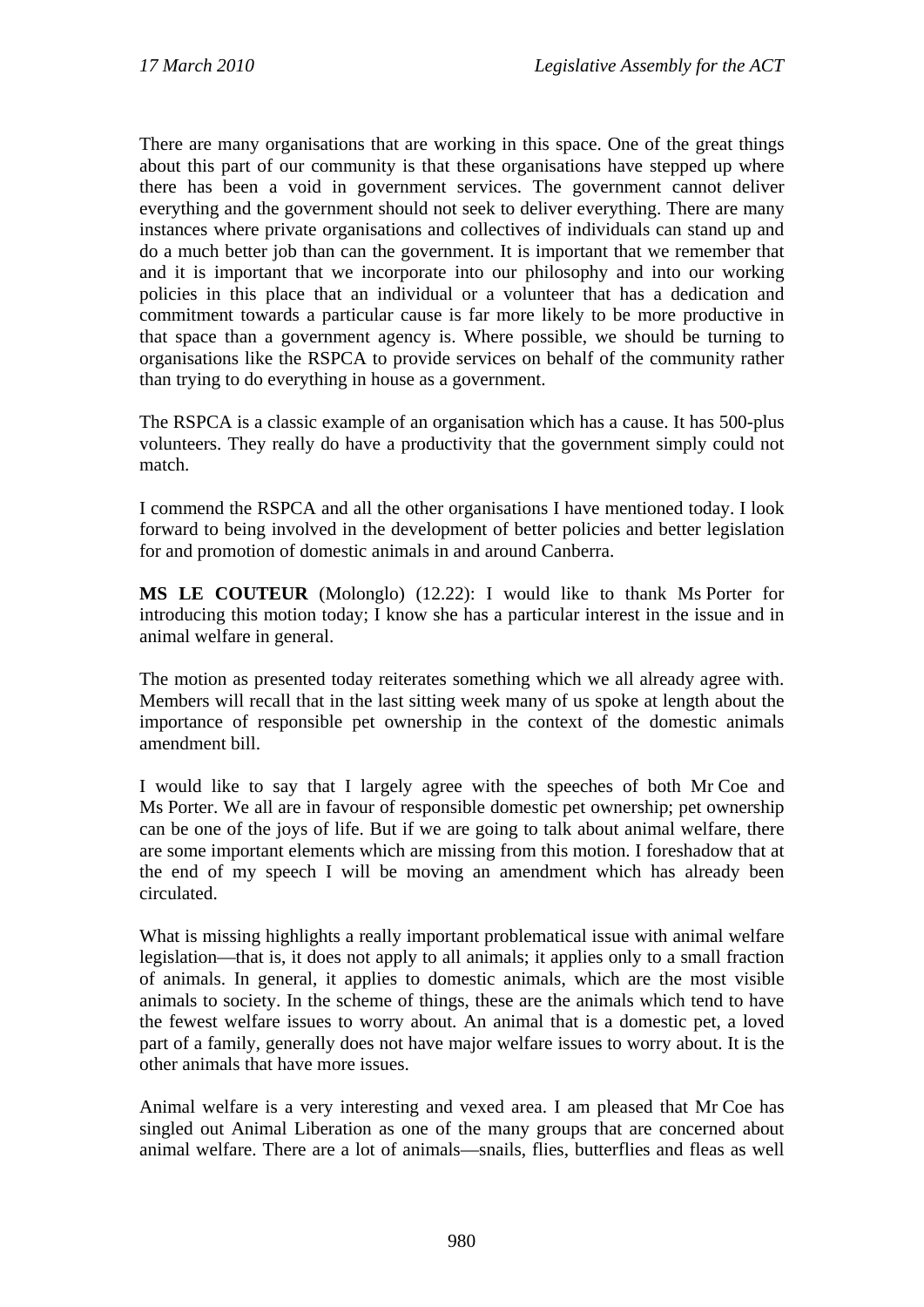There are many organisations that are working in this space. One of the great things about this part of our community is that these organisations have stepped up where there has been a void in government services. The government cannot deliver everything and the government should not seek to deliver everything. There are many instances where private organisations and collectives of individuals can stand up and do a much better job than can the government. It is important that we remember that and it is important that we incorporate into our philosophy and into our working policies in this place that an individual or a volunteer that has a dedication and commitment towards a particular cause is far more likely to be more productive in that space than a government agency is. Where possible, we should be turning to organisations like the RSPCA to provide services on behalf of the community rather than trying to do everything in house as a government.

The RSPCA is a classic example of an organisation which has a cause. It has 500-plus volunteers. They really do have a productivity that the government simply could not match.

I commend the RSPCA and all the other organisations I have mentioned today. I look forward to being involved in the development of better policies and better legislation for and promotion of domestic animals in and around Canberra.

**MS LE COUTEUR** (Molonglo) (12.22): I would like to thank Ms Porter for introducing this motion today; I know she has a particular interest in the issue and in animal welfare in general.

The motion as presented today reiterates something which we all already agree with. Members will recall that in the last sitting week many of us spoke at length about the importance of responsible pet ownership in the context of the domestic animals amendment bill.

I would like to say that I largely agree with the speeches of both Mr Coe and Ms Porter. We all are in favour of responsible domestic pet ownership; pet ownership can be one of the joys of life. But if we are going to talk about animal welfare, there are some important elements which are missing from this motion. I foreshadow that at the end of my speech I will be moving an amendment which has already been circulated.

What is missing highlights a really important problematical issue with animal welfare legislation—that is, it does not apply to all animals; it applies only to a small fraction of animals. In general, it applies to domestic animals, which are the most visible animals to society. In the scheme of things, these are the animals which tend to have the fewest welfare issues to worry about. An animal that is a domestic pet, a loved part of a family, generally does not have major welfare issues to worry about. It is the other animals that have more issues.

Animal welfare is a very interesting and vexed area. I am pleased that Mr Coe has singled out Animal Liberation as one of the many groups that are concerned about animal welfare. There are a lot of animals—snails, flies, butterflies and fleas as well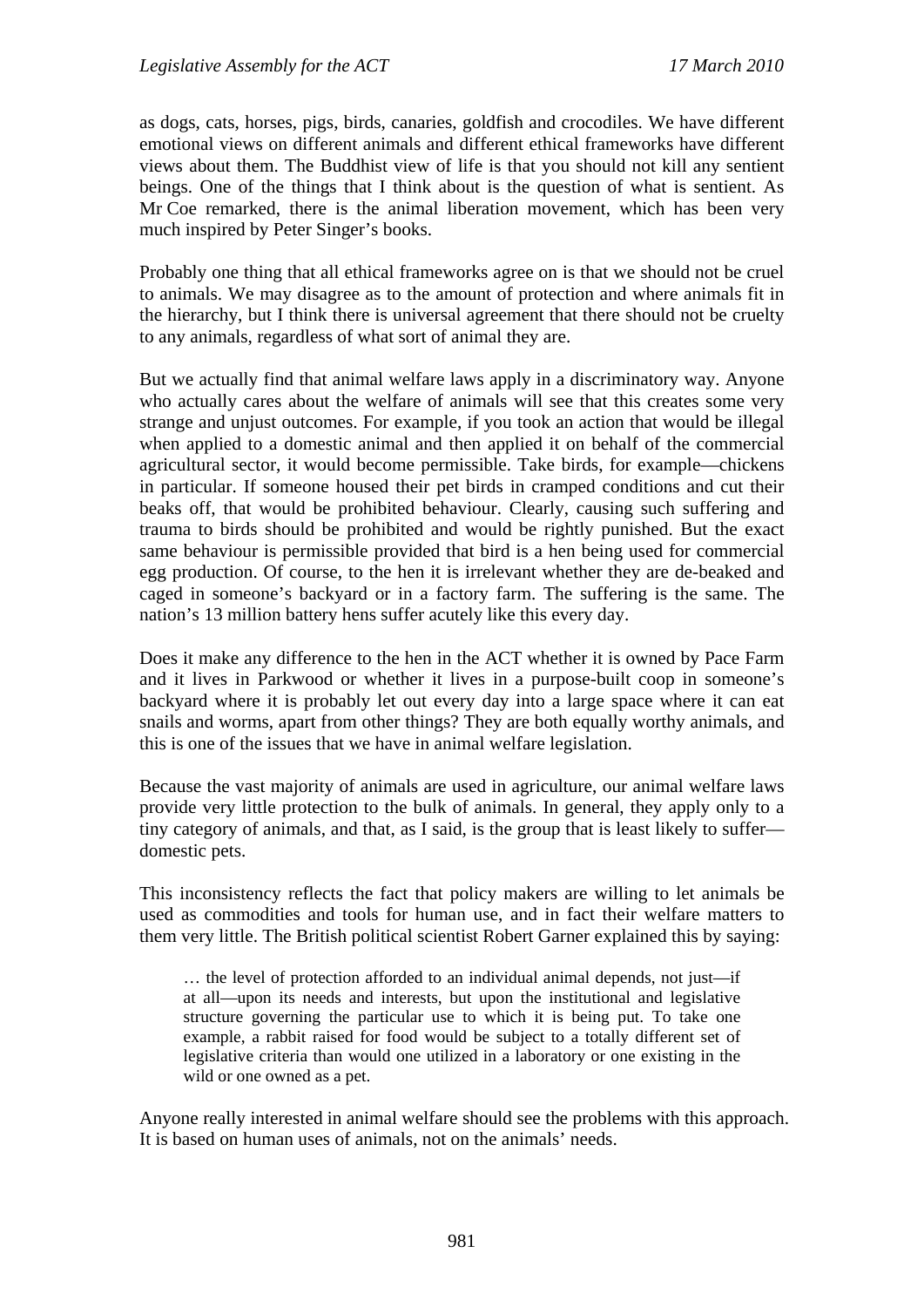as dogs, cats, horses, pigs, birds, canaries, goldfish and crocodiles. We have different emotional views on different animals and different ethical frameworks have different views about them. The Buddhist view of life is that you should not kill any sentient beings. One of the things that I think about is the question of what is sentient. As Mr Coe remarked, there is the animal liberation movement, which has been very much inspired by Peter Singer's books.

Probably one thing that all ethical frameworks agree on is that we should not be cruel to animals. We may disagree as to the amount of protection and where animals fit in the hierarchy, but I think there is universal agreement that there should not be cruelty to any animals, regardless of what sort of animal they are.

But we actually find that animal welfare laws apply in a discriminatory way. Anyone who actually cares about the welfare of animals will see that this creates some very strange and unjust outcomes. For example, if you took an action that would be illegal when applied to a domestic animal and then applied it on behalf of the commercial agricultural sector, it would become permissible. Take birds, for example—chickens in particular. If someone housed their pet birds in cramped conditions and cut their beaks off, that would be prohibited behaviour. Clearly, causing such suffering and trauma to birds should be prohibited and would be rightly punished. But the exact same behaviour is permissible provided that bird is a hen being used for commercial egg production. Of course, to the hen it is irrelevant whether they are de-beaked and caged in someone's backyard or in a factory farm. The suffering is the same. The nation's 13 million battery hens suffer acutely like this every day.

Does it make any difference to the hen in the ACT whether it is owned by Pace Farm and it lives in Parkwood or whether it lives in a purpose-built coop in someone's backyard where it is probably let out every day into a large space where it can eat snails and worms, apart from other things? They are both equally worthy animals, and this is one of the issues that we have in animal welfare legislation.

Because the vast majority of animals are used in agriculture, our animal welfare laws provide very little protection to the bulk of animals. In general, they apply only to a tiny category of animals, and that, as I said, is the group that is least likely to suffer domestic pets.

This inconsistency reflects the fact that policy makers are willing to let animals be used as commodities and tools for human use, and in fact their welfare matters to them very little. The British political scientist Robert Garner explained this by saying:

… the level of protection afforded to an individual animal depends, not just—if at all—upon its needs and interests, but upon the institutional and legislative structure governing the particular use to which it is being put. To take one example, a rabbit raised for food would be subject to a totally different set of legislative criteria than would one utilized in a laboratory or one existing in the wild or one owned as a pet.

Anyone really interested in animal welfare should see the problems with this approach. It is based on human uses of animals, not on the animals' needs.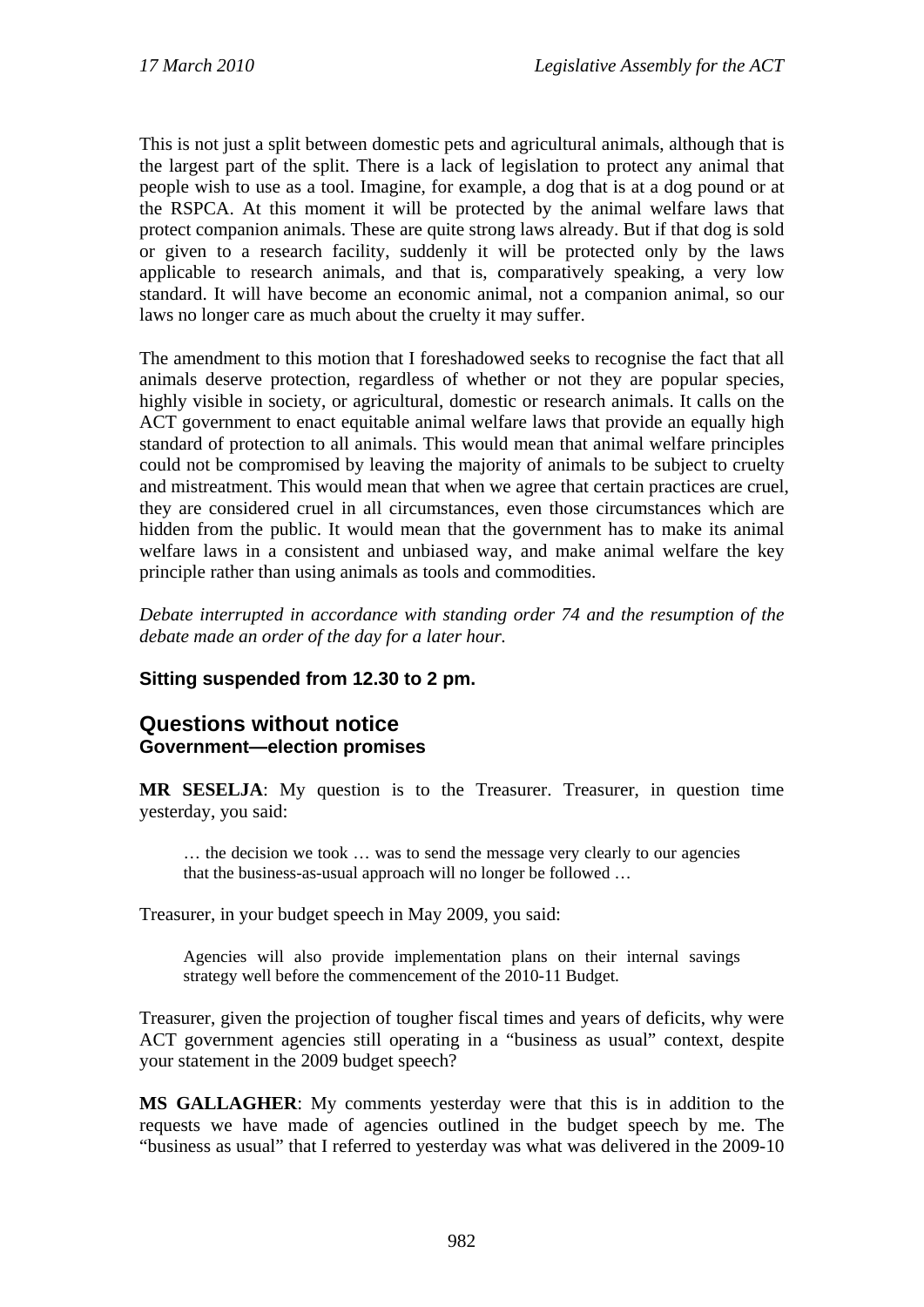This is not just a split between domestic pets and agricultural animals, although that is the largest part of the split. There is a lack of legislation to protect any animal that people wish to use as a tool. Imagine, for example, a dog that is at a dog pound or at the RSPCA. At this moment it will be protected by the animal welfare laws that protect companion animals. These are quite strong laws already. But if that dog is sold or given to a research facility, suddenly it will be protected only by the laws applicable to research animals, and that is, comparatively speaking, a very low standard. It will have become an economic animal, not a companion animal, so our laws no longer care as much about the cruelty it may suffer.

The amendment to this motion that I foreshadowed seeks to recognise the fact that all animals deserve protection, regardless of whether or not they are popular species, highly visible in society, or agricultural, domestic or research animals. It calls on the ACT government to enact equitable animal welfare laws that provide an equally high standard of protection to all animals. This would mean that animal welfare principles could not be compromised by leaving the majority of animals to be subject to cruelty and mistreatment. This would mean that when we agree that certain practices are cruel, they are considered cruel in all circumstances, even those circumstances which are hidden from the public. It would mean that the government has to make its animal welfare laws in a consistent and unbiased way, and make animal welfare the key principle rather than using animals as tools and commodities.

*Debate interrupted in accordance with standing order 74 and the resumption of the debate made an order of the day for a later hour.* 

## **Sitting suspended from 12.30 to 2 pm.**

## **Questions without notice Government—election promises**

**MR SESELJA**: My question is to the Treasurer. Treasurer, in question time yesterday, you said:

… the decision we took … was to send the message very clearly to our agencies that the business-as-usual approach will no longer be followed …

Treasurer, in your budget speech in May 2009, you said:

Agencies will also provide implementation plans on their internal savings strategy well before the commencement of the 2010-11 Budget.

Treasurer, given the projection of tougher fiscal times and years of deficits, why were ACT government agencies still operating in a "business as usual" context, despite your statement in the 2009 budget speech?

**MS GALLAGHER**: My comments yesterday were that this is in addition to the requests we have made of agencies outlined in the budget speech by me. The "business as usual" that I referred to yesterday was what was delivered in the 2009-10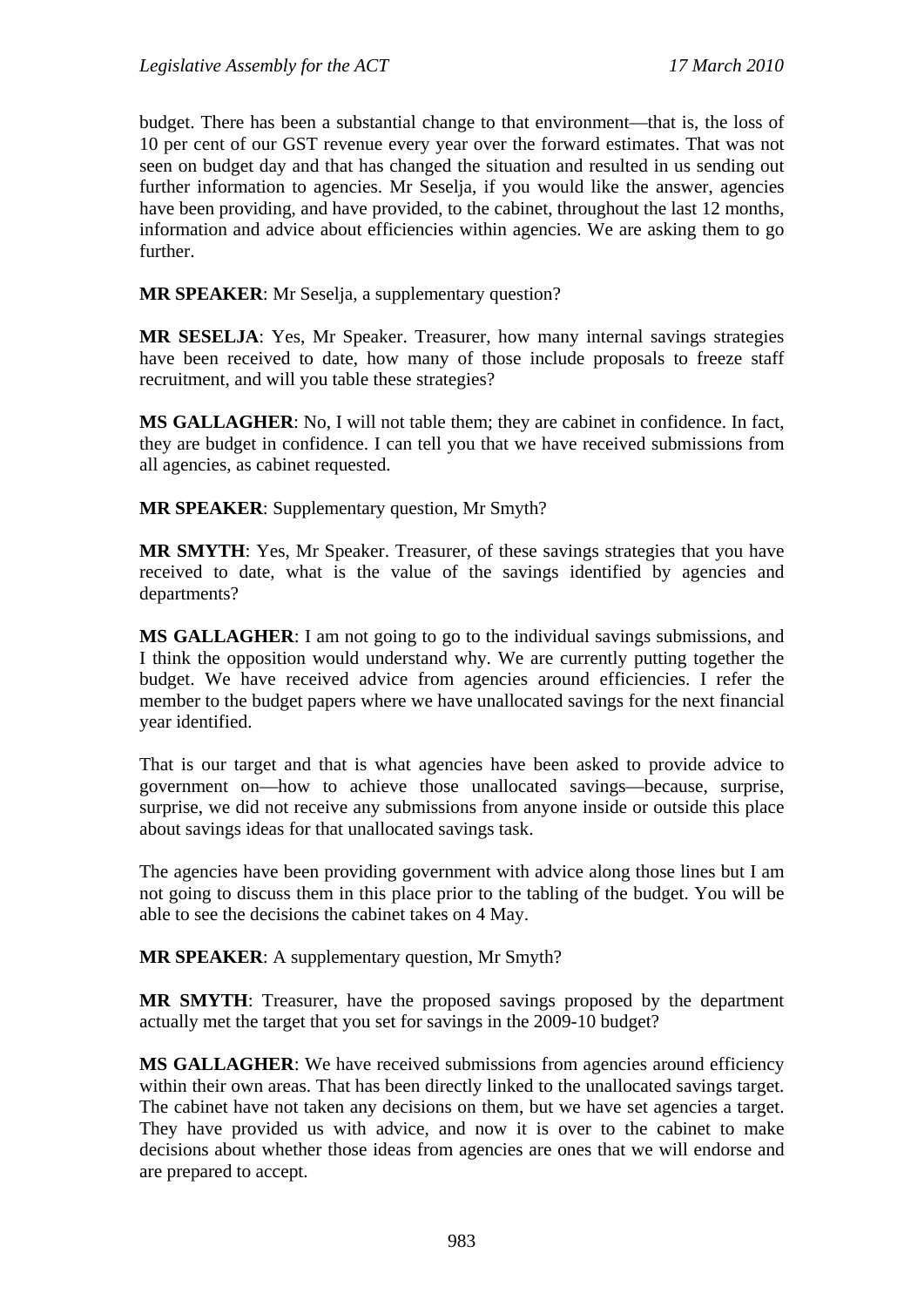budget. There has been a substantial change to that environment—that is, the loss of 10 per cent of our GST revenue every year over the forward estimates. That was not seen on budget day and that has changed the situation and resulted in us sending out further information to agencies. Mr Seselja, if you would like the answer, agencies have been providing, and have provided, to the cabinet, throughout the last 12 months, information and advice about efficiencies within agencies. We are asking them to go further.

**MR SPEAKER**: Mr Seselja, a supplementary question?

**MR SESELJA**: Yes, Mr Speaker. Treasurer, how many internal savings strategies have been received to date, how many of those include proposals to freeze staff recruitment, and will you table these strategies?

**MS GALLAGHER**: No, I will not table them; they are cabinet in confidence. In fact, they are budget in confidence. I can tell you that we have received submissions from all agencies, as cabinet requested.

**MR SPEAKER**: Supplementary question, Mr Smyth?

**MR SMYTH**: Yes, Mr Speaker. Treasurer, of these savings strategies that you have received to date, what is the value of the savings identified by agencies and departments?

**MS GALLAGHER**: I am not going to go to the individual savings submissions, and I think the opposition would understand why. We are currently putting together the budget. We have received advice from agencies around efficiencies. I refer the member to the budget papers where we have unallocated savings for the next financial year identified.

That is our target and that is what agencies have been asked to provide advice to government on—how to achieve those unallocated savings—because, surprise, surprise, we did not receive any submissions from anyone inside or outside this place about savings ideas for that unallocated savings task.

The agencies have been providing government with advice along those lines but I am not going to discuss them in this place prior to the tabling of the budget. You will be able to see the decisions the cabinet takes on 4 May.

**MR SPEAKER**: A supplementary question, Mr Smyth?

**MR SMYTH**: Treasurer, have the proposed savings proposed by the department actually met the target that you set for savings in the 2009-10 budget?

**MS GALLAGHER**: We have received submissions from agencies around efficiency within their own areas. That has been directly linked to the unallocated savings target. The cabinet have not taken any decisions on them, but we have set agencies a target. They have provided us with advice, and now it is over to the cabinet to make decisions about whether those ideas from agencies are ones that we will endorse and are prepared to accept.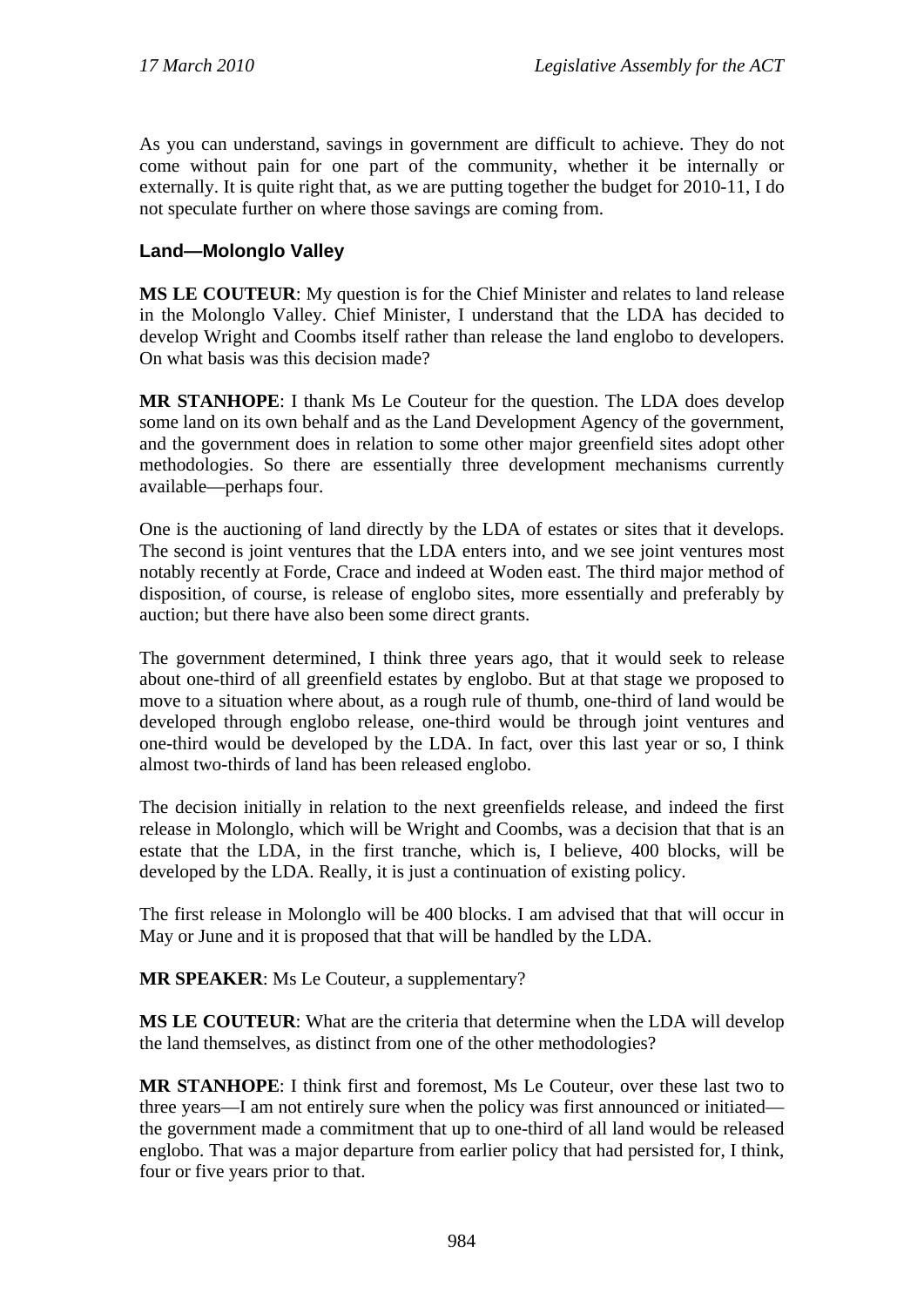As you can understand, savings in government are difficult to achieve. They do not come without pain for one part of the community, whether it be internally or externally. It is quite right that, as we are putting together the budget for 2010-11, I do not speculate further on where those savings are coming from.

### **Land—Molonglo Valley**

**MS LE COUTEUR**: My question is for the Chief Minister and relates to land release in the Molonglo Valley. Chief Minister, I understand that the LDA has decided to develop Wright and Coombs itself rather than release the land englobo to developers. On what basis was this decision made?

**MR STANHOPE**: I thank Ms Le Couteur for the question. The LDA does develop some land on its own behalf and as the Land Development Agency of the government, and the government does in relation to some other major greenfield sites adopt other methodologies. So there are essentially three development mechanisms currently available—perhaps four.

One is the auctioning of land directly by the LDA of estates or sites that it develops. The second is joint ventures that the LDA enters into, and we see joint ventures most notably recently at Forde, Crace and indeed at Woden east. The third major method of disposition, of course, is release of englobo sites, more essentially and preferably by auction; but there have also been some direct grants.

The government determined, I think three years ago, that it would seek to release about one-third of all greenfield estates by englobo. But at that stage we proposed to move to a situation where about, as a rough rule of thumb, one-third of land would be developed through englobo release, one-third would be through joint ventures and one-third would be developed by the LDA. In fact, over this last year or so, I think almost two-thirds of land has been released englobo.

The decision initially in relation to the next greenfields release, and indeed the first release in Molonglo, which will be Wright and Coombs, was a decision that that is an estate that the LDA, in the first tranche, which is, I believe, 400 blocks, will be developed by the LDA. Really, it is just a continuation of existing policy.

The first release in Molonglo will be 400 blocks. I am advised that that will occur in May or June and it is proposed that that will be handled by the LDA.

**MR SPEAKER**: Ms Le Couteur, a supplementary?

**MS LE COUTEUR**: What are the criteria that determine when the LDA will develop the land themselves, as distinct from one of the other methodologies?

**MR STANHOPE**: I think first and foremost, Ms Le Couteur, over these last two to three years—I am not entirely sure when the policy was first announced or initiated the government made a commitment that up to one-third of all land would be released englobo. That was a major departure from earlier policy that had persisted for, I think, four or five years prior to that.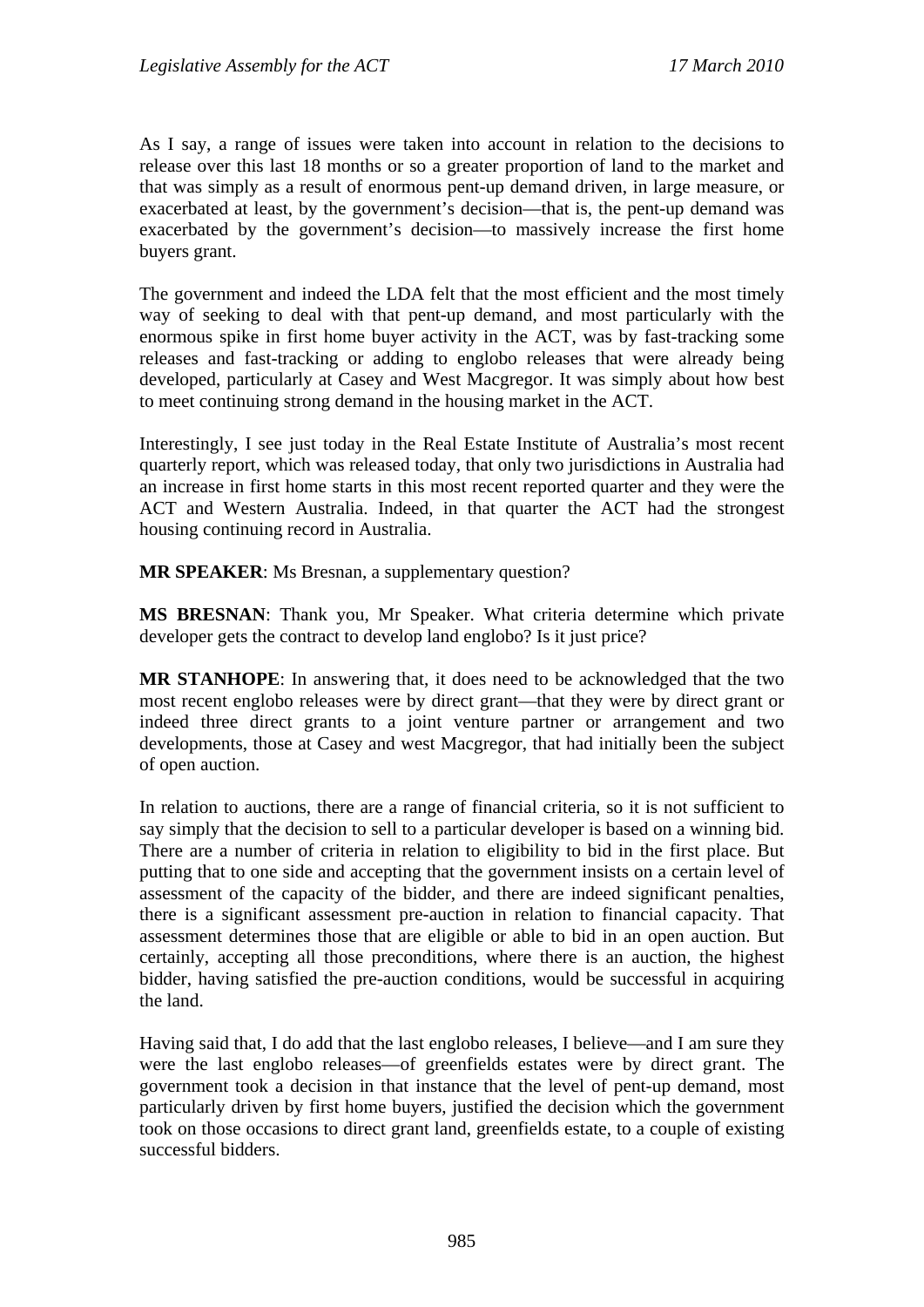As I say, a range of issues were taken into account in relation to the decisions to release over this last 18 months or so a greater proportion of land to the market and that was simply as a result of enormous pent-up demand driven, in large measure, or exacerbated at least, by the government's decision—that is, the pent-up demand was exacerbated by the government's decision—to massively increase the first home buyers grant.

The government and indeed the LDA felt that the most efficient and the most timely way of seeking to deal with that pent-up demand, and most particularly with the enormous spike in first home buyer activity in the ACT, was by fast-tracking some releases and fast-tracking or adding to englobo releases that were already being developed, particularly at Casey and West Macgregor. It was simply about how best to meet continuing strong demand in the housing market in the ACT.

Interestingly, I see just today in the Real Estate Institute of Australia's most recent quarterly report, which was released today, that only two jurisdictions in Australia had an increase in first home starts in this most recent reported quarter and they were the ACT and Western Australia. Indeed, in that quarter the ACT had the strongest housing continuing record in Australia.

**MR SPEAKER**: Ms Bresnan, a supplementary question?

**MS BRESNAN**: Thank you, Mr Speaker. What criteria determine which private developer gets the contract to develop land englobo? Is it just price?

**MR STANHOPE**: In answering that, it does need to be acknowledged that the two most recent englobo releases were by direct grant—that they were by direct grant or indeed three direct grants to a joint venture partner or arrangement and two developments, those at Casey and west Macgregor, that had initially been the subject of open auction.

In relation to auctions, there are a range of financial criteria, so it is not sufficient to say simply that the decision to sell to a particular developer is based on a winning bid. There are a number of criteria in relation to eligibility to bid in the first place. But putting that to one side and accepting that the government insists on a certain level of assessment of the capacity of the bidder, and there are indeed significant penalties, there is a significant assessment pre-auction in relation to financial capacity. That assessment determines those that are eligible or able to bid in an open auction. But certainly, accepting all those preconditions, where there is an auction, the highest bidder, having satisfied the pre-auction conditions, would be successful in acquiring the land.

Having said that, I do add that the last englobo releases, I believe—and I am sure they were the last englobo releases—of greenfields estates were by direct grant. The government took a decision in that instance that the level of pent-up demand, most particularly driven by first home buyers, justified the decision which the government took on those occasions to direct grant land, greenfields estate, to a couple of existing successful bidders.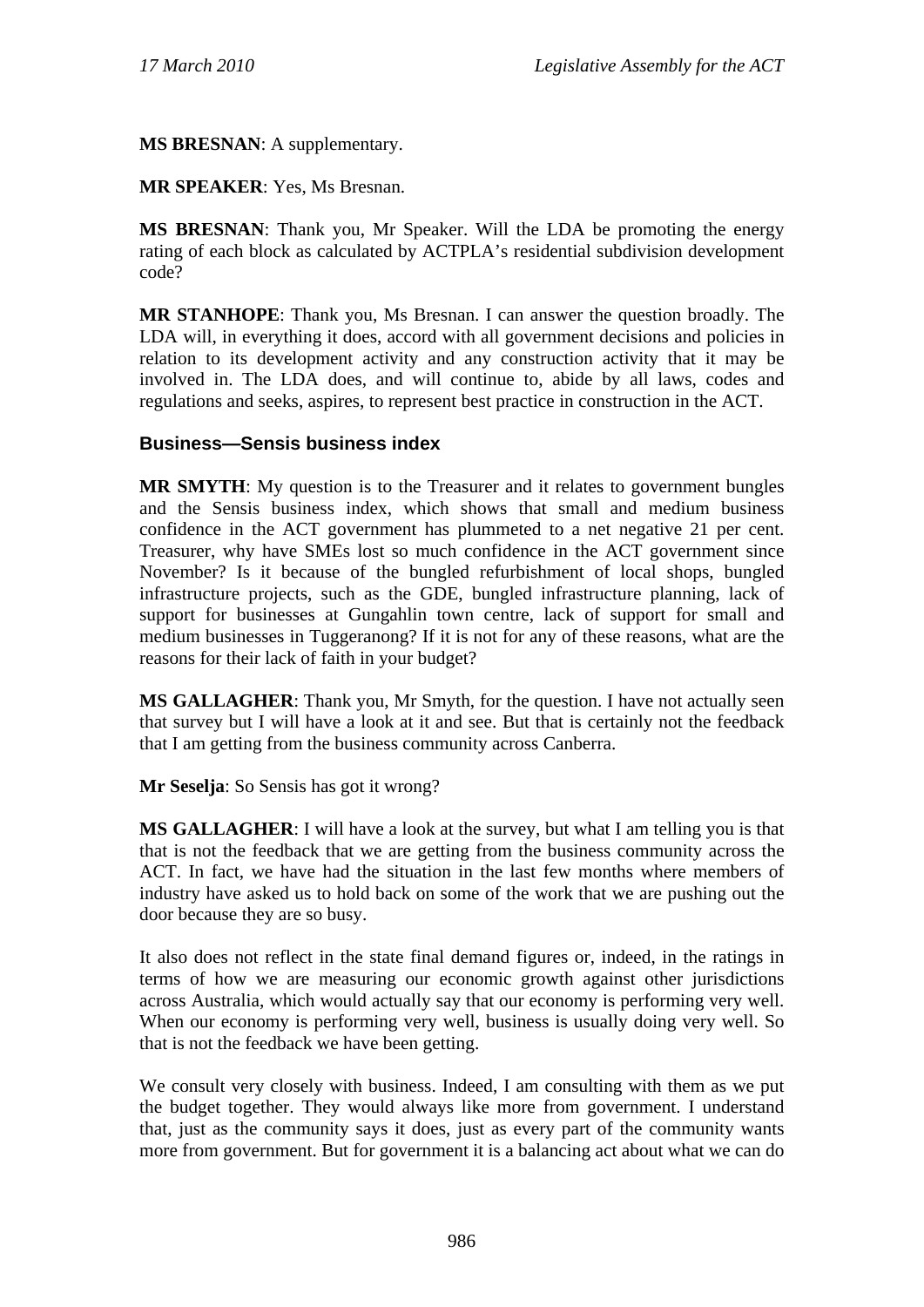### **MS BRESNAN**: A supplementary.

#### **MR SPEAKER**: Yes, Ms Bresnan.

**MS BRESNAN**: Thank you, Mr Speaker. Will the LDA be promoting the energy rating of each block as calculated by ACTPLA's residential subdivision development code?

**MR STANHOPE**: Thank you, Ms Bresnan. I can answer the question broadly. The LDA will, in everything it does, accord with all government decisions and policies in relation to its development activity and any construction activity that it may be involved in. The LDA does, and will continue to, abide by all laws, codes and regulations and seeks, aspires, to represent best practice in construction in the ACT.

#### **Business—Sensis business index**

**MR SMYTH**: My question is to the Treasurer and it relates to government bungles and the Sensis business index, which shows that small and medium business confidence in the ACT government has plummeted to a net negative 21 per cent. Treasurer, why have SMEs lost so much confidence in the ACT government since November? Is it because of the bungled refurbishment of local shops, bungled infrastructure projects, such as the GDE, bungled infrastructure planning, lack of support for businesses at Gungahlin town centre, lack of support for small and medium businesses in Tuggeranong? If it is not for any of these reasons, what are the reasons for their lack of faith in your budget?

**MS GALLAGHER**: Thank you, Mr Smyth, for the question. I have not actually seen that survey but I will have a look at it and see. But that is certainly not the feedback that I am getting from the business community across Canberra.

**Mr Seselja**: So Sensis has got it wrong?

**MS GALLAGHER**: I will have a look at the survey, but what I am telling you is that that is not the feedback that we are getting from the business community across the ACT. In fact, we have had the situation in the last few months where members of industry have asked us to hold back on some of the work that we are pushing out the door because they are so busy.

It also does not reflect in the state final demand figures or, indeed, in the ratings in terms of how we are measuring our economic growth against other jurisdictions across Australia, which would actually say that our economy is performing very well. When our economy is performing very well, business is usually doing very well. So that is not the feedback we have been getting.

We consult very closely with business. Indeed, I am consulting with them as we put the budget together. They would always like more from government. I understand that, just as the community says it does, just as every part of the community wants more from government. But for government it is a balancing act about what we can do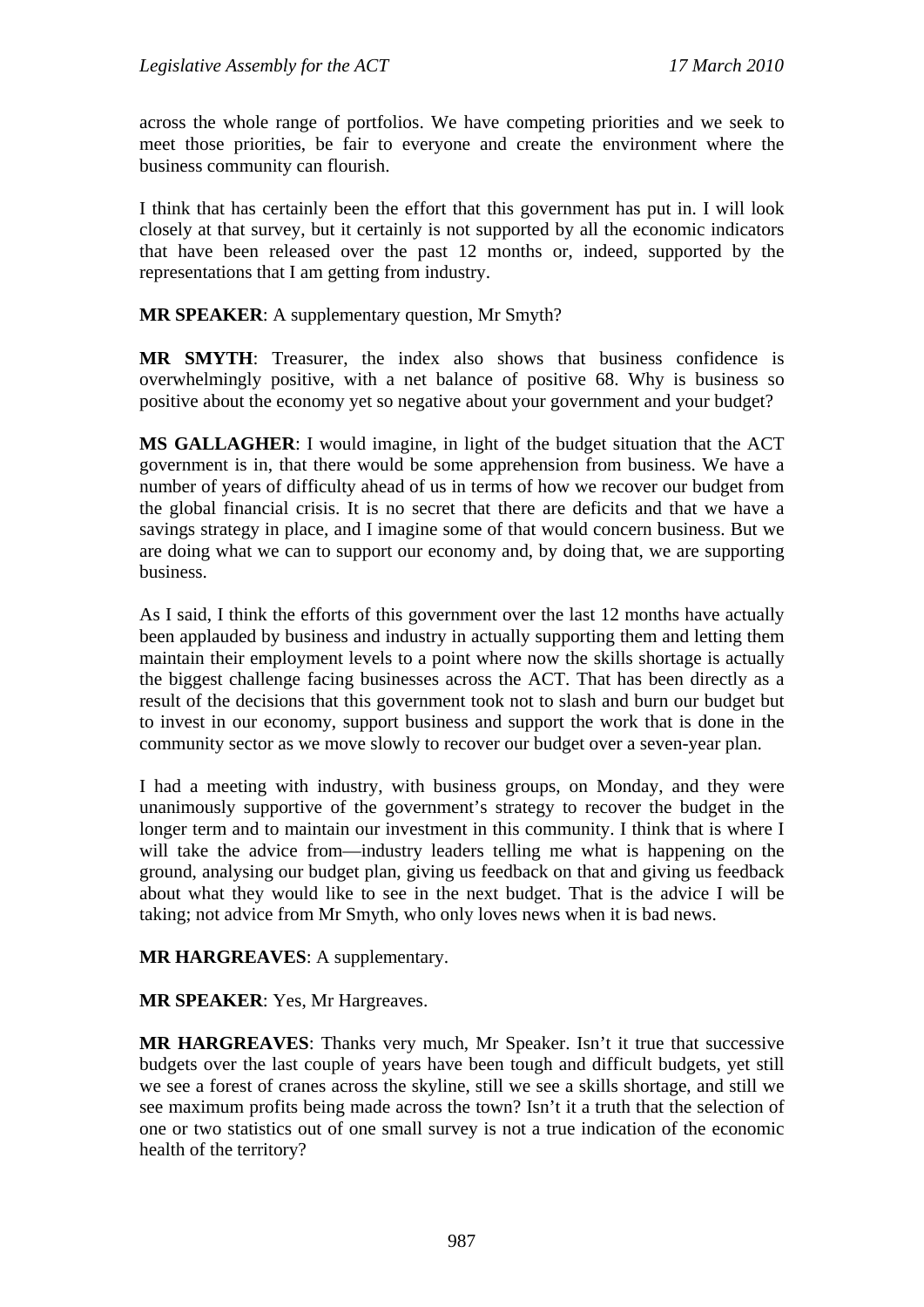across the whole range of portfolios. We have competing priorities and we seek to meet those priorities, be fair to everyone and create the environment where the business community can flourish.

I think that has certainly been the effort that this government has put in. I will look closely at that survey, but it certainly is not supported by all the economic indicators that have been released over the past 12 months or, indeed, supported by the representations that I am getting from industry.

**MR SPEAKER**: A supplementary question, Mr Smyth?

**MR SMYTH**: Treasurer, the index also shows that business confidence is overwhelmingly positive, with a net balance of positive 68. Why is business so positive about the economy yet so negative about your government and your budget?

**MS GALLAGHER**: I would imagine, in light of the budget situation that the ACT government is in, that there would be some apprehension from business. We have a number of years of difficulty ahead of us in terms of how we recover our budget from the global financial crisis. It is no secret that there are deficits and that we have a savings strategy in place, and I imagine some of that would concern business. But we are doing what we can to support our economy and, by doing that, we are supporting business.

As I said, I think the efforts of this government over the last 12 months have actually been applauded by business and industry in actually supporting them and letting them maintain their employment levels to a point where now the skills shortage is actually the biggest challenge facing businesses across the ACT. That has been directly as a result of the decisions that this government took not to slash and burn our budget but to invest in our economy, support business and support the work that is done in the community sector as we move slowly to recover our budget over a seven-year plan.

I had a meeting with industry, with business groups, on Monday, and they were unanimously supportive of the government's strategy to recover the budget in the longer term and to maintain our investment in this community. I think that is where I will take the advice from—industry leaders telling me what is happening on the ground, analysing our budget plan, giving us feedback on that and giving us feedback about what they would like to see in the next budget. That is the advice I will be taking; not advice from Mr Smyth, who only loves news when it is bad news.

**MR HARGREAVES**: A supplementary.

**MR SPEAKER**: Yes, Mr Hargreaves.

**MR HARGREAVES**: Thanks very much, Mr Speaker. Isn't it true that successive budgets over the last couple of years have been tough and difficult budgets, yet still we see a forest of cranes across the skyline, still we see a skills shortage, and still we see maximum profits being made across the town? Isn't it a truth that the selection of one or two statistics out of one small survey is not a true indication of the economic health of the territory?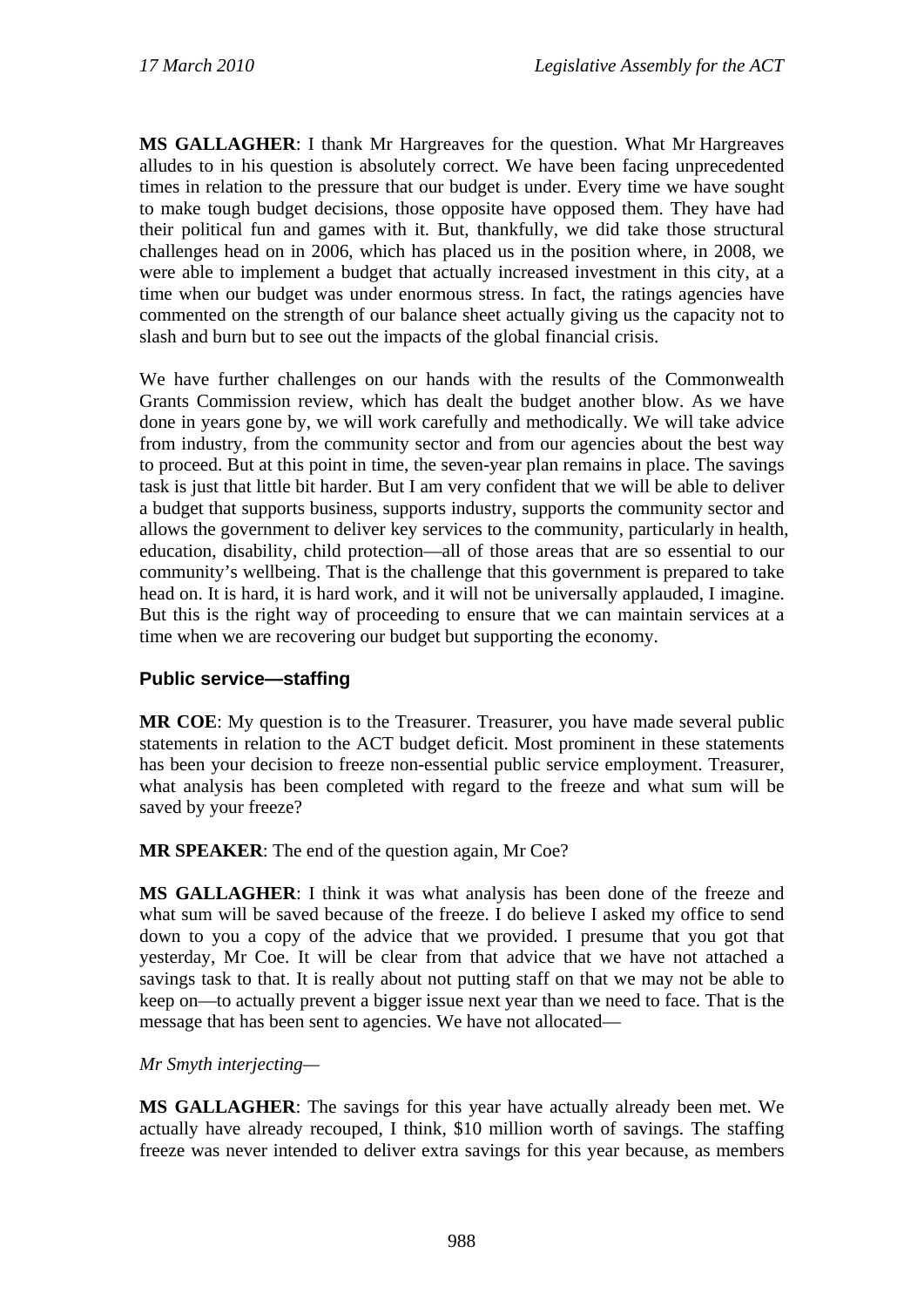**MS GALLAGHER**: I thank Mr Hargreaves for the question. What Mr Hargreaves alludes to in his question is absolutely correct. We have been facing unprecedented times in relation to the pressure that our budget is under. Every time we have sought to make tough budget decisions, those opposite have opposed them. They have had their political fun and games with it. But, thankfully, we did take those structural challenges head on in 2006, which has placed us in the position where, in 2008, we were able to implement a budget that actually increased investment in this city, at a time when our budget was under enormous stress. In fact, the ratings agencies have commented on the strength of our balance sheet actually giving us the capacity not to slash and burn but to see out the impacts of the global financial crisis.

We have further challenges on our hands with the results of the Commonwealth Grants Commission review, which has dealt the budget another blow. As we have done in years gone by, we will work carefully and methodically. We will take advice from industry, from the community sector and from our agencies about the best way to proceed. But at this point in time, the seven-year plan remains in place. The savings task is just that little bit harder. But I am very confident that we will be able to deliver a budget that supports business, supports industry, supports the community sector and allows the government to deliver key services to the community, particularly in health, education, disability, child protection—all of those areas that are so essential to our community's wellbeing. That is the challenge that this government is prepared to take head on. It is hard, it is hard work, and it will not be universally applauded, I imagine. But this is the right way of proceeding to ensure that we can maintain services at a time when we are recovering our budget but supporting the economy.

## **Public service—staffing**

**MR COE**: My question is to the Treasurer. Treasurer, you have made several public statements in relation to the ACT budget deficit. Most prominent in these statements has been your decision to freeze non-essential public service employment. Treasurer, what analysis has been completed with regard to the freeze and what sum will be saved by your freeze?

**MR SPEAKER**: The end of the question again, Mr Coe?

**MS GALLAGHER**: I think it was what analysis has been done of the freeze and what sum will be saved because of the freeze. I do believe I asked my office to send down to you a copy of the advice that we provided. I presume that you got that yesterday, Mr Coe. It will be clear from that advice that we have not attached a savings task to that. It is really about not putting staff on that we may not be able to keep on—to actually prevent a bigger issue next year than we need to face. That is the message that has been sent to agencies. We have not allocated—

#### *Mr Smyth interjecting—*

**MS GALLAGHER**: The savings for this year have actually already been met. We actually have already recouped, I think, \$10 million worth of savings. The staffing freeze was never intended to deliver extra savings for this year because, as members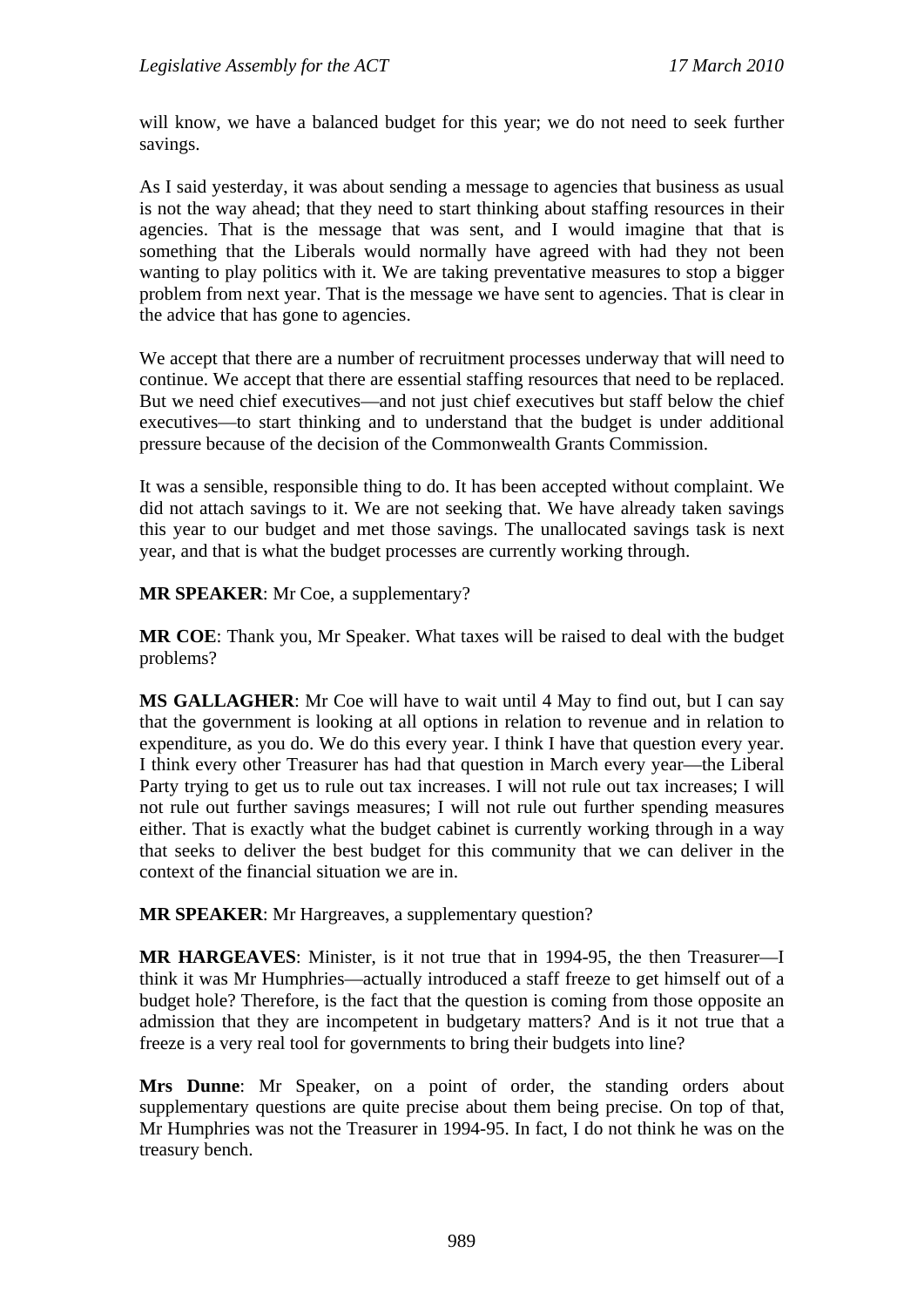will know, we have a balanced budget for this year; we do not need to seek further savings.

As I said yesterday, it was about sending a message to agencies that business as usual is not the way ahead; that they need to start thinking about staffing resources in their agencies. That is the message that was sent, and I would imagine that that is something that the Liberals would normally have agreed with had they not been wanting to play politics with it. We are taking preventative measures to stop a bigger problem from next year. That is the message we have sent to agencies. That is clear in the advice that has gone to agencies.

We accept that there are a number of recruitment processes underway that will need to continue. We accept that there are essential staffing resources that need to be replaced. But we need chief executives—and not just chief executives but staff below the chief executives—to start thinking and to understand that the budget is under additional pressure because of the decision of the Commonwealth Grants Commission.

It was a sensible, responsible thing to do. It has been accepted without complaint. We did not attach savings to it. We are not seeking that. We have already taken savings this year to our budget and met those savings. The unallocated savings task is next year, and that is what the budget processes are currently working through.

**MR SPEAKER**: Mr Coe, a supplementary?

**MR COE**: Thank you, Mr Speaker. What taxes will be raised to deal with the budget problems?

**MS GALLAGHER**: Mr Coe will have to wait until 4 May to find out, but I can say that the government is looking at all options in relation to revenue and in relation to expenditure, as you do. We do this every year. I think I have that question every year. I think every other Treasurer has had that question in March every year—the Liberal Party trying to get us to rule out tax increases. I will not rule out tax increases; I will not rule out further savings measures; I will not rule out further spending measures either. That is exactly what the budget cabinet is currently working through in a way that seeks to deliver the best budget for this community that we can deliver in the context of the financial situation we are in.

**MR SPEAKER**: Mr Hargreaves, a supplementary question?

**MR HARGEAVES**: Minister, is it not true that in 1994-95, the then Treasurer—I think it was Mr Humphries—actually introduced a staff freeze to get himself out of a budget hole? Therefore, is the fact that the question is coming from those opposite an admission that they are incompetent in budgetary matters? And is it not true that a freeze is a very real tool for governments to bring their budgets into line?

**Mrs Dunne**: Mr Speaker, on a point of order, the standing orders about supplementary questions are quite precise about them being precise. On top of that, Mr Humphries was not the Treasurer in 1994-95. In fact, I do not think he was on the treasury bench.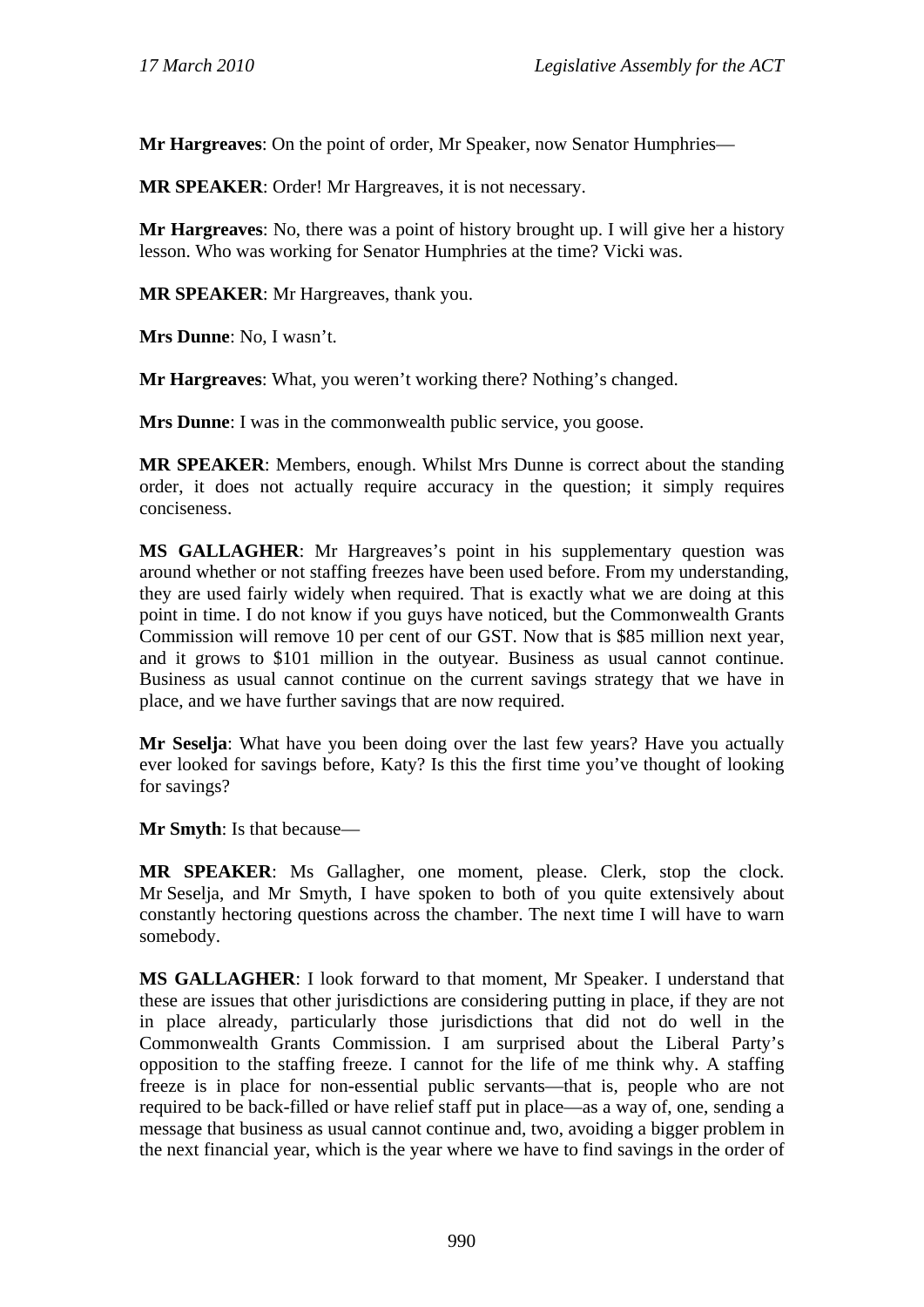**Mr Hargreaves**: On the point of order, Mr Speaker, now Senator Humphries—

**MR SPEAKER**: Order! Mr Hargreaves, it is not necessary.

**Mr Hargreaves**: No, there was a point of history brought up. I will give her a history lesson. Who was working for Senator Humphries at the time? Vicki was.

**MR SPEAKER**: Mr Hargreaves, thank you.

**Mrs Dunne**: No, I wasn't.

**Mr Hargreaves**: What, you weren't working there? Nothing's changed.

**Mrs Dunne**: I was in the commonwealth public service, you goose.

**MR SPEAKER**: Members, enough. Whilst Mrs Dunne is correct about the standing order, it does not actually require accuracy in the question; it simply requires conciseness.

**MS GALLAGHER**: Mr Hargreaves's point in his supplementary question was around whether or not staffing freezes have been used before. From my understanding, they are used fairly widely when required. That is exactly what we are doing at this point in time. I do not know if you guys have noticed, but the Commonwealth Grants Commission will remove 10 per cent of our GST. Now that is \$85 million next year, and it grows to \$101 million in the outyear. Business as usual cannot continue. Business as usual cannot continue on the current savings strategy that we have in place, and we have further savings that are now required.

**Mr Seselja**: What have you been doing over the last few years? Have you actually ever looked for savings before, Katy? Is this the first time you've thought of looking for savings?

**Mr Smyth**: Is that because—

**MR SPEAKER**: Ms Gallagher, one moment, please. Clerk, stop the clock. Mr Seselja, and Mr Smyth, I have spoken to both of you quite extensively about constantly hectoring questions across the chamber. The next time I will have to warn somebody.

**MS GALLAGHER**: I look forward to that moment, Mr Speaker. I understand that these are issues that other jurisdictions are considering putting in place, if they are not in place already, particularly those jurisdictions that did not do well in the Commonwealth Grants Commission. I am surprised about the Liberal Party's opposition to the staffing freeze. I cannot for the life of me think why. A staffing freeze is in place for non-essential public servants—that is, people who are not required to be back-filled or have relief staff put in place—as a way of, one, sending a message that business as usual cannot continue and, two, avoiding a bigger problem in the next financial year, which is the year where we have to find savings in the order of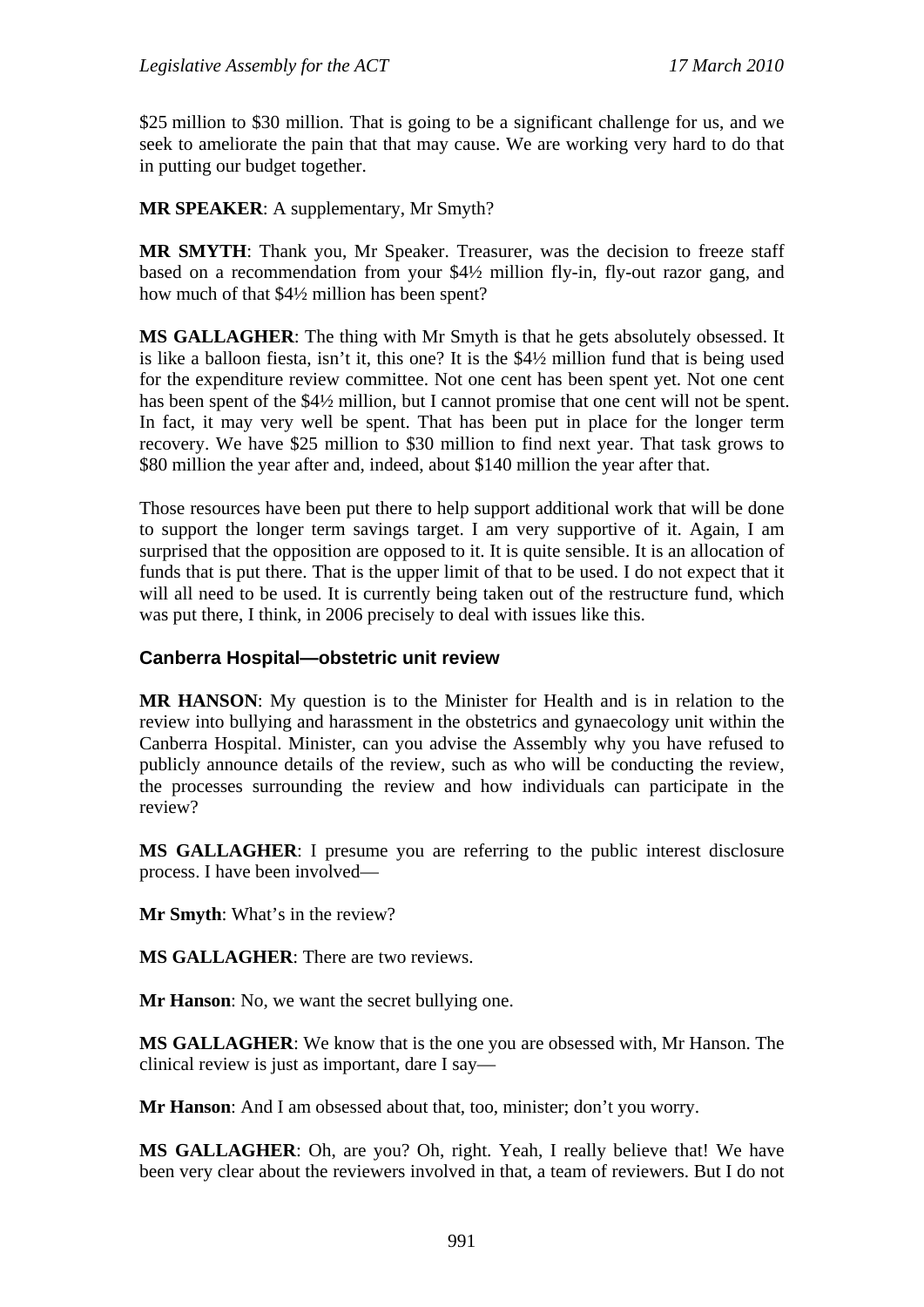\$25 million to \$30 million. That is going to be a significant challenge for us, and we seek to ameliorate the pain that that may cause. We are working very hard to do that in putting our budget together.

**MR SPEAKER**: A supplementary, Mr Smyth?

**MR SMYTH**: Thank you, Mr Speaker. Treasurer, was the decision to freeze staff based on a recommendation from your \$4½ million fly-in, fly-out razor gang, and how much of that \$4½ million has been spent?

**MS GALLAGHER**: The thing with Mr Smyth is that he gets absolutely obsessed. It is like a balloon fiesta, isn't it, this one? It is the \$4½ million fund that is being used for the expenditure review committee. Not one cent has been spent yet. Not one cent has been spent of the \$4½ million, but I cannot promise that one cent will not be spent. In fact, it may very well be spent. That has been put in place for the longer term recovery. We have \$25 million to \$30 million to find next year. That task grows to \$80 million the year after and, indeed, about \$140 million the year after that.

Those resources have been put there to help support additional work that will be done to support the longer term savings target. I am very supportive of it. Again, I am surprised that the opposition are opposed to it. It is quite sensible. It is an allocation of funds that is put there. That is the upper limit of that to be used. I do not expect that it will all need to be used. It is currently being taken out of the restructure fund, which was put there, I think, in 2006 precisely to deal with issues like this.

#### **Canberra Hospital—obstetric unit review**

**MR HANSON**: My question is to the Minister for Health and is in relation to the review into bullying and harassment in the obstetrics and gynaecology unit within the Canberra Hospital. Minister, can you advise the Assembly why you have refused to publicly announce details of the review, such as who will be conducting the review, the processes surrounding the review and how individuals can participate in the review?

**MS GALLAGHER**: I presume you are referring to the public interest disclosure process. I have been involved—

**Mr Smyth**: What's in the review?

**MS GALLAGHER**: There are two reviews.

**Mr Hanson**: No, we want the secret bullying one.

**MS GALLAGHER**: We know that is the one you are obsessed with, Mr Hanson. The clinical review is just as important, dare I say—

**Mr Hanson**: And I am obsessed about that, too, minister; don't you worry.

**MS GALLAGHER**: Oh, are you? Oh, right. Yeah, I really believe that! We have been very clear about the reviewers involved in that, a team of reviewers. But I do not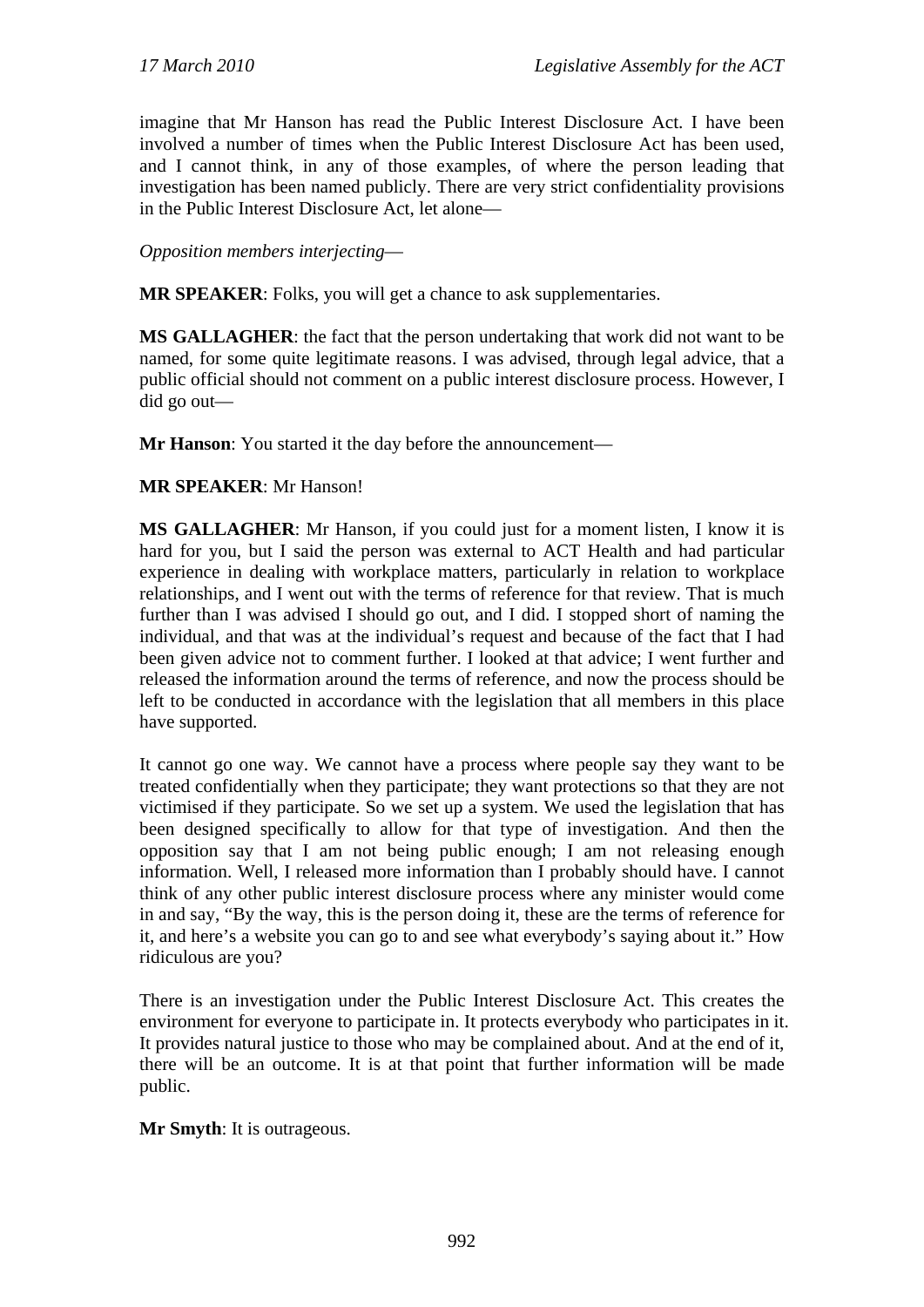imagine that Mr Hanson has read the Public Interest Disclosure Act. I have been involved a number of times when the Public Interest Disclosure Act has been used, and I cannot think, in any of those examples, of where the person leading that investigation has been named publicly. There are very strict confidentiality provisions in the Public Interest Disclosure Act, let alone—

*Opposition members interjecting*—

**MR SPEAKER**: Folks, you will get a chance to ask supplementaries.

**MS GALLAGHER**: the fact that the person undertaking that work did not want to be named, for some quite legitimate reasons. I was advised, through legal advice, that a public official should not comment on a public interest disclosure process. However, I did go out—

**Mr Hanson**: You started it the day before the announcement—

**MR SPEAKER**: Mr Hanson!

**MS GALLAGHER**: Mr Hanson, if you could just for a moment listen, I know it is hard for you, but I said the person was external to ACT Health and had particular experience in dealing with workplace matters, particularly in relation to workplace relationships, and I went out with the terms of reference for that review. That is much further than I was advised I should go out, and I did. I stopped short of naming the individual, and that was at the individual's request and because of the fact that I had been given advice not to comment further. I looked at that advice; I went further and released the information around the terms of reference, and now the process should be left to be conducted in accordance with the legislation that all members in this place have supported.

It cannot go one way. We cannot have a process where people say they want to be treated confidentially when they participate; they want protections so that they are not victimised if they participate. So we set up a system. We used the legislation that has been designed specifically to allow for that type of investigation. And then the opposition say that I am not being public enough; I am not releasing enough information. Well, I released more information than I probably should have. I cannot think of any other public interest disclosure process where any minister would come in and say, "By the way, this is the person doing it, these are the terms of reference for it, and here's a website you can go to and see what everybody's saying about it." How ridiculous are you?

There is an investigation under the Public Interest Disclosure Act. This creates the environment for everyone to participate in. It protects everybody who participates in it. It provides natural justice to those who may be complained about. And at the end of it, there will be an outcome. It is at that point that further information will be made public.

**Mr Smyth**: It is outrageous.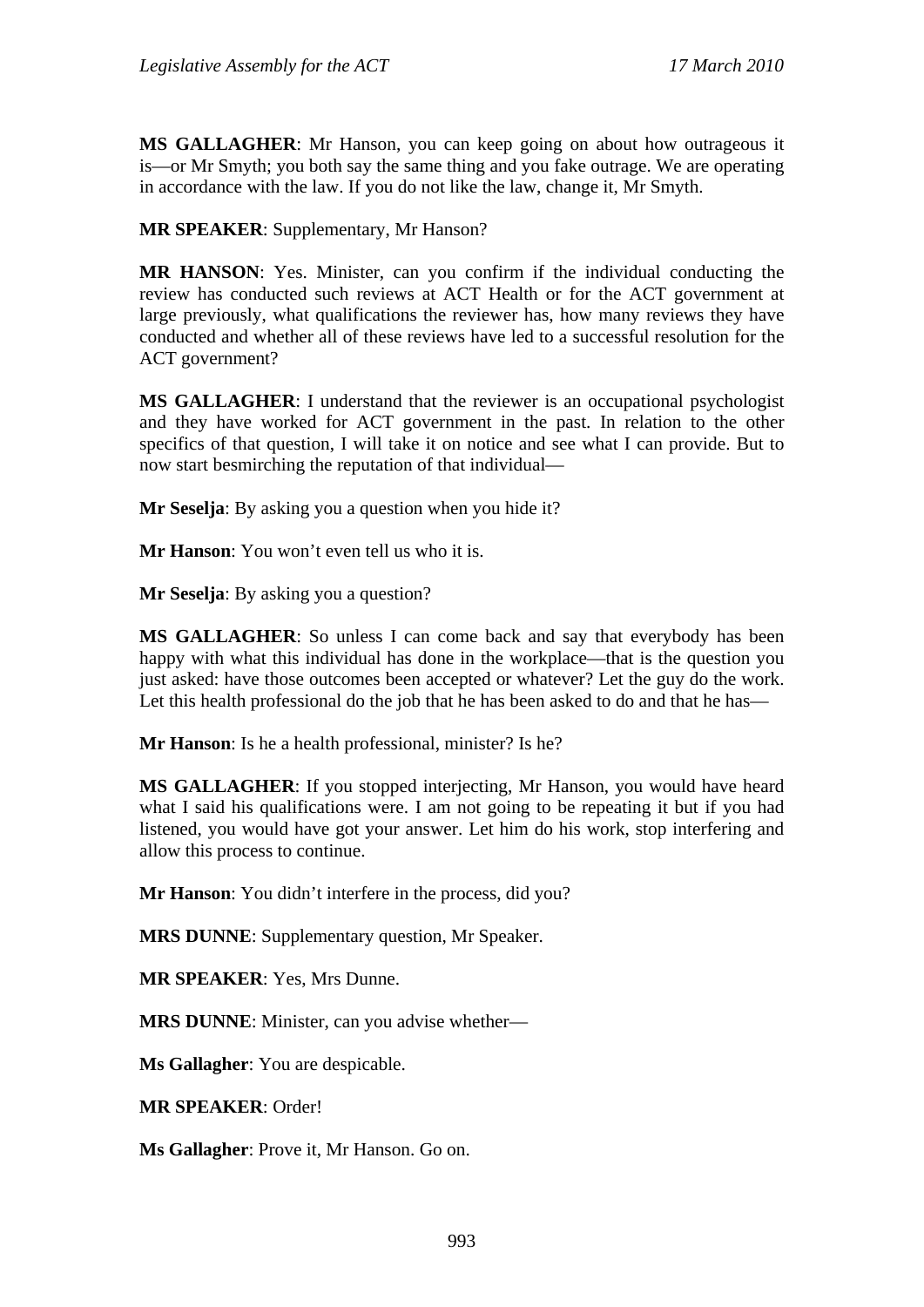**MS GALLAGHER**: Mr Hanson, you can keep going on about how outrageous it is—or Mr Smyth; you both say the same thing and you fake outrage. We are operating in accordance with the law. If you do not like the law, change it, Mr Smyth.

**MR SPEAKER**: Supplementary, Mr Hanson?

**MR HANSON**: Yes. Minister, can you confirm if the individual conducting the review has conducted such reviews at ACT Health or for the ACT government at large previously, what qualifications the reviewer has, how many reviews they have conducted and whether all of these reviews have led to a successful resolution for the ACT government?

**MS GALLAGHER**: I understand that the reviewer is an occupational psychologist and they have worked for ACT government in the past. In relation to the other specifics of that question, I will take it on notice and see what I can provide. But to now start besmirching the reputation of that individual—

**Mr Seselja**: By asking you a question when you hide it?

**Mr Hanson**: You won't even tell us who it is.

**Mr Seselja**: By asking you a question?

**MS GALLAGHER**: So unless I can come back and say that everybody has been happy with what this individual has done in the workplace—that is the question you just asked: have those outcomes been accepted or whatever? Let the guy do the work. Let this health professional do the job that he has been asked to do and that he has—

**Mr Hanson**: Is he a health professional, minister? Is he?

**MS GALLAGHER**: If you stopped interjecting, Mr Hanson, you would have heard what I said his qualifications were. I am not going to be repeating it but if you had listened, you would have got your answer. Let him do his work, stop interfering and allow this process to continue.

**Mr Hanson**: You didn't interfere in the process, did you?

**MRS DUNNE**: Supplementary question, Mr Speaker.

**MR SPEAKER**: Yes, Mrs Dunne.

**MRS DUNNE**: Minister, can you advise whether—

**Ms Gallagher**: You are despicable.

**MR SPEAKER**: Order!

**Ms Gallagher**: Prove it, Mr Hanson. Go on.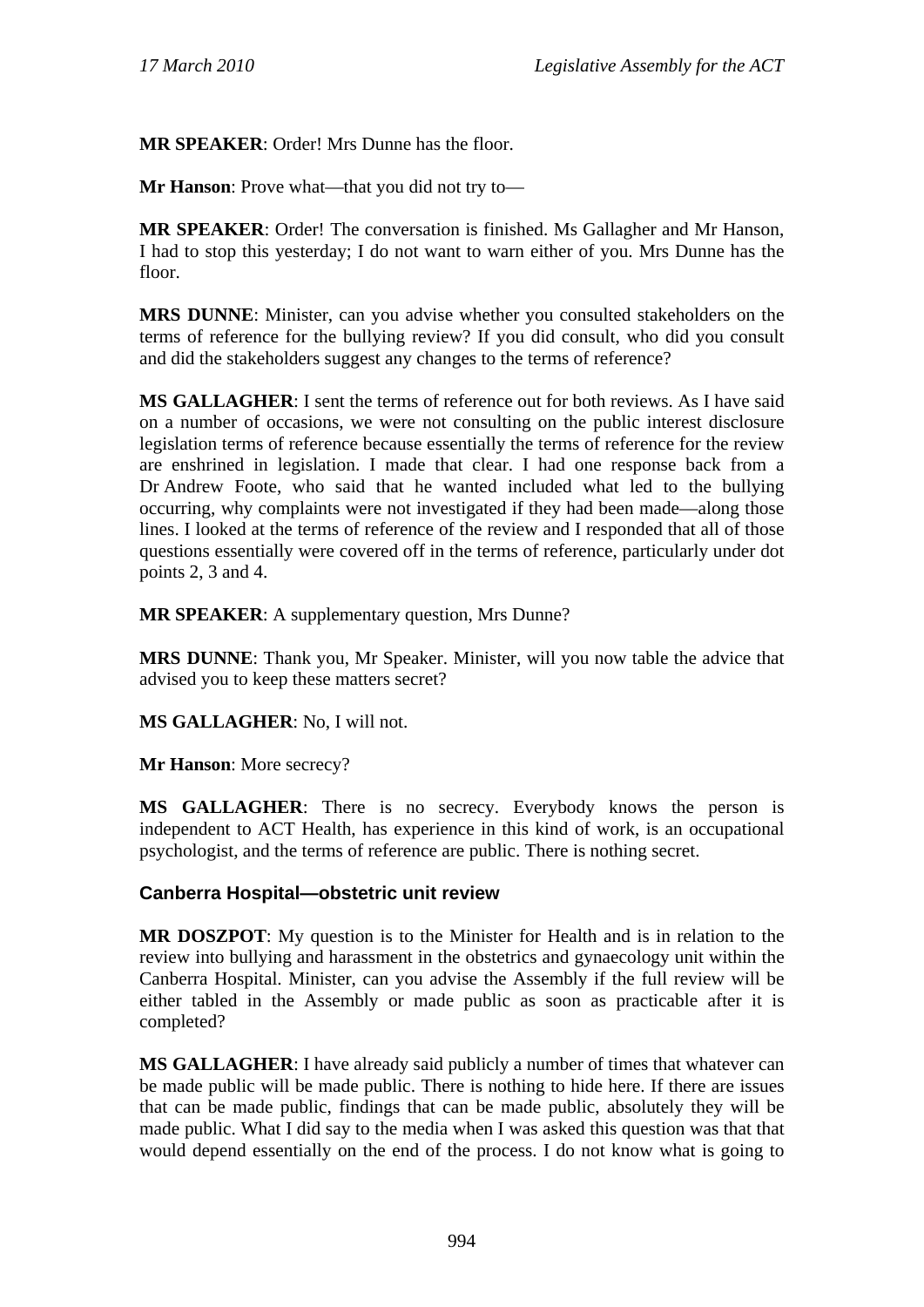**MR SPEAKER**: Order! Mrs Dunne has the floor.

**Mr Hanson**: Prove what—that you did not try to—

**MR SPEAKER**: Order! The conversation is finished. Ms Gallagher and Mr Hanson, I had to stop this yesterday; I do not want to warn either of you. Mrs Dunne has the floor.

**MRS DUNNE**: Minister, can you advise whether you consulted stakeholders on the terms of reference for the bullying review? If you did consult, who did you consult and did the stakeholders suggest any changes to the terms of reference?

**MS GALLAGHER**: I sent the terms of reference out for both reviews. As I have said on a number of occasions, we were not consulting on the public interest disclosure legislation terms of reference because essentially the terms of reference for the review are enshrined in legislation. I made that clear. I had one response back from a Dr Andrew Foote, who said that he wanted included what led to the bullying occurring, why complaints were not investigated if they had been made—along those lines. I looked at the terms of reference of the review and I responded that all of those questions essentially were covered off in the terms of reference, particularly under dot points 2, 3 and 4.

**MR SPEAKER**: A supplementary question, Mrs Dunne?

**MRS DUNNE**: Thank you, Mr Speaker. Minister, will you now table the advice that advised you to keep these matters secret?

**MS GALLAGHER**: No, I will not.

**Mr Hanson**: More secrecy?

**MS GALLAGHER**: There is no secrecy. Everybody knows the person is independent to ACT Health, has experience in this kind of work, is an occupational psychologist, and the terms of reference are public. There is nothing secret.

#### **Canberra Hospital—obstetric unit review**

**MR DOSZPOT**: My question is to the Minister for Health and is in relation to the review into bullying and harassment in the obstetrics and gynaecology unit within the Canberra Hospital. Minister, can you advise the Assembly if the full review will be either tabled in the Assembly or made public as soon as practicable after it is completed?

**MS GALLAGHER**: I have already said publicly a number of times that whatever can be made public will be made public. There is nothing to hide here. If there are issues that can be made public, findings that can be made public, absolutely they will be made public. What I did say to the media when I was asked this question was that that would depend essentially on the end of the process. I do not know what is going to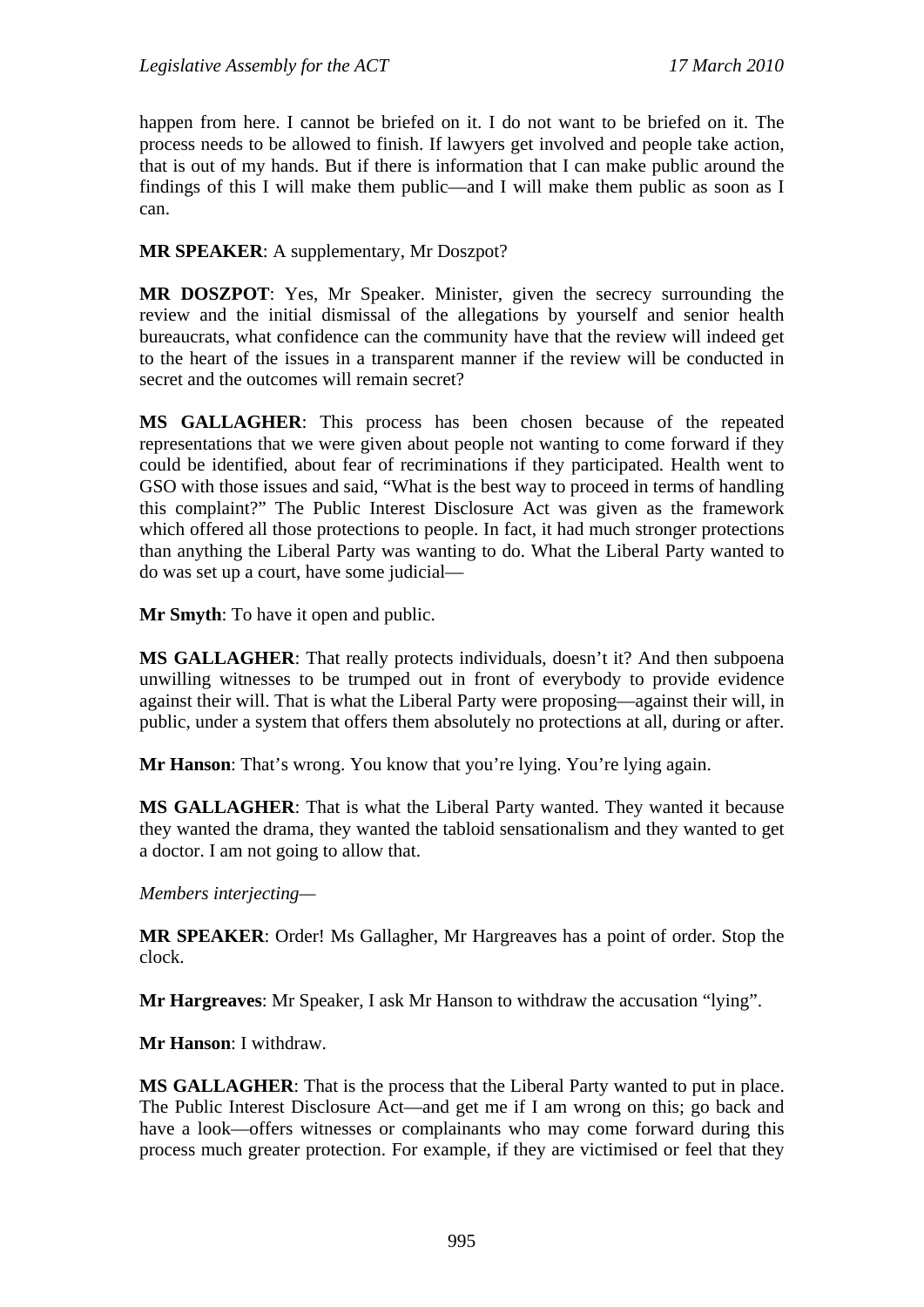happen from here. I cannot be briefed on it. I do not want to be briefed on it. The process needs to be allowed to finish. If lawyers get involved and people take action, that is out of my hands. But if there is information that I can make public around the findings of this I will make them public—and I will make them public as soon as I can.

**MR SPEAKER**: A supplementary, Mr Doszpot?

**MR DOSZPOT**: Yes, Mr Speaker. Minister, given the secrecy surrounding the review and the initial dismissal of the allegations by yourself and senior health bureaucrats, what confidence can the community have that the review will indeed get to the heart of the issues in a transparent manner if the review will be conducted in secret and the outcomes will remain secret?

**MS GALLAGHER**: This process has been chosen because of the repeated representations that we were given about people not wanting to come forward if they could be identified, about fear of recriminations if they participated. Health went to GSO with those issues and said, "What is the best way to proceed in terms of handling this complaint?" The Public Interest Disclosure Act was given as the framework which offered all those protections to people. In fact, it had much stronger protections than anything the Liberal Party was wanting to do. What the Liberal Party wanted to do was set up a court, have some judicial—

**Mr Smyth**: To have it open and public.

**MS GALLAGHER**: That really protects individuals, doesn't it? And then subpoena unwilling witnesses to be trumped out in front of everybody to provide evidence against their will. That is what the Liberal Party were proposing—against their will, in public, under a system that offers them absolutely no protections at all, during or after.

**Mr Hanson:** That's wrong. You know that you're lying. You're lying again.

**MS GALLAGHER**: That is what the Liberal Party wanted. They wanted it because they wanted the drama, they wanted the tabloid sensationalism and they wanted to get a doctor. I am not going to allow that.

*Members interjecting—* 

**MR SPEAKER**: Order! Ms Gallagher, Mr Hargreaves has a point of order. Stop the clock.

**Mr Hargreaves**: Mr Speaker, I ask Mr Hanson to withdraw the accusation "lying".

**Mr Hanson**: I withdraw.

**MS GALLAGHER**: That is the process that the Liberal Party wanted to put in place. The Public Interest Disclosure Act—and get me if I am wrong on this; go back and have a look—offers witnesses or complainants who may come forward during this process much greater protection. For example, if they are victimised or feel that they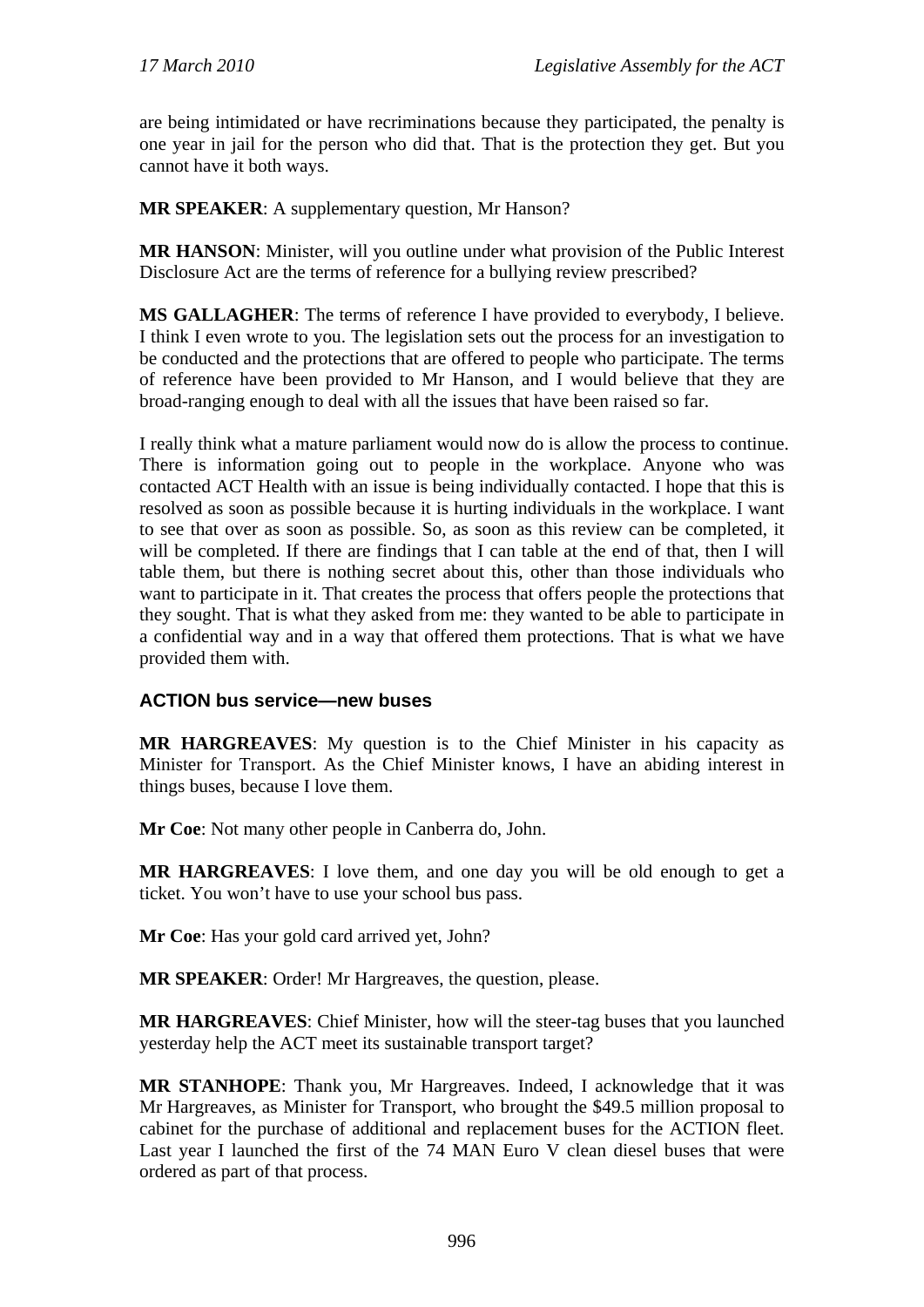are being intimidated or have recriminations because they participated, the penalty is one year in jail for the person who did that. That is the protection they get. But you cannot have it both ways.

**MR SPEAKER**: A supplementary question, Mr Hanson?

**MR HANSON**: Minister, will you outline under what provision of the Public Interest Disclosure Act are the terms of reference for a bullying review prescribed?

**MS GALLAGHER**: The terms of reference I have provided to everybody, I believe. I think I even wrote to you. The legislation sets out the process for an investigation to be conducted and the protections that are offered to people who participate. The terms of reference have been provided to Mr Hanson, and I would believe that they are broad-ranging enough to deal with all the issues that have been raised so far.

I really think what a mature parliament would now do is allow the process to continue. There is information going out to people in the workplace. Anyone who was contacted ACT Health with an issue is being individually contacted. I hope that this is resolved as soon as possible because it is hurting individuals in the workplace. I want to see that over as soon as possible. So, as soon as this review can be completed, it will be completed. If there are findings that I can table at the end of that, then I will table them, but there is nothing secret about this, other than those individuals who want to participate in it. That creates the process that offers people the protections that they sought. That is what they asked from me: they wanted to be able to participate in a confidential way and in a way that offered them protections. That is what we have provided them with.

## **ACTION bus service—new buses**

**MR HARGREAVES**: My question is to the Chief Minister in his capacity as Minister for Transport. As the Chief Minister knows, I have an abiding interest in things buses, because I love them.

**Mr Coe**: Not many other people in Canberra do, John.

**MR HARGREAVES**: I love them, and one day you will be old enough to get a ticket. You won't have to use your school bus pass.

**Mr Coe**: Has your gold card arrived yet, John?

**MR SPEAKER**: Order! Mr Hargreaves, the question, please.

**MR HARGREAVES**: Chief Minister, how will the steer-tag buses that you launched yesterday help the ACT meet its sustainable transport target?

**MR STANHOPE**: Thank you, Mr Hargreaves. Indeed, I acknowledge that it was Mr Hargreaves, as Minister for Transport, who brought the \$49.5 million proposal to cabinet for the purchase of additional and replacement buses for the ACTION fleet. Last year I launched the first of the 74 MAN Euro V clean diesel buses that were ordered as part of that process.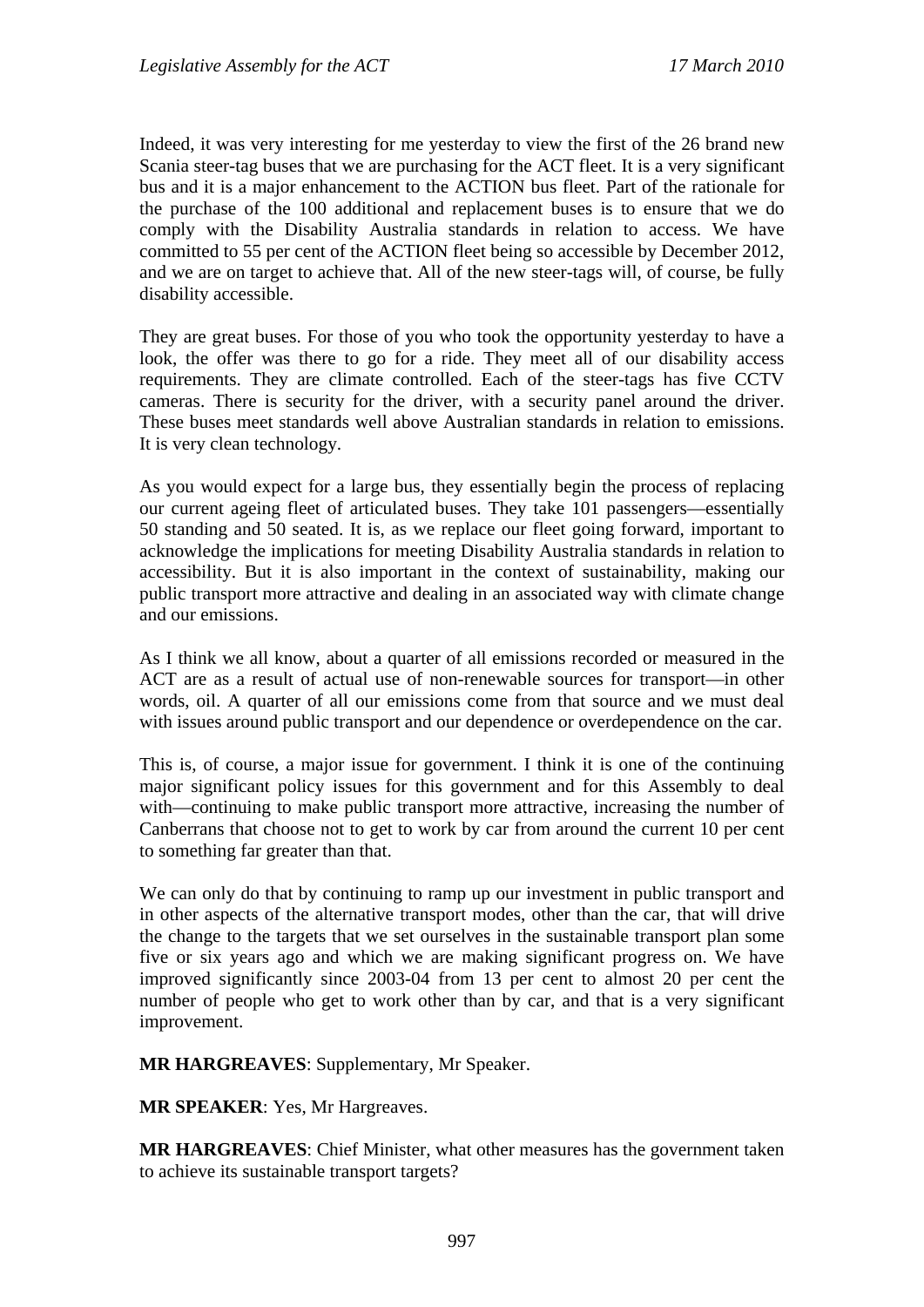Indeed, it was very interesting for me yesterday to view the first of the 26 brand new Scania steer-tag buses that we are purchasing for the ACT fleet. It is a very significant bus and it is a major enhancement to the ACTION bus fleet. Part of the rationale for the purchase of the 100 additional and replacement buses is to ensure that we do comply with the Disability Australia standards in relation to access. We have committed to 55 per cent of the ACTION fleet being so accessible by December 2012, and we are on target to achieve that. All of the new steer-tags will, of course, be fully disability accessible.

They are great buses. For those of you who took the opportunity yesterday to have a look, the offer was there to go for a ride. They meet all of our disability access requirements. They are climate controlled. Each of the steer-tags has five CCTV cameras. There is security for the driver, with a security panel around the driver. These buses meet standards well above Australian standards in relation to emissions. It is very clean technology.

As you would expect for a large bus, they essentially begin the process of replacing our current ageing fleet of articulated buses. They take 101 passengers—essentially 50 standing and 50 seated. It is, as we replace our fleet going forward, important to acknowledge the implications for meeting Disability Australia standards in relation to accessibility. But it is also important in the context of sustainability, making our public transport more attractive and dealing in an associated way with climate change and our emissions.

As I think we all know, about a quarter of all emissions recorded or measured in the ACT are as a result of actual use of non-renewable sources for transport—in other words, oil. A quarter of all our emissions come from that source and we must deal with issues around public transport and our dependence or overdependence on the car.

This is, of course, a major issue for government. I think it is one of the continuing major significant policy issues for this government and for this Assembly to deal with—continuing to make public transport more attractive, increasing the number of Canberrans that choose not to get to work by car from around the current 10 per cent to something far greater than that.

We can only do that by continuing to ramp up our investment in public transport and in other aspects of the alternative transport modes, other than the car, that will drive the change to the targets that we set ourselves in the sustainable transport plan some five or six years ago and which we are making significant progress on. We have improved significantly since 2003-04 from 13 per cent to almost 20 per cent the number of people who get to work other than by car, and that is a very significant improvement.

**MR HARGREAVES**: Supplementary, Mr Speaker.

**MR SPEAKER**: Yes, Mr Hargreaves.

**MR HARGREAVES**: Chief Minister, what other measures has the government taken to achieve its sustainable transport targets?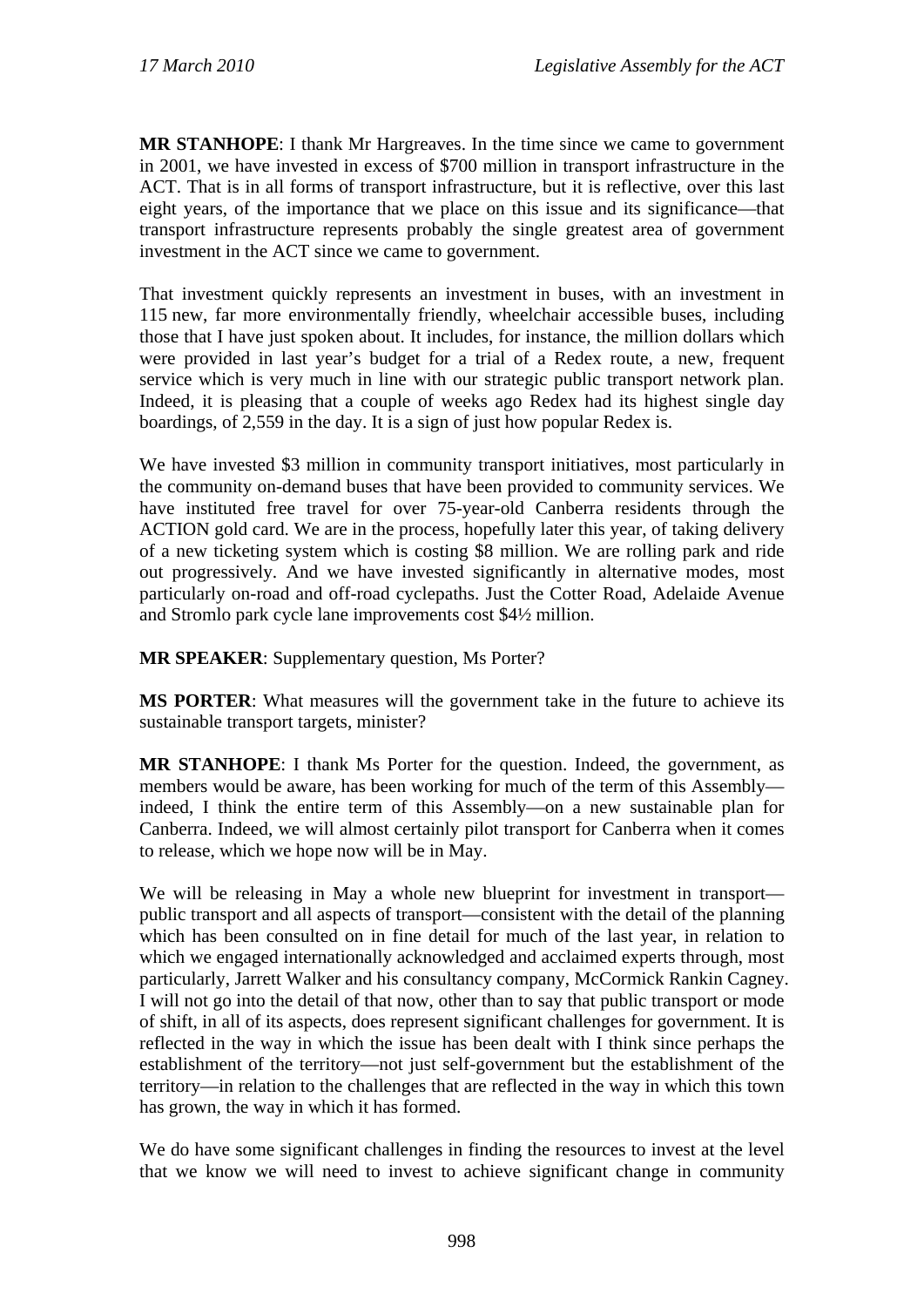**MR STANHOPE**: I thank Mr Hargreaves. In the time since we came to government in 2001, we have invested in excess of \$700 million in transport infrastructure in the ACT. That is in all forms of transport infrastructure, but it is reflective, over this last eight years, of the importance that we place on this issue and its significance—that transport infrastructure represents probably the single greatest area of government investment in the ACT since we came to government.

That investment quickly represents an investment in buses, with an investment in 115 new, far more environmentally friendly, wheelchair accessible buses, including those that I have just spoken about. It includes, for instance, the million dollars which were provided in last year's budget for a trial of a Redex route, a new, frequent service which is very much in line with our strategic public transport network plan. Indeed, it is pleasing that a couple of weeks ago Redex had its highest single day boardings, of 2,559 in the day. It is a sign of just how popular Redex is.

We have invested \$3 million in community transport initiatives, most particularly in the community on-demand buses that have been provided to community services. We have instituted free travel for over 75-year-old Canberra residents through the ACTION gold card. We are in the process, hopefully later this year, of taking delivery of a new ticketing system which is costing \$8 million. We are rolling park and ride out progressively. And we have invested significantly in alternative modes, most particularly on-road and off-road cyclepaths. Just the Cotter Road, Adelaide Avenue and Stromlo park cycle lane improvements cost \$4½ million.

**MR SPEAKER:** Supplementary question, Ms Porter?

**MS PORTER**: What measures will the government take in the future to achieve its sustainable transport targets, minister?

**MR STANHOPE**: I thank Ms Porter for the question. Indeed, the government, as members would be aware, has been working for much of the term of this Assembly indeed, I think the entire term of this Assembly—on a new sustainable plan for Canberra. Indeed, we will almost certainly pilot transport for Canberra when it comes to release, which we hope now will be in May.

We will be releasing in May a whole new blueprint for investment in transport public transport and all aspects of transport—consistent with the detail of the planning which has been consulted on in fine detail for much of the last year, in relation to which we engaged internationally acknowledged and acclaimed experts through, most particularly, Jarrett Walker and his consultancy company, McCormick Rankin Cagney. I will not go into the detail of that now, other than to say that public transport or mode of shift, in all of its aspects, does represent significant challenges for government. It is reflected in the way in which the issue has been dealt with I think since perhaps the establishment of the territory—not just self-government but the establishment of the territory—in relation to the challenges that are reflected in the way in which this town has grown, the way in which it has formed.

We do have some significant challenges in finding the resources to invest at the level that we know we will need to invest to achieve significant change in community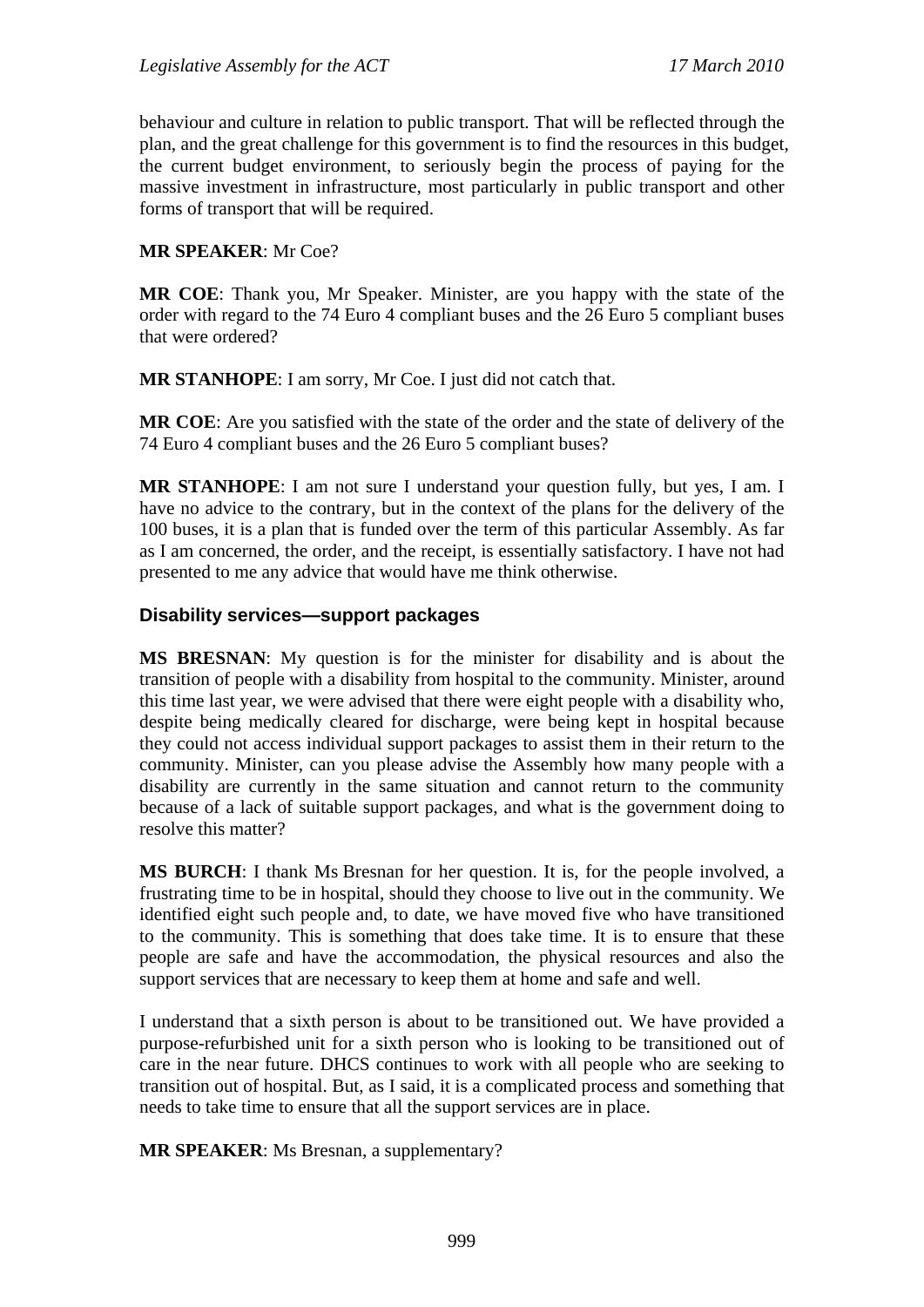behaviour and culture in relation to public transport. That will be reflected through the plan, and the great challenge for this government is to find the resources in this budget, the current budget environment, to seriously begin the process of paying for the massive investment in infrastructure, most particularly in public transport and other forms of transport that will be required.

#### **MR SPEAKER**: Mr Coe?

**MR COE**: Thank you, Mr Speaker. Minister, are you happy with the state of the order with regard to the 74 Euro 4 compliant buses and the 26 Euro 5 compliant buses that were ordered?

**MR STANHOPE**: I am sorry, Mr Coe. I just did not catch that.

**MR COE**: Are you satisfied with the state of the order and the state of delivery of the 74 Euro 4 compliant buses and the 26 Euro 5 compliant buses?

**MR STANHOPE**: I am not sure I understand your question fully, but yes, I am. I have no advice to the contrary, but in the context of the plans for the delivery of the 100 buses, it is a plan that is funded over the term of this particular Assembly. As far as I am concerned, the order, and the receipt, is essentially satisfactory. I have not had presented to me any advice that would have me think otherwise.

#### **Disability services—support packages**

**MS BRESNAN**: My question is for the minister for disability and is about the transition of people with a disability from hospital to the community. Minister, around this time last year, we were advised that there were eight people with a disability who, despite being medically cleared for discharge, were being kept in hospital because they could not access individual support packages to assist them in their return to the community. Minister, can you please advise the Assembly how many people with a disability are currently in the same situation and cannot return to the community because of a lack of suitable support packages, and what is the government doing to resolve this matter?

**MS BURCH**: I thank Ms Bresnan for her question. It is, for the people involved, a frustrating time to be in hospital, should they choose to live out in the community. We identified eight such people and, to date, we have moved five who have transitioned to the community. This is something that does take time. It is to ensure that these people are safe and have the accommodation, the physical resources and also the support services that are necessary to keep them at home and safe and well.

I understand that a sixth person is about to be transitioned out. We have provided a purpose-refurbished unit for a sixth person who is looking to be transitioned out of care in the near future. DHCS continues to work with all people who are seeking to transition out of hospital. But, as I said, it is a complicated process and something that needs to take time to ensure that all the support services are in place.

**MR SPEAKER**: Ms Bresnan, a supplementary?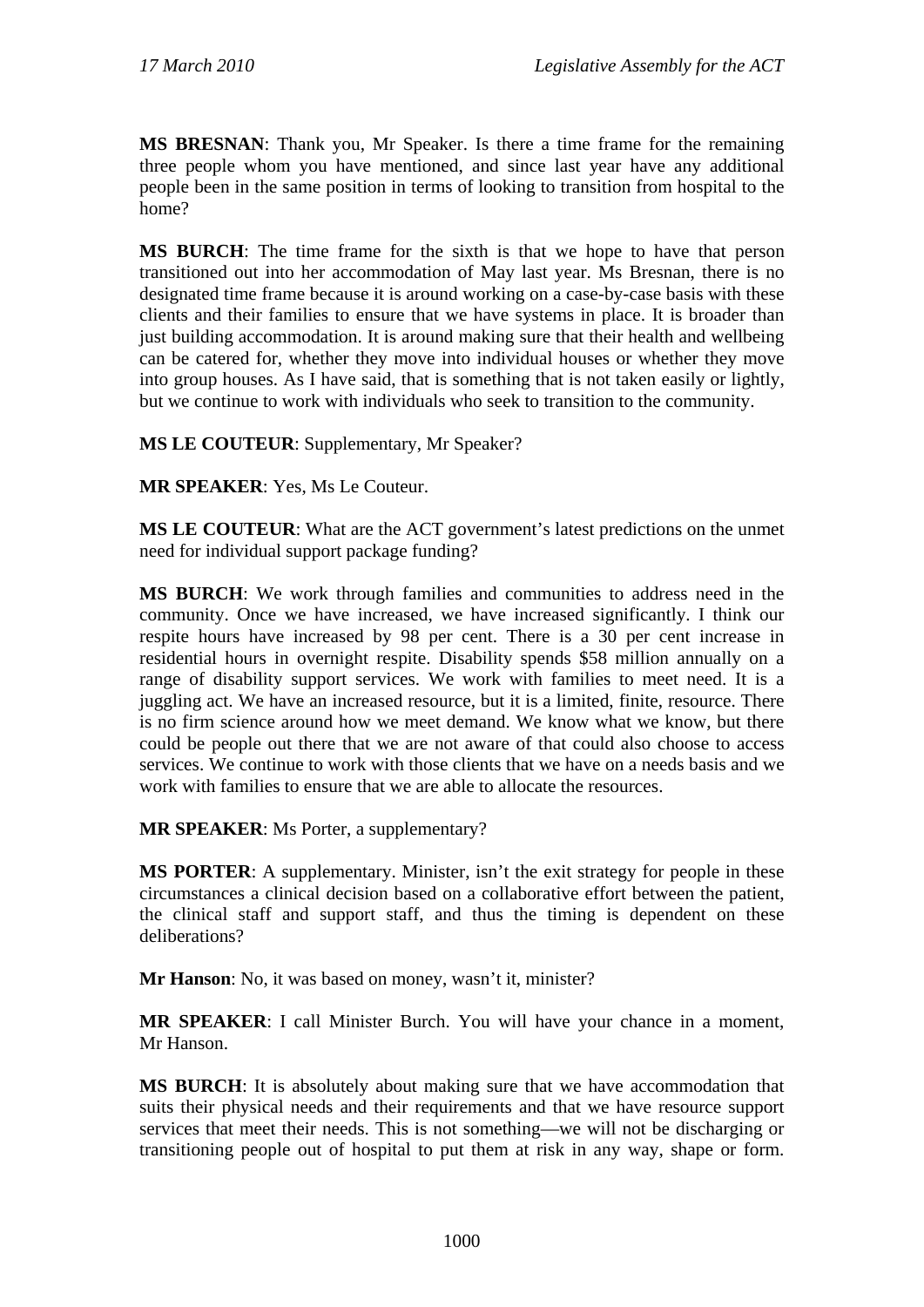**MS BRESNAN**: Thank you, Mr Speaker. Is there a time frame for the remaining three people whom you have mentioned, and since last year have any additional people been in the same position in terms of looking to transition from hospital to the home?

**MS BURCH**: The time frame for the sixth is that we hope to have that person transitioned out into her accommodation of May last year. Ms Bresnan, there is no designated time frame because it is around working on a case-by-case basis with these clients and their families to ensure that we have systems in place. It is broader than just building accommodation. It is around making sure that their health and wellbeing can be catered for, whether they move into individual houses or whether they move into group houses. As I have said, that is something that is not taken easily or lightly, but we continue to work with individuals who seek to transition to the community.

**MS LE COUTEUR**: Supplementary, Mr Speaker?

**MR SPEAKER**: Yes, Ms Le Couteur.

**MS LE COUTEUR**: What are the ACT government's latest predictions on the unmet need for individual support package funding?

**MS BURCH**: We work through families and communities to address need in the community. Once we have increased, we have increased significantly. I think our respite hours have increased by 98 per cent. There is a 30 per cent increase in residential hours in overnight respite. Disability spends \$58 million annually on a range of disability support services. We work with families to meet need. It is a juggling act. We have an increased resource, but it is a limited, finite, resource. There is no firm science around how we meet demand. We know what we know, but there could be people out there that we are not aware of that could also choose to access services. We continue to work with those clients that we have on a needs basis and we work with families to ensure that we are able to allocate the resources.

**MR SPEAKER**: Ms Porter, a supplementary?

**MS PORTER:** A supplementary. Minister, isn't the exit strategy for people in these circumstances a clinical decision based on a collaborative effort between the patient, the clinical staff and support staff, and thus the timing is dependent on these deliberations?

**Mr Hanson**: No, it was based on money, wasn't it, minister?

**MR SPEAKER**: I call Minister Burch. You will have your chance in a moment, Mr Hanson.

**MS BURCH**: It is absolutely about making sure that we have accommodation that suits their physical needs and their requirements and that we have resource support services that meet their needs. This is not something—we will not be discharging or transitioning people out of hospital to put them at risk in any way, shape or form.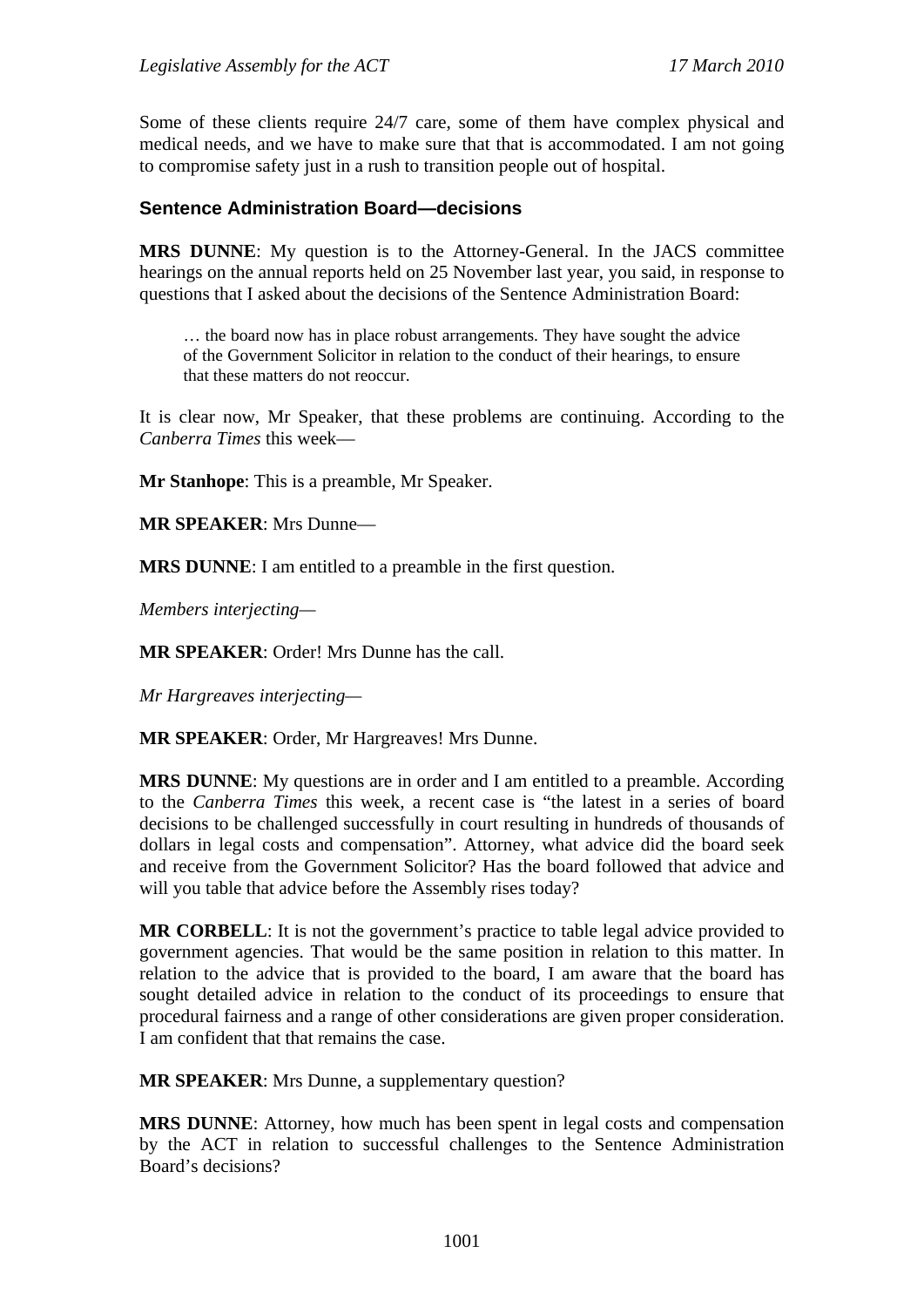Some of these clients require 24/7 care, some of them have complex physical and medical needs, and we have to make sure that that is accommodated. I am not going to compromise safety just in a rush to transition people out of hospital.

#### **Sentence Administration Board—decisions**

**MRS DUNNE**: My question is to the Attorney-General. In the JACS committee hearings on the annual reports held on 25 November last year, you said, in response to questions that I asked about the decisions of the Sentence Administration Board:

… the board now has in place robust arrangements. They have sought the advice of the Government Solicitor in relation to the conduct of their hearings, to ensure that these matters do not reoccur.

It is clear now, Mr Speaker, that these problems are continuing. According to the *Canberra Times* this week—

**Mr Stanhope**: This is a preamble, Mr Speaker.

**MR SPEAKER**: Mrs Dunne—

**MRS DUNNE**: I am entitled to a preamble in the first question.

*Members interjecting—*

**MR SPEAKER**: Order! Mrs Dunne has the call.

*Mr Hargreaves interjecting—* 

**MR SPEAKER**: Order, Mr Hargreaves! Mrs Dunne.

**MRS DUNNE**: My questions are in order and I am entitled to a preamble. According to the *Canberra Times* this week, a recent case is "the latest in a series of board decisions to be challenged successfully in court resulting in hundreds of thousands of dollars in legal costs and compensation". Attorney, what advice did the board seek and receive from the Government Solicitor? Has the board followed that advice and will you table that advice before the Assembly rises today?

**MR CORBELL**: It is not the government's practice to table legal advice provided to government agencies. That would be the same position in relation to this matter. In relation to the advice that is provided to the board, I am aware that the board has sought detailed advice in relation to the conduct of its proceedings to ensure that procedural fairness and a range of other considerations are given proper consideration. I am confident that that remains the case.

**MR SPEAKER**: Mrs Dunne, a supplementary question?

**MRS DUNNE**: Attorney, how much has been spent in legal costs and compensation by the ACT in relation to successful challenges to the Sentence Administration Board's decisions?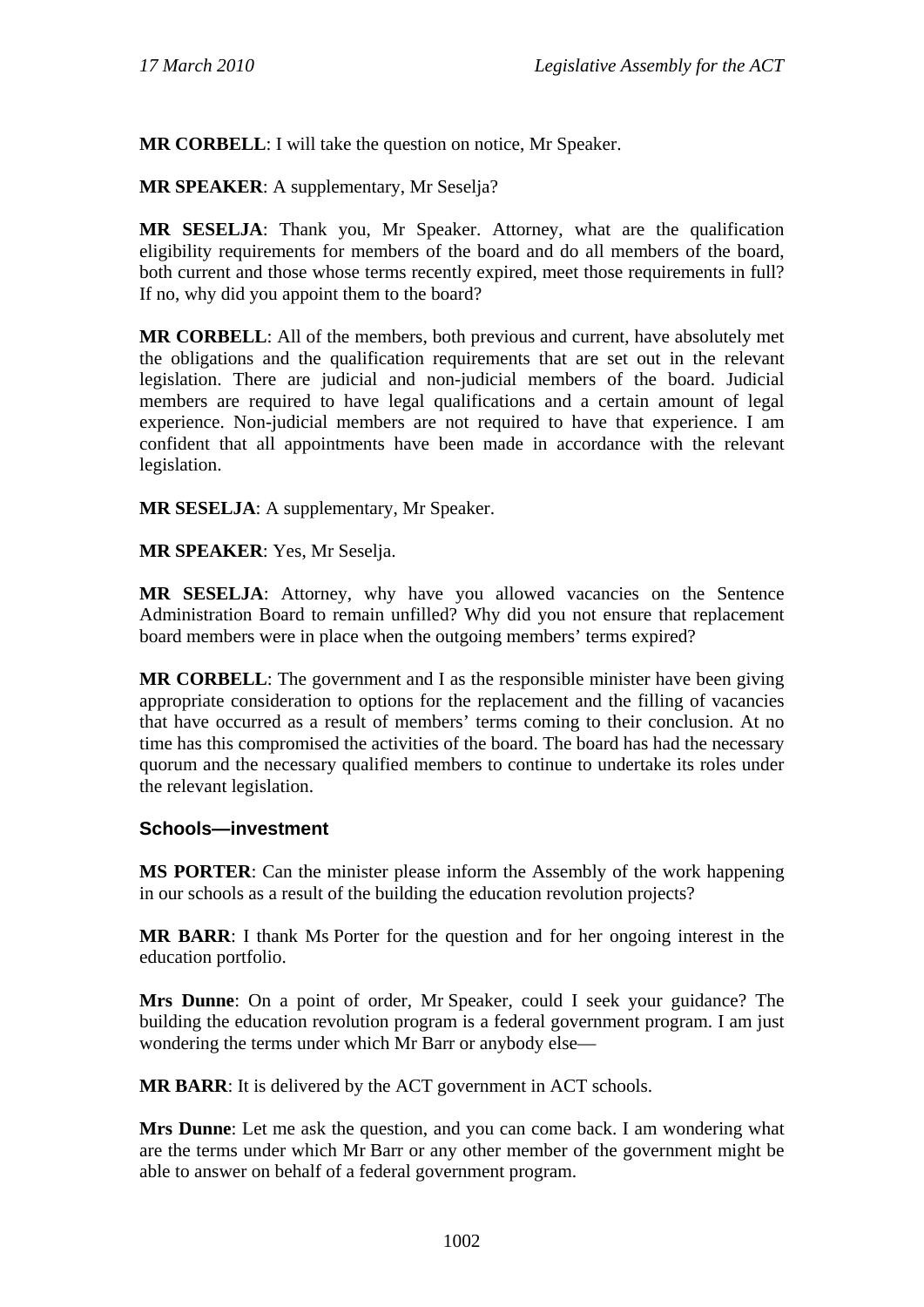**MR CORBELL**: I will take the question on notice, Mr Speaker.

**MR SPEAKER**: A supplementary, Mr Seselja?

**MR SESELJA**: Thank you, Mr Speaker. Attorney, what are the qualification eligibility requirements for members of the board and do all members of the board, both current and those whose terms recently expired, meet those requirements in full? If no, why did you appoint them to the board?

**MR CORBELL**: All of the members, both previous and current, have absolutely met the obligations and the qualification requirements that are set out in the relevant legislation. There are judicial and non-judicial members of the board. Judicial members are required to have legal qualifications and a certain amount of legal experience. Non-judicial members are not required to have that experience. I am confident that all appointments have been made in accordance with the relevant legislation.

**MR SESELJA**: A supplementary, Mr Speaker.

**MR SPEAKER**: Yes, Mr Seselja.

**MR SESELJA**: Attorney, why have you allowed vacancies on the Sentence Administration Board to remain unfilled? Why did you not ensure that replacement board members were in place when the outgoing members' terms expired?

**MR CORBELL**: The government and I as the responsible minister have been giving appropriate consideration to options for the replacement and the filling of vacancies that have occurred as a result of members' terms coming to their conclusion. At no time has this compromised the activities of the board. The board has had the necessary quorum and the necessary qualified members to continue to undertake its roles under the relevant legislation.

#### **Schools—investment**

**MS PORTER**: Can the minister please inform the Assembly of the work happening in our schools as a result of the building the education revolution projects?

**MR BARR**: I thank Ms Porter for the question and for her ongoing interest in the education portfolio.

**Mrs Dunne**: On a point of order, Mr Speaker, could I seek your guidance? The building the education revolution program is a federal government program. I am just wondering the terms under which Mr Barr or anybody else—

**MR BARR**: It is delivered by the ACT government in ACT schools.

**Mrs Dunne**: Let me ask the question, and you can come back. I am wondering what are the terms under which Mr Barr or any other member of the government might be able to answer on behalf of a federal government program.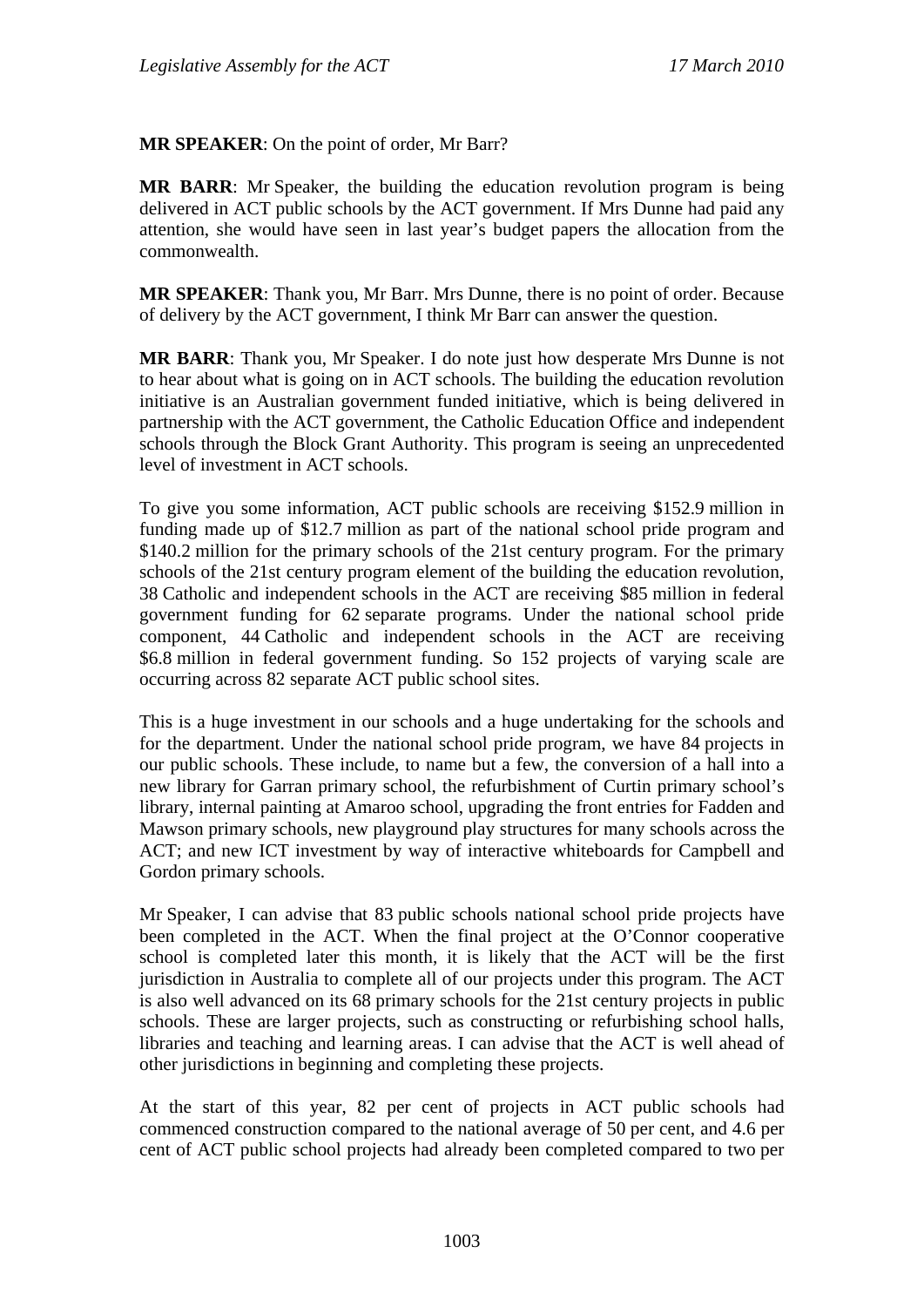**MR SPEAKER**: On the point of order, Mr Barr?

**MR BARR**: Mr Speaker, the building the education revolution program is being delivered in ACT public schools by the ACT government. If Mrs Dunne had paid any attention, she would have seen in last year's budget papers the allocation from the commonwealth.

**MR SPEAKER**: Thank you, Mr Barr. Mrs Dunne, there is no point of order. Because of delivery by the ACT government, I think Mr Barr can answer the question.

**MR BARR**: Thank you, Mr Speaker. I do note just how desperate Mrs Dunne is not to hear about what is going on in ACT schools. The building the education revolution initiative is an Australian government funded initiative, which is being delivered in partnership with the ACT government, the Catholic Education Office and independent schools through the Block Grant Authority. This program is seeing an unprecedented level of investment in ACT schools.

To give you some information, ACT public schools are receiving \$152.9 million in funding made up of \$12.7 million as part of the national school pride program and \$140.2 million for the primary schools of the 21st century program. For the primary schools of the 21st century program element of the building the education revolution, 38 Catholic and independent schools in the ACT are receiving \$85 million in federal government funding for 62 separate programs. Under the national school pride component, 44 Catholic and independent schools in the ACT are receiving \$6.8 million in federal government funding. So 152 projects of varying scale are occurring across 82 separate ACT public school sites.

This is a huge investment in our schools and a huge undertaking for the schools and for the department. Under the national school pride program, we have 84 projects in our public schools. These include, to name but a few, the conversion of a hall into a new library for Garran primary school, the refurbishment of Curtin primary school's library, internal painting at Amaroo school, upgrading the front entries for Fadden and Mawson primary schools, new playground play structures for many schools across the ACT; and new ICT investment by way of interactive whiteboards for Campbell and Gordon primary schools.

Mr Speaker, I can advise that 83 public schools national school pride projects have been completed in the ACT. When the final project at the O'Connor cooperative school is completed later this month, it is likely that the ACT will be the first jurisdiction in Australia to complete all of our projects under this program. The ACT is also well advanced on its 68 primary schools for the 21st century projects in public schools. These are larger projects, such as constructing or refurbishing school halls, libraries and teaching and learning areas. I can advise that the ACT is well ahead of other jurisdictions in beginning and completing these projects.

At the start of this year, 82 per cent of projects in ACT public schools had commenced construction compared to the national average of 50 per cent, and 4.6 per cent of ACT public school projects had already been completed compared to two per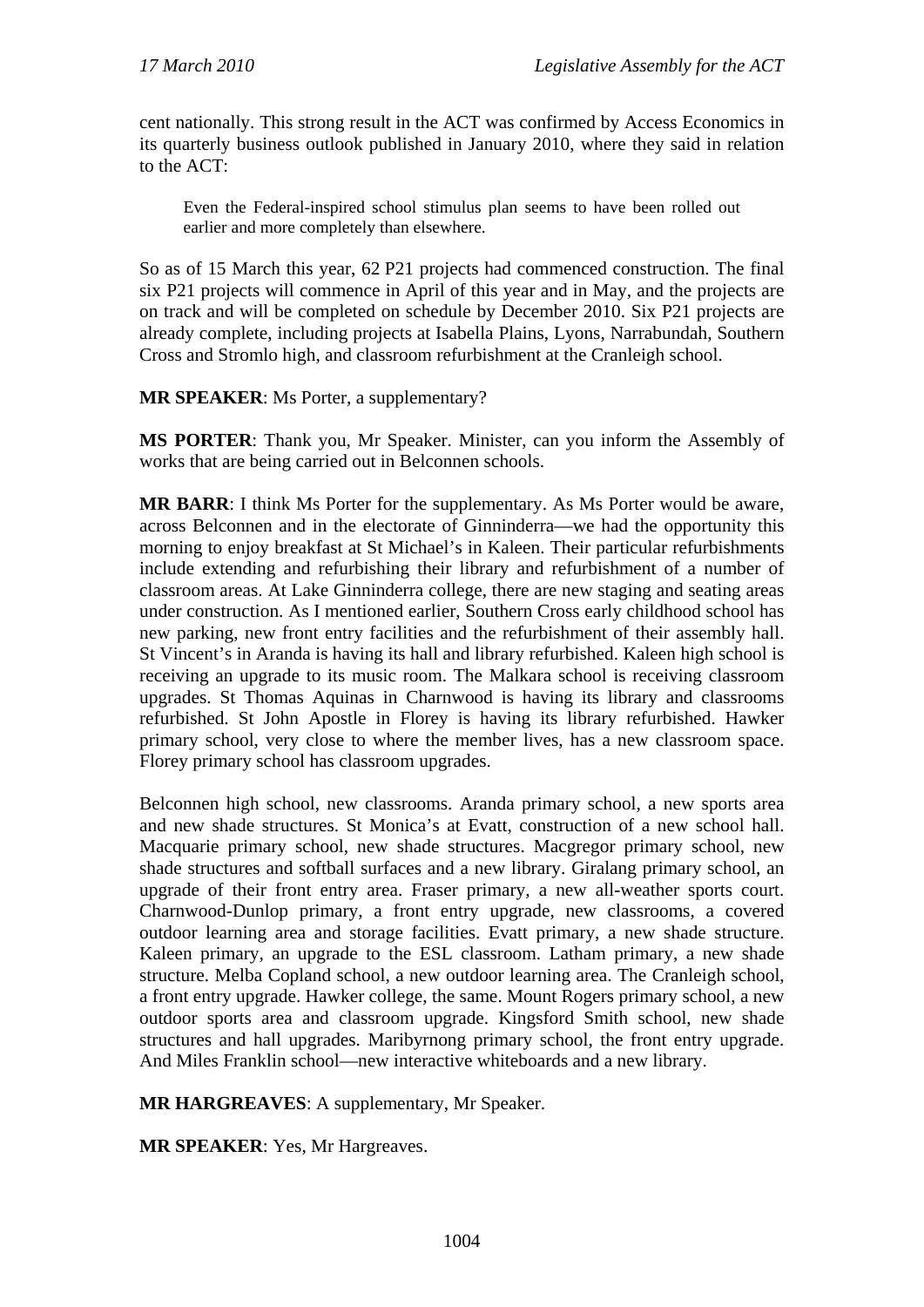cent nationally. This strong result in the ACT was confirmed by Access Economics in its quarterly business outlook published in January 2010, where they said in relation to the ACT:

Even the Federal-inspired school stimulus plan seems to have been rolled out earlier and more completely than elsewhere.

So as of 15 March this year, 62 P21 projects had commenced construction. The final six P21 projects will commence in April of this year and in May, and the projects are on track and will be completed on schedule by December 2010. Six P21 projects are already complete, including projects at Isabella Plains, Lyons, Narrabundah, Southern Cross and Stromlo high, and classroom refurbishment at the Cranleigh school.

**MR SPEAKER**: Ms Porter, a supplementary?

**MS PORTER**: Thank you, Mr Speaker. Minister, can you inform the Assembly of works that are being carried out in Belconnen schools.

**MR BARR**: I think Ms Porter for the supplementary. As Ms Porter would be aware, across Belconnen and in the electorate of Ginninderra—we had the opportunity this morning to enjoy breakfast at St Michael's in Kaleen. Their particular refurbishments include extending and refurbishing their library and refurbishment of a number of classroom areas. At Lake Ginninderra college, there are new staging and seating areas under construction. As I mentioned earlier, Southern Cross early childhood school has new parking, new front entry facilities and the refurbishment of their assembly hall. St Vincent's in Aranda is having its hall and library refurbished. Kaleen high school is receiving an upgrade to its music room. The Malkara school is receiving classroom upgrades. St Thomas Aquinas in Charnwood is having its library and classrooms refurbished. St John Apostle in Florey is having its library refurbished. Hawker primary school, very close to where the member lives, has a new classroom space. Florey primary school has classroom upgrades.

Belconnen high school, new classrooms. Aranda primary school, a new sports area and new shade structures. St Monica's at Evatt, construction of a new school hall. Macquarie primary school, new shade structures. Macgregor primary school, new shade structures and softball surfaces and a new library. Giralang primary school, an upgrade of their front entry area. Fraser primary, a new all-weather sports court. Charnwood-Dunlop primary, a front entry upgrade, new classrooms, a covered outdoor learning area and storage facilities. Evatt primary, a new shade structure. Kaleen primary, an upgrade to the ESL classroom. Latham primary, a new shade structure. Melba Copland school, a new outdoor learning area. The Cranleigh school, a front entry upgrade. Hawker college, the same. Mount Rogers primary school, a new outdoor sports area and classroom upgrade. Kingsford Smith school, new shade structures and hall upgrades. Maribyrnong primary school, the front entry upgrade. And Miles Franklin school—new interactive whiteboards and a new library.

**MR HARGREAVES**: A supplementary, Mr Speaker.

**MR SPEAKER**: Yes, Mr Hargreaves.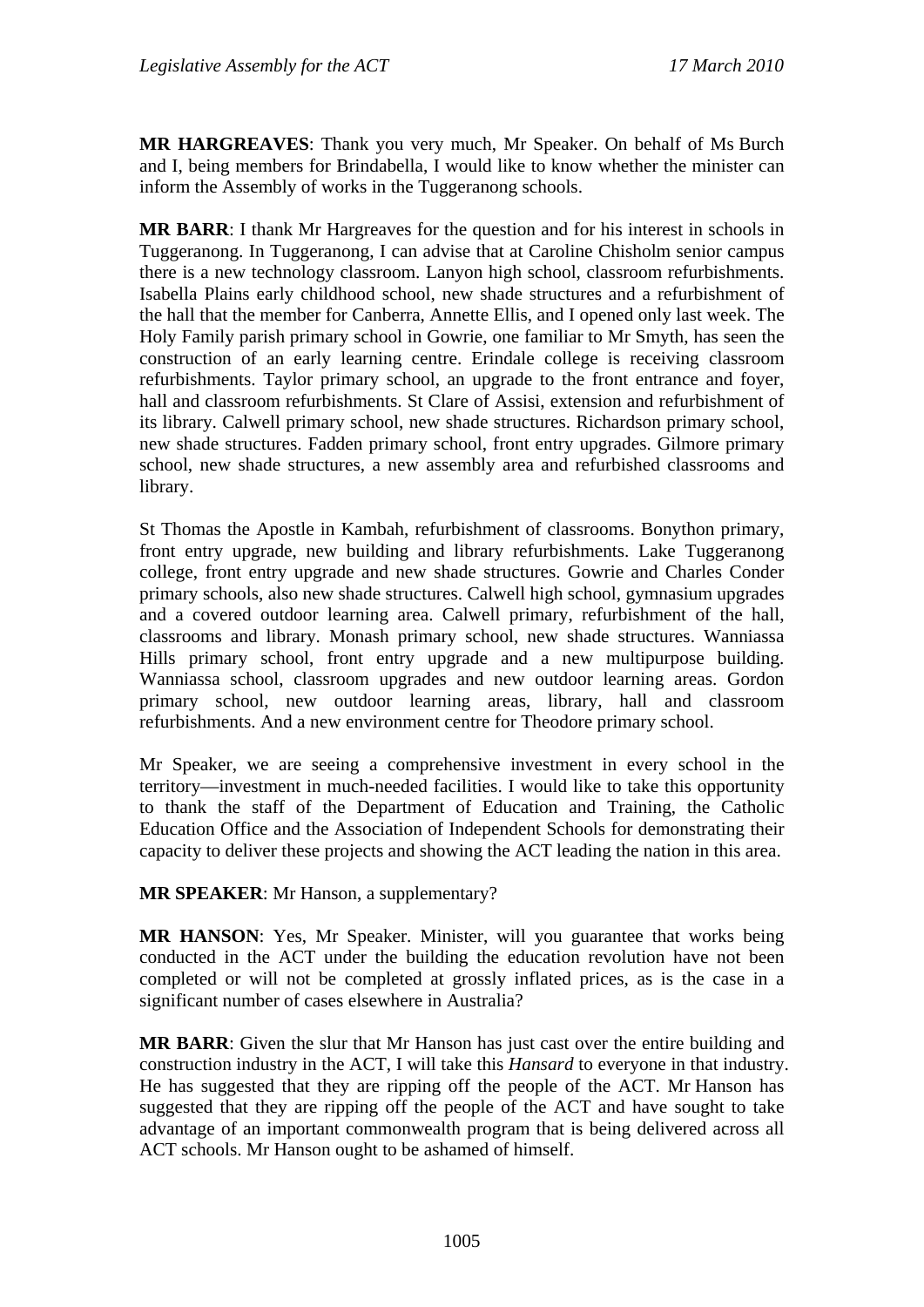**MR HARGREAVES**: Thank you very much, Mr Speaker. On behalf of Ms Burch and I, being members for Brindabella, I would like to know whether the minister can inform the Assembly of works in the Tuggeranong schools.

**MR BARR**: I thank Mr Hargreaves for the question and for his interest in schools in Tuggeranong. In Tuggeranong, I can advise that at Caroline Chisholm senior campus there is a new technology classroom. Lanyon high school, classroom refurbishments. Isabella Plains early childhood school, new shade structures and a refurbishment of the hall that the member for Canberra, Annette Ellis, and I opened only last week. The Holy Family parish primary school in Gowrie, one familiar to Mr Smyth, has seen the construction of an early learning centre. Erindale college is receiving classroom refurbishments. Taylor primary school, an upgrade to the front entrance and foyer, hall and classroom refurbishments. St Clare of Assisi, extension and refurbishment of its library. Calwell primary school, new shade structures. Richardson primary school, new shade structures. Fadden primary school, front entry upgrades. Gilmore primary school, new shade structures, a new assembly area and refurbished classrooms and library.

St Thomas the Apostle in Kambah, refurbishment of classrooms. Bonython primary, front entry upgrade, new building and library refurbishments. Lake Tuggeranong college, front entry upgrade and new shade structures. Gowrie and Charles Conder primary schools, also new shade structures. Calwell high school, gymnasium upgrades and a covered outdoor learning area. Calwell primary, refurbishment of the hall, classrooms and library. Monash primary school, new shade structures. Wanniassa Hills primary school, front entry upgrade and a new multipurpose building. Wanniassa school, classroom upgrades and new outdoor learning areas. Gordon primary school, new outdoor learning areas, library, hall and classroom refurbishments. And a new environment centre for Theodore primary school.

Mr Speaker, we are seeing a comprehensive investment in every school in the territory—investment in much-needed facilities. I would like to take this opportunity to thank the staff of the Department of Education and Training, the Catholic Education Office and the Association of Independent Schools for demonstrating their capacity to deliver these projects and showing the ACT leading the nation in this area.

**MR SPEAKER**: Mr Hanson, a supplementary?

**MR HANSON**: Yes, Mr Speaker. Minister, will you guarantee that works being conducted in the ACT under the building the education revolution have not been completed or will not be completed at grossly inflated prices, as is the case in a significant number of cases elsewhere in Australia?

**MR BARR**: Given the slur that Mr Hanson has just cast over the entire building and construction industry in the ACT, I will take this *Hansard* to everyone in that industry. He has suggested that they are ripping off the people of the ACT. Mr Hanson has suggested that they are ripping off the people of the ACT and have sought to take advantage of an important commonwealth program that is being delivered across all ACT schools. Mr Hanson ought to be ashamed of himself.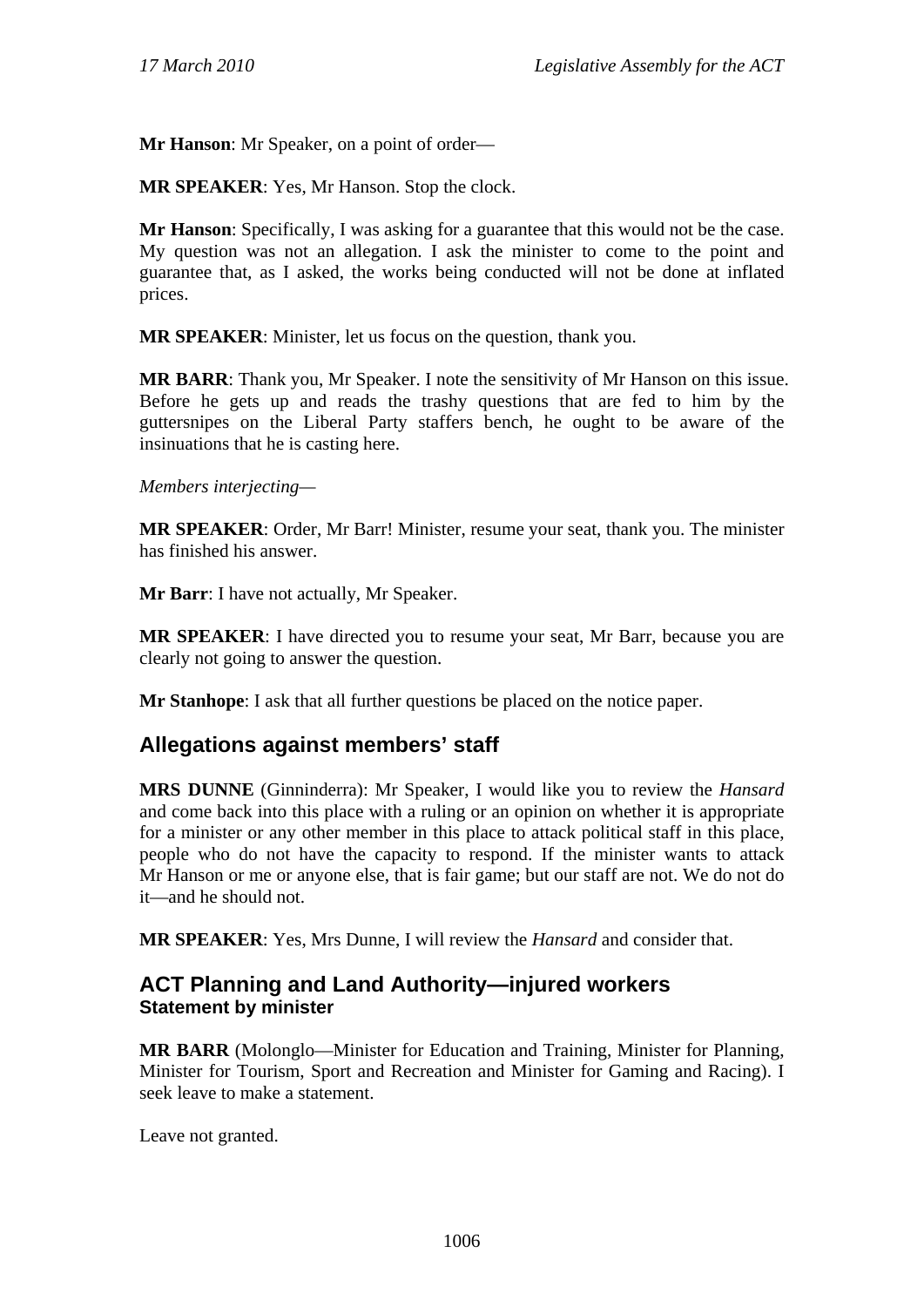**Mr Hanson**: Mr Speaker, on a point of order—

**MR SPEAKER**: Yes, Mr Hanson. Stop the clock.

**Mr Hanson**: Specifically, I was asking for a guarantee that this would not be the case. My question was not an allegation. I ask the minister to come to the point and guarantee that, as I asked, the works being conducted will not be done at inflated prices.

**MR SPEAKER**: Minister, let us focus on the question, thank you.

**MR BARR**: Thank you, Mr Speaker. I note the sensitivity of Mr Hanson on this issue. Before he gets up and reads the trashy questions that are fed to him by the guttersnipes on the Liberal Party staffers bench, he ought to be aware of the insinuations that he is casting here.

*Members interjecting—*

**MR SPEAKER**: Order, Mr Barr! Minister, resume your seat, thank you. The minister has finished his answer.

**Mr Barr**: I have not actually, Mr Speaker.

**MR SPEAKER**: I have directed you to resume your seat, Mr Barr, because you are clearly not going to answer the question.

**Mr Stanhope**: I ask that all further questions be placed on the notice paper.

# **Allegations against members' staff**

**MRS DUNNE** (Ginninderra): Mr Speaker, I would like you to review the *Hansard* and come back into this place with a ruling or an opinion on whether it is appropriate for a minister or any other member in this place to attack political staff in this place, people who do not have the capacity to respond. If the minister wants to attack Mr Hanson or me or anyone else, that is fair game; but our staff are not. We do not do it—and he should not.

**MR SPEAKER**: Yes, Mrs Dunne, I will review the *Hansard* and consider that.

# **ACT Planning and Land Authority—injured workers Statement by minister**

**MR BARR** (Molonglo—Minister for Education and Training, Minister for Planning, Minister for Tourism, Sport and Recreation and Minister for Gaming and Racing). I seek leave to make a statement.

Leave not granted.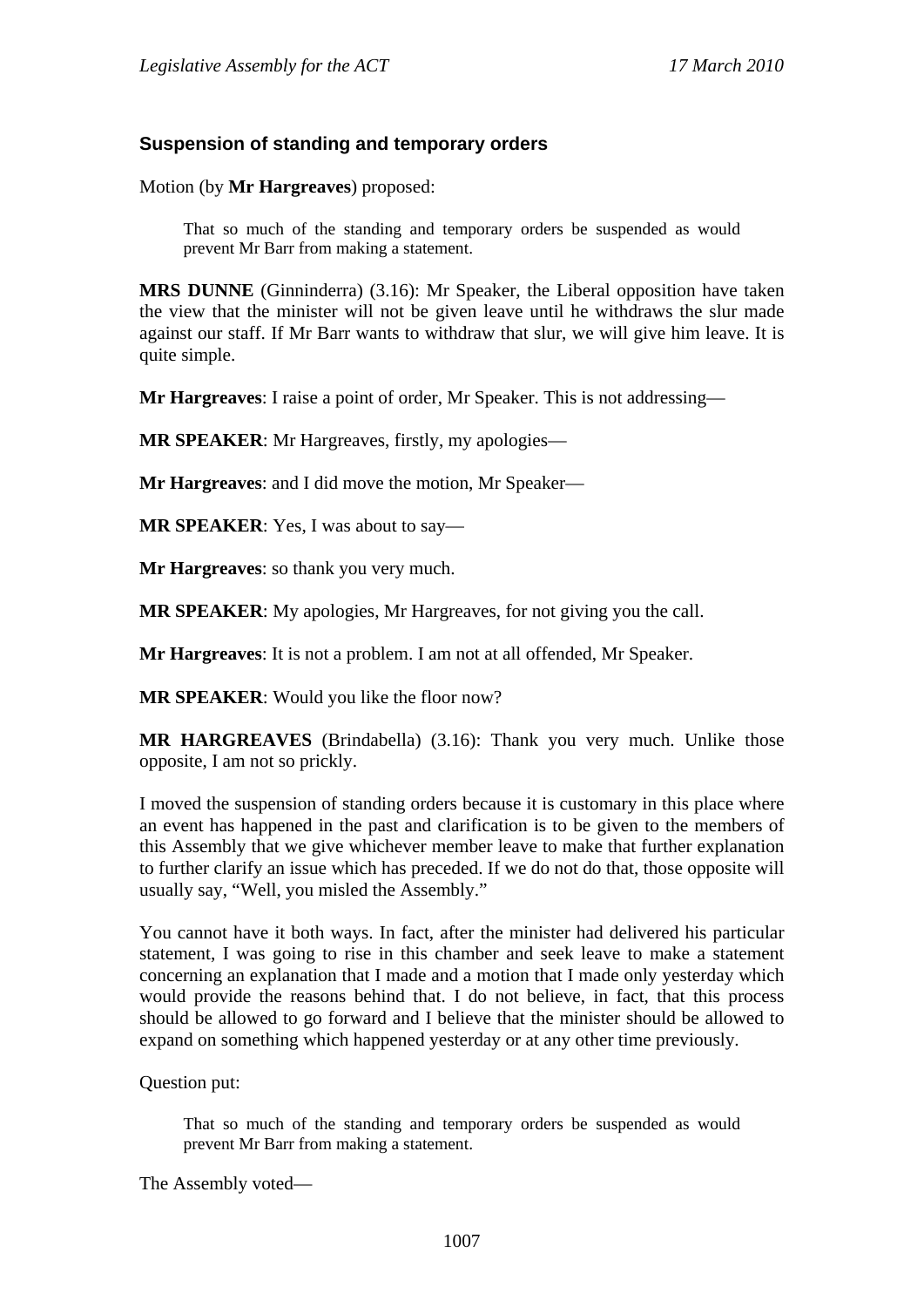### **Suspension of standing and temporary orders**

Motion (by **Mr Hargreaves**) proposed:

That so much of the standing and temporary orders be suspended as would prevent Mr Barr from making a statement.

**MRS DUNNE** (Ginninderra) (3.16): Mr Speaker, the Liberal opposition have taken the view that the minister will not be given leave until he withdraws the slur made against our staff. If Mr Barr wants to withdraw that slur, we will give him leave. It is quite simple.

**Mr Hargreaves**: I raise a point of order, Mr Speaker. This is not addressing—

**MR SPEAKER**: Mr Hargreaves, firstly, my apologies—

**Mr Hargreaves**: and I did move the motion, Mr Speaker—

**MR SPEAKER**: Yes, I was about to say—

**Mr Hargreaves**: so thank you very much.

**MR SPEAKER**: My apologies, Mr Hargreaves, for not giving you the call.

**Mr Hargreaves**: It is not a problem. I am not at all offended, Mr Speaker.

**MR SPEAKER**: Would you like the floor now?

**MR HARGREAVES** (Brindabella) (3.16): Thank you very much. Unlike those opposite, I am not so prickly.

I moved the suspension of standing orders because it is customary in this place where an event has happened in the past and clarification is to be given to the members of this Assembly that we give whichever member leave to make that further explanation to further clarify an issue which has preceded. If we do not do that, those opposite will usually say, "Well, you misled the Assembly."

You cannot have it both ways. In fact, after the minister had delivered his particular statement, I was going to rise in this chamber and seek leave to make a statement concerning an explanation that I made and a motion that I made only yesterday which would provide the reasons behind that. I do not believe, in fact, that this process should be allowed to go forward and I believe that the minister should be allowed to expand on something which happened yesterday or at any other time previously.

Question put:

That so much of the standing and temporary orders be suspended as would prevent Mr Barr from making a statement.

The Assembly voted—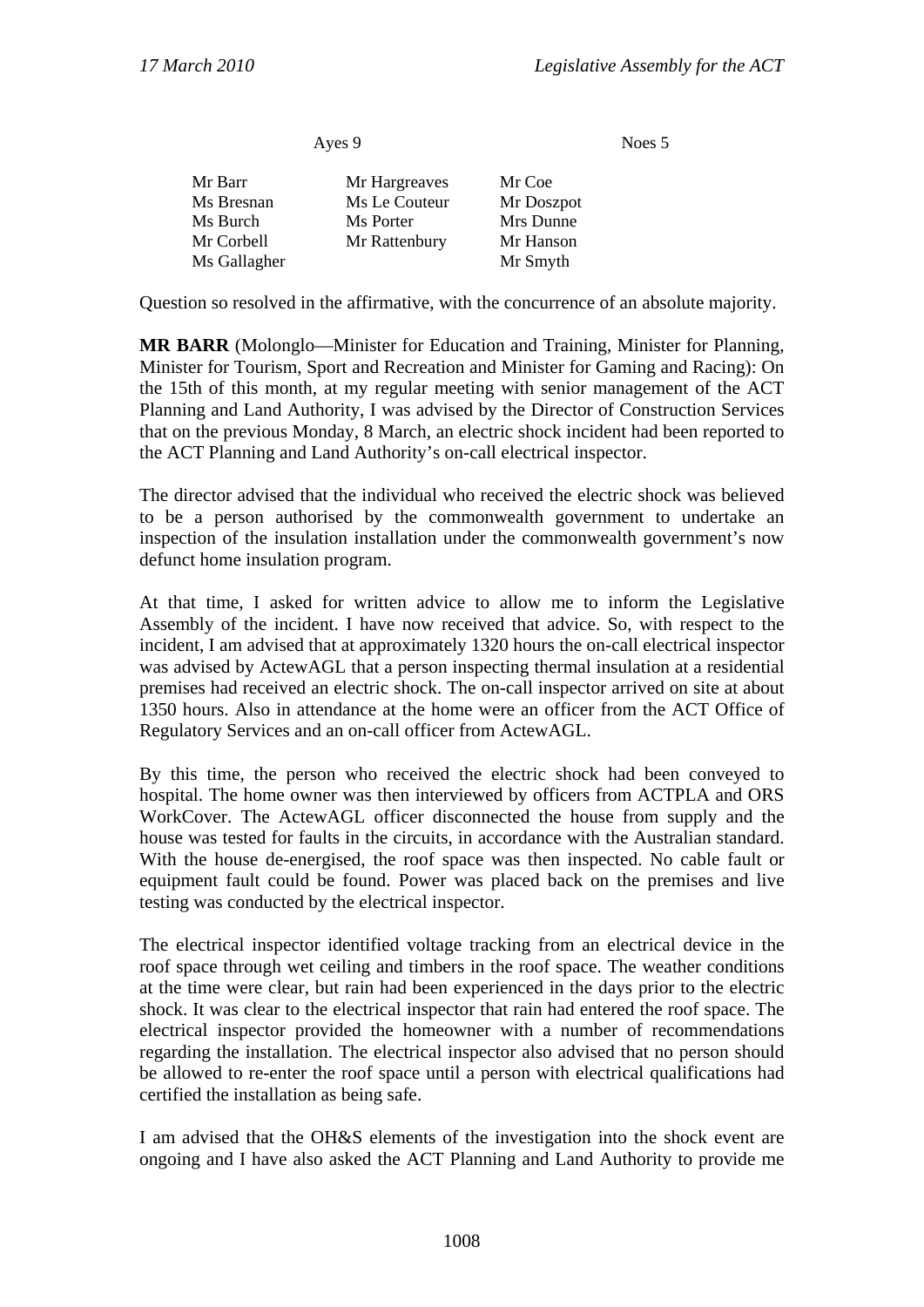Noes 5

| Ayes 9       |               |            |  |
|--------------|---------------|------------|--|
| Mr Barr      | Mr Hargreaves | Mr Coe     |  |
| Ms Bresnan   | Ms Le Couteur | Mr Doszpot |  |
| Ms Burch     | Ms Porter     | Mrs Dunne  |  |
| Mr Corbell   | Mr Rattenbury | Mr Hanson  |  |
| Ms Gallagher |               | Mr Smyth   |  |
|              |               |            |  |

Question so resolved in the affirmative, with the concurrence of an absolute majority.

**MR BARR** (Molonglo—Minister for Education and Training, Minister for Planning, Minister for Tourism, Sport and Recreation and Minister for Gaming and Racing): On the 15th of this month, at my regular meeting with senior management of the ACT Planning and Land Authority, I was advised by the Director of Construction Services that on the previous Monday, 8 March, an electric shock incident had been reported to the ACT Planning and Land Authority's on-call electrical inspector.

The director advised that the individual who received the electric shock was believed to be a person authorised by the commonwealth government to undertake an inspection of the insulation installation under the commonwealth government's now defunct home insulation program.

At that time, I asked for written advice to allow me to inform the Legislative Assembly of the incident. I have now received that advice. So, with respect to the incident, I am advised that at approximately 1320 hours the on-call electrical inspector was advised by ActewAGL that a person inspecting thermal insulation at a residential premises had received an electric shock. The on-call inspector arrived on site at about 1350 hours. Also in attendance at the home were an officer from the ACT Office of Regulatory Services and an on-call officer from ActewAGL.

By this time, the person who received the electric shock had been conveyed to hospital. The home owner was then interviewed by officers from ACTPLA and ORS WorkCover. The ActewAGL officer disconnected the house from supply and the house was tested for faults in the circuits, in accordance with the Australian standard. With the house de-energised, the roof space was then inspected. No cable fault or equipment fault could be found. Power was placed back on the premises and live testing was conducted by the electrical inspector.

The electrical inspector identified voltage tracking from an electrical device in the roof space through wet ceiling and timbers in the roof space. The weather conditions at the time were clear, but rain had been experienced in the days prior to the electric shock. It was clear to the electrical inspector that rain had entered the roof space. The electrical inspector provided the homeowner with a number of recommendations regarding the installation. The electrical inspector also advised that no person should be allowed to re-enter the roof space until a person with electrical qualifications had certified the installation as being safe.

I am advised that the OH&S elements of the investigation into the shock event are ongoing and I have also asked the ACT Planning and Land Authority to provide me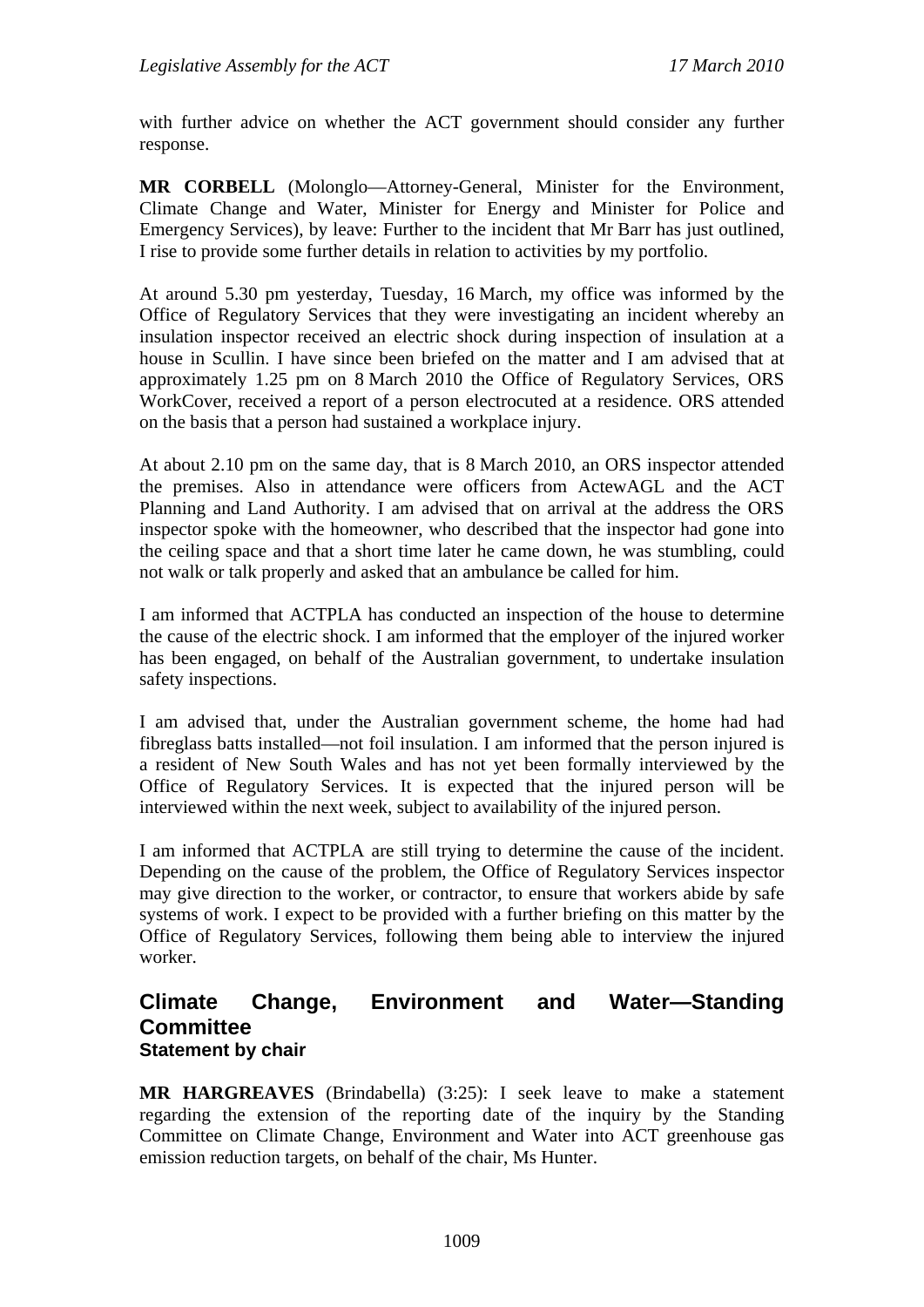with further advice on whether the ACT government should consider any further response.

**MR CORBELL** (Molonglo—Attorney-General, Minister for the Environment, Climate Change and Water, Minister for Energy and Minister for Police and Emergency Services), by leave: Further to the incident that Mr Barr has just outlined, I rise to provide some further details in relation to activities by my portfolio.

At around 5.30 pm yesterday, Tuesday, 16 March, my office was informed by the Office of Regulatory Services that they were investigating an incident whereby an insulation inspector received an electric shock during inspection of insulation at a house in Scullin. I have since been briefed on the matter and I am advised that at approximately 1.25 pm on 8 March 2010 the Office of Regulatory Services, ORS WorkCover, received a report of a person electrocuted at a residence. ORS attended on the basis that a person had sustained a workplace injury.

At about 2.10 pm on the same day, that is 8 March 2010, an ORS inspector attended the premises. Also in attendance were officers from ActewAGL and the ACT Planning and Land Authority. I am advised that on arrival at the address the ORS inspector spoke with the homeowner, who described that the inspector had gone into the ceiling space and that a short time later he came down, he was stumbling, could not walk or talk properly and asked that an ambulance be called for him.

I am informed that ACTPLA has conducted an inspection of the house to determine the cause of the electric shock. I am informed that the employer of the injured worker has been engaged, on behalf of the Australian government, to undertake insulation safety inspections.

I am advised that, under the Australian government scheme, the home had had fibreglass batts installed—not foil insulation. I am informed that the person injured is a resident of New South Wales and has not yet been formally interviewed by the Office of Regulatory Services. It is expected that the injured person will be interviewed within the next week, subject to availability of the injured person.

I am informed that ACTPLA are still trying to determine the cause of the incident. Depending on the cause of the problem, the Office of Regulatory Services inspector may give direction to the worker, or contractor, to ensure that workers abide by safe systems of work. I expect to be provided with a further briefing on this matter by the Office of Regulatory Services, following them being able to interview the injured worker.

## **Climate Change, Environment and Water—Standing Committee Statement by chair**

**MR HARGREAVES** (Brindabella) (3:25): I seek leave to make a statement regarding the extension of the reporting date of the inquiry by the Standing Committee on Climate Change, Environment and Water into ACT greenhouse gas emission reduction targets, on behalf of the chair, Ms Hunter.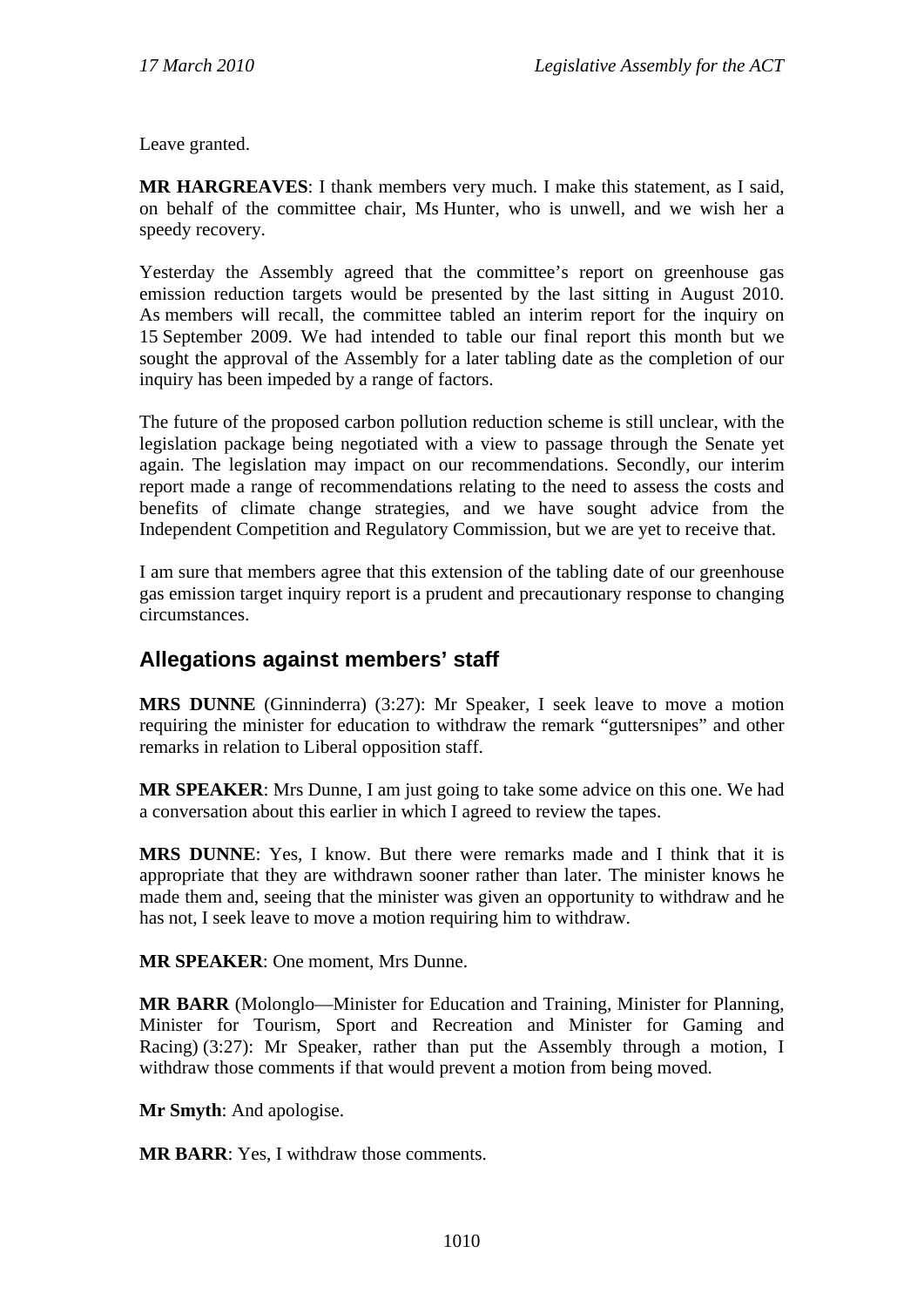Leave granted.

**MR HARGREAVES**: I thank members very much. I make this statement, as I said, on behalf of the committee chair, Ms Hunter, who is unwell, and we wish her a speedy recovery.

Yesterday the Assembly agreed that the committee's report on greenhouse gas emission reduction targets would be presented by the last sitting in August 2010. As members will recall, the committee tabled an interim report for the inquiry on 15 September 2009. We had intended to table our final report this month but we sought the approval of the Assembly for a later tabling date as the completion of our inquiry has been impeded by a range of factors.

The future of the proposed carbon pollution reduction scheme is still unclear, with the legislation package being negotiated with a view to passage through the Senate yet again. The legislation may impact on our recommendations. Secondly, our interim report made a range of recommendations relating to the need to assess the costs and benefits of climate change strategies, and we have sought advice from the Independent Competition and Regulatory Commission, but we are yet to receive that.

I am sure that members agree that this extension of the tabling date of our greenhouse gas emission target inquiry report is a prudent and precautionary response to changing circumstances.

# **Allegations against members' staff**

**MRS DUNNE** (Ginninderra) (3:27): Mr Speaker, I seek leave to move a motion requiring the minister for education to withdraw the remark "guttersnipes" and other remarks in relation to Liberal opposition staff.

**MR SPEAKER**: Mrs Dunne, I am just going to take some advice on this one. We had a conversation about this earlier in which I agreed to review the tapes.

**MRS DUNNE**: Yes, I know. But there were remarks made and I think that it is appropriate that they are withdrawn sooner rather than later. The minister knows he made them and, seeing that the minister was given an opportunity to withdraw and he has not, I seek leave to move a motion requiring him to withdraw.

**MR SPEAKER**: One moment, Mrs Dunne.

**MR BARR** (Molonglo—Minister for Education and Training, Minister for Planning, Minister for Tourism, Sport and Recreation and Minister for Gaming and Racing) (3:27): Mr Speaker, rather than put the Assembly through a motion, I withdraw those comments if that would prevent a motion from being moved.

**Mr Smyth**: And apologise.

**MR BARR**: Yes, I withdraw those comments.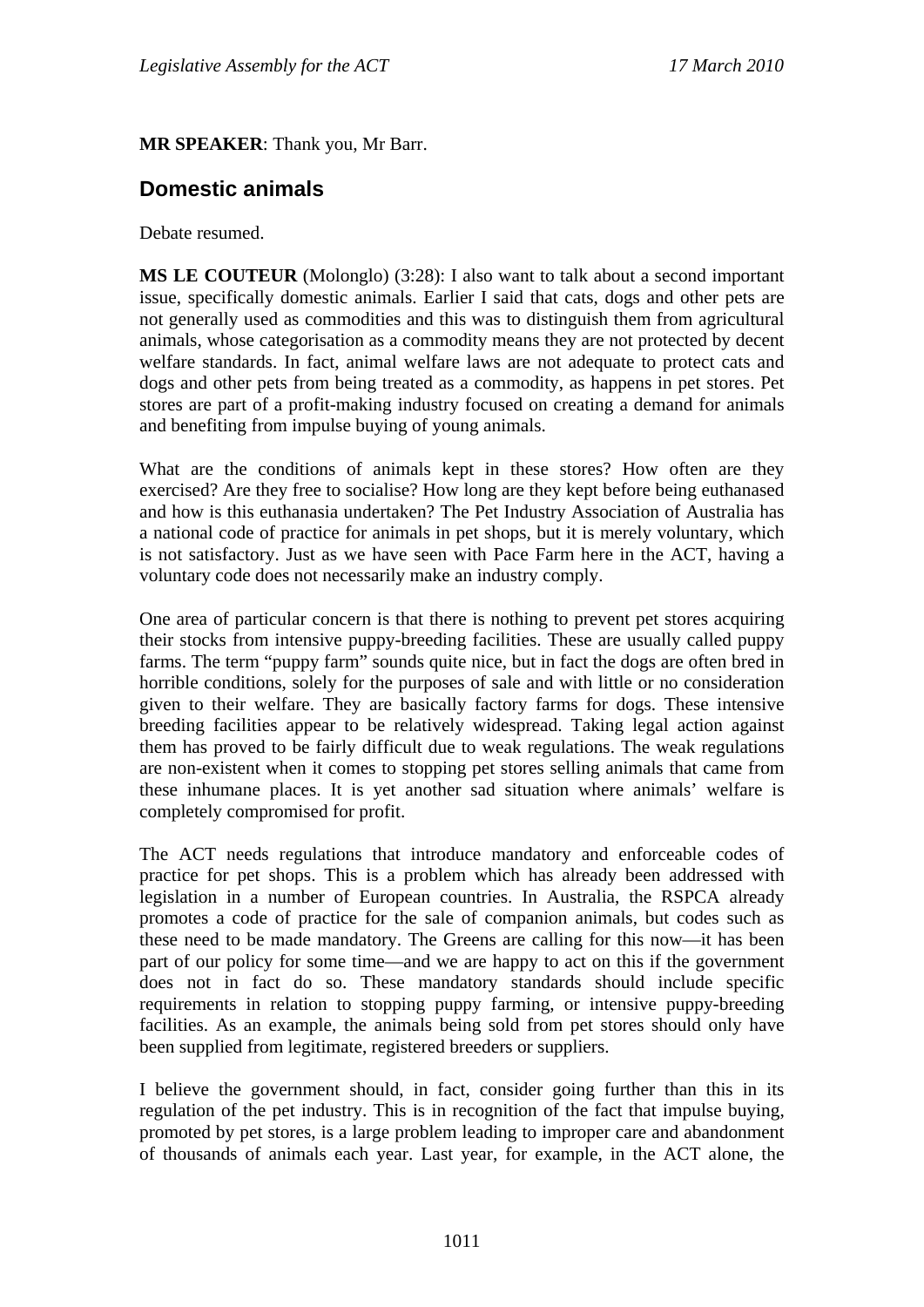**MR SPEAKER**: Thank you, Mr Barr.

## **Domestic animals**

Debate resumed.

**MS LE COUTEUR** (Molonglo) (3:28): I also want to talk about a second important issue, specifically domestic animals. Earlier I said that cats, dogs and other pets are not generally used as commodities and this was to distinguish them from agricultural animals, whose categorisation as a commodity means they are not protected by decent welfare standards. In fact, animal welfare laws are not adequate to protect cats and dogs and other pets from being treated as a commodity, as happens in pet stores. Pet stores are part of a profit-making industry focused on creating a demand for animals and benefiting from impulse buying of young animals.

What are the conditions of animals kept in these stores? How often are they exercised? Are they free to socialise? How long are they kept before being euthanased and how is this euthanasia undertaken? The Pet Industry Association of Australia has a national code of practice for animals in pet shops, but it is merely voluntary, which is not satisfactory. Just as we have seen with Pace Farm here in the ACT, having a voluntary code does not necessarily make an industry comply.

One area of particular concern is that there is nothing to prevent pet stores acquiring their stocks from intensive puppy-breeding facilities. These are usually called puppy farms. The term "puppy farm" sounds quite nice, but in fact the dogs are often bred in horrible conditions, solely for the purposes of sale and with little or no consideration given to their welfare. They are basically factory farms for dogs. These intensive breeding facilities appear to be relatively widespread. Taking legal action against them has proved to be fairly difficult due to weak regulations. The weak regulations are non-existent when it comes to stopping pet stores selling animals that came from these inhumane places. It is yet another sad situation where animals' welfare is completely compromised for profit.

The ACT needs regulations that introduce mandatory and enforceable codes of practice for pet shops. This is a problem which has already been addressed with legislation in a number of European countries. In Australia, the RSPCA already promotes a code of practice for the sale of companion animals, but codes such as these need to be made mandatory. The Greens are calling for this now—it has been part of our policy for some time—and we are happy to act on this if the government does not in fact do so. These mandatory standards should include specific requirements in relation to stopping puppy farming, or intensive puppy-breeding facilities. As an example, the animals being sold from pet stores should only have been supplied from legitimate, registered breeders or suppliers.

I believe the government should, in fact, consider going further than this in its regulation of the pet industry. This is in recognition of the fact that impulse buying, promoted by pet stores, is a large problem leading to improper care and abandonment of thousands of animals each year. Last year, for example, in the ACT alone, the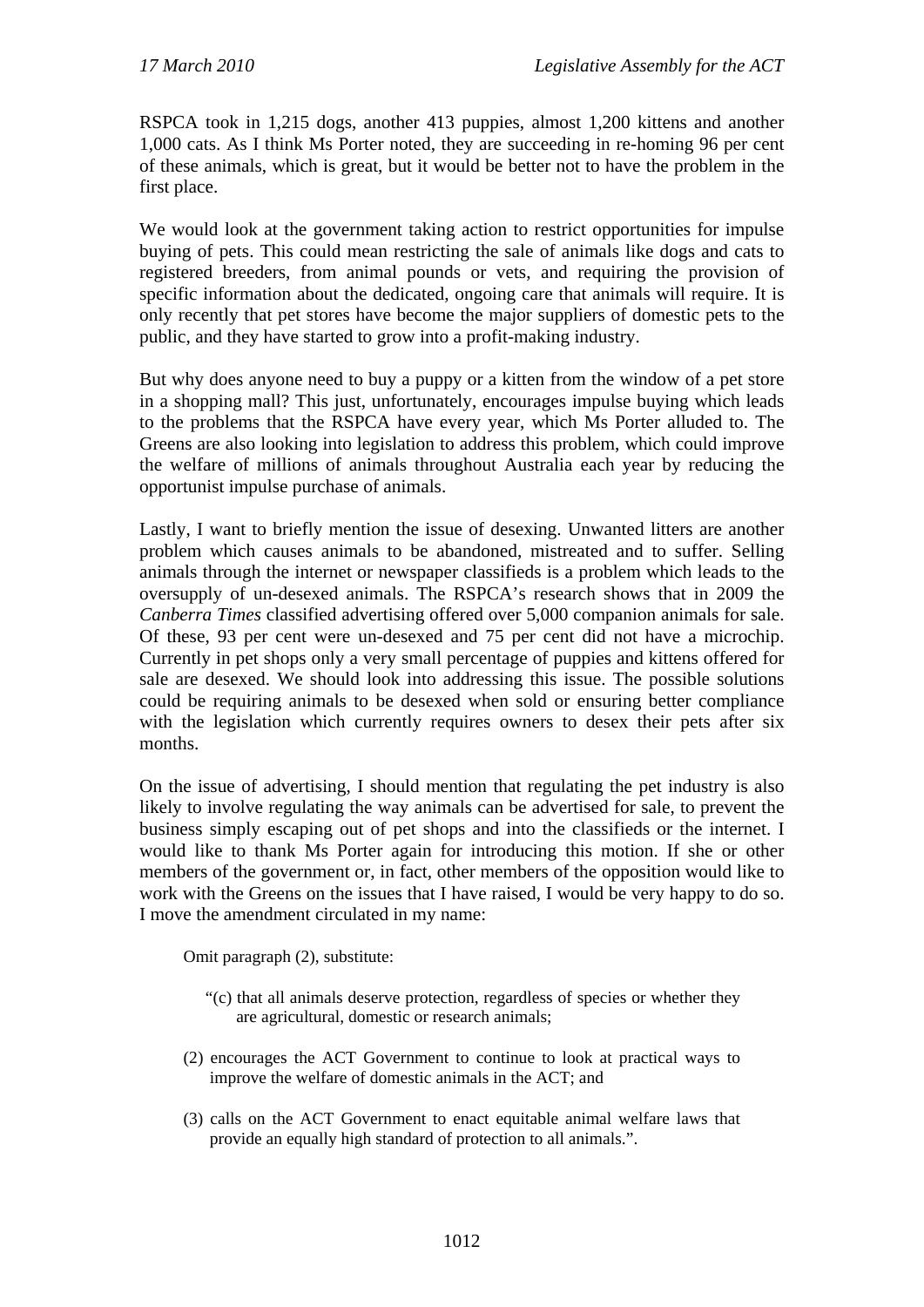RSPCA took in 1,215 dogs, another 413 puppies, almost 1,200 kittens and another 1,000 cats. As I think Ms Porter noted, they are succeeding in re-homing 96 per cent of these animals, which is great, but it would be better not to have the problem in the first place.

We would look at the government taking action to restrict opportunities for impulse buying of pets. This could mean restricting the sale of animals like dogs and cats to registered breeders, from animal pounds or vets, and requiring the provision of specific information about the dedicated, ongoing care that animals will require. It is only recently that pet stores have become the major suppliers of domestic pets to the public, and they have started to grow into a profit-making industry.

But why does anyone need to buy a puppy or a kitten from the window of a pet store in a shopping mall? This just, unfortunately, encourages impulse buying which leads to the problems that the RSPCA have every year, which Ms Porter alluded to. The Greens are also looking into legislation to address this problem, which could improve the welfare of millions of animals throughout Australia each year by reducing the opportunist impulse purchase of animals.

Lastly, I want to briefly mention the issue of desexing. Unwanted litters are another problem which causes animals to be abandoned, mistreated and to suffer. Selling animals through the internet or newspaper classifieds is a problem which leads to the oversupply of un-desexed animals. The RSPCA's research shows that in 2009 the *Canberra Times* classified advertising offered over 5,000 companion animals for sale. Of these, 93 per cent were un-desexed and 75 per cent did not have a microchip. Currently in pet shops only a very small percentage of puppies and kittens offered for sale are desexed. We should look into addressing this issue. The possible solutions could be requiring animals to be desexed when sold or ensuring better compliance with the legislation which currently requires owners to desex their pets after six months.

On the issue of advertising, I should mention that regulating the pet industry is also likely to involve regulating the way animals can be advertised for sale, to prevent the business simply escaping out of pet shops and into the classifieds or the internet. I would like to thank Ms Porter again for introducing this motion. If she or other members of the government or, in fact, other members of the opposition would like to work with the Greens on the issues that I have raised, I would be very happy to do so. I move the amendment circulated in my name:

Omit paragraph (2), substitute:

- "(c) that all animals deserve protection, regardless of species or whether they are agricultural, domestic or research animals;
- (2) encourages the ACT Government to continue to look at practical ways to improve the welfare of domestic animals in the ACT; and
- (3) calls on the ACT Government to enact equitable animal welfare laws that provide an equally high standard of protection to all animals.".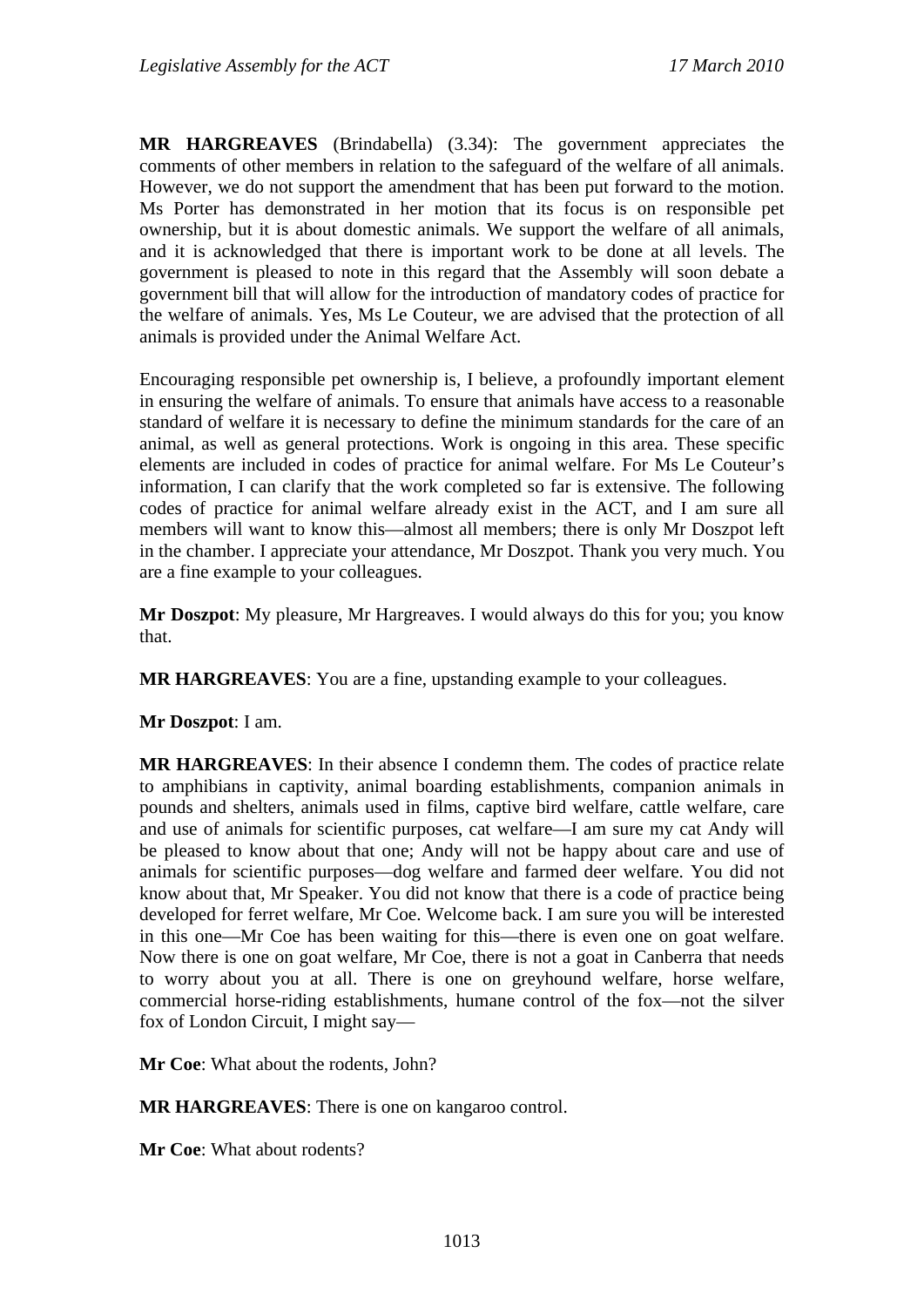**MR HARGREAVES** (Brindabella) (3.34): The government appreciates the comments of other members in relation to the safeguard of the welfare of all animals. However, we do not support the amendment that has been put forward to the motion. Ms Porter has demonstrated in her motion that its focus is on responsible pet ownership, but it is about domestic animals. We support the welfare of all animals, and it is acknowledged that there is important work to be done at all levels. The government is pleased to note in this regard that the Assembly will soon debate a government bill that will allow for the introduction of mandatory codes of practice for the welfare of animals. Yes, Ms Le Couteur, we are advised that the protection of all animals is provided under the Animal Welfare Act.

Encouraging responsible pet ownership is, I believe, a profoundly important element in ensuring the welfare of animals. To ensure that animals have access to a reasonable standard of welfare it is necessary to define the minimum standards for the care of an animal, as well as general protections. Work is ongoing in this area. These specific elements are included in codes of practice for animal welfare. For Ms Le Couteur's information, I can clarify that the work completed so far is extensive. The following codes of practice for animal welfare already exist in the ACT, and I am sure all members will want to know this—almost all members; there is only Mr Doszpot left in the chamber. I appreciate your attendance, Mr Doszpot. Thank you very much. You are a fine example to your colleagues.

**Mr Doszpot**: My pleasure, Mr Hargreaves. I would always do this for you; you know that.

**MR HARGREAVES**: You are a fine, upstanding example to your colleagues.

### **Mr Doszpot**: I am.

**MR HARGREAVES**: In their absence I condemn them. The codes of practice relate to amphibians in captivity, animal boarding establishments, companion animals in pounds and shelters, animals used in films, captive bird welfare, cattle welfare, care and use of animals for scientific purposes, cat welfare—I am sure my cat Andy will be pleased to know about that one; Andy will not be happy about care and use of animals for scientific purposes—dog welfare and farmed deer welfare. You did not know about that, Mr Speaker. You did not know that there is a code of practice being developed for ferret welfare, Mr Coe. Welcome back. I am sure you will be interested in this one—Mr Coe has been waiting for this—there is even one on goat welfare. Now there is one on goat welfare, Mr Coe, there is not a goat in Canberra that needs to worry about you at all. There is one on greyhound welfare, horse welfare, commercial horse-riding establishments, humane control of the fox—not the silver fox of London Circuit, I might say—

**Mr Coe**: What about the rodents, John?

**MR HARGREAVES**: There is one on kangaroo control.

**Mr Coe**: What about rodents?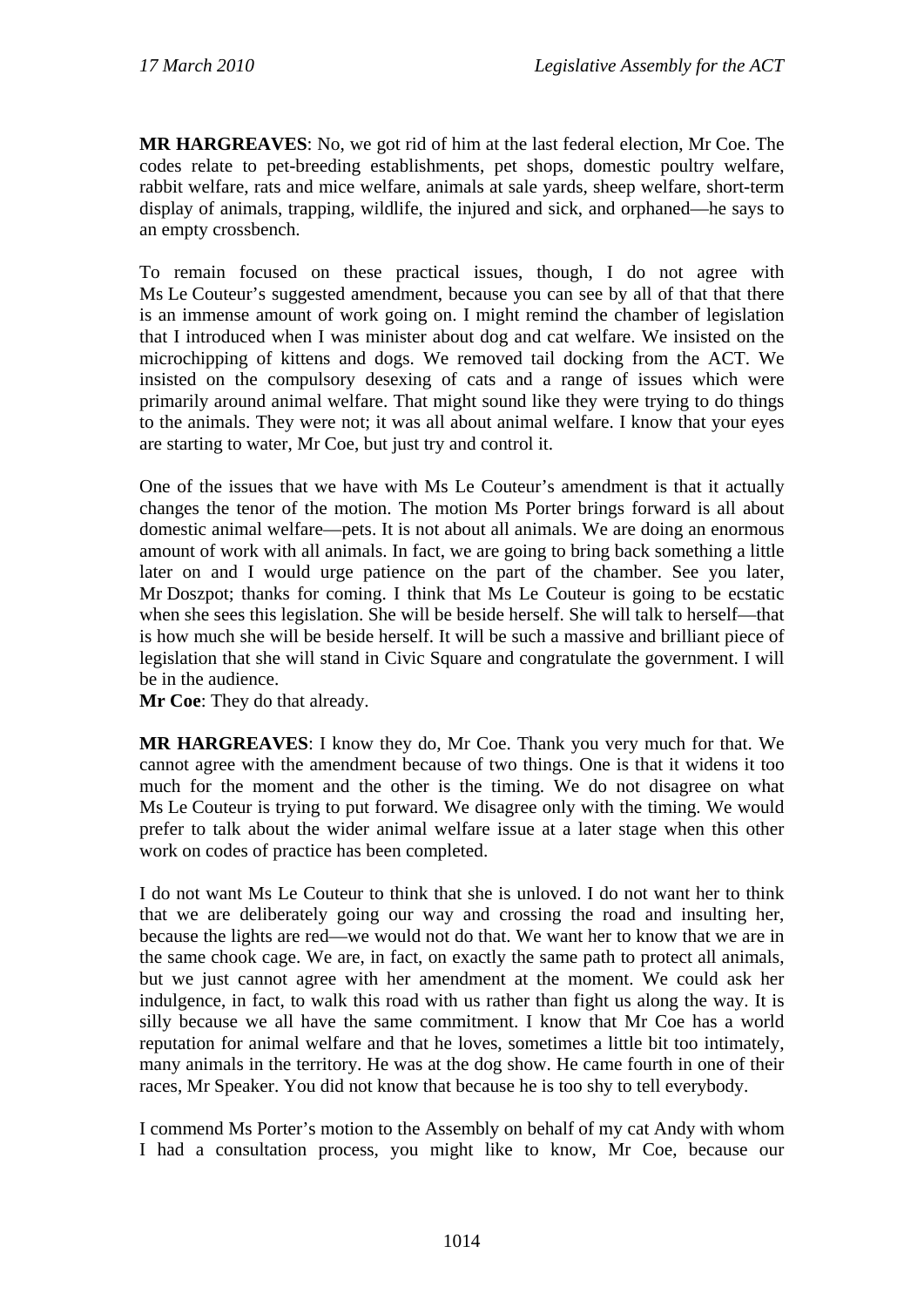**MR HARGREAVES**: No, we got rid of him at the last federal election, Mr Coe. The codes relate to pet-breeding establishments, pet shops, domestic poultry welfare, rabbit welfare, rats and mice welfare, animals at sale yards, sheep welfare, short-term display of animals, trapping, wildlife, the injured and sick, and orphaned—he says to an empty crossbench.

To remain focused on these practical issues, though, I do not agree with Ms Le Couteur's suggested amendment, because you can see by all of that that there is an immense amount of work going on. I might remind the chamber of legislation that I introduced when I was minister about dog and cat welfare. We insisted on the microchipping of kittens and dogs. We removed tail docking from the ACT. We insisted on the compulsory desexing of cats and a range of issues which were primarily around animal welfare. That might sound like they were trying to do things to the animals. They were not; it was all about animal welfare. I know that your eyes are starting to water, Mr Coe, but just try and control it.

One of the issues that we have with Ms Le Couteur's amendment is that it actually changes the tenor of the motion. The motion Ms Porter brings forward is all about domestic animal welfare—pets. It is not about all animals. We are doing an enormous amount of work with all animals. In fact, we are going to bring back something a little later on and I would urge patience on the part of the chamber. See you later, Mr Doszpot; thanks for coming. I think that Ms Le Couteur is going to be ecstatic when she sees this legislation. She will be beside herself. She will talk to herself—that is how much she will be beside herself. It will be such a massive and brilliant piece of legislation that she will stand in Civic Square and congratulate the government. I will be in the audience.

**Mr Coe**: They do that already.

**MR HARGREAVES**: I know they do, Mr Coe. Thank you very much for that. We cannot agree with the amendment because of two things. One is that it widens it too much for the moment and the other is the timing. We do not disagree on what Ms Le Couteur is trying to put forward. We disagree only with the timing. We would prefer to talk about the wider animal welfare issue at a later stage when this other work on codes of practice has been completed.

I do not want Ms Le Couteur to think that she is unloved. I do not want her to think that we are deliberately going our way and crossing the road and insulting her, because the lights are red—we would not do that. We want her to know that we are in the same chook cage. We are, in fact, on exactly the same path to protect all animals, but we just cannot agree with her amendment at the moment. We could ask her indulgence, in fact, to walk this road with us rather than fight us along the way. It is silly because we all have the same commitment. I know that Mr Coe has a world reputation for animal welfare and that he loves, sometimes a little bit too intimately, many animals in the territory. He was at the dog show. He came fourth in one of their races, Mr Speaker. You did not know that because he is too shy to tell everybody.

I commend Ms Porter's motion to the Assembly on behalf of my cat Andy with whom I had a consultation process, you might like to know, Mr Coe, because our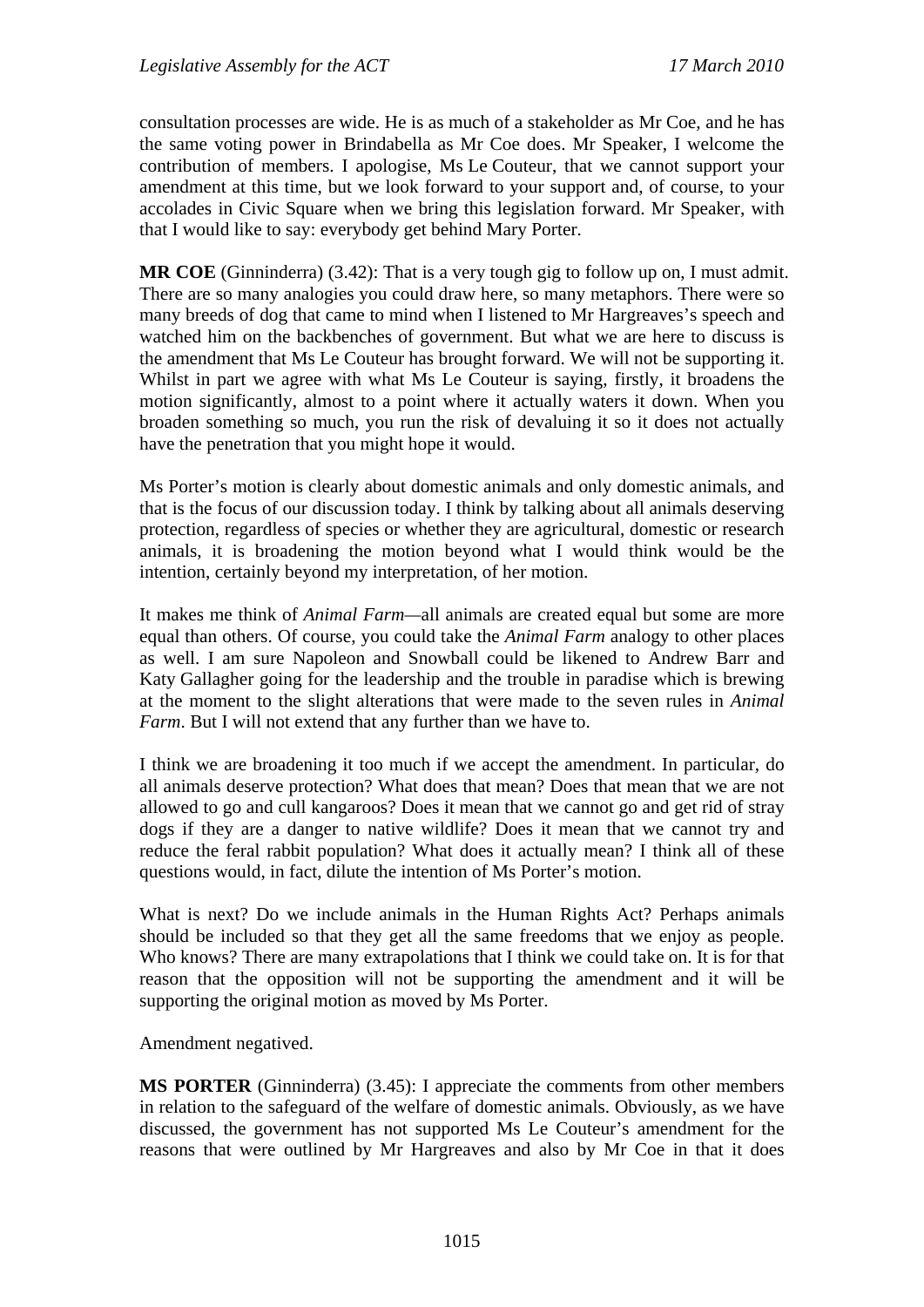consultation processes are wide. He is as much of a stakeholder as Mr Coe, and he has the same voting power in Brindabella as Mr Coe does. Mr Speaker, I welcome the contribution of members. I apologise, Ms Le Couteur, that we cannot support your amendment at this time, but we look forward to your support and, of course, to your accolades in Civic Square when we bring this legislation forward. Mr Speaker, with that I would like to say: everybody get behind Mary Porter.

**MR COE** (Ginninderra) (3.42): That is a very tough gig to follow up on, I must admit. There are so many analogies you could draw here, so many metaphors. There were so many breeds of dog that came to mind when I listened to Mr Hargreaves's speech and watched him on the backbenches of government. But what we are here to discuss is the amendment that Ms Le Couteur has brought forward. We will not be supporting it. Whilst in part we agree with what Ms Le Couteur is saying, firstly, it broadens the motion significantly, almost to a point where it actually waters it down. When you broaden something so much, you run the risk of devaluing it so it does not actually have the penetration that you might hope it would.

Ms Porter's motion is clearly about domestic animals and only domestic animals, and that is the focus of our discussion today. I think by talking about all animals deserving protection, regardless of species or whether they are agricultural, domestic or research animals, it is broadening the motion beyond what I would think would be the intention, certainly beyond my interpretation, of her motion.

It makes me think of *Animal Farm—*all animals are created equal but some are more equal than others. Of course, you could take the *Animal Farm* analogy to other places as well. I am sure Napoleon and Snowball could be likened to Andrew Barr and Katy Gallagher going for the leadership and the trouble in paradise which is brewing at the moment to the slight alterations that were made to the seven rules in *Animal Farm*. But I will not extend that any further than we have to.

I think we are broadening it too much if we accept the amendment. In particular, do all animals deserve protection? What does that mean? Does that mean that we are not allowed to go and cull kangaroos? Does it mean that we cannot go and get rid of stray dogs if they are a danger to native wildlife? Does it mean that we cannot try and reduce the feral rabbit population? What does it actually mean? I think all of these questions would, in fact, dilute the intention of Ms Porter's motion.

What is next? Do we include animals in the Human Rights Act? Perhaps animals should be included so that they get all the same freedoms that we enjoy as people. Who knows? There are many extrapolations that I think we could take on. It is for that reason that the opposition will not be supporting the amendment and it will be supporting the original motion as moved by Ms Porter.

Amendment negatived.

**MS PORTER** (Ginninderra) (3.45): I appreciate the comments from other members in relation to the safeguard of the welfare of domestic animals. Obviously, as we have discussed, the government has not supported Ms Le Couteur's amendment for the reasons that were outlined by Mr Hargreaves and also by Mr Coe in that it does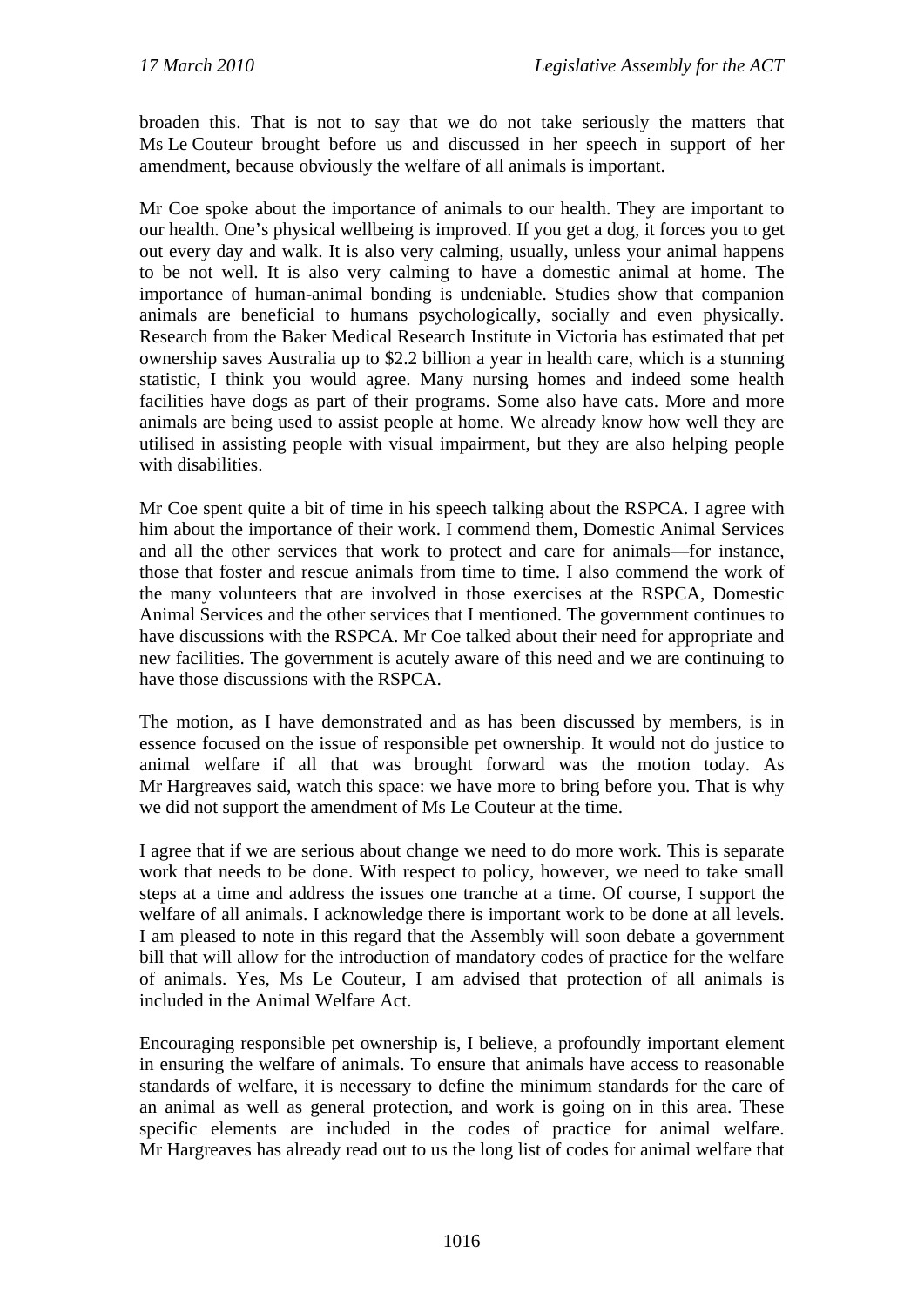broaden this. That is not to say that we do not take seriously the matters that Ms Le Couteur brought before us and discussed in her speech in support of her amendment, because obviously the welfare of all animals is important.

Mr Coe spoke about the importance of animals to our health. They are important to our health. One's physical wellbeing is improved. If you get a dog, it forces you to get out every day and walk. It is also very calming, usually, unless your animal happens to be not well. It is also very calming to have a domestic animal at home. The importance of human-animal bonding is undeniable. Studies show that companion animals are beneficial to humans psychologically, socially and even physically. Research from the Baker Medical Research Institute in Victoria has estimated that pet ownership saves Australia up to \$2.2 billion a year in health care, which is a stunning statistic, I think you would agree. Many nursing homes and indeed some health facilities have dogs as part of their programs. Some also have cats. More and more animals are being used to assist people at home. We already know how well they are utilised in assisting people with visual impairment, but they are also helping people with disabilities.

Mr Coe spent quite a bit of time in his speech talking about the RSPCA. I agree with him about the importance of their work. I commend them, Domestic Animal Services and all the other services that work to protect and care for animals—for instance, those that foster and rescue animals from time to time. I also commend the work of the many volunteers that are involved in those exercises at the RSPCA, Domestic Animal Services and the other services that I mentioned. The government continues to have discussions with the RSPCA. Mr Coe talked about their need for appropriate and new facilities. The government is acutely aware of this need and we are continuing to have those discussions with the RSPCA.

The motion, as I have demonstrated and as has been discussed by members, is in essence focused on the issue of responsible pet ownership. It would not do justice to animal welfare if all that was brought forward was the motion today. As Mr Hargreaves said, watch this space: we have more to bring before you. That is why we did not support the amendment of Ms Le Couteur at the time.

I agree that if we are serious about change we need to do more work. This is separate work that needs to be done. With respect to policy, however, we need to take small steps at a time and address the issues one tranche at a time. Of course, I support the welfare of all animals. I acknowledge there is important work to be done at all levels. I am pleased to note in this regard that the Assembly will soon debate a government bill that will allow for the introduction of mandatory codes of practice for the welfare of animals. Yes, Ms Le Couteur, I am advised that protection of all animals is included in the Animal Welfare Act.

Encouraging responsible pet ownership is, I believe, a profoundly important element in ensuring the welfare of animals. To ensure that animals have access to reasonable standards of welfare, it is necessary to define the minimum standards for the care of an animal as well as general protection, and work is going on in this area. These specific elements are included in the codes of practice for animal welfare. Mr Hargreaves has already read out to us the long list of codes for animal welfare that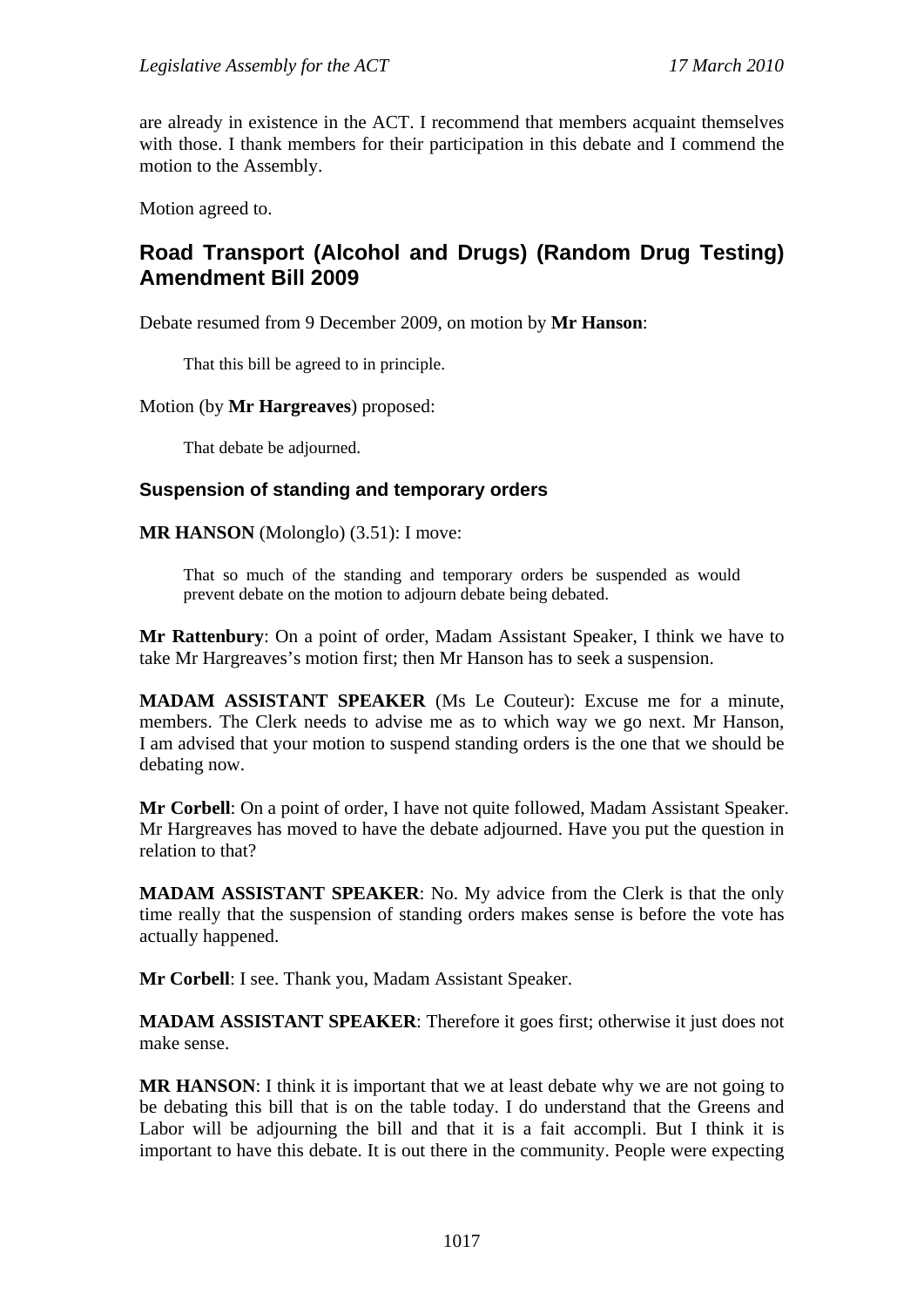are already in existence in the ACT. I recommend that members acquaint themselves with those. I thank members for their participation in this debate and I commend the motion to the Assembly.

Motion agreed to.

# **Road Transport (Alcohol and Drugs) (Random Drug Testing) Amendment Bill 2009**

Debate resumed from 9 December 2009, on motion by **Mr Hanson**:

That this bill be agreed to in principle.

#### Motion (by **Mr Hargreaves**) proposed:

That debate be adjourned.

#### **Suspension of standing and temporary orders**

**MR HANSON** (Molonglo) (3.51): I move:

That so much of the standing and temporary orders be suspended as would prevent debate on the motion to adjourn debate being debated.

**Mr Rattenbury**: On a point of order, Madam Assistant Speaker, I think we have to take Mr Hargreaves's motion first; then Mr Hanson has to seek a suspension.

**MADAM ASSISTANT SPEAKER** (Ms Le Couteur): Excuse me for a minute, members. The Clerk needs to advise me as to which way we go next. Mr Hanson, I am advised that your motion to suspend standing orders is the one that we should be debating now.

**Mr Corbell**: On a point of order, I have not quite followed, Madam Assistant Speaker. Mr Hargreaves has moved to have the debate adjourned. Have you put the question in relation to that?

**MADAM ASSISTANT SPEAKER**: No. My advice from the Clerk is that the only time really that the suspension of standing orders makes sense is before the vote has actually happened.

**Mr Corbell**: I see. Thank you, Madam Assistant Speaker.

**MADAM ASSISTANT SPEAKER**: Therefore it goes first; otherwise it just does not make sense.

**MR HANSON**: I think it is important that we at least debate why we are not going to be debating this bill that is on the table today. I do understand that the Greens and Labor will be adjourning the bill and that it is a fait accompli. But I think it is important to have this debate. It is out there in the community. People were expecting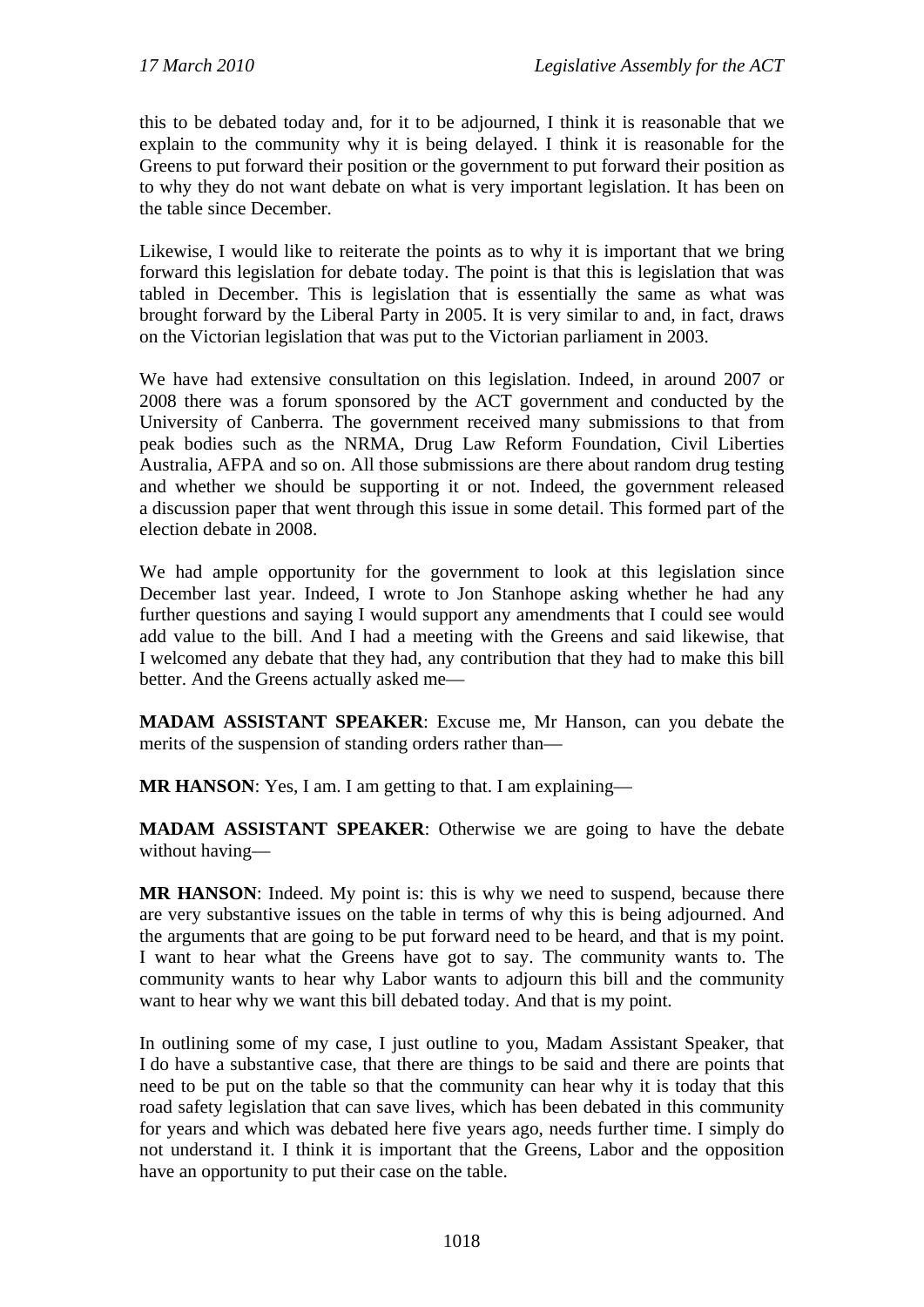this to be debated today and, for it to be adjourned, I think it is reasonable that we explain to the community why it is being delayed. I think it is reasonable for the Greens to put forward their position or the government to put forward their position as to why they do not want debate on what is very important legislation. It has been on the table since December.

Likewise, I would like to reiterate the points as to why it is important that we bring forward this legislation for debate today. The point is that this is legislation that was tabled in December. This is legislation that is essentially the same as what was brought forward by the Liberal Party in 2005. It is very similar to and, in fact, draws on the Victorian legislation that was put to the Victorian parliament in 2003.

We have had extensive consultation on this legislation. Indeed, in around 2007 or 2008 there was a forum sponsored by the ACT government and conducted by the University of Canberra. The government received many submissions to that from peak bodies such as the NRMA, Drug Law Reform Foundation, Civil Liberties Australia, AFPA and so on. All those submissions are there about random drug testing and whether we should be supporting it or not. Indeed, the government released a discussion paper that went through this issue in some detail. This formed part of the election debate in 2008.

We had ample opportunity for the government to look at this legislation since December last year. Indeed, I wrote to Jon Stanhope asking whether he had any further questions and saying I would support any amendments that I could see would add value to the bill. And I had a meeting with the Greens and said likewise, that I welcomed any debate that they had, any contribution that they had to make this bill better. And the Greens actually asked me—

**MADAM ASSISTANT SPEAKER**: Excuse me, Mr Hanson, can you debate the merits of the suspension of standing orders rather than—

**MR HANSON:** Yes, I am. I am getting to that. I am explaining—

**MADAM ASSISTANT SPEAKER**: Otherwise we are going to have the debate without having—

**MR HANSON:** Indeed. My point is: this is why we need to suspend, because there are very substantive issues on the table in terms of why this is being adjourned. And the arguments that are going to be put forward need to be heard, and that is my point. I want to hear what the Greens have got to say. The community wants to. The community wants to hear why Labor wants to adjourn this bill and the community want to hear why we want this bill debated today. And that is my point.

In outlining some of my case, I just outline to you, Madam Assistant Speaker, that I do have a substantive case, that there are things to be said and there are points that need to be put on the table so that the community can hear why it is today that this road safety legislation that can save lives, which has been debated in this community for years and which was debated here five years ago, needs further time. I simply do not understand it. I think it is important that the Greens, Labor and the opposition have an opportunity to put their case on the table.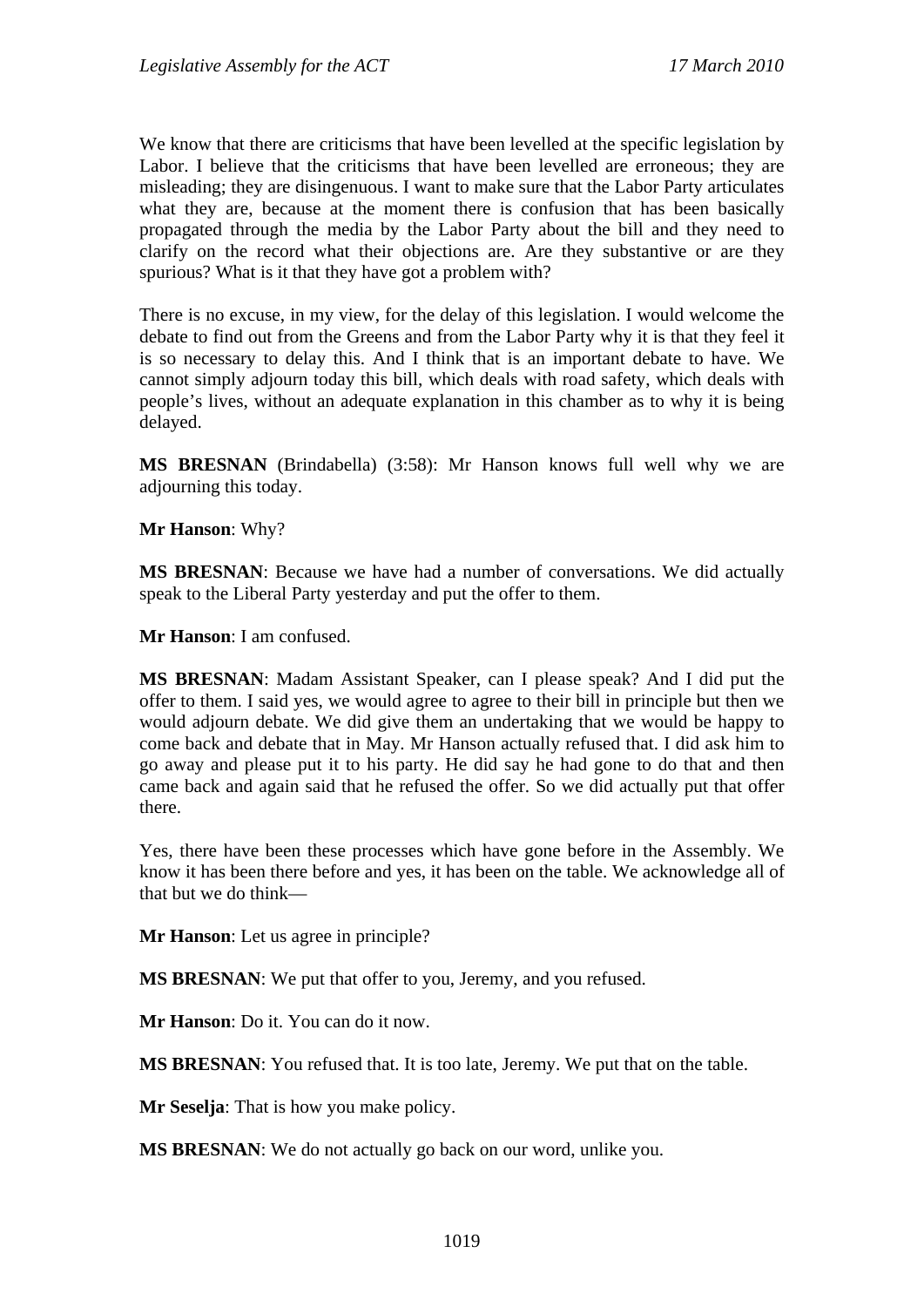We know that there are criticisms that have been levelled at the specific legislation by Labor. I believe that the criticisms that have been levelled are erroneous; they are misleading; they are disingenuous. I want to make sure that the Labor Party articulates what they are, because at the moment there is confusion that has been basically propagated through the media by the Labor Party about the bill and they need to clarify on the record what their objections are. Are they substantive or are they spurious? What is it that they have got a problem with?

There is no excuse, in my view, for the delay of this legislation. I would welcome the debate to find out from the Greens and from the Labor Party why it is that they feel it is so necessary to delay this. And I think that is an important debate to have. We cannot simply adjourn today this bill, which deals with road safety, which deals with people's lives, without an adequate explanation in this chamber as to why it is being delayed.

**MS BRESNAN** (Brindabella) (3:58): Mr Hanson knows full well why we are adjourning this today.

**Mr Hanson**: Why?

**MS BRESNAN**: Because we have had a number of conversations. We did actually speak to the Liberal Party yesterday and put the offer to them.

**Mr Hanson**: I am confused.

**MS BRESNAN**: Madam Assistant Speaker, can I please speak? And I did put the offer to them. I said yes, we would agree to agree to their bill in principle but then we would adjourn debate. We did give them an undertaking that we would be happy to come back and debate that in May. Mr Hanson actually refused that. I did ask him to go away and please put it to his party. He did say he had gone to do that and then came back and again said that he refused the offer. So we did actually put that offer there.

Yes, there have been these processes which have gone before in the Assembly. We know it has been there before and yes, it has been on the table. We acknowledge all of that but we do think—

**Mr Hanson**: Let us agree in principle?

**MS BRESNAN**: We put that offer to you, Jeremy, and you refused.

**Mr Hanson**: Do it. You can do it now.

**MS BRESNAN**: You refused that. It is too late, Jeremy. We put that on the table.

**Mr Seselja**: That is how you make policy.

**MS BRESNAN**: We do not actually go back on our word, unlike you.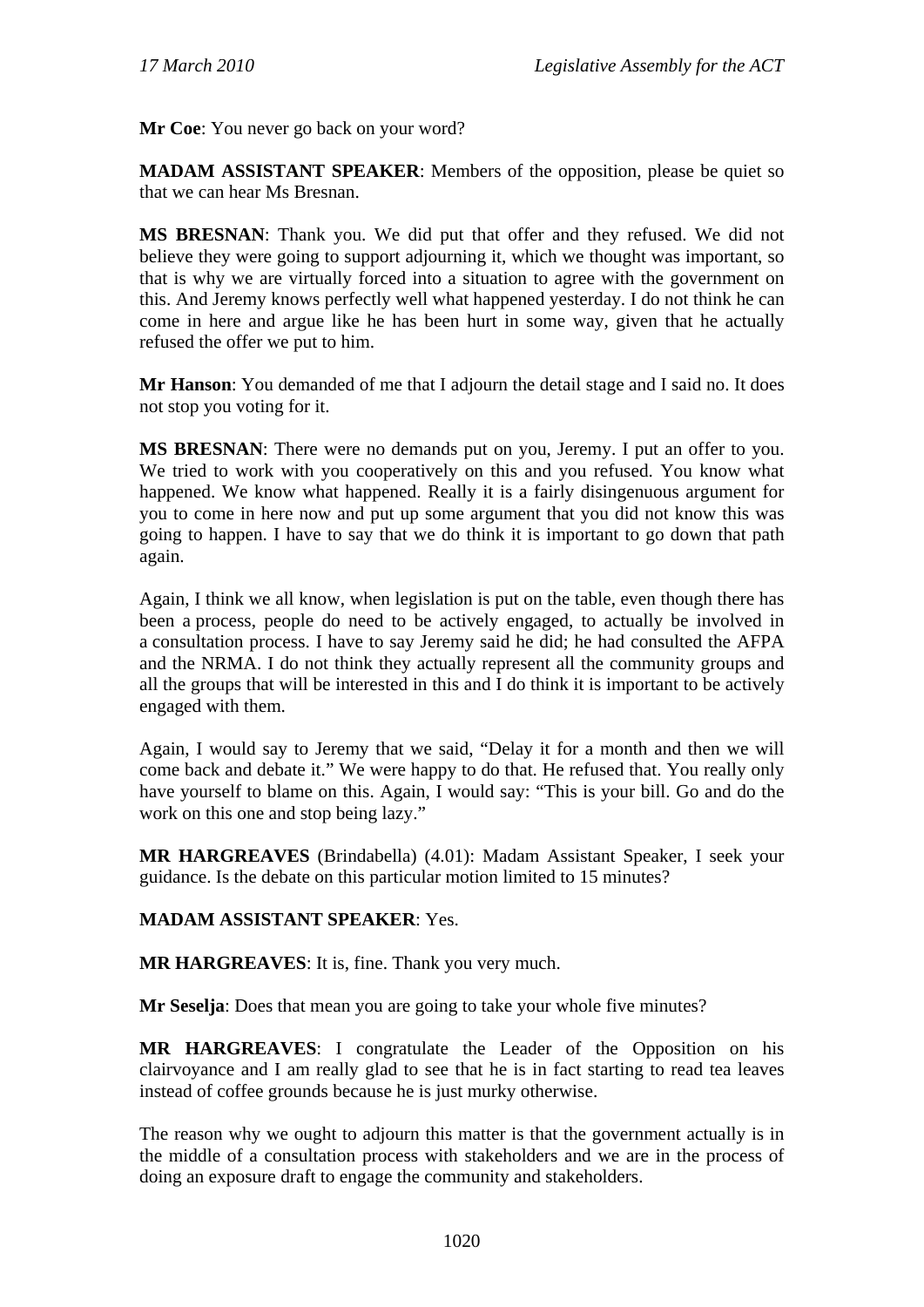**Mr Coe**: You never go back on your word?

**MADAM ASSISTANT SPEAKER**: Members of the opposition, please be quiet so that we can hear Ms Bresnan.

**MS BRESNAN**: Thank you. We did put that offer and they refused. We did not believe they were going to support adjourning it, which we thought was important, so that is why we are virtually forced into a situation to agree with the government on this. And Jeremy knows perfectly well what happened yesterday. I do not think he can come in here and argue like he has been hurt in some way, given that he actually refused the offer we put to him.

**Mr Hanson**: You demanded of me that I adjourn the detail stage and I said no. It does not stop you voting for it.

**MS BRESNAN**: There were no demands put on you, Jeremy. I put an offer to you. We tried to work with you cooperatively on this and you refused. You know what happened. We know what happened. Really it is a fairly disingenuous argument for you to come in here now and put up some argument that you did not know this was going to happen. I have to say that we do think it is important to go down that path again.

Again, I think we all know, when legislation is put on the table, even though there has been a process, people do need to be actively engaged, to actually be involved in a consultation process. I have to say Jeremy said he did; he had consulted the AFPA and the NRMA. I do not think they actually represent all the community groups and all the groups that will be interested in this and I do think it is important to be actively engaged with them.

Again, I would say to Jeremy that we said, "Delay it for a month and then we will come back and debate it." We were happy to do that. He refused that. You really only have yourself to blame on this. Again, I would say: "This is your bill. Go and do the work on this one and stop being lazy."

**MR HARGREAVES** (Brindabella) (4.01): Madam Assistant Speaker, I seek your guidance. Is the debate on this particular motion limited to 15 minutes?

### **MADAM ASSISTANT SPEAKER**: Yes.

**MR HARGREAVES**: It is, fine. Thank you very much.

**Mr Seselja**: Does that mean you are going to take your whole five minutes?

**MR HARGREAVES**: I congratulate the Leader of the Opposition on his clairvoyance and I am really glad to see that he is in fact starting to read tea leaves instead of coffee grounds because he is just murky otherwise.

The reason why we ought to adjourn this matter is that the government actually is in the middle of a consultation process with stakeholders and we are in the process of doing an exposure draft to engage the community and stakeholders.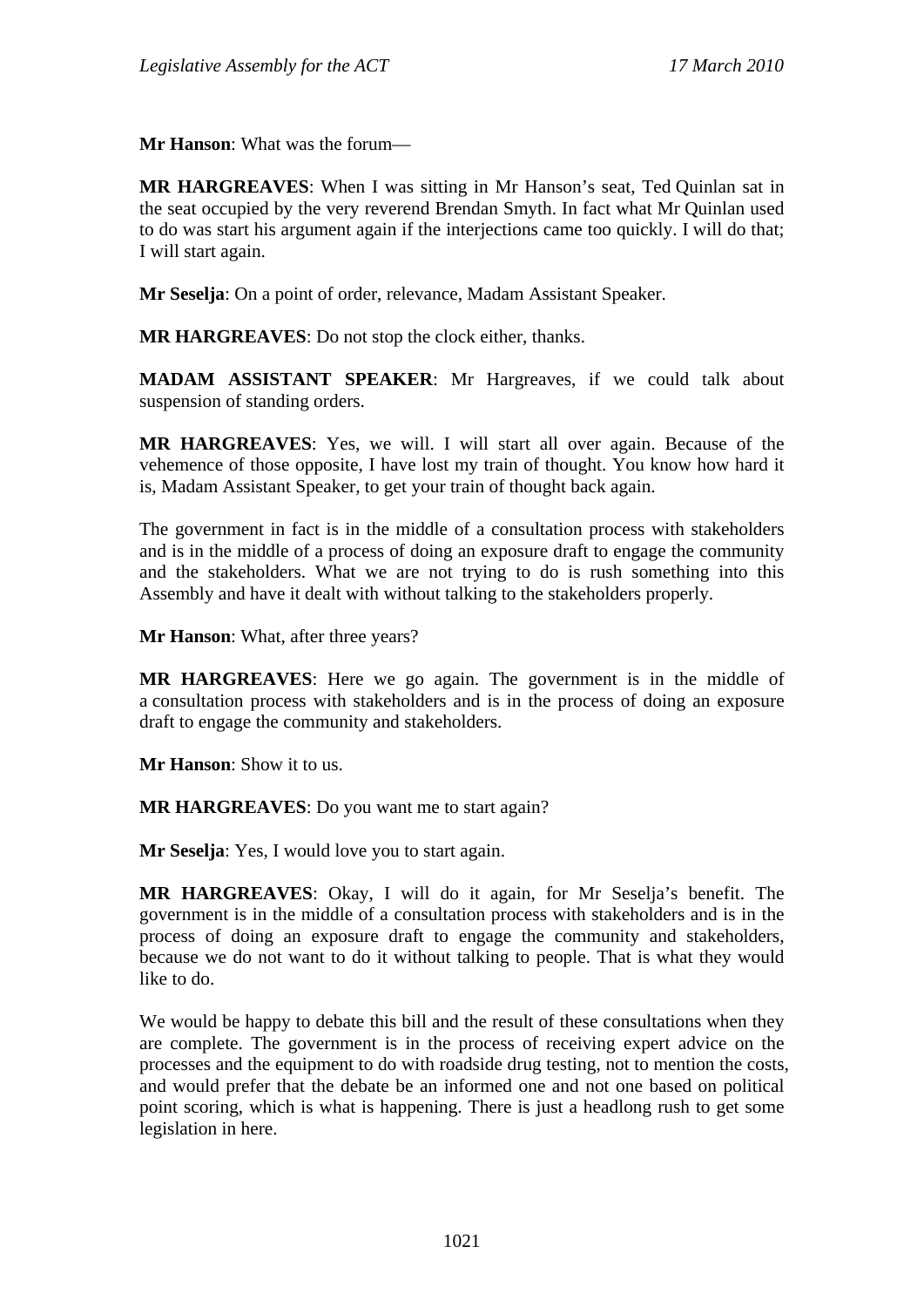**Mr Hanson**: What was the forum—

**MR HARGREAVES**: When I was sitting in Mr Hanson's seat, Ted Quinlan sat in the seat occupied by the very reverend Brendan Smyth. In fact what Mr Quinlan used to do was start his argument again if the interjections came too quickly. I will do that; I will start again.

**Mr Seselja**: On a point of order, relevance, Madam Assistant Speaker.

**MR HARGREAVES**: Do not stop the clock either, thanks.

**MADAM ASSISTANT SPEAKER**: Mr Hargreaves, if we could talk about suspension of standing orders.

**MR HARGREAVES**: Yes, we will. I will start all over again. Because of the vehemence of those opposite, I have lost my train of thought. You know how hard it is, Madam Assistant Speaker, to get your train of thought back again.

The government in fact is in the middle of a consultation process with stakeholders and is in the middle of a process of doing an exposure draft to engage the community and the stakeholders. What we are not trying to do is rush something into this Assembly and have it dealt with without talking to the stakeholders properly.

**Mr Hanson**: What, after three years?

**MR HARGREAVES**: Here we go again. The government is in the middle of a consultation process with stakeholders and is in the process of doing an exposure draft to engage the community and stakeholders.

**Mr Hanson**: Show it to us.

**MR HARGREAVES**: Do you want me to start again?

**Mr Seselja**: Yes, I would love you to start again.

**MR HARGREAVES**: Okay, I will do it again, for Mr Seselja's benefit. The government is in the middle of a consultation process with stakeholders and is in the process of doing an exposure draft to engage the community and stakeholders, because we do not want to do it without talking to people. That is what they would like to do.

We would be happy to debate this bill and the result of these consultations when they are complete. The government is in the process of receiving expert advice on the processes and the equipment to do with roadside drug testing, not to mention the costs, and would prefer that the debate be an informed one and not one based on political point scoring, which is what is happening. There is just a headlong rush to get some legislation in here.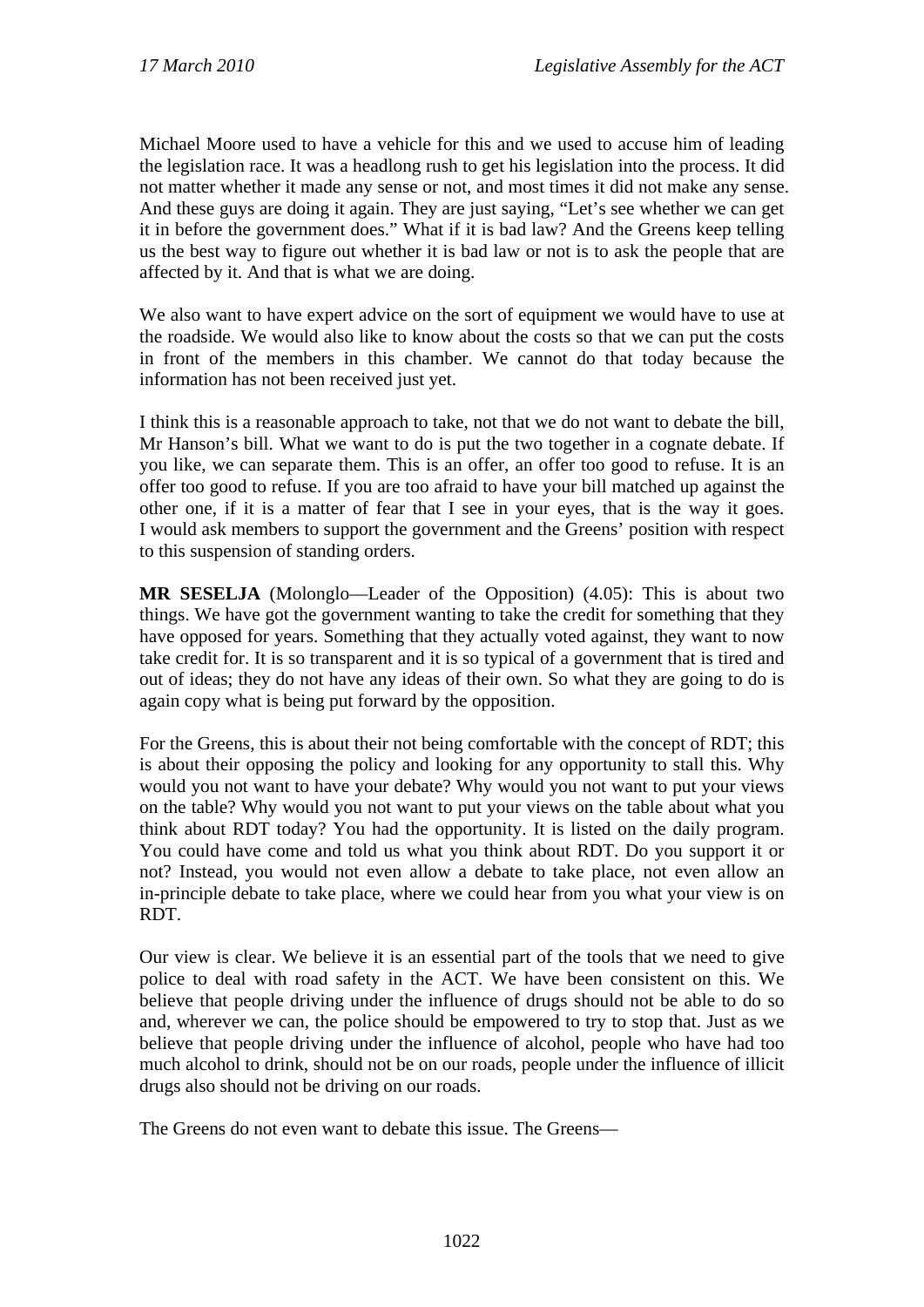Michael Moore used to have a vehicle for this and we used to accuse him of leading the legislation race. It was a headlong rush to get his legislation into the process. It did not matter whether it made any sense or not, and most times it did not make any sense. And these guys are doing it again. They are just saying, "Let's see whether we can get it in before the government does." What if it is bad law? And the Greens keep telling us the best way to figure out whether it is bad law or not is to ask the people that are affected by it. And that is what we are doing.

We also want to have expert advice on the sort of equipment we would have to use at the roadside. We would also like to know about the costs so that we can put the costs in front of the members in this chamber. We cannot do that today because the information has not been received just yet.

I think this is a reasonable approach to take, not that we do not want to debate the bill, Mr Hanson's bill. What we want to do is put the two together in a cognate debate. If you like, we can separate them. This is an offer, an offer too good to refuse. It is an offer too good to refuse. If you are too afraid to have your bill matched up against the other one, if it is a matter of fear that I see in your eyes, that is the way it goes. I would ask members to support the government and the Greens' position with respect to this suspension of standing orders.

**MR SESELJA** (Molonglo—Leader of the Opposition) (4.05): This is about two things. We have got the government wanting to take the credit for something that they have opposed for years. Something that they actually voted against, they want to now take credit for. It is so transparent and it is so typical of a government that is tired and out of ideas; they do not have any ideas of their own. So what they are going to do is again copy what is being put forward by the opposition.

For the Greens, this is about their not being comfortable with the concept of RDT; this is about their opposing the policy and looking for any opportunity to stall this. Why would you not want to have your debate? Why would you not want to put your views on the table? Why would you not want to put your views on the table about what you think about RDT today? You had the opportunity. It is listed on the daily program. You could have come and told us what you think about RDT. Do you support it or not? Instead, you would not even allow a debate to take place, not even allow an in-principle debate to take place, where we could hear from you what your view is on RDT.

Our view is clear. We believe it is an essential part of the tools that we need to give police to deal with road safety in the ACT. We have been consistent on this. We believe that people driving under the influence of drugs should not be able to do so and, wherever we can, the police should be empowered to try to stop that. Just as we believe that people driving under the influence of alcohol, people who have had too much alcohol to drink, should not be on our roads, people under the influence of illicit drugs also should not be driving on our roads.

The Greens do not even want to debate this issue. The Greens—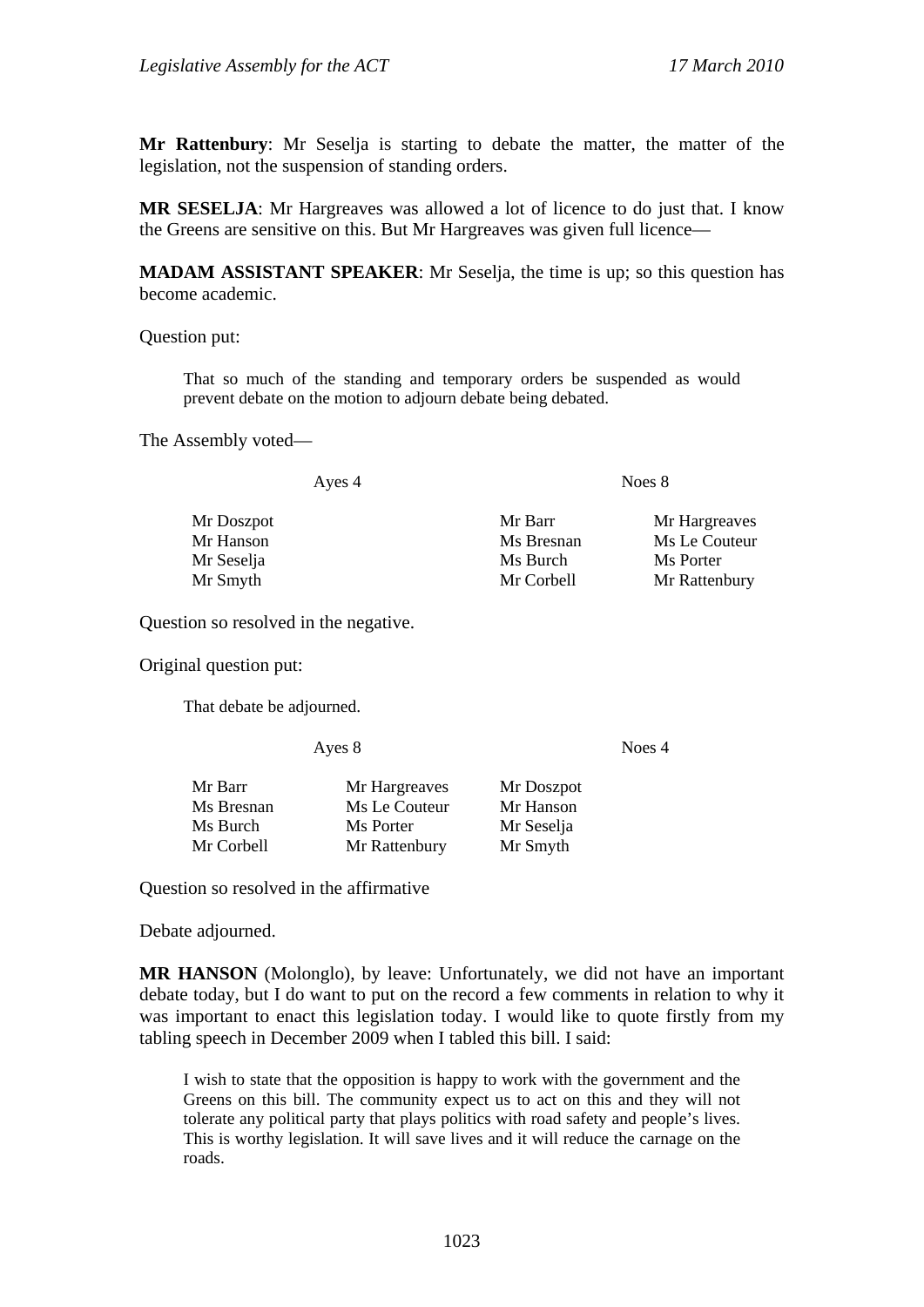**Mr Rattenbury**: Mr Seselja is starting to debate the matter, the matter of the legislation, not the suspension of standing orders.

**MR SESELJA**: Mr Hargreaves was allowed a lot of licence to do just that. I know the Greens are sensitive on this. But Mr Hargreaves was given full licence—

**MADAM ASSISTANT SPEAKER**: Mr Seselja, the time is up; so this question has become academic.

Question put:

That so much of the standing and temporary orders be suspended as would prevent debate on the motion to adjourn debate being debated.

The Assembly voted—

Ayes 4 Noes 8

| Mr Doszpot | Mr Barr    | Mr Hargreaves |
|------------|------------|---------------|
| Mr Hanson  | Ms Bresnan | Ms Le Couteur |
| Mr Seselja | Ms Burch   | Ms Porter     |
| Mr Smyth   | Mr Corbell | Mr Rattenbury |

Question so resolved in the negative.

Original question put:

That debate be adjourned.

Ayes 8 Noes 4

| Mr Hargreaves | Mr Doszpot |
|---------------|------------|
| Ms Le Couteur | Mr Hanson  |
| Ms Porter     | Mr Seselja |
| Mr Rattenbury | Mr Smyth   |
|               |            |

Question so resolved in the affirmative

Debate adjourned.

**MR HANSON** (Molonglo), by leave: Unfortunately, we did not have an important debate today, but I do want to put on the record a few comments in relation to why it was important to enact this legislation today. I would like to quote firstly from my tabling speech in December 2009 when I tabled this bill. I said:

I wish to state that the opposition is happy to work with the government and the Greens on this bill. The community expect us to act on this and they will not tolerate any political party that plays politics with road safety and people's lives. This is worthy legislation. It will save lives and it will reduce the carnage on the roads.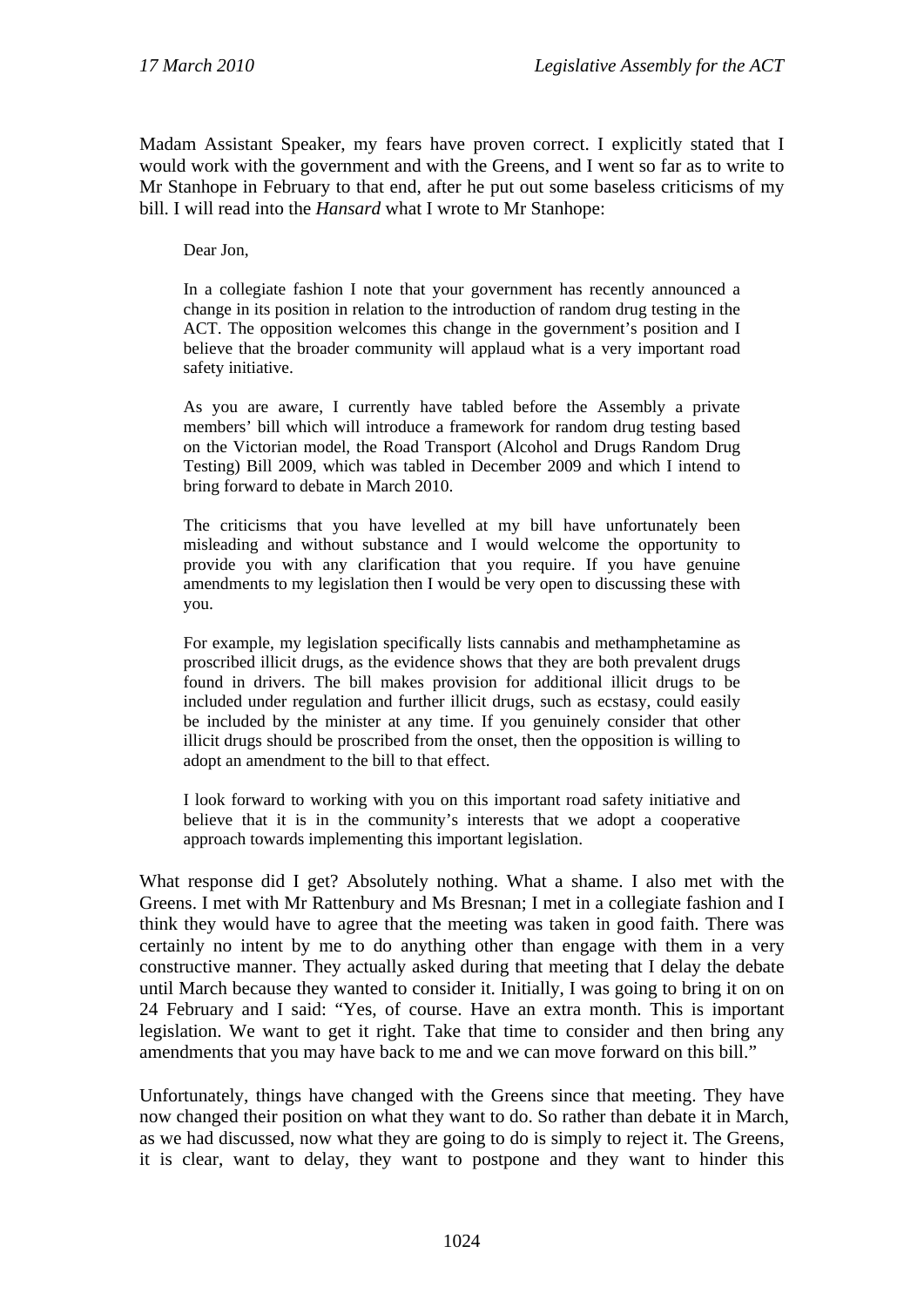Madam Assistant Speaker, my fears have proven correct. I explicitly stated that I would work with the government and with the Greens, and I went so far as to write to Mr Stanhope in February to that end, after he put out some baseless criticisms of my bill. I will read into the *Hansard* what I wrote to Mr Stanhope:

Dear Jon,

In a collegiate fashion I note that your government has recently announced a change in its position in relation to the introduction of random drug testing in the ACT. The opposition welcomes this change in the government's position and I believe that the broader community will applaud what is a very important road safety initiative.

As you are aware, I currently have tabled before the Assembly a private members' bill which will introduce a framework for random drug testing based on the Victorian model, the Road Transport (Alcohol and Drugs Random Drug Testing) Bill 2009, which was tabled in December 2009 and which I intend to bring forward to debate in March 2010.

The criticisms that you have levelled at my bill have unfortunately been misleading and without substance and I would welcome the opportunity to provide you with any clarification that you require. If you have genuine amendments to my legislation then I would be very open to discussing these with you.

For example, my legislation specifically lists cannabis and methamphetamine as proscribed illicit drugs, as the evidence shows that they are both prevalent drugs found in drivers. The bill makes provision for additional illicit drugs to be included under regulation and further illicit drugs, such as ecstasy, could easily be included by the minister at any time. If you genuinely consider that other illicit drugs should be proscribed from the onset, then the opposition is willing to adopt an amendment to the bill to that effect.

I look forward to working with you on this important road safety initiative and believe that it is in the community's interests that we adopt a cooperative approach towards implementing this important legislation.

What response did I get? Absolutely nothing. What a shame. I also met with the Greens. I met with Mr Rattenbury and Ms Bresnan; I met in a collegiate fashion and I think they would have to agree that the meeting was taken in good faith. There was certainly no intent by me to do anything other than engage with them in a very constructive manner. They actually asked during that meeting that I delay the debate until March because they wanted to consider it. Initially, I was going to bring it on on 24 February and I said: "Yes, of course. Have an extra month. This is important legislation. We want to get it right. Take that time to consider and then bring any amendments that you may have back to me and we can move forward on this bill."

Unfortunately, things have changed with the Greens since that meeting. They have now changed their position on what they want to do. So rather than debate it in March, as we had discussed, now what they are going to do is simply to reject it. The Greens, it is clear, want to delay, they want to postpone and they want to hinder this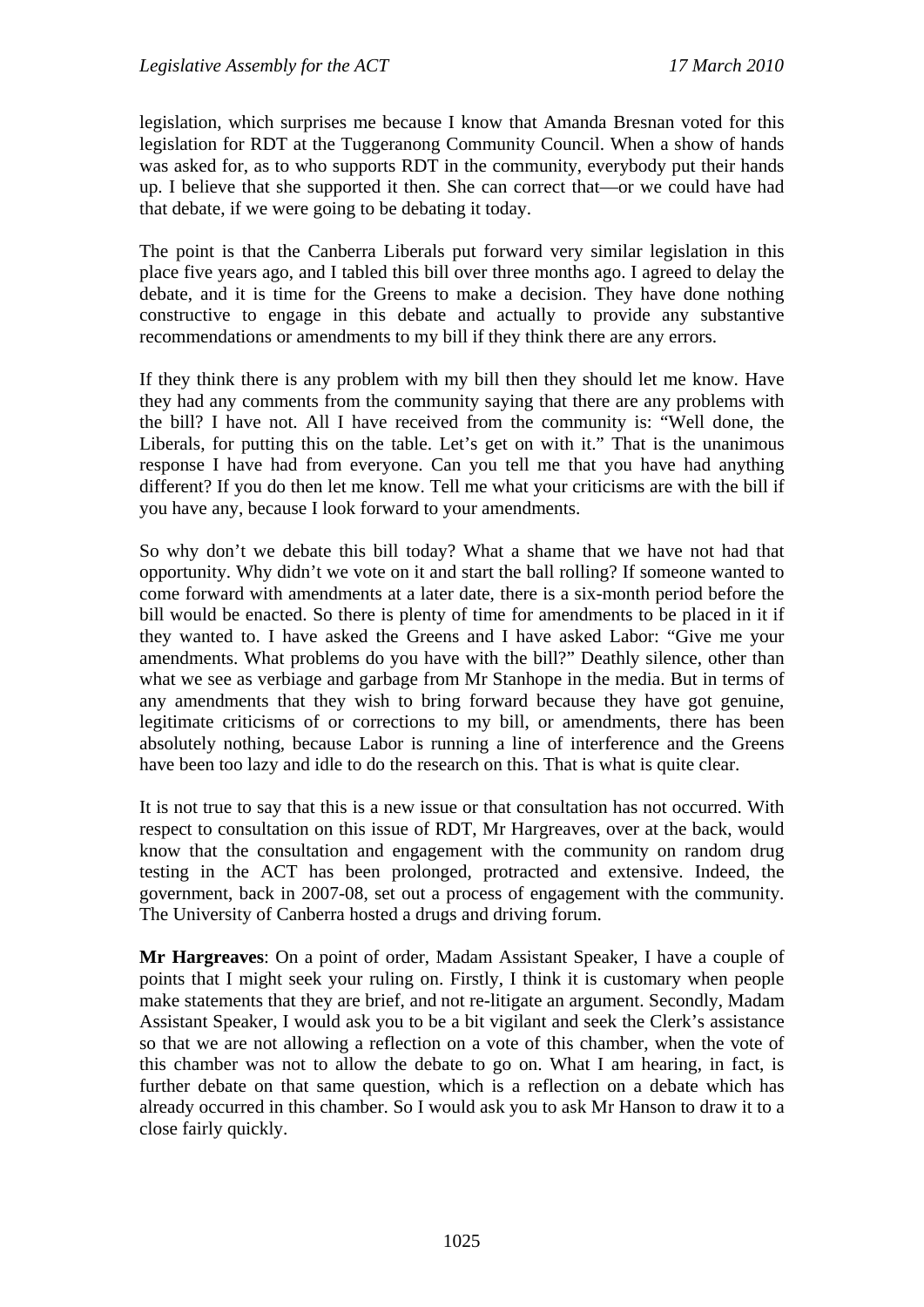legislation, which surprises me because I know that Amanda Bresnan voted for this legislation for RDT at the Tuggeranong Community Council. When a show of hands was asked for, as to who supports RDT in the community, everybody put their hands up. I believe that she supported it then. She can correct that—or we could have had that debate, if we were going to be debating it today.

The point is that the Canberra Liberals put forward very similar legislation in this place five years ago, and I tabled this bill over three months ago. I agreed to delay the debate, and it is time for the Greens to make a decision. They have done nothing constructive to engage in this debate and actually to provide any substantive recommendations or amendments to my bill if they think there are any errors.

If they think there is any problem with my bill then they should let me know. Have they had any comments from the community saying that there are any problems with the bill? I have not. All I have received from the community is: "Well done, the Liberals, for putting this on the table. Let's get on with it." That is the unanimous response I have had from everyone. Can you tell me that you have had anything different? If you do then let me know. Tell me what your criticisms are with the bill if you have any, because I look forward to your amendments.

So why don't we debate this bill today? What a shame that we have not had that opportunity. Why didn't we vote on it and start the ball rolling? If someone wanted to come forward with amendments at a later date, there is a six-month period before the bill would be enacted. So there is plenty of time for amendments to be placed in it if they wanted to. I have asked the Greens and I have asked Labor: "Give me your amendments. What problems do you have with the bill?" Deathly silence, other than what we see as verbiage and garbage from Mr Stanhope in the media. But in terms of any amendments that they wish to bring forward because they have got genuine, legitimate criticisms of or corrections to my bill, or amendments, there has been absolutely nothing, because Labor is running a line of interference and the Greens have been too lazy and idle to do the research on this. That is what is quite clear.

It is not true to say that this is a new issue or that consultation has not occurred. With respect to consultation on this issue of RDT, Mr Hargreaves, over at the back, would know that the consultation and engagement with the community on random drug testing in the ACT has been prolonged, protracted and extensive. Indeed, the government, back in 2007-08, set out a process of engagement with the community. The University of Canberra hosted a drugs and driving forum.

**Mr Hargreaves**: On a point of order, Madam Assistant Speaker, I have a couple of points that I might seek your ruling on. Firstly, I think it is customary when people make statements that they are brief, and not re-litigate an argument. Secondly, Madam Assistant Speaker, I would ask you to be a bit vigilant and seek the Clerk's assistance so that we are not allowing a reflection on a vote of this chamber, when the vote of this chamber was not to allow the debate to go on. What I am hearing, in fact, is further debate on that same question, which is a reflection on a debate which has already occurred in this chamber. So I would ask you to ask Mr Hanson to draw it to a close fairly quickly.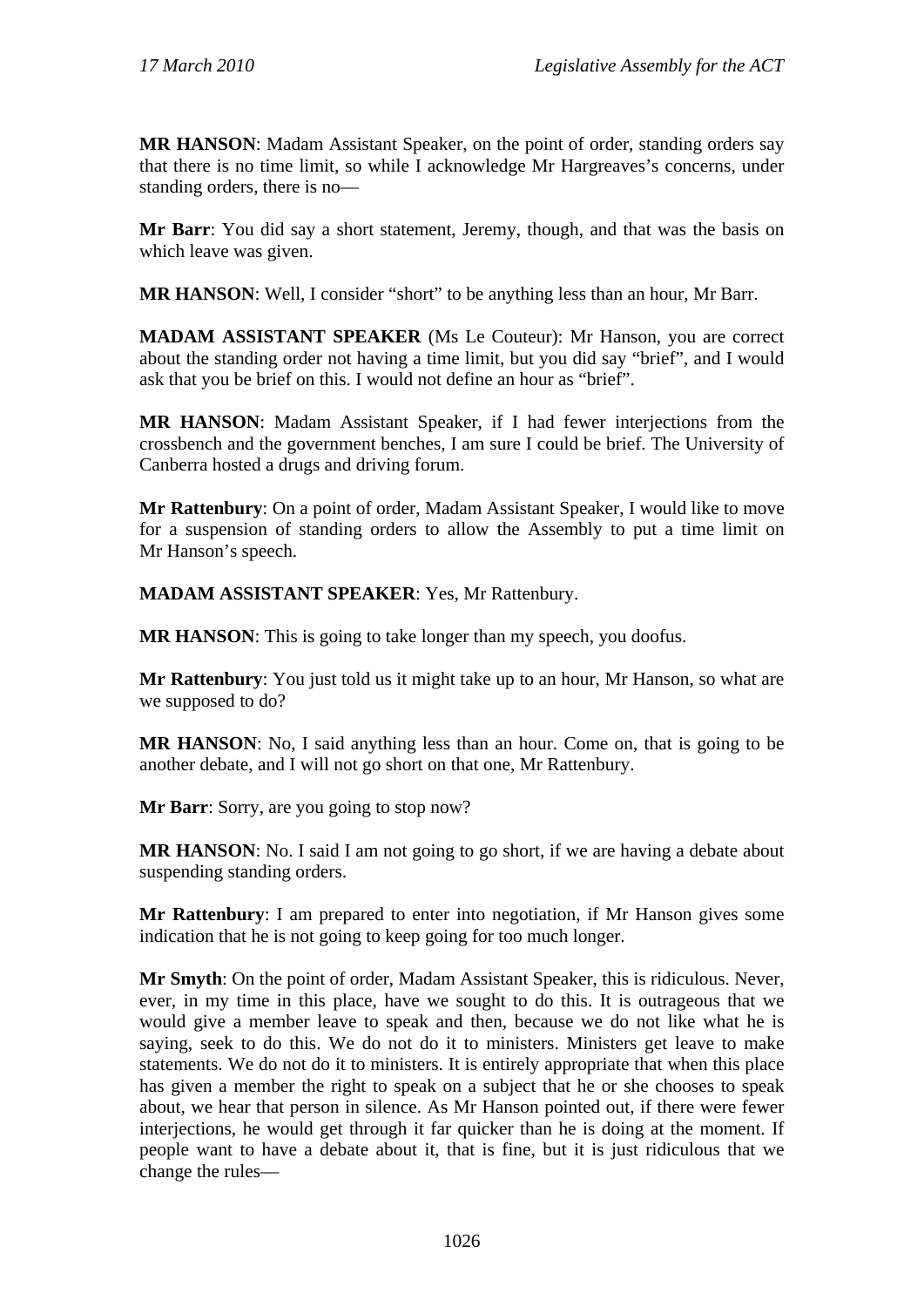**MR HANSON**: Madam Assistant Speaker, on the point of order, standing orders say that there is no time limit, so while I acknowledge Mr Hargreaves's concerns, under standing orders, there is no—

**Mr Barr**: You did say a short statement, Jeremy, though, and that was the basis on which leave was given.

**MR HANSON**: Well, I consider "short" to be anything less than an hour, Mr Barr.

**MADAM ASSISTANT SPEAKER** (Ms Le Couteur): Mr Hanson, you are correct about the standing order not having a time limit, but you did say "brief", and I would ask that you be brief on this. I would not define an hour as "brief".

**MR HANSON**: Madam Assistant Speaker, if I had fewer interjections from the crossbench and the government benches, I am sure I could be brief. The University of Canberra hosted a drugs and driving forum.

**Mr Rattenbury**: On a point of order, Madam Assistant Speaker, I would like to move for a suspension of standing orders to allow the Assembly to put a time limit on Mr Hanson's speech.

**MADAM ASSISTANT SPEAKER**: Yes, Mr Rattenbury.

**MR HANSON**: This is going to take longer than my speech, you doofus.

**Mr Rattenbury**: You just told us it might take up to an hour, Mr Hanson, so what are we supposed to do?

**MR HANSON:** No, I said anything less than an hour. Come on, that is going to be another debate, and I will not go short on that one, Mr Rattenbury.

**Mr Barr**: Sorry, are you going to stop now?

**MR HANSON:** No. I said I am not going to go short, if we are having a debate about suspending standing orders.

**Mr Rattenbury**: I am prepared to enter into negotiation, if Mr Hanson gives some indication that he is not going to keep going for too much longer.

**Mr Smyth**: On the point of order, Madam Assistant Speaker, this is ridiculous. Never, ever, in my time in this place, have we sought to do this. It is outrageous that we would give a member leave to speak and then, because we do not like what he is saying, seek to do this. We do not do it to ministers. Ministers get leave to make statements. We do not do it to ministers. It is entirely appropriate that when this place has given a member the right to speak on a subject that he or she chooses to speak about, we hear that person in silence. As Mr Hanson pointed out, if there were fewer interjections, he would get through it far quicker than he is doing at the moment. If people want to have a debate about it, that is fine, but it is just ridiculous that we change the rules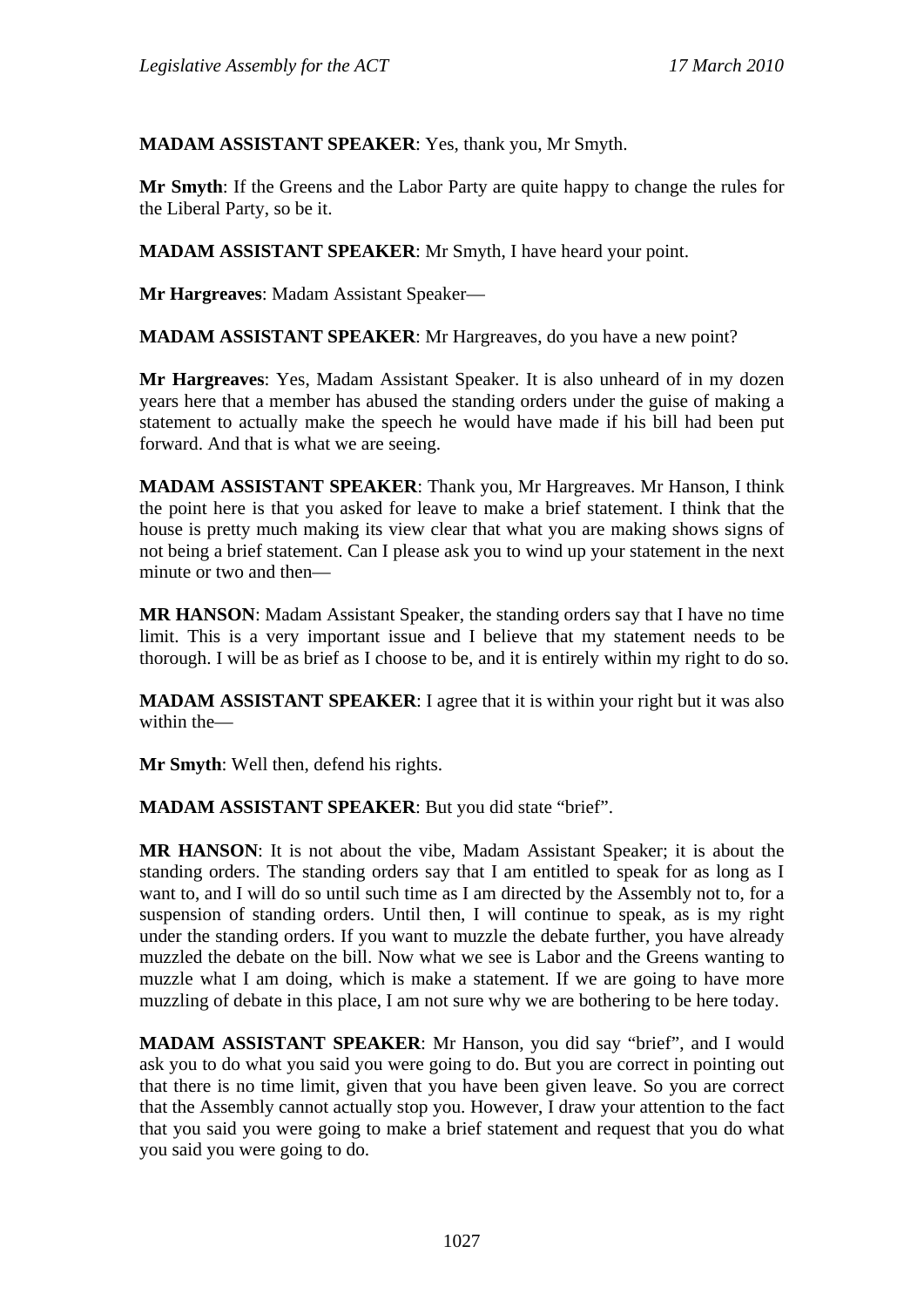**MADAM ASSISTANT SPEAKER**: Yes, thank you, Mr Smyth.

**Mr Smyth**: If the Greens and the Labor Party are quite happy to change the rules for the Liberal Party, so be it.

**MADAM ASSISTANT SPEAKER**: Mr Smyth, I have heard your point.

**Mr Hargreaves**: Madam Assistant Speaker—

**MADAM ASSISTANT SPEAKER**: Mr Hargreaves, do you have a new point?

**Mr Hargreaves**: Yes, Madam Assistant Speaker. It is also unheard of in my dozen years here that a member has abused the standing orders under the guise of making a statement to actually make the speech he would have made if his bill had been put forward. And that is what we are seeing.

**MADAM ASSISTANT SPEAKER**: Thank you, Mr Hargreaves. Mr Hanson, I think the point here is that you asked for leave to make a brief statement. I think that the house is pretty much making its view clear that what you are making shows signs of not being a brief statement. Can I please ask you to wind up your statement in the next minute or two and then—

**MR HANSON**: Madam Assistant Speaker, the standing orders say that I have no time limit. This is a very important issue and I believe that my statement needs to be thorough. I will be as brief as I choose to be, and it is entirely within my right to do so.

**MADAM ASSISTANT SPEAKER:** I agree that it is within your right but it was also within the—

**Mr Smyth**: Well then, defend his rights.

**MADAM ASSISTANT SPEAKER**: But you did state "brief".

**MR HANSON**: It is not about the vibe, Madam Assistant Speaker; it is about the standing orders. The standing orders say that I am entitled to speak for as long as I want to, and I will do so until such time as I am directed by the Assembly not to, for a suspension of standing orders. Until then, I will continue to speak, as is my right under the standing orders. If you want to muzzle the debate further, you have already muzzled the debate on the bill. Now what we see is Labor and the Greens wanting to muzzle what I am doing, which is make a statement. If we are going to have more muzzling of debate in this place, I am not sure why we are bothering to be here today.

**MADAM ASSISTANT SPEAKER**: Mr Hanson, you did say "brief", and I would ask you to do what you said you were going to do. But you are correct in pointing out that there is no time limit, given that you have been given leave. So you are correct that the Assembly cannot actually stop you. However, I draw your attention to the fact that you said you were going to make a brief statement and request that you do what you said you were going to do.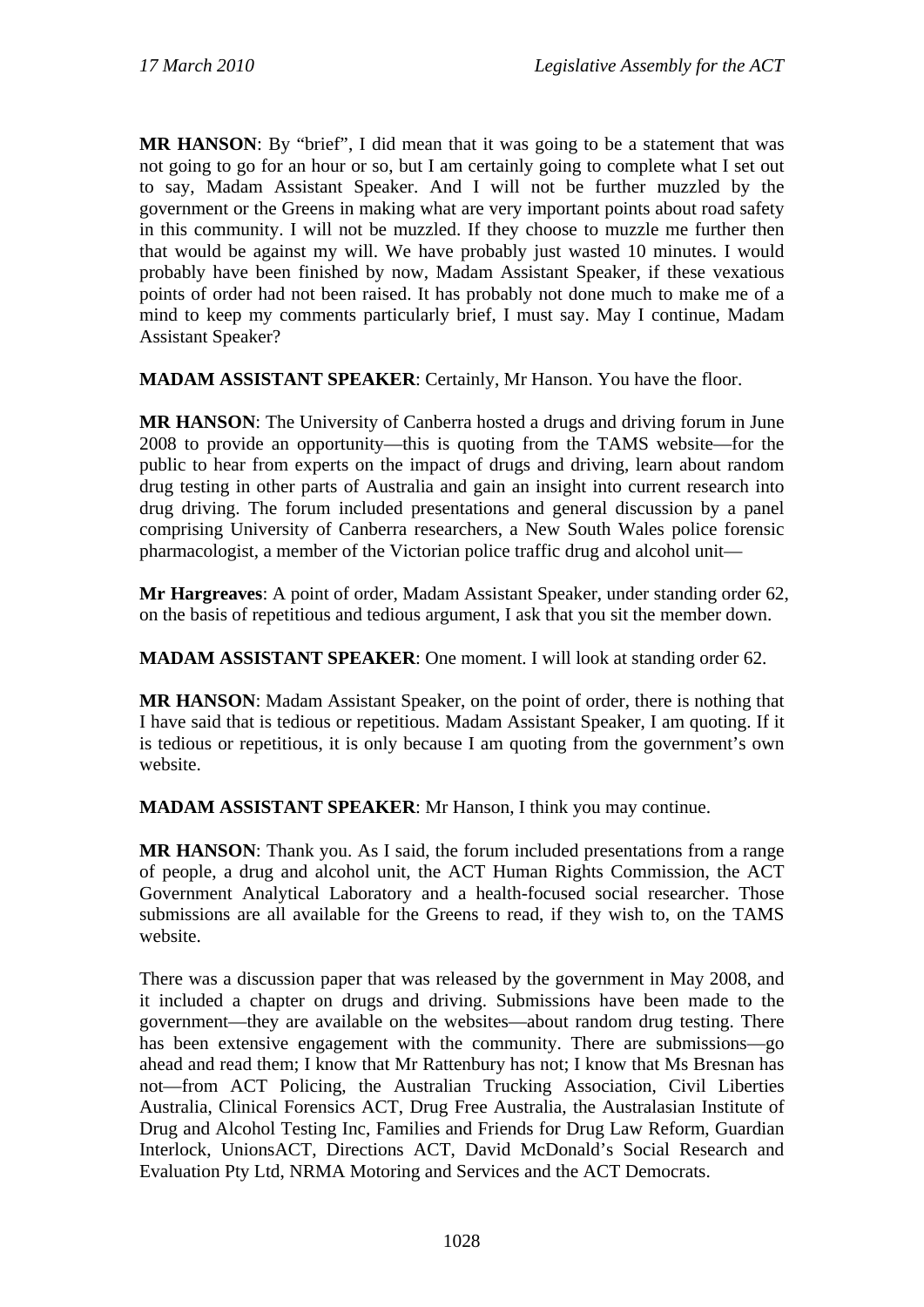**MR HANSON**: By "brief", I did mean that it was going to be a statement that was not going to go for an hour or so, but I am certainly going to complete what I set out to say, Madam Assistant Speaker. And I will not be further muzzled by the government or the Greens in making what are very important points about road safety in this community. I will not be muzzled. If they choose to muzzle me further then that would be against my will. We have probably just wasted 10 minutes. I would probably have been finished by now, Madam Assistant Speaker, if these vexatious points of order had not been raised. It has probably not done much to make me of a mind to keep my comments particularly brief, I must say. May I continue, Madam Assistant Speaker?

**MADAM ASSISTANT SPEAKER**: Certainly, Mr Hanson. You have the floor.

**MR HANSON**: The University of Canberra hosted a drugs and driving forum in June 2008 to provide an opportunity—this is quoting from the TAMS website—for the public to hear from experts on the impact of drugs and driving, learn about random drug testing in other parts of Australia and gain an insight into current research into drug driving. The forum included presentations and general discussion by a panel comprising University of Canberra researchers, a New South Wales police forensic pharmacologist, a member of the Victorian police traffic drug and alcohol unit—

**Mr Hargreaves**: A point of order, Madam Assistant Speaker, under standing order 62, on the basis of repetitious and tedious argument, I ask that you sit the member down.

**MADAM ASSISTANT SPEAKER**: One moment. I will look at standing order 62.

**MR HANSON**: Madam Assistant Speaker, on the point of order, there is nothing that I have said that is tedious or repetitious. Madam Assistant Speaker, I am quoting. If it is tedious or repetitious, it is only because I am quoting from the government's own website.

**MADAM ASSISTANT SPEAKER**: Mr Hanson, I think you may continue.

**MR HANSON**: Thank you. As I said, the forum included presentations from a range of people, a drug and alcohol unit, the ACT Human Rights Commission, the ACT Government Analytical Laboratory and a health-focused social researcher. Those submissions are all available for the Greens to read, if they wish to, on the TAMS website.

There was a discussion paper that was released by the government in May 2008, and it included a chapter on drugs and driving. Submissions have been made to the government—they are available on the websites—about random drug testing. There has been extensive engagement with the community. There are submissions—go ahead and read them; I know that Mr Rattenbury has not; I know that Ms Bresnan has not—from ACT Policing, the Australian Trucking Association, Civil Liberties Australia, Clinical Forensics ACT, Drug Free Australia, the Australasian Institute of Drug and Alcohol Testing Inc, Families and Friends for Drug Law Reform, Guardian Interlock, UnionsACT, Directions ACT, David McDonald's Social Research and Evaluation Pty Ltd, NRMA Motoring and Services and the ACT Democrats.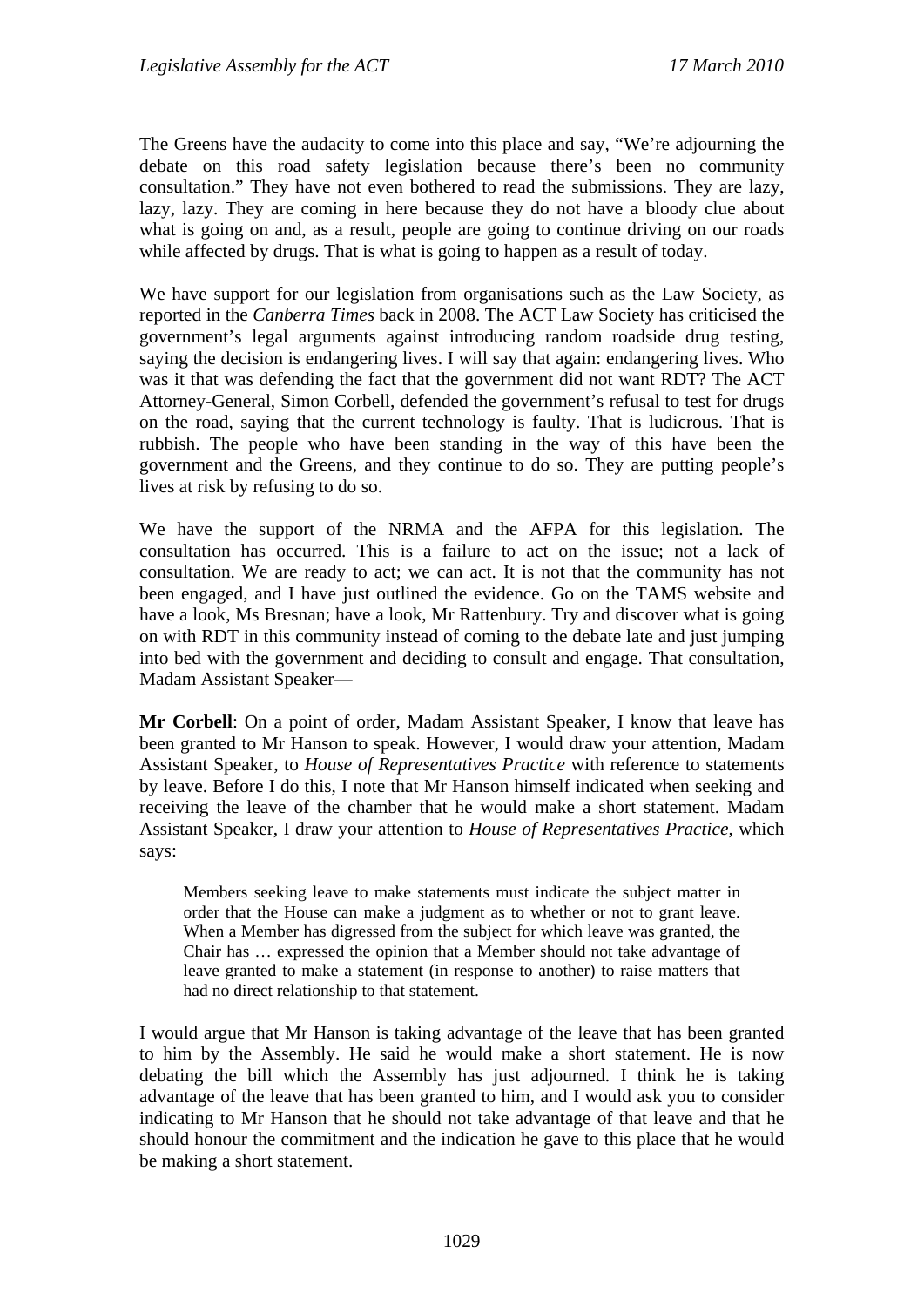The Greens have the audacity to come into this place and say, "We're adjourning the debate on this road safety legislation because there's been no community consultation." They have not even bothered to read the submissions. They are lazy, lazy, lazy. They are coming in here because they do not have a bloody clue about what is going on and, as a result, people are going to continue driving on our roads while affected by drugs. That is what is going to happen as a result of today.

We have support for our legislation from organisations such as the Law Society, as reported in the *Canberra Times* back in 2008. The ACT Law Society has criticised the government's legal arguments against introducing random roadside drug testing, saying the decision is endangering lives. I will say that again: endangering lives. Who was it that was defending the fact that the government did not want RDT? The ACT Attorney-General, Simon Corbell, defended the government's refusal to test for drugs on the road, saying that the current technology is faulty. That is ludicrous. That is rubbish. The people who have been standing in the way of this have been the government and the Greens, and they continue to do so. They are putting people's lives at risk by refusing to do so.

We have the support of the NRMA and the AFPA for this legislation. The consultation has occurred. This is a failure to act on the issue; not a lack of consultation. We are ready to act; we can act. It is not that the community has not been engaged, and I have just outlined the evidence. Go on the TAMS website and have a look, Ms Bresnan; have a look, Mr Rattenbury. Try and discover what is going on with RDT in this community instead of coming to the debate late and just jumping into bed with the government and deciding to consult and engage. That consultation, Madam Assistant Speaker—

**Mr Corbell**: On a point of order, Madam Assistant Speaker, I know that leave has been granted to Mr Hanson to speak. However, I would draw your attention, Madam Assistant Speaker, to *House of Representatives Practice* with reference to statements by leave. Before I do this, I note that Mr Hanson himself indicated when seeking and receiving the leave of the chamber that he would make a short statement. Madam Assistant Speaker, I draw your attention to *House of Representatives Practice*, which says:

Members seeking leave to make statements must indicate the subject matter in order that the House can make a judgment as to whether or not to grant leave. When a Member has digressed from the subject for which leave was granted, the Chair has … expressed the opinion that a Member should not take advantage of leave granted to make a statement (in response to another) to raise matters that had no direct relationship to that statement.

I would argue that Mr Hanson is taking advantage of the leave that has been granted to him by the Assembly. He said he would make a short statement. He is now debating the bill which the Assembly has just adjourned. I think he is taking advantage of the leave that has been granted to him, and I would ask you to consider indicating to Mr Hanson that he should not take advantage of that leave and that he should honour the commitment and the indication he gave to this place that he would be making a short statement.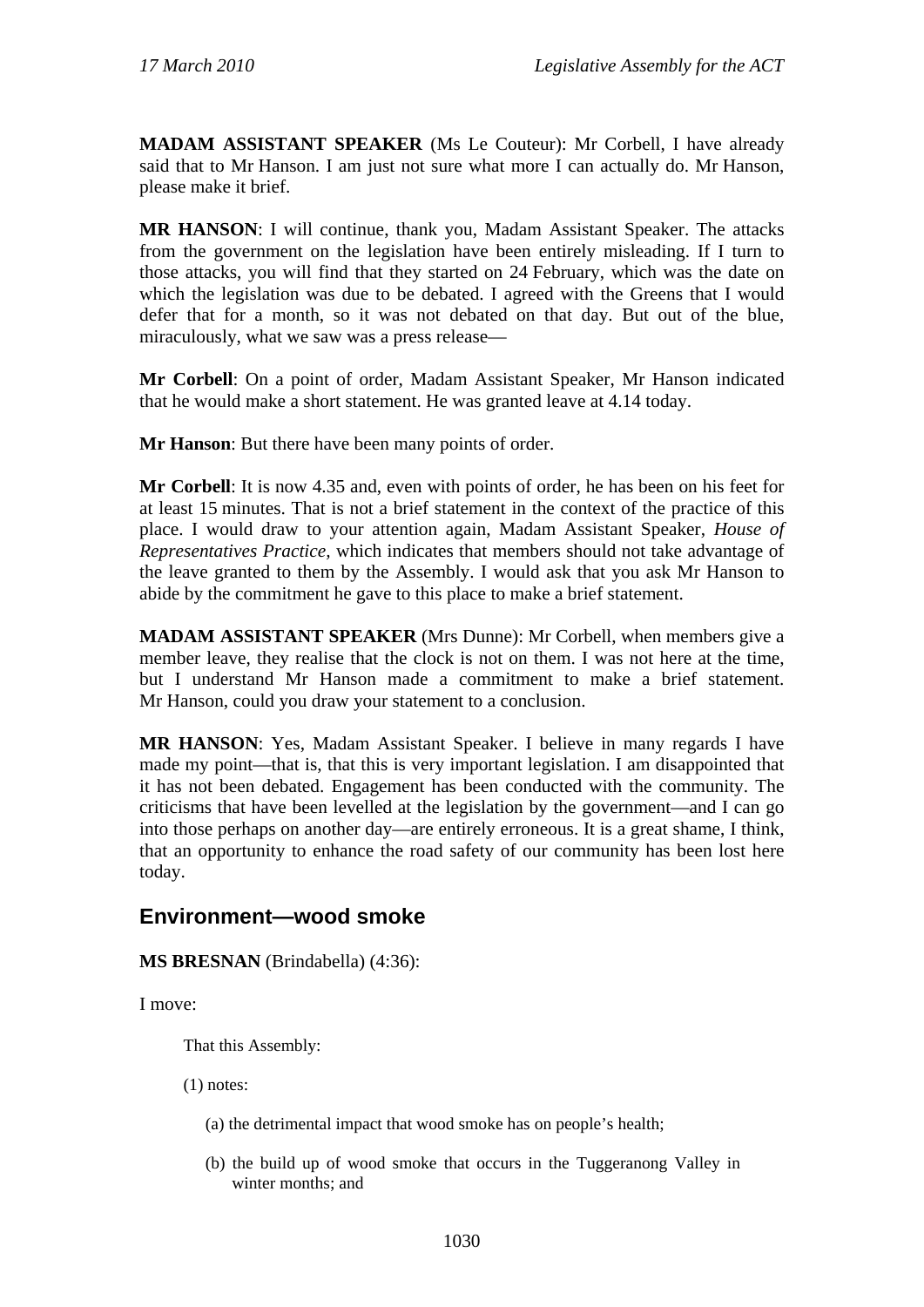**MADAM ASSISTANT SPEAKER** (Ms Le Couteur): Mr Corbell, I have already said that to Mr Hanson. I am just not sure what more I can actually do. Mr Hanson, please make it brief.

**MR HANSON**: I will continue, thank you, Madam Assistant Speaker. The attacks from the government on the legislation have been entirely misleading. If I turn to those attacks, you will find that they started on 24 February, which was the date on which the legislation was due to be debated. I agreed with the Greens that I would defer that for a month, so it was not debated on that day. But out of the blue, miraculously, what we saw was a press release—

**Mr Corbell**: On a point of order, Madam Assistant Speaker, Mr Hanson indicated that he would make a short statement. He was granted leave at 4.14 today.

**Mr Hanson**: But there have been many points of order.

**Mr Corbell**: It is now 4.35 and, even with points of order, he has been on his feet for at least 15 minutes. That is not a brief statement in the context of the practice of this place. I would draw to your attention again, Madam Assistant Speaker, *House of Representatives Practice,* which indicates that members should not take advantage of the leave granted to them by the Assembly. I would ask that you ask Mr Hanson to abide by the commitment he gave to this place to make a brief statement.

**MADAM ASSISTANT SPEAKER** (Mrs Dunne): Mr Corbell, when members give a member leave, they realise that the clock is not on them. I was not here at the time, but I understand Mr Hanson made a commitment to make a brief statement. Mr Hanson, could you draw your statement to a conclusion.

**MR HANSON**: Yes, Madam Assistant Speaker. I believe in many regards I have made my point—that is, that this is very important legislation. I am disappointed that it has not been debated. Engagement has been conducted with the community. The criticisms that have been levelled at the legislation by the government—and I can go into those perhaps on another day—are entirely erroneous. It is a great shame, I think, that an opportunity to enhance the road safety of our community has been lost here today.

## **Environment—wood smoke**

**MS BRESNAN** (Brindabella) (4:36):

I move:

That this Assembly:

- (1) notes:
	- (a) the detrimental impact that wood smoke has on people's health;
	- (b) the build up of wood smoke that occurs in the Tuggeranong Valley in winter months; and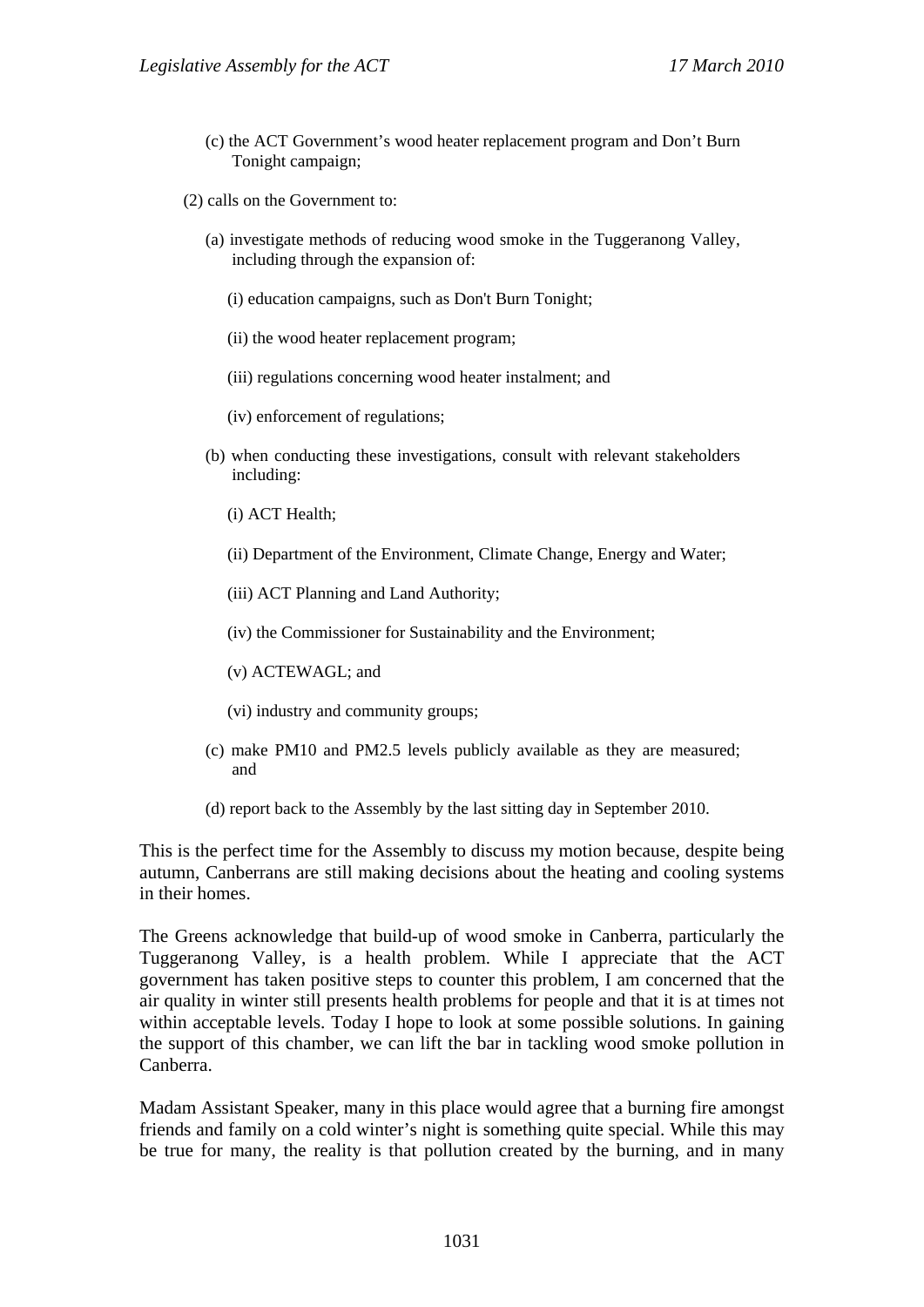(c) the ACT Government's wood heater replacement program and Don't Burn Tonight campaign;

(2) calls on the Government to:

- (a) investigate methods of reducing wood smoke in the Tuggeranong Valley, including through the expansion of:
	- (i) education campaigns, such as Don't Burn Tonight;
	- (ii) the wood heater replacement program;
	- (iii) regulations concerning wood heater instalment; and
	- (iv) enforcement of regulations;
- (b) when conducting these investigations, consult with relevant stakeholders including:
	- (i) ACT Health;
	- (ii) Department of the Environment, Climate Change, Energy and Water;
	- (iii) ACT Planning and Land Authority;
	- (iv) the Commissioner for Sustainability and the Environment;
	- (v) ACTEWAGL; and
	- (vi) industry and community groups;
- (c) make PM10 and PM2.5 levels publicly available as they are measured; and
- (d) report back to the Assembly by the last sitting day in September 2010.

This is the perfect time for the Assembly to discuss my motion because, despite being autumn, Canberrans are still making decisions about the heating and cooling systems in their homes.

The Greens acknowledge that build-up of wood smoke in Canberra, particularly the Tuggeranong Valley, is a health problem. While I appreciate that the ACT government has taken positive steps to counter this problem, I am concerned that the air quality in winter still presents health problems for people and that it is at times not within acceptable levels. Today I hope to look at some possible solutions. In gaining the support of this chamber, we can lift the bar in tackling wood smoke pollution in Canberra.

Madam Assistant Speaker, many in this place would agree that a burning fire amongst friends and family on a cold winter's night is something quite special. While this may be true for many, the reality is that pollution created by the burning, and in many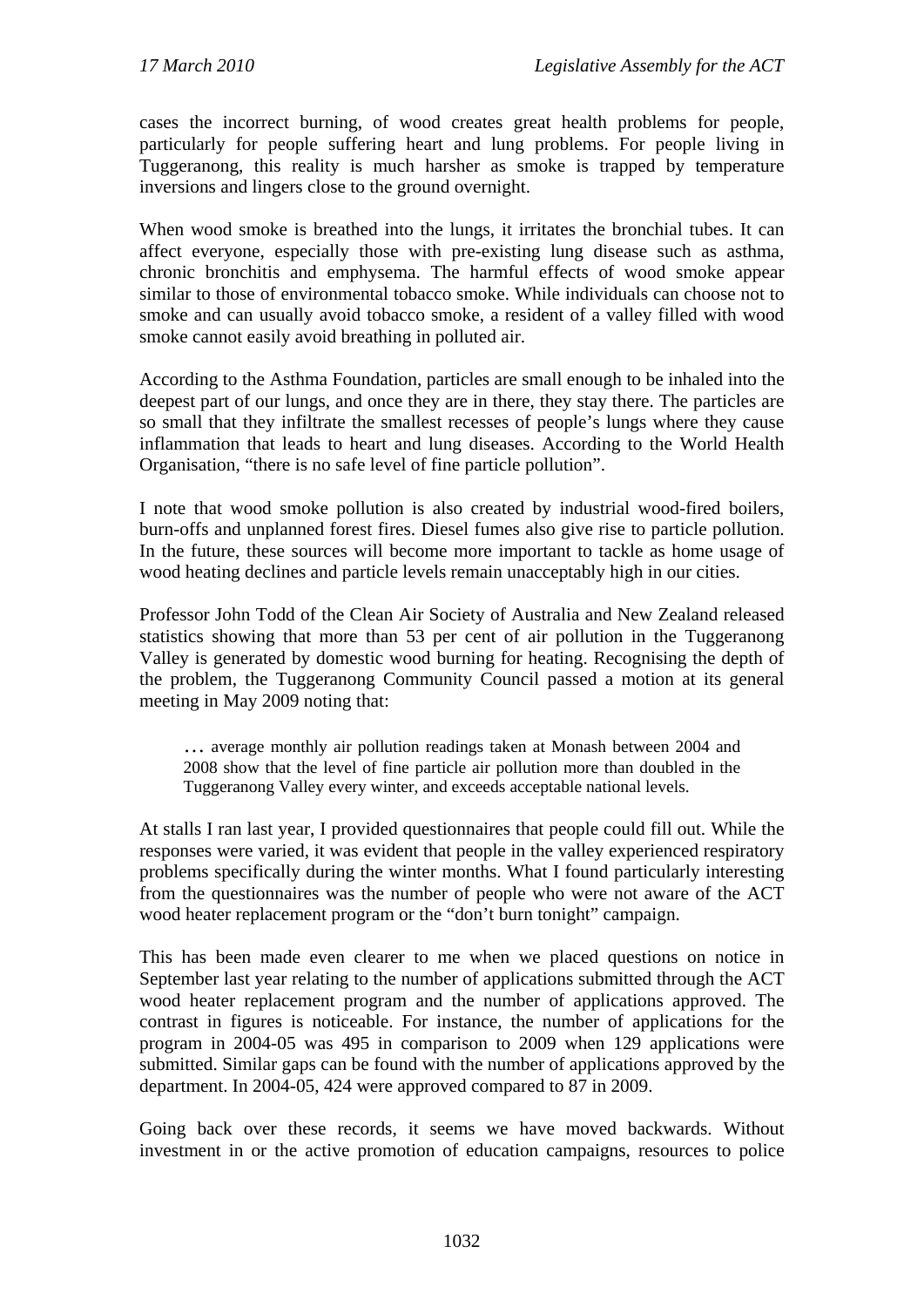cases the incorrect burning, of wood creates great health problems for people, particularly for people suffering heart and lung problems. For people living in Tuggeranong, this reality is much harsher as smoke is trapped by temperature inversions and lingers close to the ground overnight.

When wood smoke is breathed into the lungs, it irritates the bronchial tubes. It can affect everyone, especially those with pre-existing lung disease such as asthma, chronic bronchitis and emphysema. The harmful effects of wood smoke appear similar to those of environmental tobacco smoke. While individuals can choose not to smoke and can usually avoid tobacco smoke, a resident of a valley filled with wood smoke cannot easily avoid breathing in polluted air.

According to the Asthma Foundation, particles are small enough to be inhaled into the deepest part of our lungs, and once they are in there, they stay there. The particles are so small that they infiltrate the smallest recesses of people's lungs where they cause inflammation that leads to heart and lung diseases. According to the World Health Organisation, "there is no safe level of fine particle pollution".

I note that wood smoke pollution is also created by industrial wood-fired boilers, burn-offs and unplanned forest fires. Diesel fumes also give rise to particle pollution. In the future, these sources will become more important to tackle as home usage of wood heating declines and particle levels remain unacceptably high in our cities.

Professor John Todd of the Clean Air Society of Australia and New Zealand released statistics showing that more than 53 per cent of air pollution in the Tuggeranong Valley is generated by domestic wood burning for heating. Recognising the depth of the problem, the Tuggeranong Community Council passed a motion at its general meeting in May 2009 noting that:

… average monthly air pollution readings taken at Monash between 2004 and 2008 show that the level of fine particle air pollution more than doubled in the Tuggeranong Valley every winter, and exceeds acceptable national levels.

At stalls I ran last year, I provided questionnaires that people could fill out. While the responses were varied, it was evident that people in the valley experienced respiratory problems specifically during the winter months. What I found particularly interesting from the questionnaires was the number of people who were not aware of the ACT wood heater replacement program or the "don't burn tonight" campaign.

This has been made even clearer to me when we placed questions on notice in September last year relating to the number of applications submitted through the ACT wood heater replacement program and the number of applications approved. The contrast in figures is noticeable. For instance, the number of applications for the program in 2004-05 was 495 in comparison to 2009 when 129 applications were submitted. Similar gaps can be found with the number of applications approved by the department. In 2004-05, 424 were approved compared to 87 in 2009.

Going back over these records, it seems we have moved backwards. Without investment in or the active promotion of education campaigns, resources to police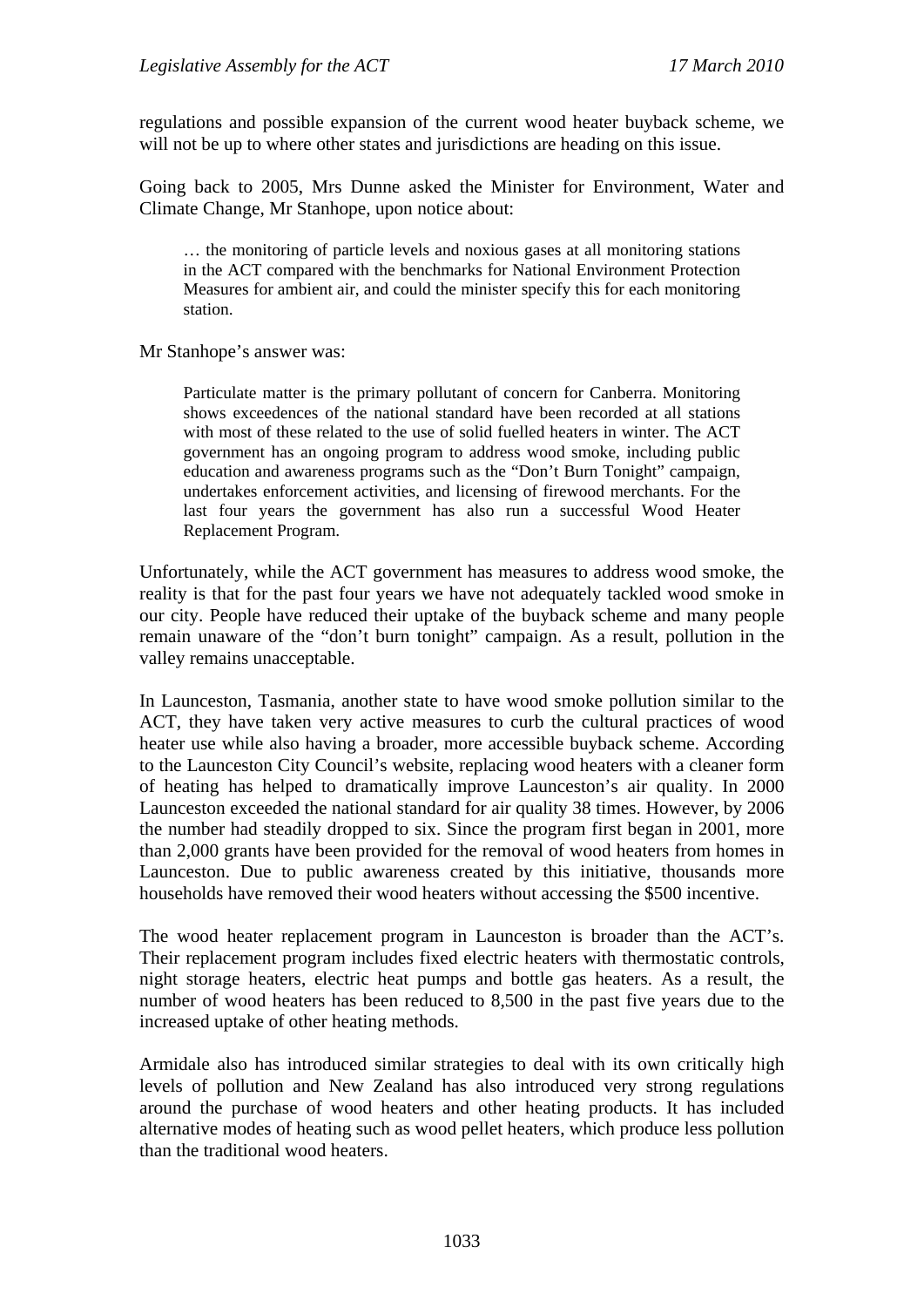regulations and possible expansion of the current wood heater buyback scheme, we will not be up to where other states and jurisdictions are heading on this issue.

Going back to 2005, Mrs Dunne asked the Minister for Environment, Water and Climate Change, Mr Stanhope, upon notice about:

… the monitoring of particle levels and noxious gases at all monitoring stations in the ACT compared with the benchmarks for National Environment Protection Measures for ambient air, and could the minister specify this for each monitoring station.

Mr Stanhope's answer was:

Particulate matter is the primary pollutant of concern for Canberra. Monitoring shows exceedences of the national standard have been recorded at all stations with most of these related to the use of solid fuelled heaters in winter. The ACT government has an ongoing program to address wood smoke, including public education and awareness programs such as the "Don't Burn Tonight" campaign, undertakes enforcement activities, and licensing of firewood merchants. For the last four years the government has also run a successful Wood Heater Replacement Program.

Unfortunately, while the ACT government has measures to address wood smoke, the reality is that for the past four years we have not adequately tackled wood smoke in our city. People have reduced their uptake of the buyback scheme and many people remain unaware of the "don't burn tonight" campaign. As a result, pollution in the valley remains unacceptable.

In Launceston, Tasmania, another state to have wood smoke pollution similar to the ACT, they have taken very active measures to curb the cultural practices of wood heater use while also having a broader, more accessible buyback scheme. According to the Launceston City Council's website, replacing wood heaters with a cleaner form of heating has helped to dramatically improve Launceston's air quality. In 2000 Launceston exceeded the national standard for air quality 38 times. However, by 2006 the number had steadily dropped to six. Since the program first began in 2001, more than 2,000 grants have been provided for the removal of wood heaters from homes in Launceston. Due to public awareness created by this initiative, thousands more households have removed their wood heaters without accessing the \$500 incentive.

The wood heater replacement program in Launceston is broader than the ACT's. Their replacement program includes fixed electric heaters with thermostatic controls, night storage heaters, electric heat pumps and bottle gas heaters. As a result, the number of wood heaters has been reduced to 8,500 in the past five years due to the increased uptake of other heating methods.

Armidale also has introduced similar strategies to deal with its own critically high levels of pollution and New Zealand has also introduced very strong regulations around the purchase of wood heaters and other heating products. It has included alternative modes of heating such as wood pellet heaters, which produce less pollution than the traditional wood heaters.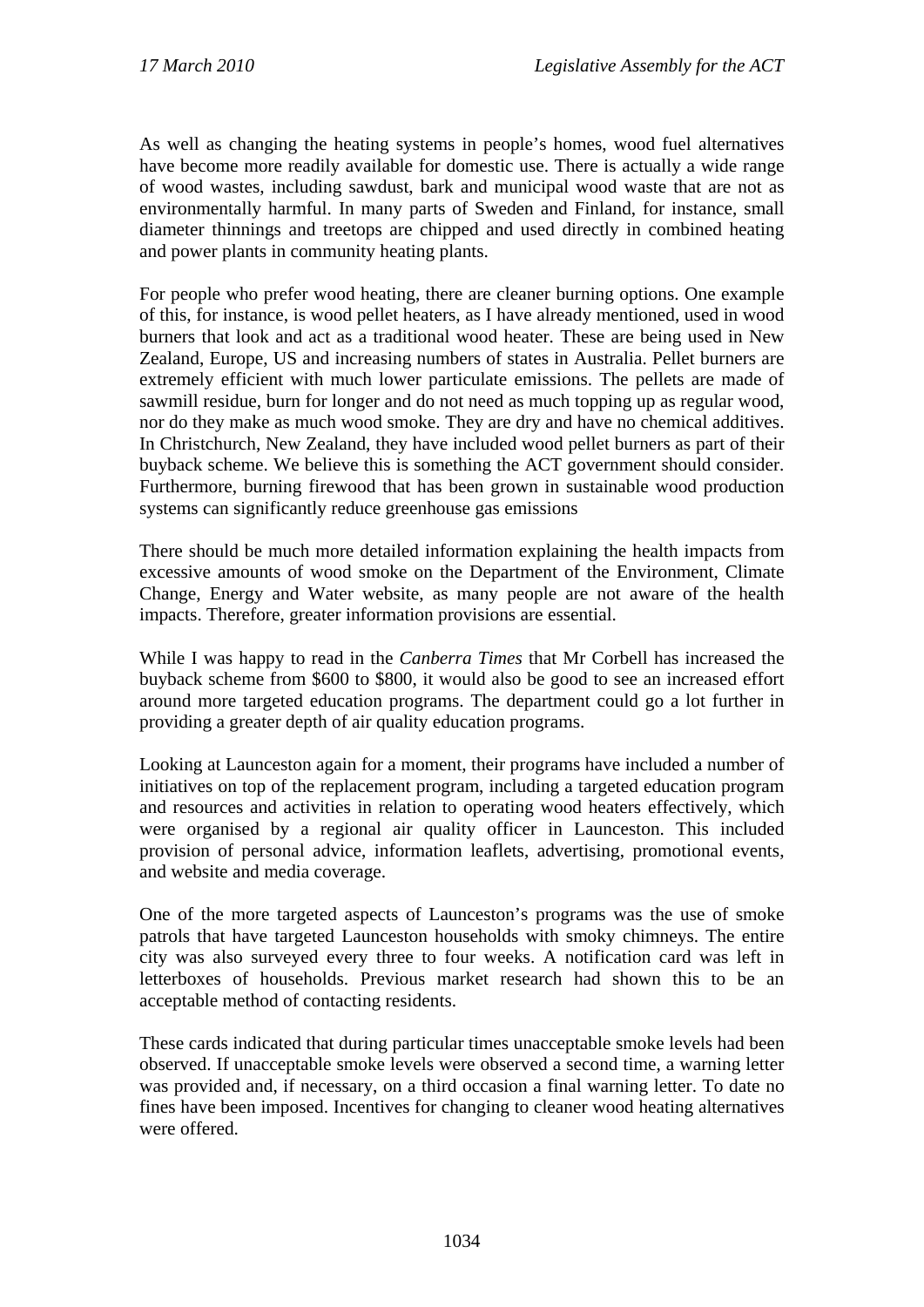As well as changing the heating systems in people's homes, wood fuel alternatives have become more readily available for domestic use. There is actually a wide range of wood wastes, including sawdust, bark and municipal wood waste that are not as environmentally harmful. In many parts of Sweden and Finland, for instance, small diameter thinnings and treetops are chipped and used directly in combined heating and power plants in community heating plants.

For people who prefer wood heating, there are cleaner burning options. One example of this, for instance, is wood pellet heaters, as I have already mentioned, used in wood burners that look and act as a traditional wood heater. These are being used in New Zealand, Europe, US and increasing numbers of states in Australia. Pellet burners are extremely efficient with much lower particulate emissions. The pellets are made of sawmill residue, burn for longer and do not need as much topping up as regular wood, nor do they make as much wood smoke. They are dry and have no chemical additives. In Christchurch, New Zealand, they have included wood pellet burners as part of their buyback scheme. We believe this is something the ACT government should consider. Furthermore, burning firewood that has been grown in sustainable wood production systems can significantly reduce greenhouse gas emissions

There should be much more detailed information explaining the health impacts from excessive amounts of wood smoke on the Department of the Environment, Climate Change, Energy and Water website, as many people are not aware of the health impacts. Therefore, greater information provisions are essential.

While I was happy to read in the *Canberra Times* that Mr Corbell has increased the buyback scheme from \$600 to \$800, it would also be good to see an increased effort around more targeted education programs. The department could go a lot further in providing a greater depth of air quality education programs.

Looking at Launceston again for a moment, their programs have included a number of initiatives on top of the replacement program, including a targeted education program and resources and activities in relation to operating wood heaters effectively, which were organised by a regional air quality officer in Launceston. This included provision of personal advice, information leaflets, advertising, promotional events, and website and media coverage.

One of the more targeted aspects of Launceston's programs was the use of smoke patrols that have targeted Launceston households with smoky chimneys. The entire city was also surveyed every three to four weeks. A notification card was left in letterboxes of households. Previous market research had shown this to be an acceptable method of contacting residents.

These cards indicated that during particular times unacceptable smoke levels had been observed. If unacceptable smoke levels were observed a second time, a warning letter was provided and, if necessary, on a third occasion a final warning letter. To date no fines have been imposed. Incentives for changing to cleaner wood heating alternatives were offered.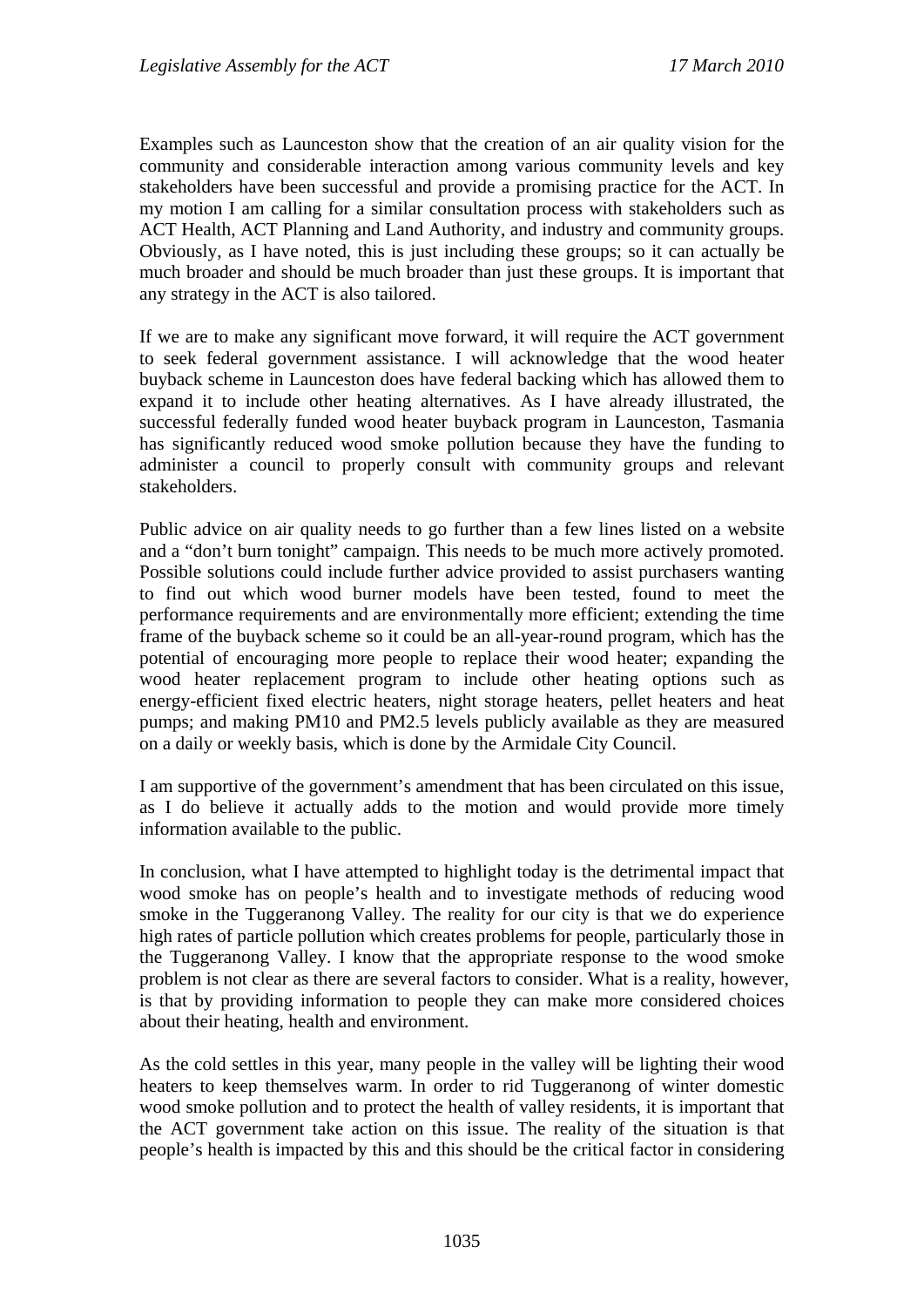Examples such as Launceston show that the creation of an air quality vision for the community and considerable interaction among various community levels and key stakeholders have been successful and provide a promising practice for the ACT. In my motion I am calling for a similar consultation process with stakeholders such as ACT Health, ACT Planning and Land Authority, and industry and community groups. Obviously, as I have noted, this is just including these groups; so it can actually be much broader and should be much broader than just these groups. It is important that any strategy in the ACT is also tailored.

If we are to make any significant move forward, it will require the ACT government to seek federal government assistance. I will acknowledge that the wood heater buyback scheme in Launceston does have federal backing which has allowed them to expand it to include other heating alternatives. As I have already illustrated, the successful federally funded wood heater buyback program in Launceston, Tasmania has significantly reduced wood smoke pollution because they have the funding to administer a council to properly consult with community groups and relevant stakeholders.

Public advice on air quality needs to go further than a few lines listed on a website and a "don't burn tonight" campaign. This needs to be much more actively promoted. Possible solutions could include further advice provided to assist purchasers wanting to find out which wood burner models have been tested, found to meet the performance requirements and are environmentally more efficient; extending the time frame of the buyback scheme so it could be an all-year-round program, which has the potential of encouraging more people to replace their wood heater; expanding the wood heater replacement program to include other heating options such as energy-efficient fixed electric heaters, night storage heaters, pellet heaters and heat pumps; and making PM10 and PM2.5 levels publicly available as they are measured on a daily or weekly basis, which is done by the Armidale City Council.

I am supportive of the government's amendment that has been circulated on this issue, as I do believe it actually adds to the motion and would provide more timely information available to the public.

In conclusion, what I have attempted to highlight today is the detrimental impact that wood smoke has on people's health and to investigate methods of reducing wood smoke in the Tuggeranong Valley. The reality for our city is that we do experience high rates of particle pollution which creates problems for people, particularly those in the Tuggeranong Valley. I know that the appropriate response to the wood smoke problem is not clear as there are several factors to consider. What is a reality, however, is that by providing information to people they can make more considered choices about their heating, health and environment.

As the cold settles in this year, many people in the valley will be lighting their wood heaters to keep themselves warm. In order to rid Tuggeranong of winter domestic wood smoke pollution and to protect the health of valley residents, it is important that the ACT government take action on this issue. The reality of the situation is that people's health is impacted by this and this should be the critical factor in considering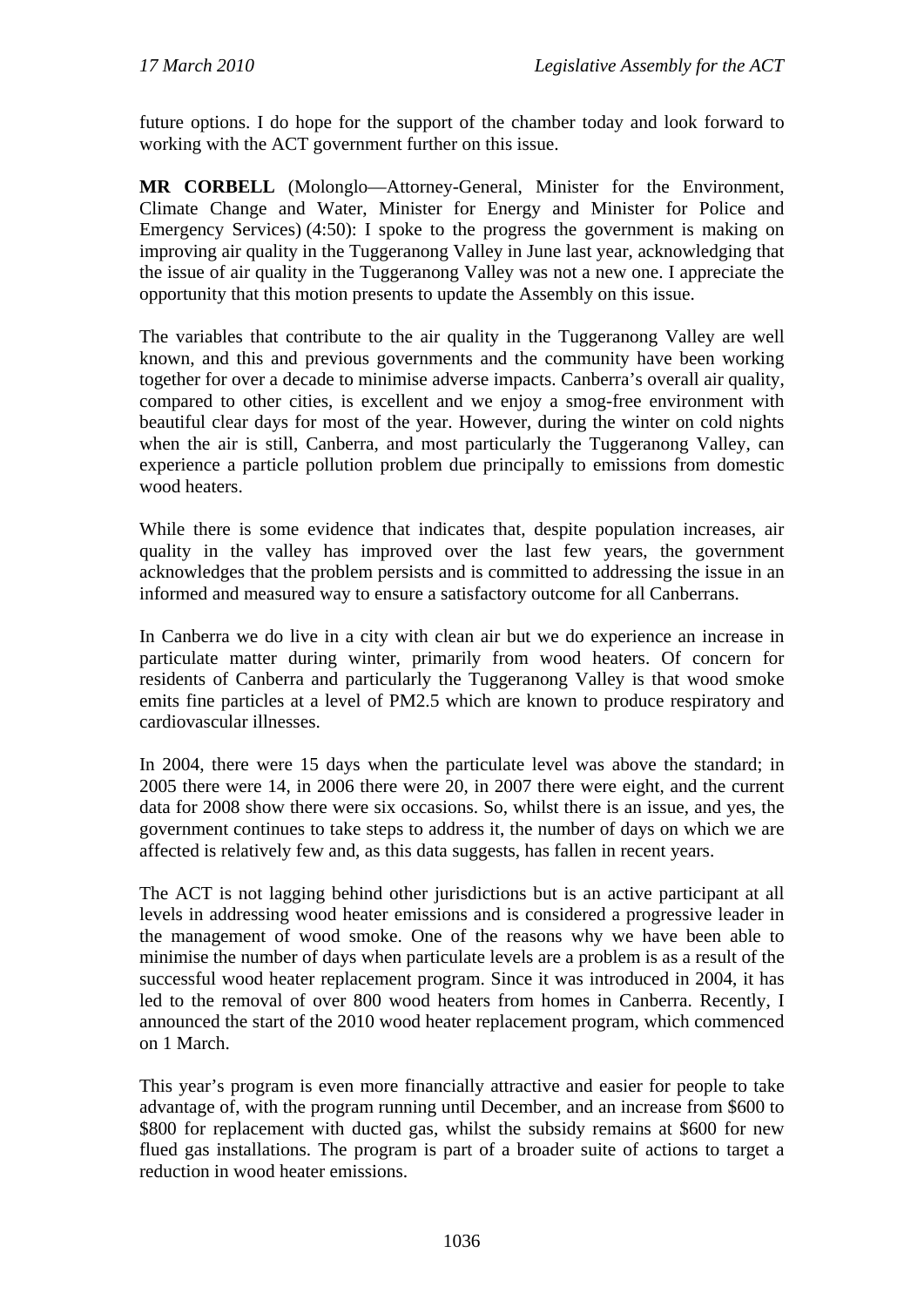future options. I do hope for the support of the chamber today and look forward to working with the ACT government further on this issue.

**MR CORBELL** (Molonglo—Attorney-General, Minister for the Environment, Climate Change and Water, Minister for Energy and Minister for Police and Emergency Services) (4:50): I spoke to the progress the government is making on improving air quality in the Tuggeranong Valley in June last year, acknowledging that the issue of air quality in the Tuggeranong Valley was not a new one. I appreciate the opportunity that this motion presents to update the Assembly on this issue.

The variables that contribute to the air quality in the Tuggeranong Valley are well known, and this and previous governments and the community have been working together for over a decade to minimise adverse impacts. Canberra's overall air quality, compared to other cities, is excellent and we enjoy a smog-free environment with beautiful clear days for most of the year. However, during the winter on cold nights when the air is still, Canberra, and most particularly the Tuggeranong Valley, can experience a particle pollution problem due principally to emissions from domestic wood heaters.

While there is some evidence that indicates that, despite population increases, air quality in the valley has improved over the last few years, the government acknowledges that the problem persists and is committed to addressing the issue in an informed and measured way to ensure a satisfactory outcome for all Canberrans.

In Canberra we do live in a city with clean air but we do experience an increase in particulate matter during winter, primarily from wood heaters. Of concern for residents of Canberra and particularly the Tuggeranong Valley is that wood smoke emits fine particles at a level of PM2.5 which are known to produce respiratory and cardiovascular illnesses.

In 2004, there were 15 days when the particulate level was above the standard; in 2005 there were 14, in 2006 there were 20, in 2007 there were eight, and the current data for 2008 show there were six occasions. So, whilst there is an issue, and yes, the government continues to take steps to address it, the number of days on which we are affected is relatively few and, as this data suggests, has fallen in recent years.

The ACT is not lagging behind other jurisdictions but is an active participant at all levels in addressing wood heater emissions and is considered a progressive leader in the management of wood smoke. One of the reasons why we have been able to minimise the number of days when particulate levels are a problem is as a result of the successful wood heater replacement program. Since it was introduced in 2004, it has led to the removal of over 800 wood heaters from homes in Canberra. Recently, I announced the start of the 2010 wood heater replacement program, which commenced on 1 March.

This year's program is even more financially attractive and easier for people to take advantage of, with the program running until December, and an increase from \$600 to \$800 for replacement with ducted gas, whilst the subsidy remains at \$600 for new flued gas installations. The program is part of a broader suite of actions to target a reduction in wood heater emissions.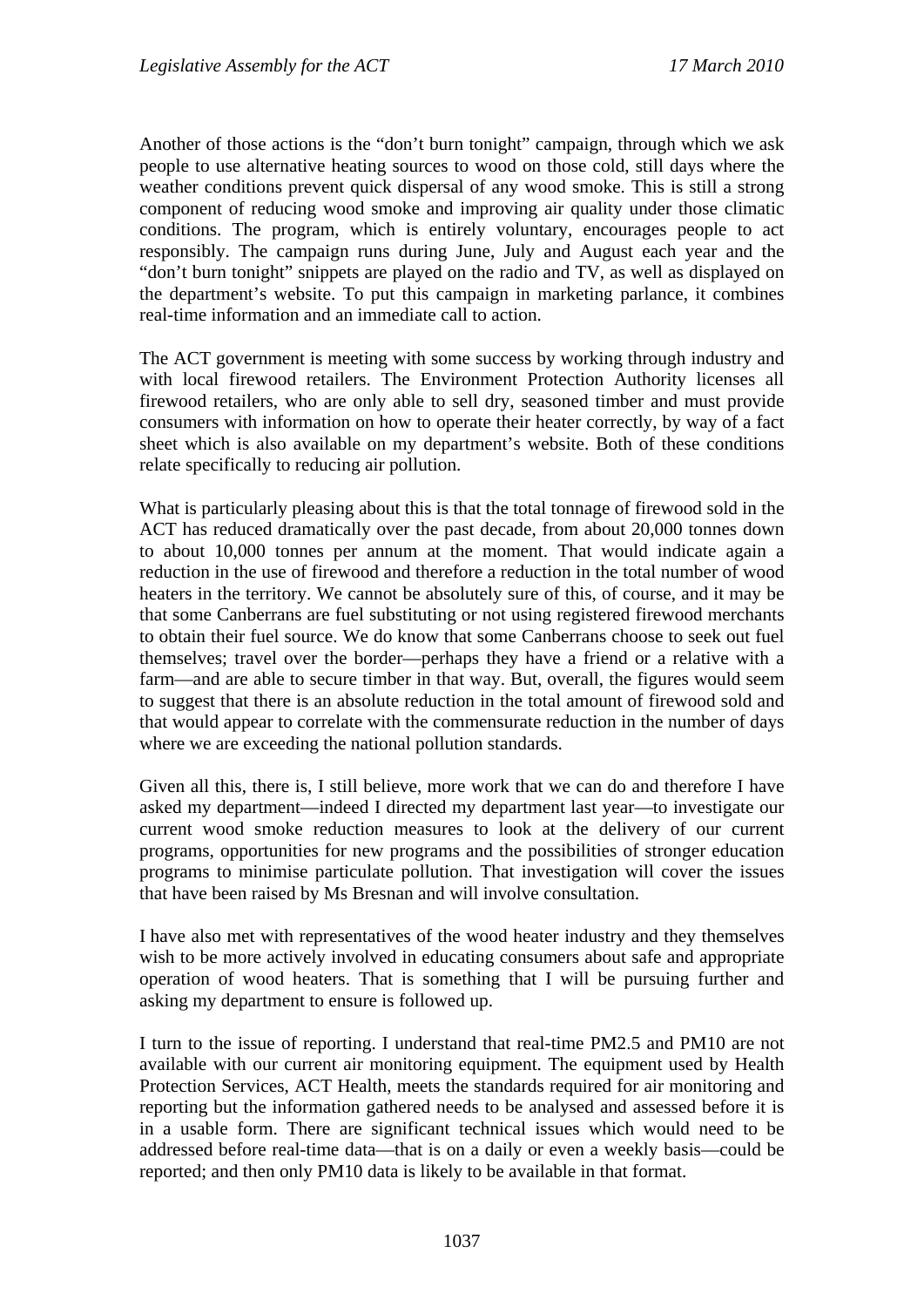Another of those actions is the "don't burn tonight" campaign*,* through which we ask people to use alternative heating sources to wood on those cold, still days where the weather conditions prevent quick dispersal of any wood smoke. This is still a strong component of reducing wood smoke and improving air quality under those climatic conditions. The program, which is entirely voluntary, encourages people to act responsibly. The campaign runs during June, July and August each year and the "don't burn tonight" snippets are played on the radio and TV, as well as displayed on the department's website. To put this campaign in marketing parlance, it combines real-time information and an immediate call to action.

The ACT government is meeting with some success by working through industry and with local firewood retailers. The Environment Protection Authority licenses all firewood retailers, who are only able to sell dry, seasoned timber and must provide consumers with information on how to operate their heater correctly, by way of a fact sheet which is also available on my department's website. Both of these conditions relate specifically to reducing air pollution.

What is particularly pleasing about this is that the total tonnage of firewood sold in the ACT has reduced dramatically over the past decade, from about 20,000 tonnes down to about 10,000 tonnes per annum at the moment. That would indicate again a reduction in the use of firewood and therefore a reduction in the total number of wood heaters in the territory. We cannot be absolutely sure of this, of course, and it may be that some Canberrans are fuel substituting or not using registered firewood merchants to obtain their fuel source. We do know that some Canberrans choose to seek out fuel themselves; travel over the border—perhaps they have a friend or a relative with a farm—and are able to secure timber in that way. But, overall, the figures would seem to suggest that there is an absolute reduction in the total amount of firewood sold and that would appear to correlate with the commensurate reduction in the number of days where we are exceeding the national pollution standards.

Given all this, there is, I still believe, more work that we can do and therefore I have asked my department—indeed I directed my department last year—to investigate our current wood smoke reduction measures to look at the delivery of our current programs, opportunities for new programs and the possibilities of stronger education programs to minimise particulate pollution. That investigation will cover the issues that have been raised by Ms Bresnan and will involve consultation.

I have also met with representatives of the wood heater industry and they themselves wish to be more actively involved in educating consumers about safe and appropriate operation of wood heaters. That is something that I will be pursuing further and asking my department to ensure is followed up.

I turn to the issue of reporting. I understand that real-time PM2.5 and PM10 are not available with our current air monitoring equipment. The equipment used by Health Protection Services, ACT Health, meets the standards required for air monitoring and reporting but the information gathered needs to be analysed and assessed before it is in a usable form. There are significant technical issues which would need to be addressed before real-time data—that is on a daily or even a weekly basis—could be reported; and then only PM10 data is likely to be available in that format.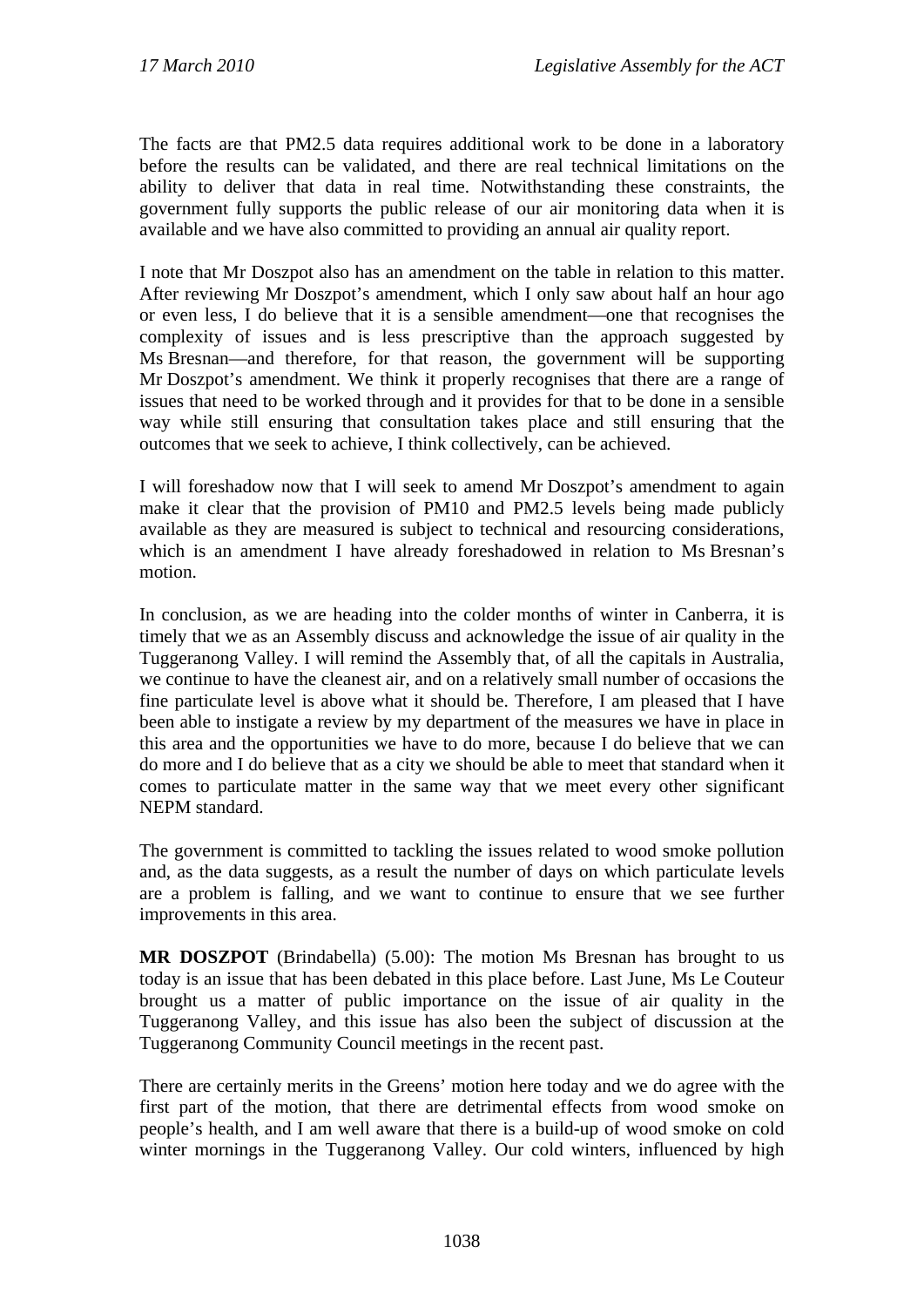The facts are that PM2.5 data requires additional work to be done in a laboratory before the results can be validated, and there are real technical limitations on the ability to deliver that data in real time. Notwithstanding these constraints, the government fully supports the public release of our air monitoring data when it is available and we have also committed to providing an annual air quality report.

I note that Mr Doszpot also has an amendment on the table in relation to this matter. After reviewing Mr Doszpot's amendment, which I only saw about half an hour ago or even less, I do believe that it is a sensible amendment—one that recognises the complexity of issues and is less prescriptive than the approach suggested by Ms Bresnan—and therefore, for that reason, the government will be supporting Mr Doszpot's amendment. We think it properly recognises that there are a range of issues that need to be worked through and it provides for that to be done in a sensible way while still ensuring that consultation takes place and still ensuring that the outcomes that we seek to achieve, I think collectively, can be achieved.

I will foreshadow now that I will seek to amend Mr Doszpot's amendment to again make it clear that the provision of PM10 and PM2.5 levels being made publicly available as they are measured is subject to technical and resourcing considerations, which is an amendment I have already foreshadowed in relation to Ms Bresnan's motion.

In conclusion, as we are heading into the colder months of winter in Canberra, it is timely that we as an Assembly discuss and acknowledge the issue of air quality in the Tuggeranong Valley. I will remind the Assembly that, of all the capitals in Australia, we continue to have the cleanest air, and on a relatively small number of occasions the fine particulate level is above what it should be. Therefore, I am pleased that I have been able to instigate a review by my department of the measures we have in place in this area and the opportunities we have to do more, because I do believe that we can do more and I do believe that as a city we should be able to meet that standard when it comes to particulate matter in the same way that we meet every other significant NEPM standard.

The government is committed to tackling the issues related to wood smoke pollution and, as the data suggests, as a result the number of days on which particulate levels are a problem is falling, and we want to continue to ensure that we see further improvements in this area.

**MR DOSZPOT** (Brindabella) (5.00): The motion Ms Bresnan has brought to us today is an issue that has been debated in this place before. Last June, Ms Le Couteur brought us a matter of public importance on the issue of air quality in the Tuggeranong Valley, and this issue has also been the subject of discussion at the Tuggeranong Community Council meetings in the recent past.

There are certainly merits in the Greens' motion here today and we do agree with the first part of the motion, that there are detrimental effects from wood smoke on people's health, and I am well aware that there is a build-up of wood smoke on cold winter mornings in the Tuggeranong Valley. Our cold winters, influenced by high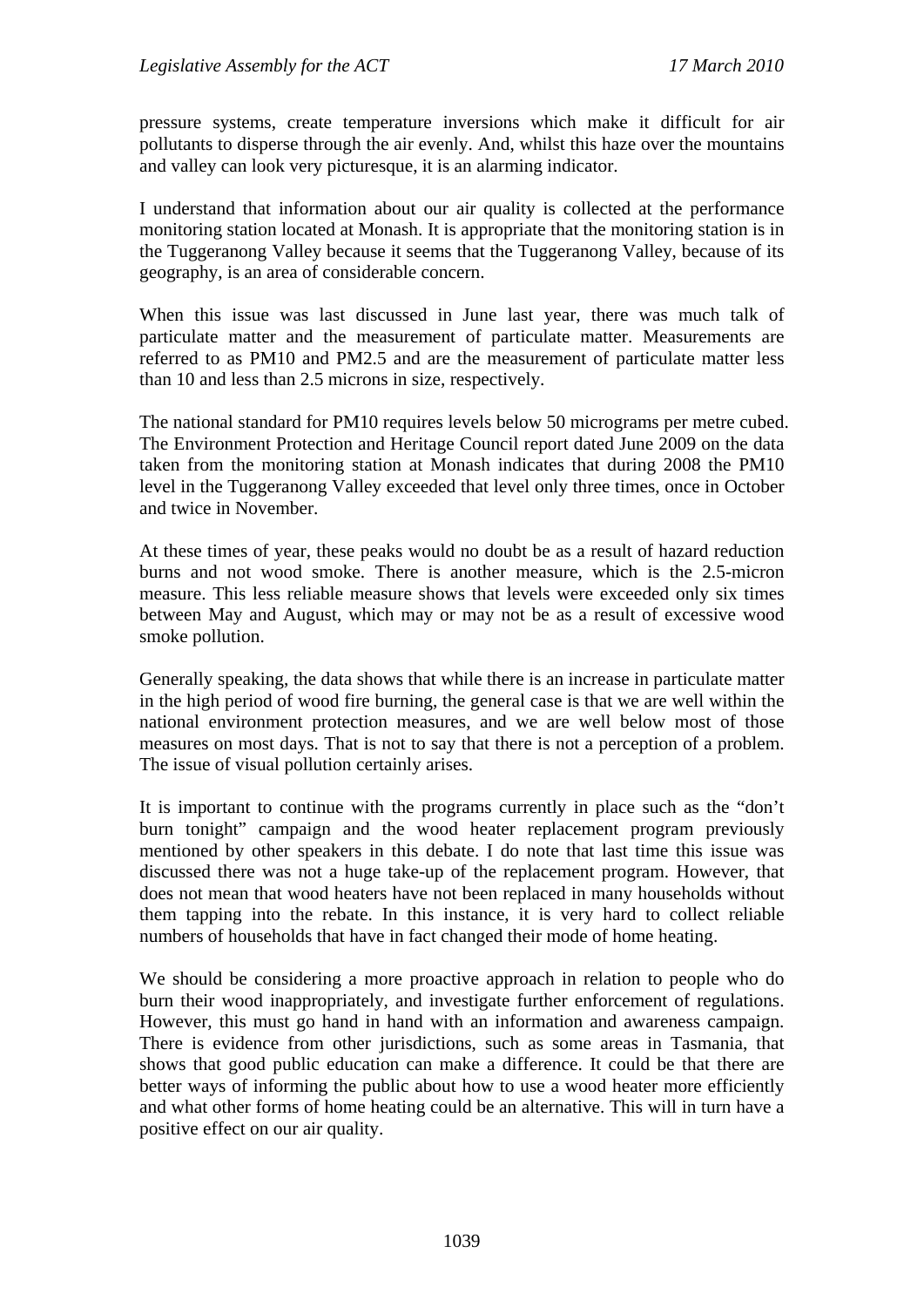pressure systems, create temperature inversions which make it difficult for air pollutants to disperse through the air evenly. And, whilst this haze over the mountains and valley can look very picturesque, it is an alarming indicator.

I understand that information about our air quality is collected at the performance monitoring station located at Monash. It is appropriate that the monitoring station is in the Tuggeranong Valley because it seems that the Tuggeranong Valley, because of its geography, is an area of considerable concern.

When this issue was last discussed in June last year, there was much talk of particulate matter and the measurement of particulate matter. Measurements are referred to as PM10 and PM2.5 and are the measurement of particulate matter less than 10 and less than 2.5 microns in size, respectively.

The national standard for PM10 requires levels below 50 micrograms per metre cubed. The Environment Protection and Heritage Council report dated June 2009 on the data taken from the monitoring station at Monash indicates that during 2008 the PM10 level in the Tuggeranong Valley exceeded that level only three times, once in October and twice in November.

At these times of year, these peaks would no doubt be as a result of hazard reduction burns and not wood smoke. There is another measure, which is the 2.5-micron measure. This less reliable measure shows that levels were exceeded only six times between May and August, which may or may not be as a result of excessive wood smoke pollution.

Generally speaking, the data shows that while there is an increase in particulate matter in the high period of wood fire burning, the general case is that we are well within the national environment protection measures, and we are well below most of those measures on most days. That is not to say that there is not a perception of a problem. The issue of visual pollution certainly arises.

It is important to continue with the programs currently in place such as the "don't burn tonight" campaign and the wood heater replacement program previously mentioned by other speakers in this debate. I do note that last time this issue was discussed there was not a huge take-up of the replacement program. However, that does not mean that wood heaters have not been replaced in many households without them tapping into the rebate. In this instance, it is very hard to collect reliable numbers of households that have in fact changed their mode of home heating.

We should be considering a more proactive approach in relation to people who do burn their wood inappropriately, and investigate further enforcement of regulations. However, this must go hand in hand with an information and awareness campaign. There is evidence from other jurisdictions, such as some areas in Tasmania, that shows that good public education can make a difference. It could be that there are better ways of informing the public about how to use a wood heater more efficiently and what other forms of home heating could be an alternative. This will in turn have a positive effect on our air quality.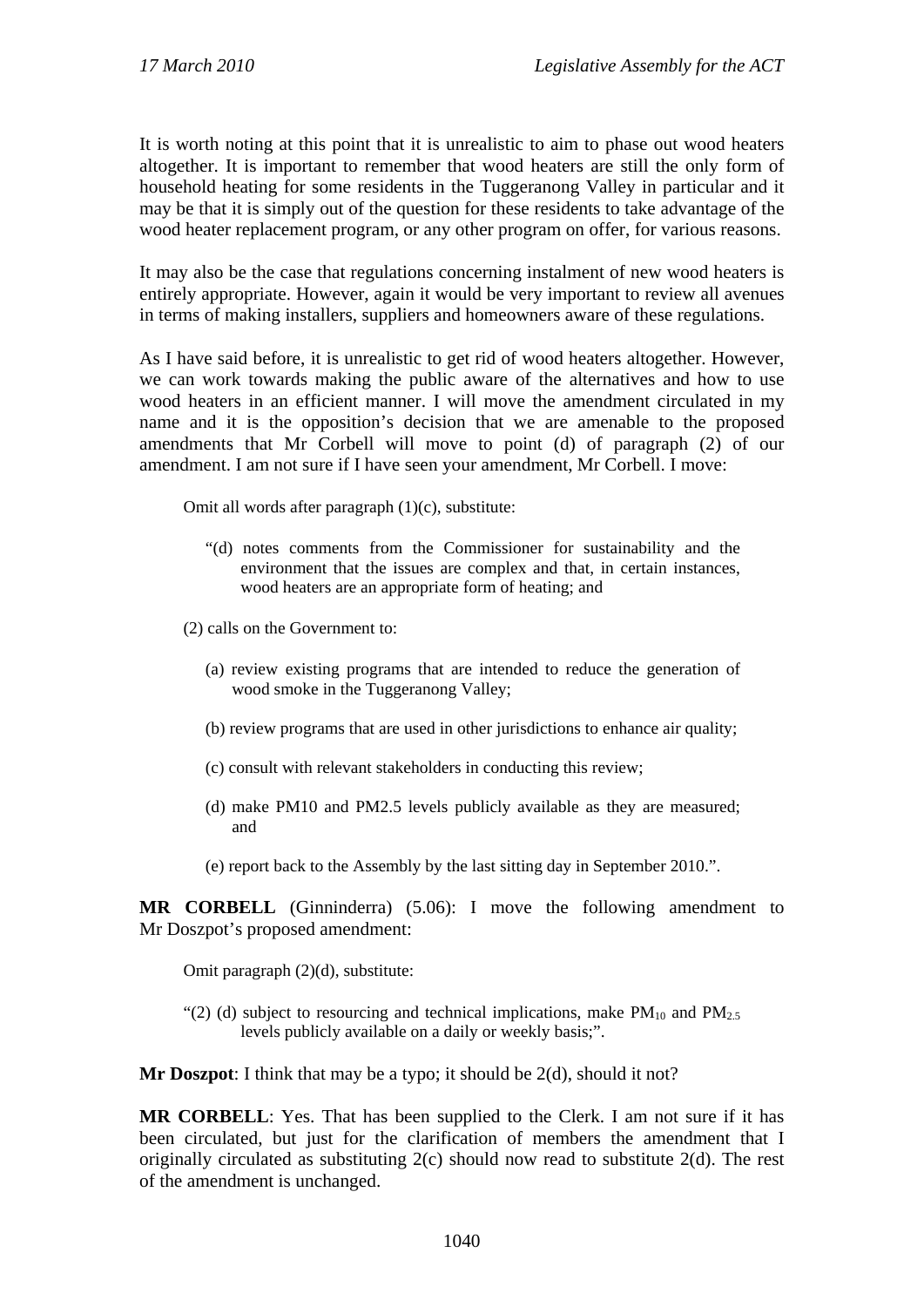It is worth noting at this point that it is unrealistic to aim to phase out wood heaters altogether. It is important to remember that wood heaters are still the only form of household heating for some residents in the Tuggeranong Valley in particular and it may be that it is simply out of the question for these residents to take advantage of the wood heater replacement program, or any other program on offer, for various reasons.

It may also be the case that regulations concerning instalment of new wood heaters is entirely appropriate. However, again it would be very important to review all avenues in terms of making installers, suppliers and homeowners aware of these regulations.

As I have said before, it is unrealistic to get rid of wood heaters altogether. However, we can work towards making the public aware of the alternatives and how to use wood heaters in an efficient manner. I will move the amendment circulated in my name and it is the opposition's decision that we are amenable to the proposed amendments that Mr Corbell will move to point (d) of paragraph (2) of our amendment. I am not sure if I have seen your amendment, Mr Corbell. I move:

Omit all words after paragraph (1)(c), substitute:

"(d) notes comments from the Commissioner for sustainability and the environment that the issues are complex and that, in certain instances, wood heaters are an appropriate form of heating; and

(2) calls on the Government to:

- (a) review existing programs that are intended to reduce the generation of wood smoke in the Tuggeranong Valley;
- (b) review programs that are used in other jurisdictions to enhance air quality;
- (c) consult with relevant stakeholders in conducting this review;
- (d) make PM10 and PM2.5 levels publicly available as they are measured; and
- (e) report back to the Assembly by the last sitting day in September 2010.".

**MR CORBELL** (Ginninderra) (5.06): I move the following amendment to Mr Doszpot's proposed amendment:

Omit paragraph (2)(d), substitute:

"(2) (d) subject to resourcing and technical implications, make  $PM_{10}$  and  $PM_{25}$ levels publicly available on a daily or weekly basis;".

**Mr Doszpot**: I think that may be a typo; it should be 2(d), should it not?

**MR CORBELL**: Yes. That has been supplied to the Clerk. I am not sure if it has been circulated, but just for the clarification of members the amendment that I originally circulated as substituting  $2(c)$  should now read to substitute  $2(d)$ . The rest of the amendment is unchanged.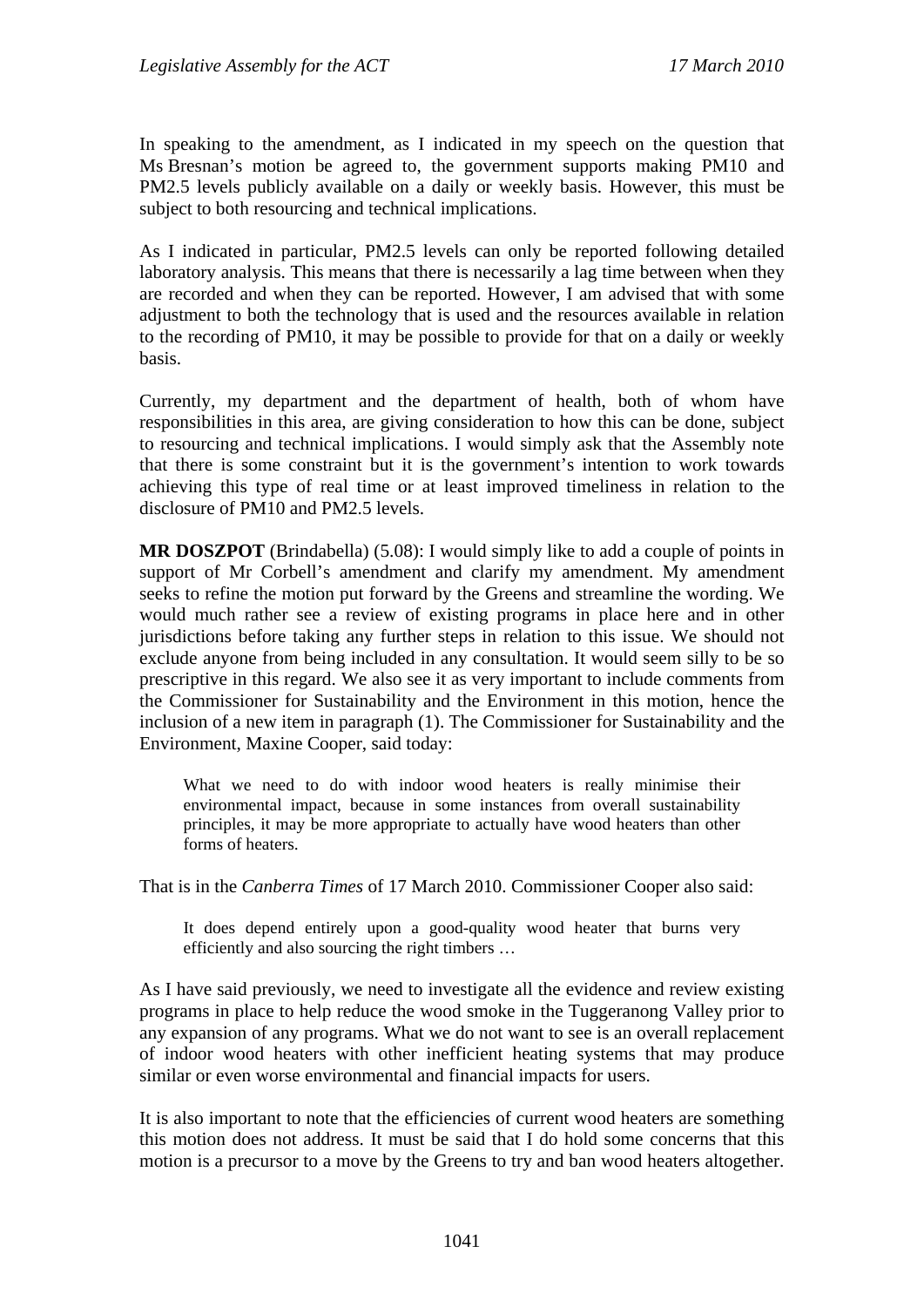In speaking to the amendment, as I indicated in my speech on the question that Ms Bresnan's motion be agreed to, the government supports making PM10 and PM2.5 levels publicly available on a daily or weekly basis. However, this must be subject to both resourcing and technical implications.

As I indicated in particular, PM2.5 levels can only be reported following detailed laboratory analysis. This means that there is necessarily a lag time between when they are recorded and when they can be reported. However, I am advised that with some adjustment to both the technology that is used and the resources available in relation to the recording of PM10, it may be possible to provide for that on a daily or weekly basis.

Currently, my department and the department of health, both of whom have responsibilities in this area, are giving consideration to how this can be done, subject to resourcing and technical implications. I would simply ask that the Assembly note that there is some constraint but it is the government's intention to work towards achieving this type of real time or at least improved timeliness in relation to the disclosure of PM10 and PM2.5 levels.

**MR DOSZPOT** (Brindabella) (5.08): I would simply like to add a couple of points in support of Mr Corbell's amendment and clarify my amendment. My amendment seeks to refine the motion put forward by the Greens and streamline the wording. We would much rather see a review of existing programs in place here and in other jurisdictions before taking any further steps in relation to this issue. We should not exclude anyone from being included in any consultation. It would seem silly to be so prescriptive in this regard. We also see it as very important to include comments from the Commissioner for Sustainability and the Environment in this motion, hence the inclusion of a new item in paragraph (1). The Commissioner for Sustainability and the Environment, Maxine Cooper, said today:

What we need to do with indoor wood heaters is really minimise their environmental impact, because in some instances from overall sustainability principles, it may be more appropriate to actually have wood heaters than other forms of heaters.

That is in the *Canberra Times* of 17 March 2010. Commissioner Cooper also said:

It does depend entirely upon a good-quality wood heater that burns very efficiently and also sourcing the right timbers …

As I have said previously, we need to investigate all the evidence and review existing programs in place to help reduce the wood smoke in the Tuggeranong Valley prior to any expansion of any programs. What we do not want to see is an overall replacement of indoor wood heaters with other inefficient heating systems that may produce similar or even worse environmental and financial impacts for users.

It is also important to note that the efficiencies of current wood heaters are something this motion does not address. It must be said that I do hold some concerns that this motion is a precursor to a move by the Greens to try and ban wood heaters altogether.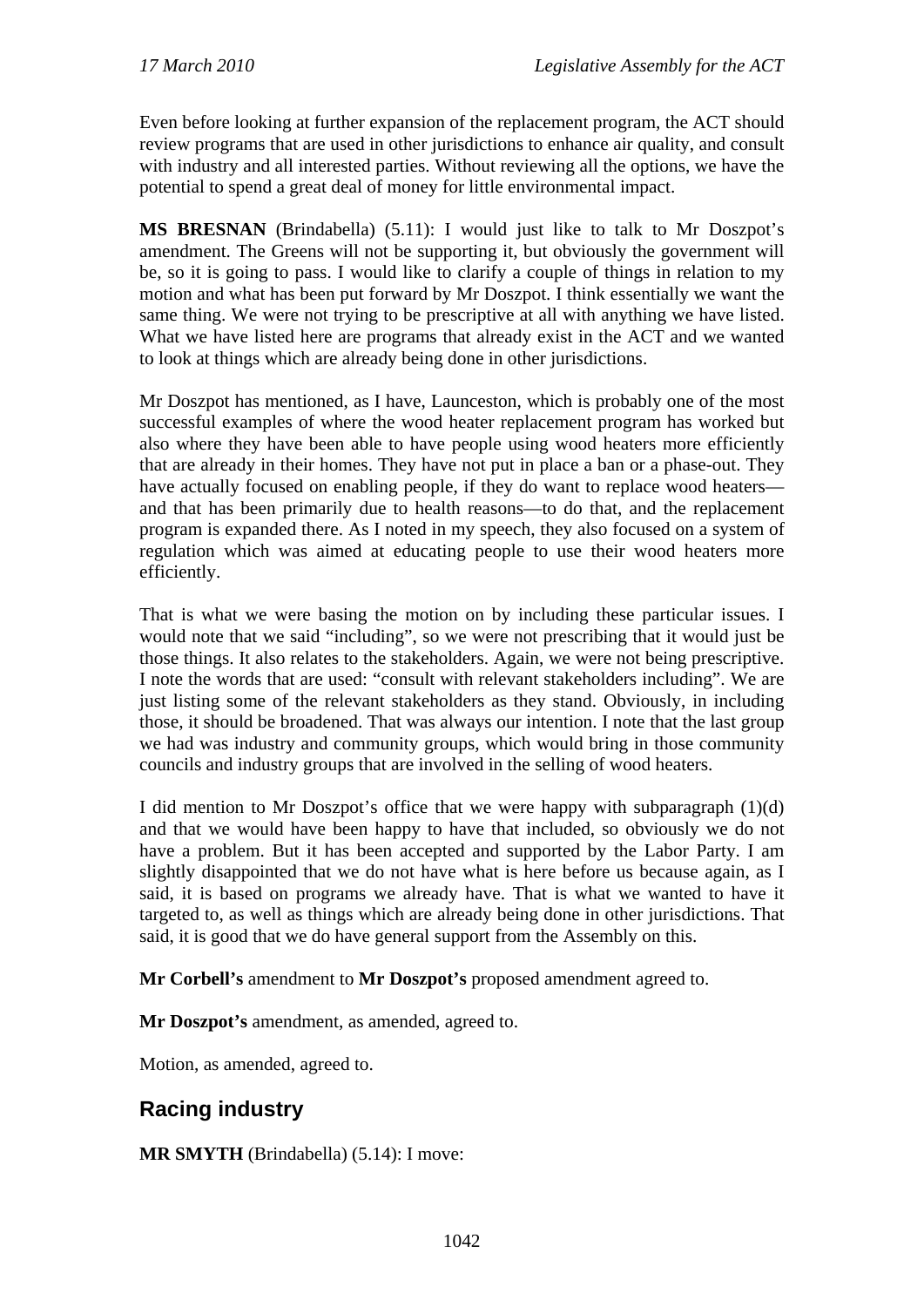Even before looking at further expansion of the replacement program, the ACT should review programs that are used in other jurisdictions to enhance air quality, and consult with industry and all interested parties. Without reviewing all the options, we have the potential to spend a great deal of money for little environmental impact.

**MS BRESNAN** (Brindabella) (5.11): I would just like to talk to Mr Doszpot's amendment. The Greens will not be supporting it, but obviously the government will be, so it is going to pass. I would like to clarify a couple of things in relation to my motion and what has been put forward by Mr Doszpot. I think essentially we want the same thing. We were not trying to be prescriptive at all with anything we have listed. What we have listed here are programs that already exist in the ACT and we wanted to look at things which are already being done in other jurisdictions.

Mr Doszpot has mentioned, as I have, Launceston, which is probably one of the most successful examples of where the wood heater replacement program has worked but also where they have been able to have people using wood heaters more efficiently that are already in their homes. They have not put in place a ban or a phase-out. They have actually focused on enabling people, if they do want to replace wood heaters and that has been primarily due to health reasons—to do that, and the replacement program is expanded there. As I noted in my speech, they also focused on a system of regulation which was aimed at educating people to use their wood heaters more efficiently.

That is what we were basing the motion on by including these particular issues. I would note that we said "including", so we were not prescribing that it would just be those things. It also relates to the stakeholders. Again, we were not being prescriptive. I note the words that are used: "consult with relevant stakeholders including". We are just listing some of the relevant stakeholders as they stand. Obviously, in including those, it should be broadened. That was always our intention. I note that the last group we had was industry and community groups, which would bring in those community councils and industry groups that are involved in the selling of wood heaters.

I did mention to Mr Doszpot's office that we were happy with subparagraph (1)(d) and that we would have been happy to have that included, so obviously we do not have a problem. But it has been accepted and supported by the Labor Party. I am slightly disappointed that we do not have what is here before us because again, as I said, it is based on programs we already have. That is what we wanted to have it targeted to, as well as things which are already being done in other jurisdictions. That said, it is good that we do have general support from the Assembly on this.

**Mr Corbell's** amendment to **Mr Doszpot's** proposed amendment agreed to.

**Mr Doszpot's** amendment, as amended, agreed to.

Motion, as amended, agreed to.

# **Racing industry**

**MR SMYTH** (Brindabella) (5.14): I move: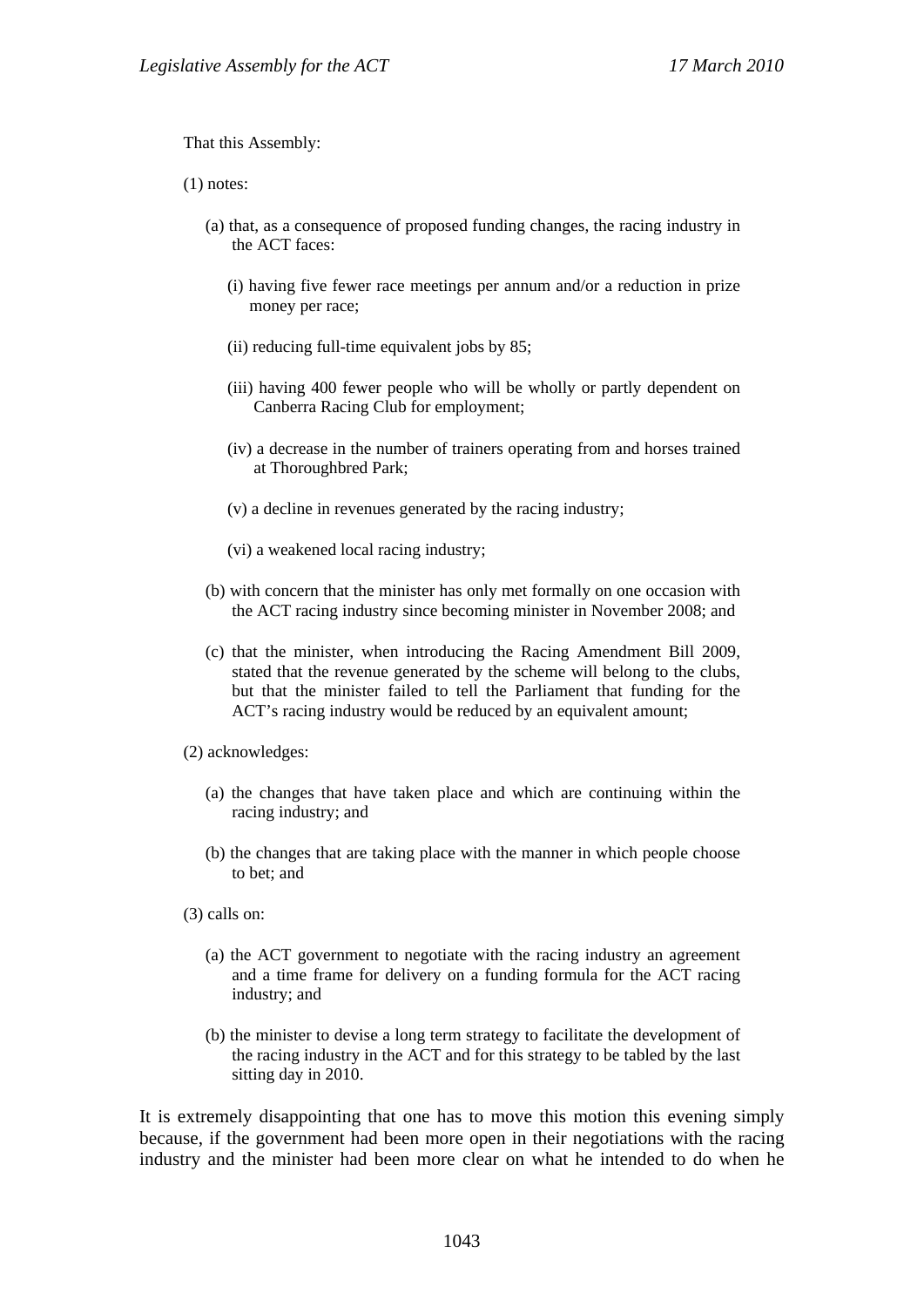That this Assembly:

(1) notes:

- (a) that, as a consequence of proposed funding changes, the racing industry in the ACT faces:
	- (i) having five fewer race meetings per annum and/or a reduction in prize money per race;
	- (ii) reducing full-time equivalent jobs by 85;
	- (iii) having 400 fewer people who will be wholly or partly dependent on Canberra Racing Club for employment;
	- (iv) a decrease in the number of trainers operating from and horses trained at Thoroughbred Park;
	- (v) a decline in revenues generated by the racing industry;
	- (vi) a weakened local racing industry;
- (b) with concern that the minister has only met formally on one occasion with the ACT racing industry since becoming minister in November 2008; and
- (c) that the minister, when introducing the Racing Amendment Bill 2009, stated that the revenue generated by the scheme will belong to the clubs, but that the minister failed to tell the Parliament that funding for the ACT's racing industry would be reduced by an equivalent amount;
- (2) acknowledges:
	- (a) the changes that have taken place and which are continuing within the racing industry; and
	- (b) the changes that are taking place with the manner in which people choose to bet; and
- (3) calls on:
	- (a) the ACT government to negotiate with the racing industry an agreement and a time frame for delivery on a funding formula for the ACT racing industry; and
	- (b) the minister to devise a long term strategy to facilitate the development of the racing industry in the ACT and for this strategy to be tabled by the last sitting day in 2010.

It is extremely disappointing that one has to move this motion this evening simply because, if the government had been more open in their negotiations with the racing industry and the minister had been more clear on what he intended to do when he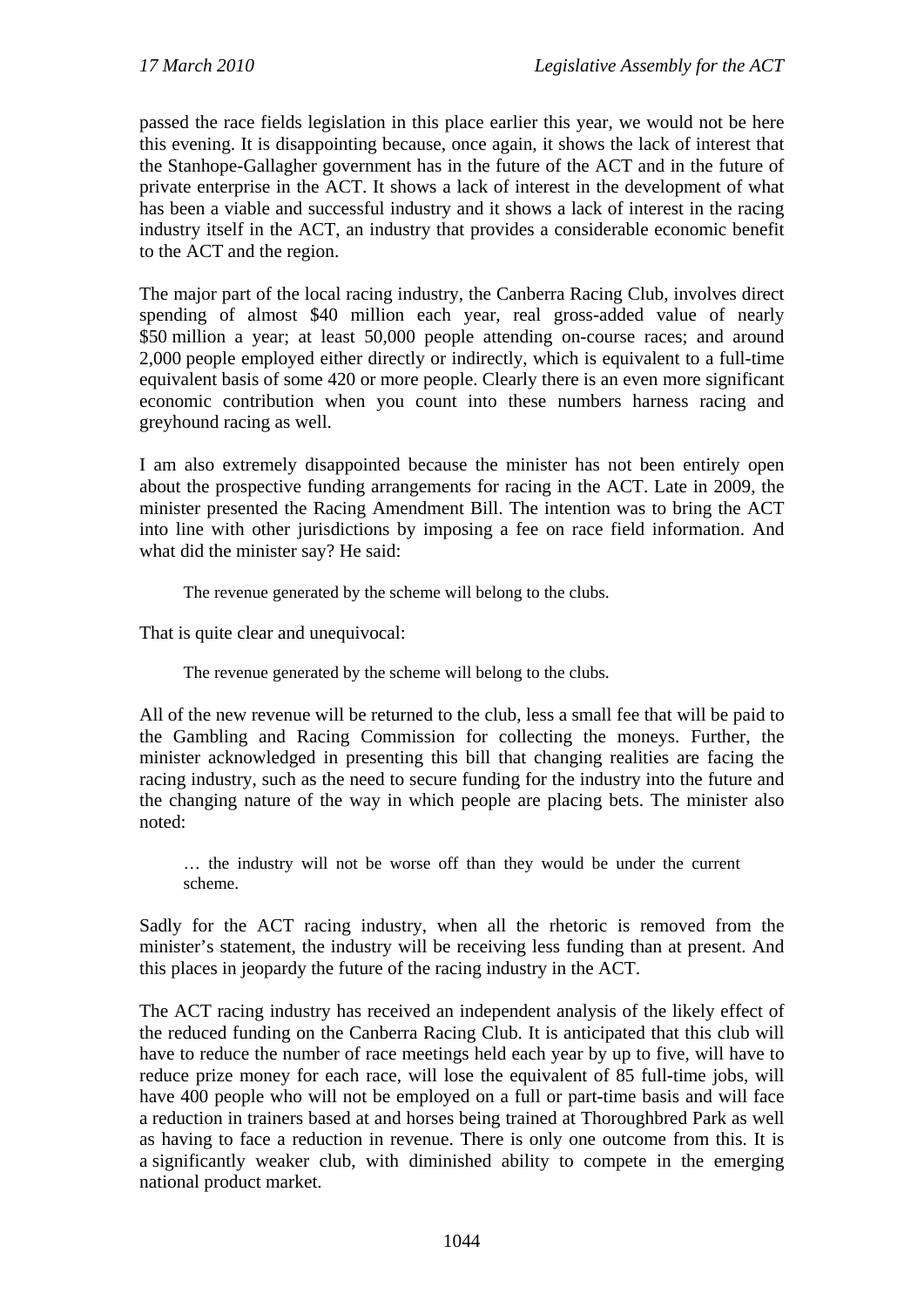passed the race fields legislation in this place earlier this year, we would not be here this evening. It is disappointing because, once again, it shows the lack of interest that the Stanhope-Gallagher government has in the future of the ACT and in the future of private enterprise in the ACT. It shows a lack of interest in the development of what has been a viable and successful industry and it shows a lack of interest in the racing industry itself in the ACT, an industry that provides a considerable economic benefit to the ACT and the region.

The major part of the local racing industry, the Canberra Racing Club, involves direct spending of almost \$40 million each year, real gross-added value of nearly \$50 million a year; at least 50,000 people attending on-course races; and around 2,000 people employed either directly or indirectly, which is equivalent to a full-time equivalent basis of some 420 or more people. Clearly there is an even more significant economic contribution when you count into these numbers harness racing and greyhound racing as well.

I am also extremely disappointed because the minister has not been entirely open about the prospective funding arrangements for racing in the ACT. Late in 2009, the minister presented the Racing Amendment Bill. The intention was to bring the ACT into line with other jurisdictions by imposing a fee on race field information. And what did the minister say? He said:

The revenue generated by the scheme will belong to the clubs.

That is quite clear and unequivocal:

The revenue generated by the scheme will belong to the clubs.

All of the new revenue will be returned to the club, less a small fee that will be paid to the Gambling and Racing Commission for collecting the moneys. Further, the minister acknowledged in presenting this bill that changing realities are facing the racing industry, such as the need to secure funding for the industry into the future and the changing nature of the way in which people are placing bets. The minister also noted:

… the industry will not be worse off than they would be under the current scheme.

Sadly for the ACT racing industry, when all the rhetoric is removed from the minister's statement, the industry will be receiving less funding than at present. And this places in jeopardy the future of the racing industry in the ACT.

The ACT racing industry has received an independent analysis of the likely effect of the reduced funding on the Canberra Racing Club. It is anticipated that this club will have to reduce the number of race meetings held each year by up to five, will have to reduce prize money for each race, will lose the equivalent of 85 full-time jobs, will have 400 people who will not be employed on a full or part-time basis and will face a reduction in trainers based at and horses being trained at Thoroughbred Park as well as having to face a reduction in revenue. There is only one outcome from this. It is a significantly weaker club, with diminished ability to compete in the emerging national product market.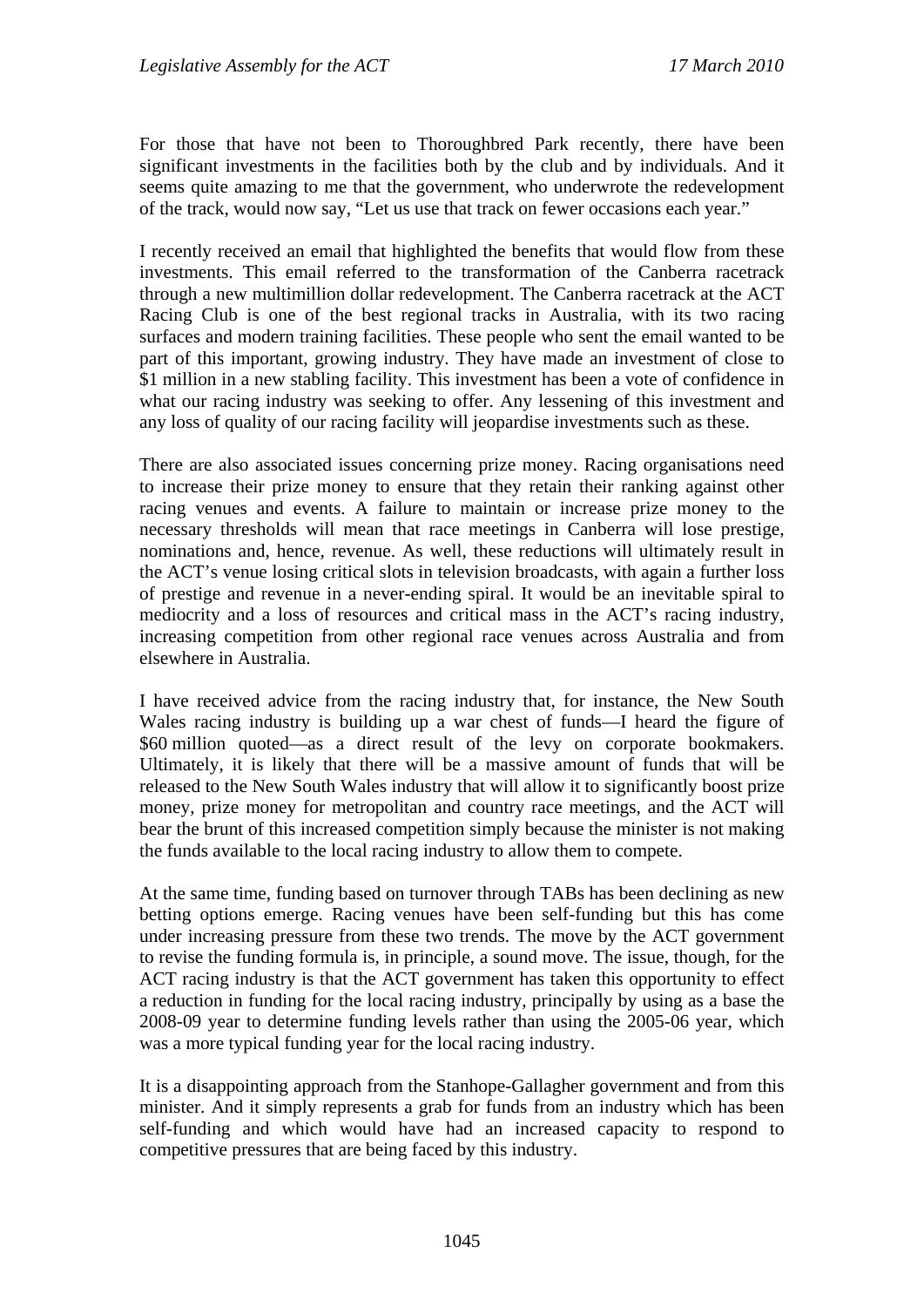For those that have not been to Thoroughbred Park recently, there have been significant investments in the facilities both by the club and by individuals. And it seems quite amazing to me that the government, who underwrote the redevelopment of the track, would now say, "Let us use that track on fewer occasions each year."

I recently received an email that highlighted the benefits that would flow from these investments. This email referred to the transformation of the Canberra racetrack through a new multimillion dollar redevelopment. The Canberra racetrack at the ACT Racing Club is one of the best regional tracks in Australia, with its two racing surfaces and modern training facilities. These people who sent the email wanted to be part of this important, growing industry. They have made an investment of close to \$1 million in a new stabling facility. This investment has been a vote of confidence in what our racing industry was seeking to offer. Any lessening of this investment and any loss of quality of our racing facility will jeopardise investments such as these.

There are also associated issues concerning prize money. Racing organisations need to increase their prize money to ensure that they retain their ranking against other racing venues and events. A failure to maintain or increase prize money to the necessary thresholds will mean that race meetings in Canberra will lose prestige, nominations and, hence, revenue. As well, these reductions will ultimately result in the ACT's venue losing critical slots in television broadcasts, with again a further loss of prestige and revenue in a never-ending spiral. It would be an inevitable spiral to mediocrity and a loss of resources and critical mass in the ACT's racing industry, increasing competition from other regional race venues across Australia and from elsewhere in Australia.

I have received advice from the racing industry that, for instance, the New South Wales racing industry is building up a war chest of funds—I heard the figure of \$60 million quoted—as a direct result of the levy on corporate bookmakers. Ultimately, it is likely that there will be a massive amount of funds that will be released to the New South Wales industry that will allow it to significantly boost prize money, prize money for metropolitan and country race meetings, and the ACT will bear the brunt of this increased competition simply because the minister is not making the funds available to the local racing industry to allow them to compete.

At the same time, funding based on turnover through TABs has been declining as new betting options emerge. Racing venues have been self-funding but this has come under increasing pressure from these two trends. The move by the ACT government to revise the funding formula is, in principle, a sound move. The issue, though, for the ACT racing industry is that the ACT government has taken this opportunity to effect a reduction in funding for the local racing industry, principally by using as a base the 2008-09 year to determine funding levels rather than using the 2005-06 year, which was a more typical funding year for the local racing industry.

It is a disappointing approach from the Stanhope-Gallagher government and from this minister. And it simply represents a grab for funds from an industry which has been self-funding and which would have had an increased capacity to respond to competitive pressures that are being faced by this industry.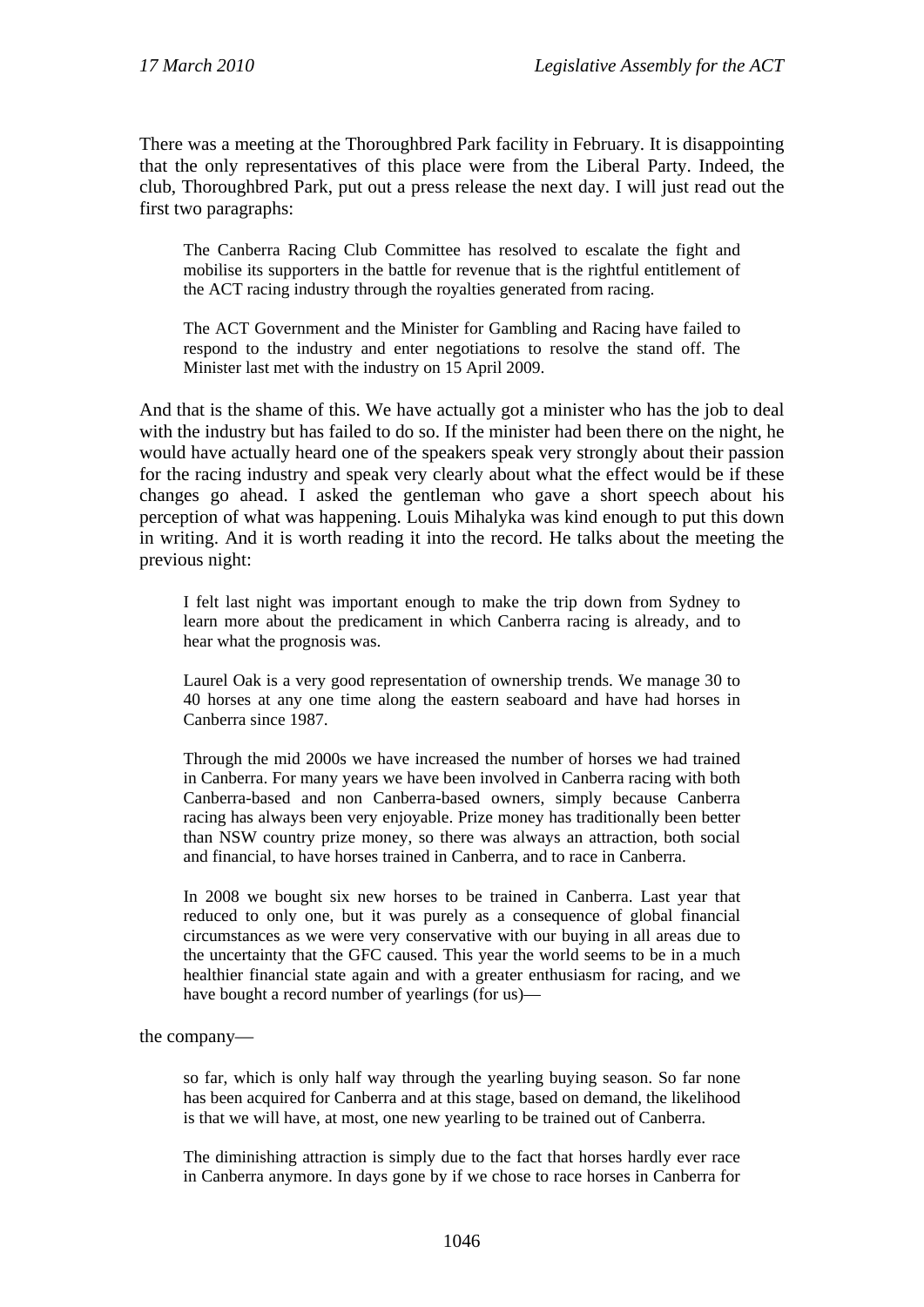There was a meeting at the Thoroughbred Park facility in February. It is disappointing that the only representatives of this place were from the Liberal Party. Indeed, the club, Thoroughbred Park, put out a press release the next day. I will just read out the first two paragraphs:

The Canberra Racing Club Committee has resolved to escalate the fight and mobilise its supporters in the battle for revenue that is the rightful entitlement of the ACT racing industry through the royalties generated from racing.

The ACT Government and the Minister for Gambling and Racing have failed to respond to the industry and enter negotiations to resolve the stand off. The Minister last met with the industry on 15 April 2009.

And that is the shame of this. We have actually got a minister who has the job to deal with the industry but has failed to do so. If the minister had been there on the night, he would have actually heard one of the speakers speak very strongly about their passion for the racing industry and speak very clearly about what the effect would be if these changes go ahead. I asked the gentleman who gave a short speech about his perception of what was happening. Louis Mihalyka was kind enough to put this down in writing. And it is worth reading it into the record. He talks about the meeting the previous night:

I felt last night was important enough to make the trip down from Sydney to learn more about the predicament in which Canberra racing is already, and to hear what the prognosis was.

Laurel Oak is a very good representation of ownership trends. We manage 30 to 40 horses at any one time along the eastern seaboard and have had horses in Canberra since 1987.

Through the mid 2000s we have increased the number of horses we had trained in Canberra. For many years we have been involved in Canberra racing with both Canberra-based and non Canberra-based owners, simply because Canberra racing has always been very enjoyable. Prize money has traditionally been better than NSW country prize money, so there was always an attraction, both social and financial, to have horses trained in Canberra, and to race in Canberra.

In 2008 we bought six new horses to be trained in Canberra. Last year that reduced to only one, but it was purely as a consequence of global financial circumstances as we were very conservative with our buying in all areas due to the uncertainty that the GFC caused. This year the world seems to be in a much healthier financial state again and with a greater enthusiasm for racing, and we have bought a record number of yearlings (for us)—

the company—

so far, which is only half way through the yearling buying season. So far none has been acquired for Canberra and at this stage, based on demand, the likelihood is that we will have, at most, one new yearling to be trained out of Canberra.

The diminishing attraction is simply due to the fact that horses hardly ever race in Canberra anymore. In days gone by if we chose to race horses in Canberra for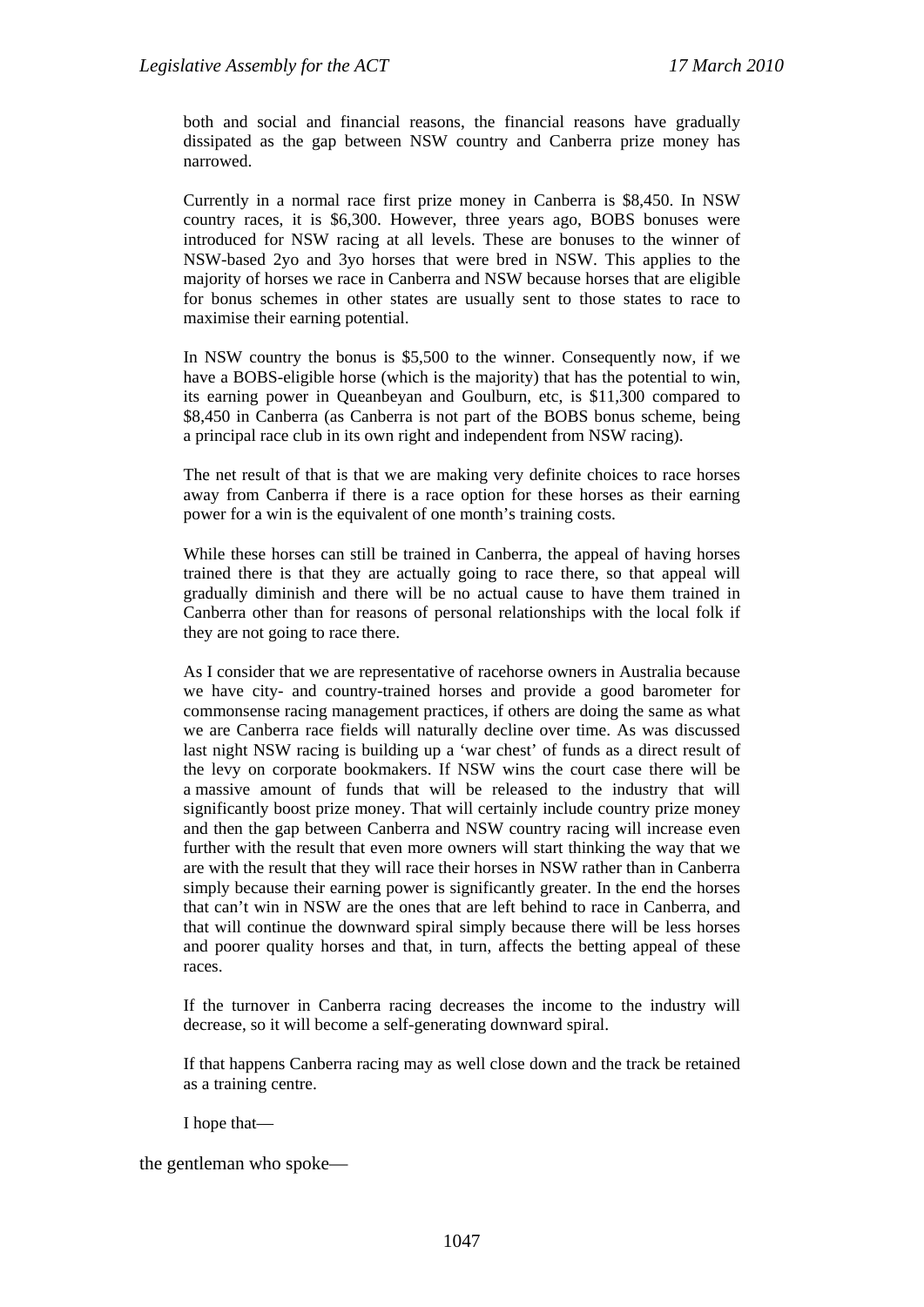both and social and financial reasons, the financial reasons have gradually dissipated as the gap between NSW country and Canberra prize money has narrowed.

Currently in a normal race first prize money in Canberra is \$8,450. In NSW country races, it is \$6,300. However, three years ago, BOBS bonuses were introduced for NSW racing at all levels. These are bonuses to the winner of NSW-based 2yo and 3yo horses that were bred in NSW. This applies to the majority of horses we race in Canberra and NSW because horses that are eligible for bonus schemes in other states are usually sent to those states to race to maximise their earning potential.

In NSW country the bonus is \$5,500 to the winner. Consequently now, if we have a BOBS-eligible horse (which is the majority) that has the potential to win, its earning power in Queanbeyan and Goulburn, etc, is \$11,300 compared to \$8,450 in Canberra (as Canberra is not part of the BOBS bonus scheme, being a principal race club in its own right and independent from NSW racing).

The net result of that is that we are making very definite choices to race horses away from Canberra if there is a race option for these horses as their earning power for a win is the equivalent of one month's training costs.

While these horses can still be trained in Canberra, the appeal of having horses trained there is that they are actually going to race there, so that appeal will gradually diminish and there will be no actual cause to have them trained in Canberra other than for reasons of personal relationships with the local folk if they are not going to race there.

As I consider that we are representative of racehorse owners in Australia because we have city- and country-trained horses and provide a good barometer for commonsense racing management practices, if others are doing the same as what we are Canberra race fields will naturally decline over time. As was discussed last night NSW racing is building up a 'war chest' of funds as a direct result of the levy on corporate bookmakers. If NSW wins the court case there will be a massive amount of funds that will be released to the industry that will significantly boost prize money. That will certainly include country prize money and then the gap between Canberra and NSW country racing will increase even further with the result that even more owners will start thinking the way that we are with the result that they will race their horses in NSW rather than in Canberra simply because their earning power is significantly greater. In the end the horses that can't win in NSW are the ones that are left behind to race in Canberra, and that will continue the downward spiral simply because there will be less horses and poorer quality horses and that, in turn, affects the betting appeal of these races.

If the turnover in Canberra racing decreases the income to the industry will decrease, so it will become a self-generating downward spiral.

If that happens Canberra racing may as well close down and the track be retained as a training centre.

I hope that—

the gentleman who spoke—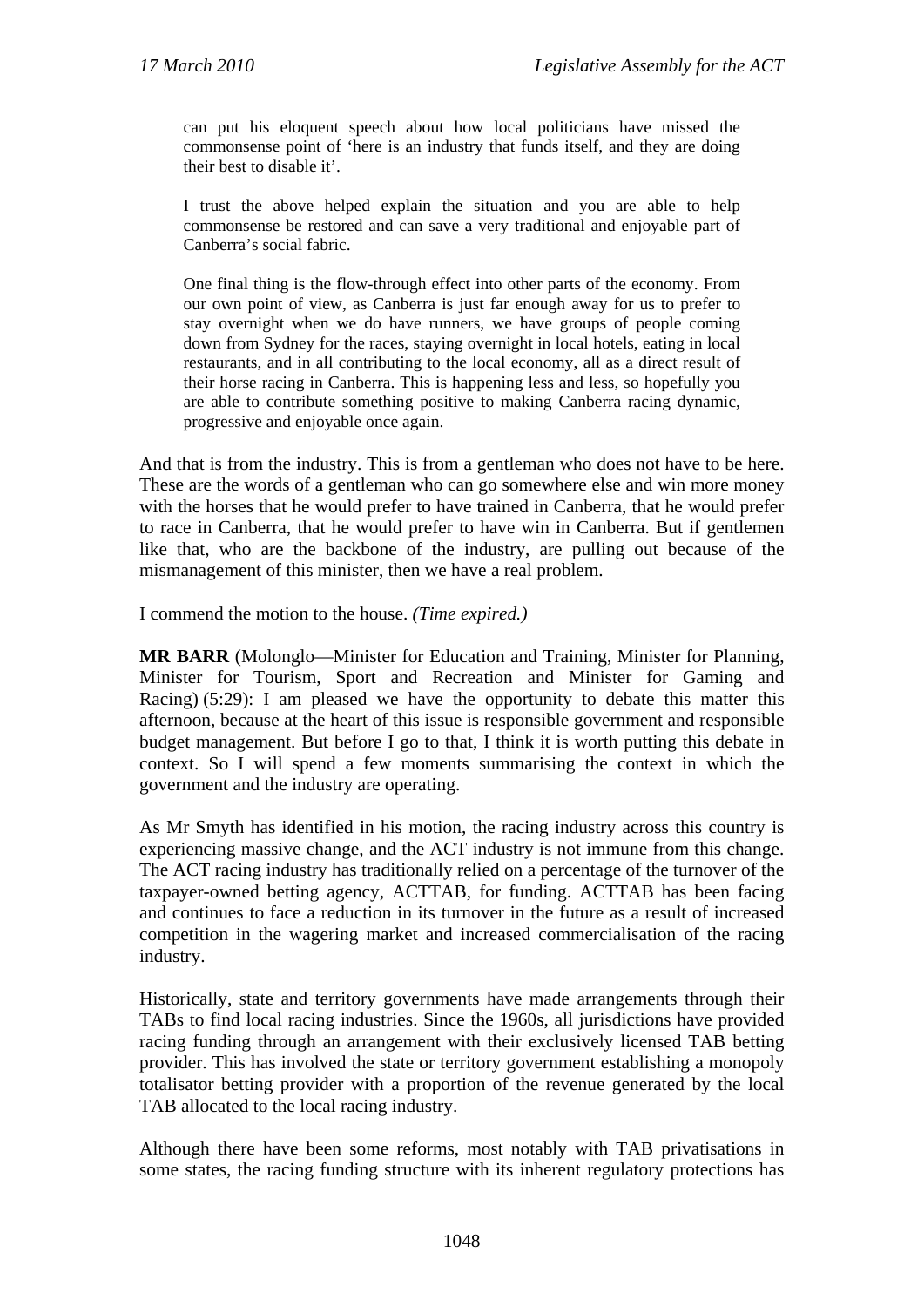can put his eloquent speech about how local politicians have missed the commonsense point of 'here is an industry that funds itself, and they are doing their best to disable it'.

I trust the above helped explain the situation and you are able to help commonsense be restored and can save a very traditional and enjoyable part of Canberra's social fabric.

One final thing is the flow-through effect into other parts of the economy. From our own point of view, as Canberra is just far enough away for us to prefer to stay overnight when we do have runners, we have groups of people coming down from Sydney for the races, staying overnight in local hotels, eating in local restaurants, and in all contributing to the local economy, all as a direct result of their horse racing in Canberra. This is happening less and less, so hopefully you are able to contribute something positive to making Canberra racing dynamic, progressive and enjoyable once again.

And that is from the industry. This is from a gentleman who does not have to be here. These are the words of a gentleman who can go somewhere else and win more money with the horses that he would prefer to have trained in Canberra, that he would prefer to race in Canberra, that he would prefer to have win in Canberra. But if gentlemen like that, who are the backbone of the industry, are pulling out because of the mismanagement of this minister, then we have a real problem.

I commend the motion to the house. *(Time expired.)*

**MR BARR** (Molonglo—Minister for Education and Training, Minister for Planning, Minister for Tourism, Sport and Recreation and Minister for Gaming and Racing) (5:29): I am pleased we have the opportunity to debate this matter this afternoon, because at the heart of this issue is responsible government and responsible budget management. But before I go to that, I think it is worth putting this debate in context. So I will spend a few moments summarising the context in which the government and the industry are operating.

As Mr Smyth has identified in his motion, the racing industry across this country is experiencing massive change, and the ACT industry is not immune from this change. The ACT racing industry has traditionally relied on a percentage of the turnover of the taxpayer-owned betting agency, ACTTAB, for funding. ACTTAB has been facing and continues to face a reduction in its turnover in the future as a result of increased competition in the wagering market and increased commercialisation of the racing industry.

Historically, state and territory governments have made arrangements through their TABs to find local racing industries. Since the 1960s, all jurisdictions have provided racing funding through an arrangement with their exclusively licensed TAB betting provider. This has involved the state or territory government establishing a monopoly totalisator betting provider with a proportion of the revenue generated by the local TAB allocated to the local racing industry.

Although there have been some reforms, most notably with TAB privatisations in some states, the racing funding structure with its inherent regulatory protections has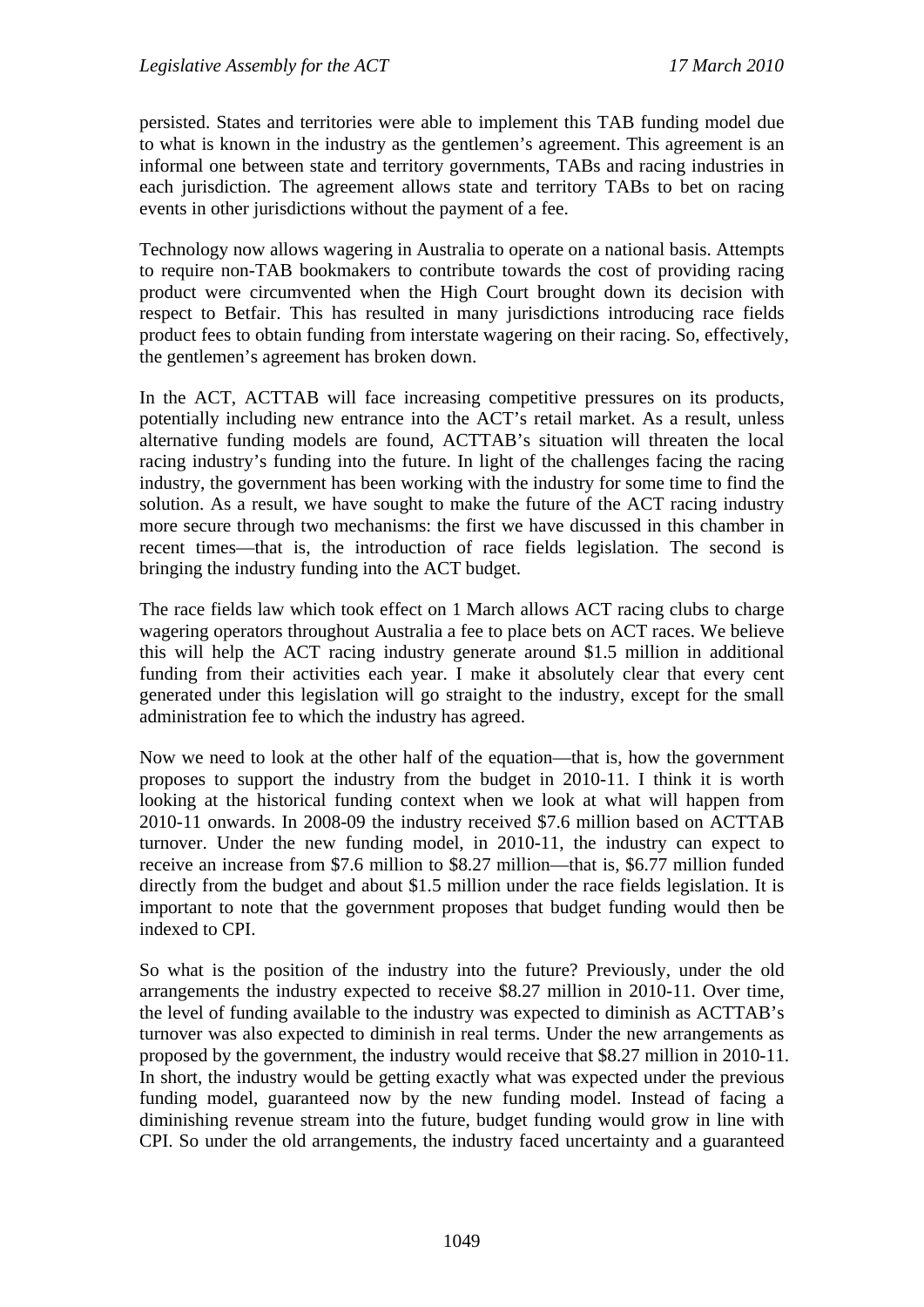persisted. States and territories were able to implement this TAB funding model due to what is known in the industry as the gentlemen's agreement. This agreement is an informal one between state and territory governments, TABs and racing industries in each jurisdiction. The agreement allows state and territory TABs to bet on racing events in other jurisdictions without the payment of a fee.

Technology now allows wagering in Australia to operate on a national basis. Attempts to require non-TAB bookmakers to contribute towards the cost of providing racing product were circumvented when the High Court brought down its decision with respect to Betfair. This has resulted in many jurisdictions introducing race fields product fees to obtain funding from interstate wagering on their racing. So, effectively, the gentlemen's agreement has broken down.

In the ACT, ACTTAB will face increasing competitive pressures on its products, potentially including new entrance into the ACT's retail market. As a result, unless alternative funding models are found, ACTTAB's situation will threaten the local racing industry's funding into the future. In light of the challenges facing the racing industry, the government has been working with the industry for some time to find the solution. As a result, we have sought to make the future of the ACT racing industry more secure through two mechanisms: the first we have discussed in this chamber in recent times—that is, the introduction of race fields legislation. The second is bringing the industry funding into the ACT budget.

The race fields law which took effect on 1 March allows ACT racing clubs to charge wagering operators throughout Australia a fee to place bets on ACT races. We believe this will help the ACT racing industry generate around \$1.5 million in additional funding from their activities each year. I make it absolutely clear that every cent generated under this legislation will go straight to the industry, except for the small administration fee to which the industry has agreed.

Now we need to look at the other half of the equation—that is, how the government proposes to support the industry from the budget in 2010-11. I think it is worth looking at the historical funding context when we look at what will happen from 2010-11 onwards. In 2008-09 the industry received \$7.6 million based on ACTTAB turnover. Under the new funding model, in 2010-11, the industry can expect to receive an increase from \$7.6 million to \$8.27 million—that is, \$6.77 million funded directly from the budget and about \$1.5 million under the race fields legislation. It is important to note that the government proposes that budget funding would then be indexed to CPI.

So what is the position of the industry into the future? Previously, under the old arrangements the industry expected to receive \$8.27 million in 2010-11. Over time, the level of funding available to the industry was expected to diminish as ACTTAB's turnover was also expected to diminish in real terms. Under the new arrangements as proposed by the government, the industry would receive that \$8.27 million in 2010-11. In short, the industry would be getting exactly what was expected under the previous funding model, guaranteed now by the new funding model. Instead of facing a diminishing revenue stream into the future, budget funding would grow in line with CPI. So under the old arrangements, the industry faced uncertainty and a guaranteed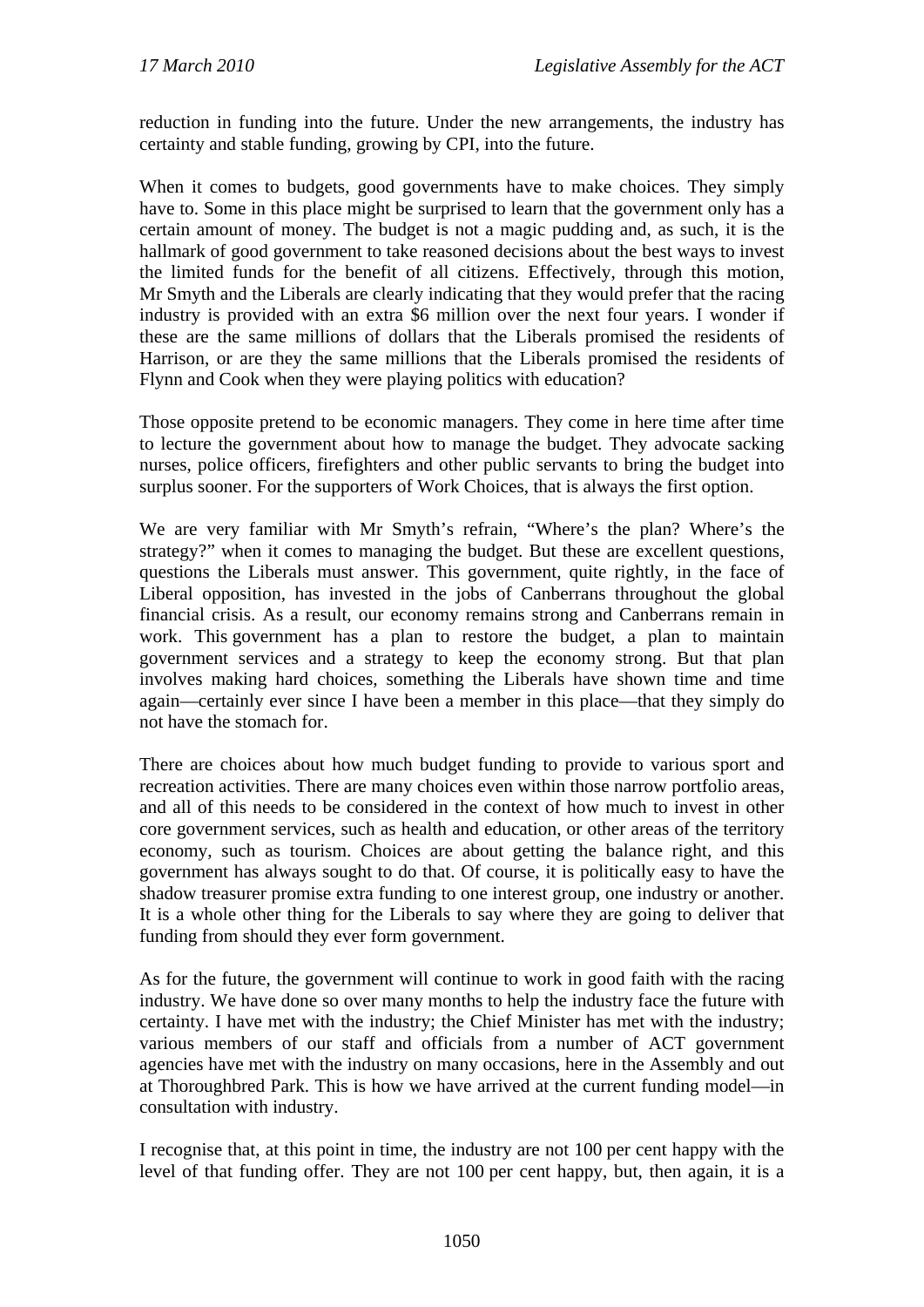reduction in funding into the future. Under the new arrangements, the industry has certainty and stable funding, growing by CPI, into the future.

When it comes to budgets, good governments have to make choices. They simply have to. Some in this place might be surprised to learn that the government only has a certain amount of money. The budget is not a magic pudding and, as such, it is the hallmark of good government to take reasoned decisions about the best ways to invest the limited funds for the benefit of all citizens. Effectively, through this motion, Mr Smyth and the Liberals are clearly indicating that they would prefer that the racing industry is provided with an extra \$6 million over the next four years. I wonder if these are the same millions of dollars that the Liberals promised the residents of Harrison, or are they the same millions that the Liberals promised the residents of Flynn and Cook when they were playing politics with education?

Those opposite pretend to be economic managers. They come in here time after time to lecture the government about how to manage the budget. They advocate sacking nurses, police officers, firefighters and other public servants to bring the budget into surplus sooner. For the supporters of Work Choices, that is always the first option.

We are very familiar with Mr Smyth's refrain, "Where's the plan? Where's the strategy?" when it comes to managing the budget. But these are excellent questions, questions the Liberals must answer. This government, quite rightly, in the face of Liberal opposition, has invested in the jobs of Canberrans throughout the global financial crisis. As a result, our economy remains strong and Canberrans remain in work. This government has a plan to restore the budget, a plan to maintain government services and a strategy to keep the economy strong. But that plan involves making hard choices, something the Liberals have shown time and time again—certainly ever since I have been a member in this place—that they simply do not have the stomach for.

There are choices about how much budget funding to provide to various sport and recreation activities. There are many choices even within those narrow portfolio areas, and all of this needs to be considered in the context of how much to invest in other core government services, such as health and education, or other areas of the territory economy, such as tourism. Choices are about getting the balance right, and this government has always sought to do that. Of course, it is politically easy to have the shadow treasurer promise extra funding to one interest group, one industry or another. It is a whole other thing for the Liberals to say where they are going to deliver that funding from should they ever form government.

As for the future, the government will continue to work in good faith with the racing industry. We have done so over many months to help the industry face the future with certainty. I have met with the industry; the Chief Minister has met with the industry; various members of our staff and officials from a number of ACT government agencies have met with the industry on many occasions, here in the Assembly and out at Thoroughbred Park. This is how we have arrived at the current funding model—in consultation with industry.

I recognise that, at this point in time, the industry are not 100 per cent happy with the level of that funding offer. They are not 100 per cent happy, but, then again, it is a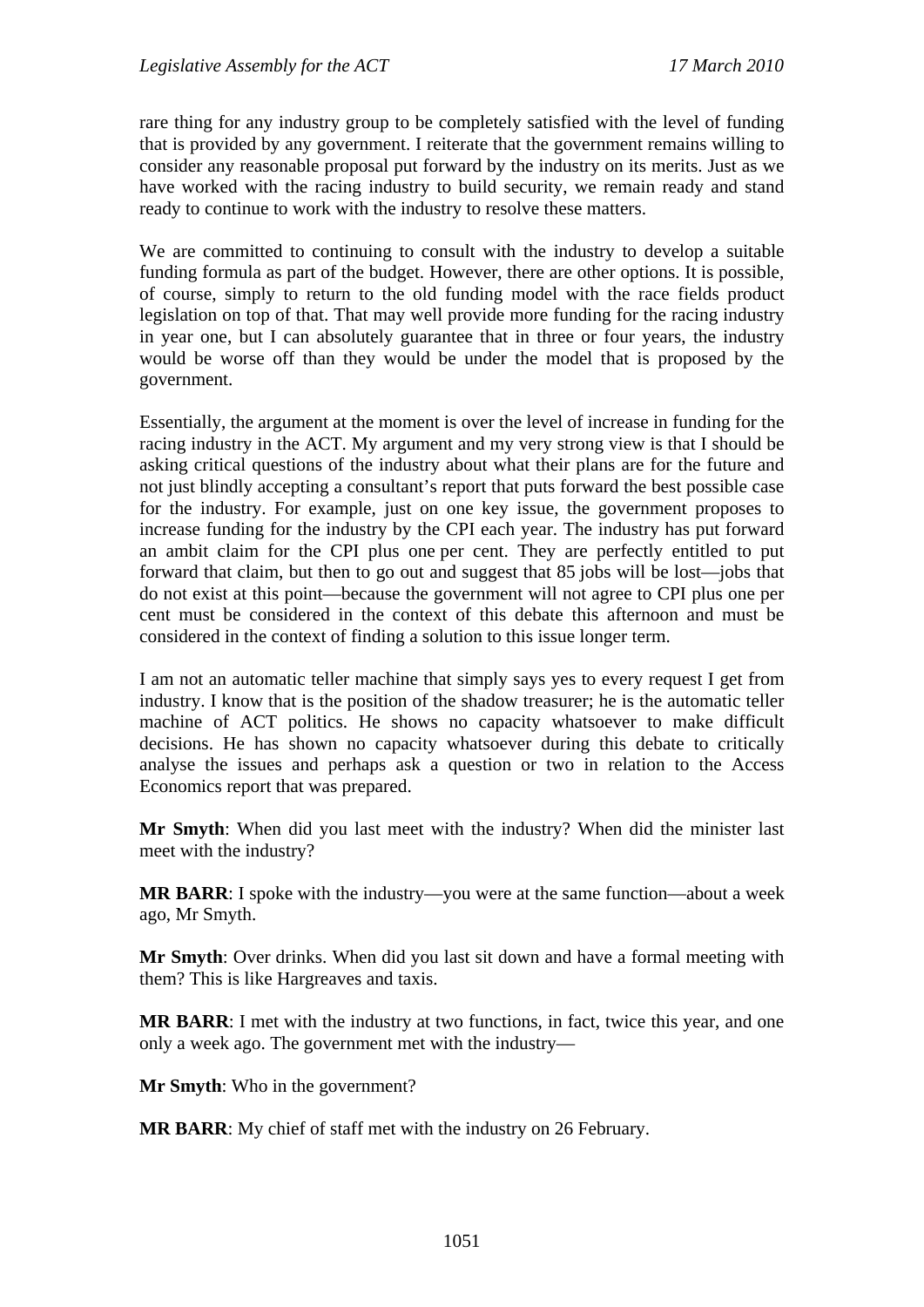rare thing for any industry group to be completely satisfied with the level of funding that is provided by any government. I reiterate that the government remains willing to consider any reasonable proposal put forward by the industry on its merits. Just as we have worked with the racing industry to build security, we remain ready and stand ready to continue to work with the industry to resolve these matters.

We are committed to continuing to consult with the industry to develop a suitable funding formula as part of the budget. However, there are other options. It is possible, of course, simply to return to the old funding model with the race fields product legislation on top of that. That may well provide more funding for the racing industry in year one, but I can absolutely guarantee that in three or four years, the industry would be worse off than they would be under the model that is proposed by the government.

Essentially, the argument at the moment is over the level of increase in funding for the racing industry in the ACT. My argument and my very strong view is that I should be asking critical questions of the industry about what their plans are for the future and not just blindly accepting a consultant's report that puts forward the best possible case for the industry. For example, just on one key issue, the government proposes to increase funding for the industry by the CPI each year. The industry has put forward an ambit claim for the CPI plus one per cent. They are perfectly entitled to put forward that claim, but then to go out and suggest that 85 jobs will be lost—jobs that do not exist at this point—because the government will not agree to CPI plus one per cent must be considered in the context of this debate this afternoon and must be considered in the context of finding a solution to this issue longer term.

I am not an automatic teller machine that simply says yes to every request I get from industry. I know that is the position of the shadow treasurer; he is the automatic teller machine of ACT politics. He shows no capacity whatsoever to make difficult decisions. He has shown no capacity whatsoever during this debate to critically analyse the issues and perhaps ask a question or two in relation to the Access Economics report that was prepared.

**Mr Smyth**: When did you last meet with the industry? When did the minister last meet with the industry?

**MR BARR**: I spoke with the industry—you were at the same function—about a week ago, Mr Smyth.

**Mr Smyth**: Over drinks. When did you last sit down and have a formal meeting with them? This is like Hargreaves and taxis.

**MR BARR**: I met with the industry at two functions, in fact, twice this year, and one only a week ago. The government met with the industry—

**Mr Smyth**: Who in the government?

**MR BARR**: My chief of staff met with the industry on 26 February.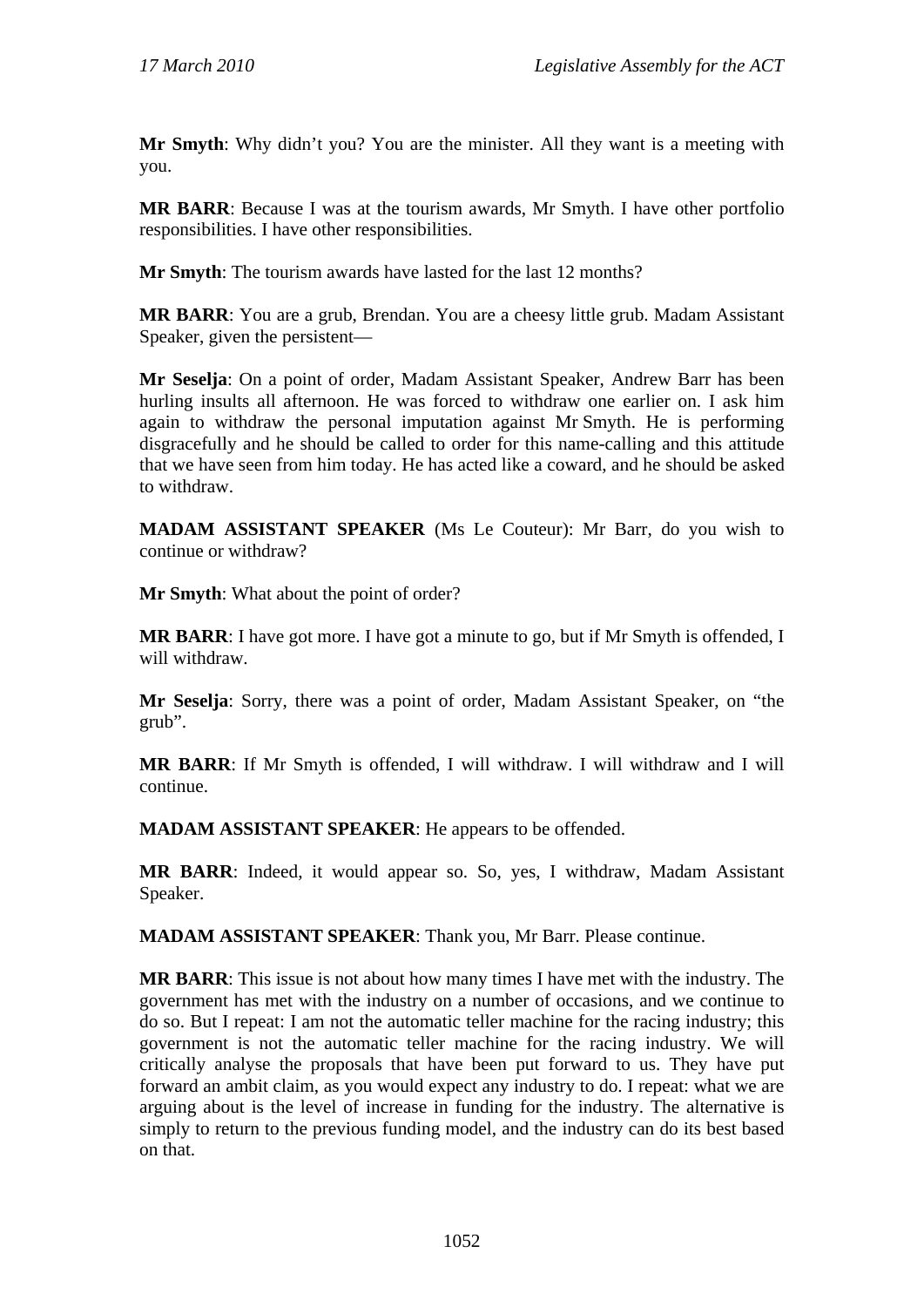**Mr Smyth**: Why didn't you? You are the minister. All they want is a meeting with you.

**MR BARR**: Because I was at the tourism awards, Mr Smyth. I have other portfolio responsibilities. I have other responsibilities.

**Mr Smyth**: The tourism awards have lasted for the last 12 months?

**MR BARR**: You are a grub, Brendan. You are a cheesy little grub. Madam Assistant Speaker, given the persistent—

**Mr Seselja**: On a point of order, Madam Assistant Speaker, Andrew Barr has been hurling insults all afternoon. He was forced to withdraw one earlier on. I ask him again to withdraw the personal imputation against Mr Smyth. He is performing disgracefully and he should be called to order for this name-calling and this attitude that we have seen from him today. He has acted like a coward, and he should be asked to withdraw.

**MADAM ASSISTANT SPEAKER** (Ms Le Couteur): Mr Barr, do you wish to continue or withdraw?

**Mr Smyth**: What about the point of order?

**MR BARR**: I have got more. I have got a minute to go, but if Mr Smyth is offended, I will withdraw.

**Mr Seselja**: Sorry, there was a point of order, Madam Assistant Speaker, on "the grub".

**MR BARR**: If Mr Smyth is offended, I will withdraw. I will withdraw and I will continue.

**MADAM ASSISTANT SPEAKER**: He appears to be offended.

**MR BARR**: Indeed, it would appear so. So, yes, I withdraw, Madam Assistant Speaker.

**MADAM ASSISTANT SPEAKER**: Thank you, Mr Barr. Please continue.

**MR BARR**: This issue is not about how many times I have met with the industry. The government has met with the industry on a number of occasions, and we continue to do so. But I repeat: I am not the automatic teller machine for the racing industry; this government is not the automatic teller machine for the racing industry. We will critically analyse the proposals that have been put forward to us. They have put forward an ambit claim, as you would expect any industry to do. I repeat: what we are arguing about is the level of increase in funding for the industry. The alternative is simply to return to the previous funding model, and the industry can do its best based on that.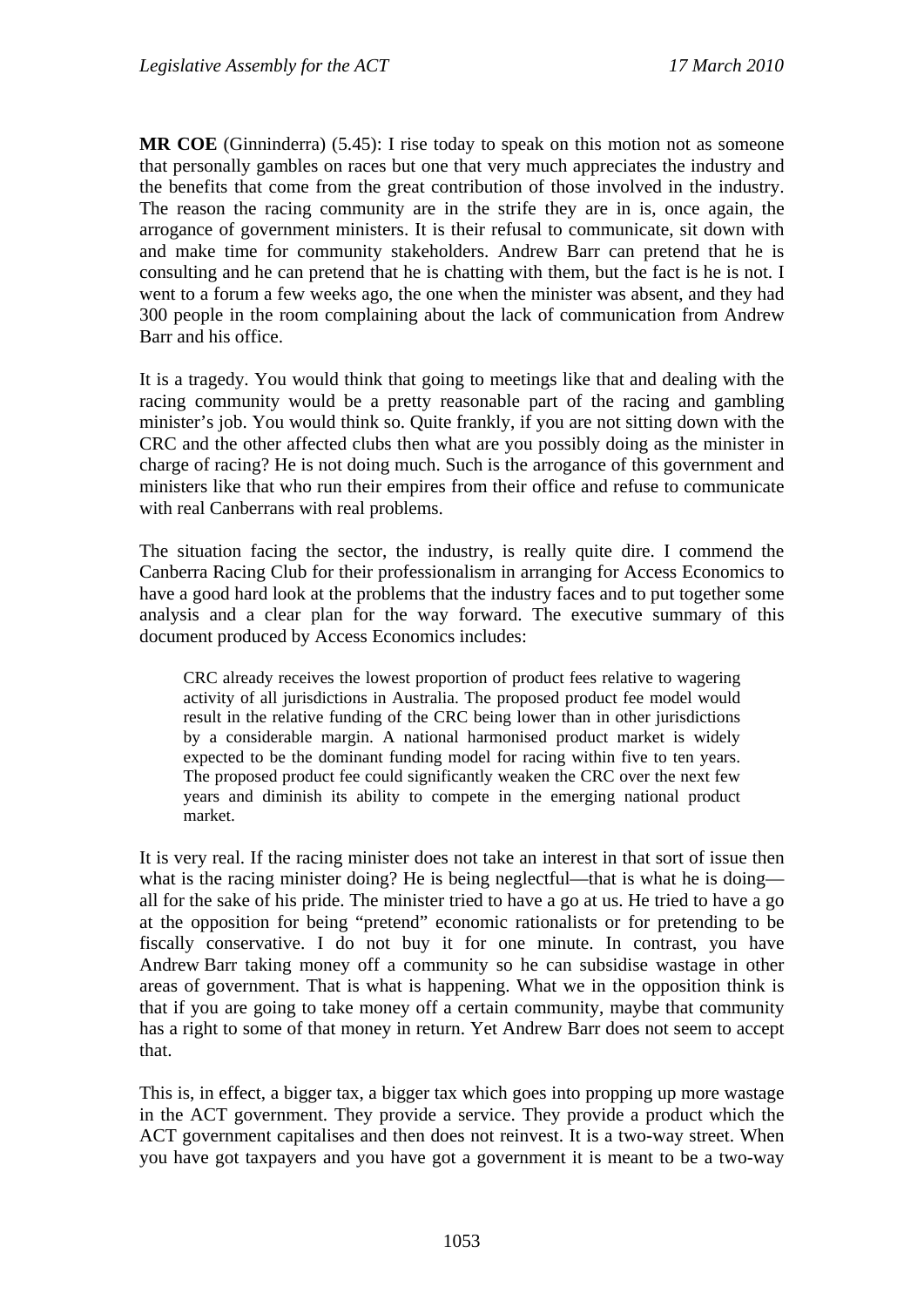**MR COE** (Ginninderra) (5.45): I rise today to speak on this motion not as someone that personally gambles on races but one that very much appreciates the industry and the benefits that come from the great contribution of those involved in the industry. The reason the racing community are in the strife they are in is, once again, the arrogance of government ministers. It is their refusal to communicate, sit down with and make time for community stakeholders. Andrew Barr can pretend that he is consulting and he can pretend that he is chatting with them, but the fact is he is not. I went to a forum a few weeks ago, the one when the minister was absent, and they had 300 people in the room complaining about the lack of communication from Andrew Barr and his office.

It is a tragedy. You would think that going to meetings like that and dealing with the racing community would be a pretty reasonable part of the racing and gambling minister's job. You would think so. Quite frankly, if you are not sitting down with the CRC and the other affected clubs then what are you possibly doing as the minister in charge of racing? He is not doing much. Such is the arrogance of this government and ministers like that who run their empires from their office and refuse to communicate with real Canberrans with real problems.

The situation facing the sector, the industry, is really quite dire. I commend the Canberra Racing Club for their professionalism in arranging for Access Economics to have a good hard look at the problems that the industry faces and to put together some analysis and a clear plan for the way forward. The executive summary of this document produced by Access Economics includes:

CRC already receives the lowest proportion of product fees relative to wagering activity of all jurisdictions in Australia. The proposed product fee model would result in the relative funding of the CRC being lower than in other jurisdictions by a considerable margin. A national harmonised product market is widely expected to be the dominant funding model for racing within five to ten years. The proposed product fee could significantly weaken the CRC over the next few years and diminish its ability to compete in the emerging national product market.

It is very real. If the racing minister does not take an interest in that sort of issue then what is the racing minister doing? He is being neglectful—that is what he is doing all for the sake of his pride. The minister tried to have a go at us. He tried to have a go at the opposition for being "pretend" economic rationalists or for pretending to be fiscally conservative. I do not buy it for one minute. In contrast, you have Andrew Barr taking money off a community so he can subsidise wastage in other areas of government. That is what is happening. What we in the opposition think is that if you are going to take money off a certain community, maybe that community has a right to some of that money in return. Yet Andrew Barr does not seem to accept that.

This is, in effect, a bigger tax, a bigger tax which goes into propping up more wastage in the ACT government. They provide a service. They provide a product which the ACT government capitalises and then does not reinvest. It is a two-way street. When you have got taxpayers and you have got a government it is meant to be a two-way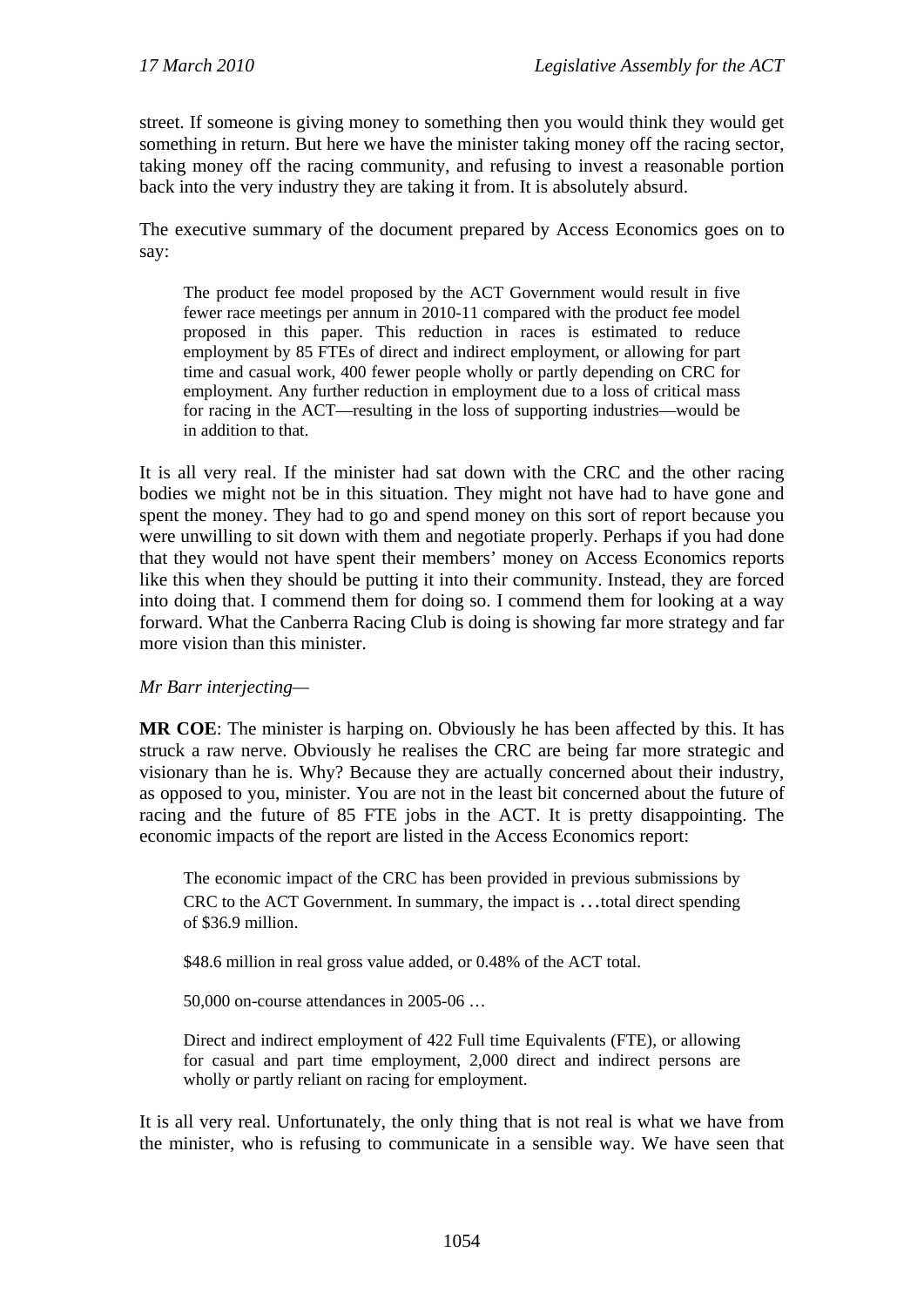street. If someone is giving money to something then you would think they would get something in return. But here we have the minister taking money off the racing sector, taking money off the racing community, and refusing to invest a reasonable portion back into the very industry they are taking it from. It is absolutely absurd.

The executive summary of the document prepared by Access Economics goes on to say:

The product fee model proposed by the ACT Government would result in five fewer race meetings per annum in 2010-11 compared with the product fee model proposed in this paper. This reduction in races is estimated to reduce employment by 85 FTEs of direct and indirect employment, or allowing for part time and casual work, 400 fewer people wholly or partly depending on CRC for employment. Any further reduction in employment due to a loss of critical mass for racing in the ACT—resulting in the loss of supporting industries—would be in addition to that.

It is all very real. If the minister had sat down with the CRC and the other racing bodies we might not be in this situation. They might not have had to have gone and spent the money. They had to go and spend money on this sort of report because you were unwilling to sit down with them and negotiate properly. Perhaps if you had done that they would not have spent their members' money on Access Economics reports like this when they should be putting it into their community. Instead, they are forced into doing that. I commend them for doing so. I commend them for looking at a way forward. What the Canberra Racing Club is doing is showing far more strategy and far more vision than this minister.

### *Mr Barr interjecting—*

**MR COE**: The minister is harping on. Obviously he has been affected by this. It has struck a raw nerve. Obviously he realises the CRC are being far more strategic and visionary than he is. Why? Because they are actually concerned about their industry, as opposed to you, minister. You are not in the least bit concerned about the future of racing and the future of 85 FTE jobs in the ACT. It is pretty disappointing. The economic impacts of the report are listed in the Access Economics report:

The economic impact of the CRC has been provided in previous submissions by CRC to the ACT Government. In summary, the impact is …total direct spending of \$36.9 million.

\$48.6 million in real gross value added, or 0.48% of the ACT total.

50,000 on-course attendances in 2005-06 …

Direct and indirect employment of 422 Full time Equivalents (FTE), or allowing for casual and part time employment, 2,000 direct and indirect persons are wholly or partly reliant on racing for employment.

It is all very real. Unfortunately, the only thing that is not real is what we have from the minister, who is refusing to communicate in a sensible way. We have seen that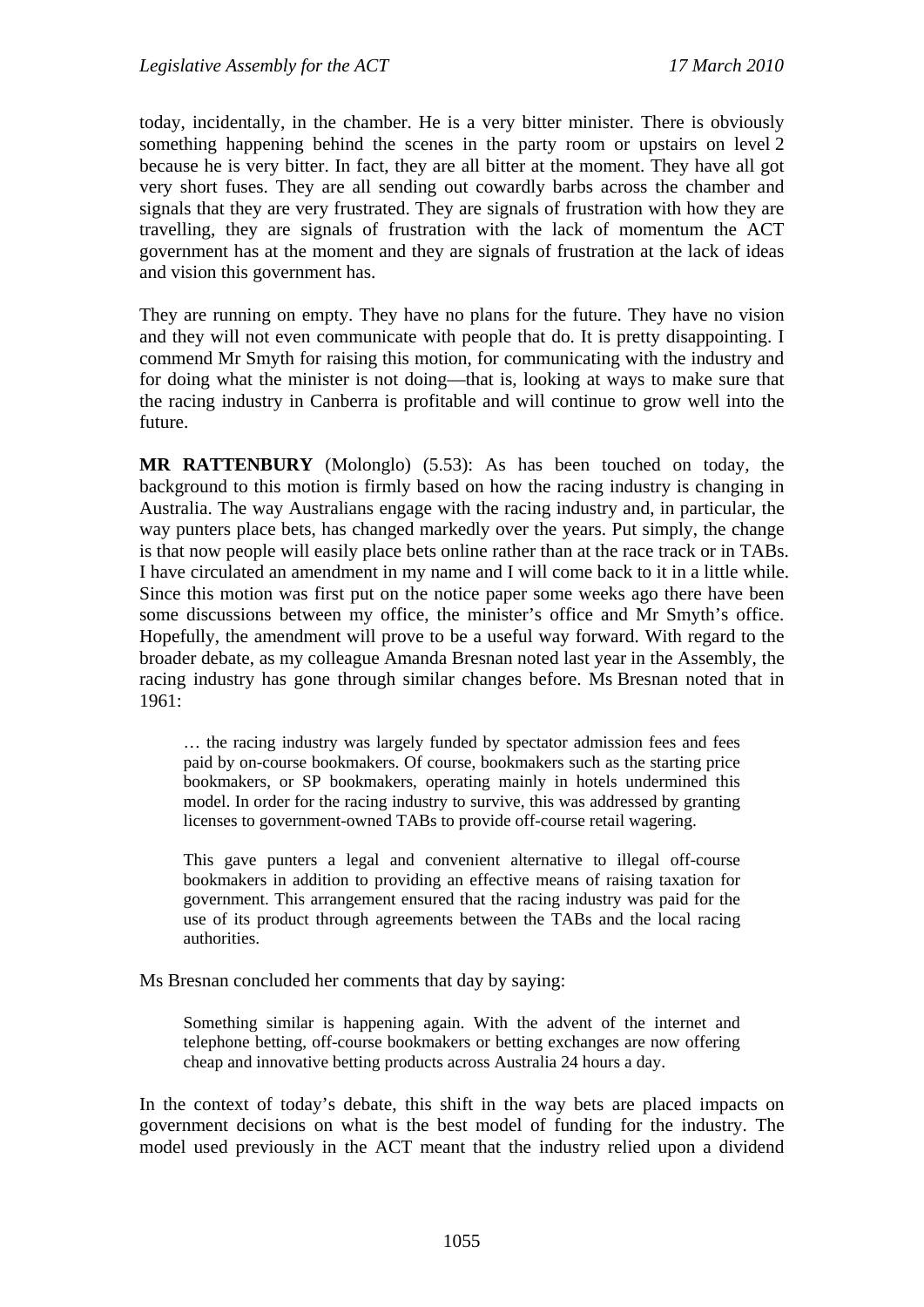today, incidentally, in the chamber. He is a very bitter minister. There is obviously something happening behind the scenes in the party room or upstairs on level 2 because he is very bitter. In fact, they are all bitter at the moment. They have all got very short fuses. They are all sending out cowardly barbs across the chamber and signals that they are very frustrated. They are signals of frustration with how they are travelling, they are signals of frustration with the lack of momentum the ACT government has at the moment and they are signals of frustration at the lack of ideas and vision this government has.

They are running on empty. They have no plans for the future. They have no vision and they will not even communicate with people that do. It is pretty disappointing. I commend Mr Smyth for raising this motion, for communicating with the industry and for doing what the minister is not doing—that is, looking at ways to make sure that the racing industry in Canberra is profitable and will continue to grow well into the future.

**MR RATTENBURY** (Molonglo) (5.53): As has been touched on today, the background to this motion is firmly based on how the racing industry is changing in Australia. The way Australians engage with the racing industry and, in particular, the way punters place bets, has changed markedly over the years. Put simply, the change is that now people will easily place bets online rather than at the race track or in TABs. I have circulated an amendment in my name and I will come back to it in a little while. Since this motion was first put on the notice paper some weeks ago there have been some discussions between my office, the minister's office and Mr Smyth's office. Hopefully, the amendment will prove to be a useful way forward. With regard to the broader debate, as my colleague Amanda Bresnan noted last year in the Assembly, the racing industry has gone through similar changes before. Ms Bresnan noted that in 1961:

… the racing industry was largely funded by spectator admission fees and fees paid by on-course bookmakers. Of course, bookmakers such as the starting price bookmakers, or SP bookmakers, operating mainly in hotels undermined this model. In order for the racing industry to survive, this was addressed by granting licenses to government-owned TABs to provide off-course retail wagering.

This gave punters a legal and convenient alternative to illegal off-course bookmakers in addition to providing an effective means of raising taxation for government. This arrangement ensured that the racing industry was paid for the use of its product through agreements between the TABs and the local racing authorities.

Ms Bresnan concluded her comments that day by saying:

Something similar is happening again. With the advent of the internet and telephone betting, off-course bookmakers or betting exchanges are now offering cheap and innovative betting products across Australia 24 hours a day.

In the context of today's debate, this shift in the way bets are placed impacts on government decisions on what is the best model of funding for the industry. The model used previously in the ACT meant that the industry relied upon a dividend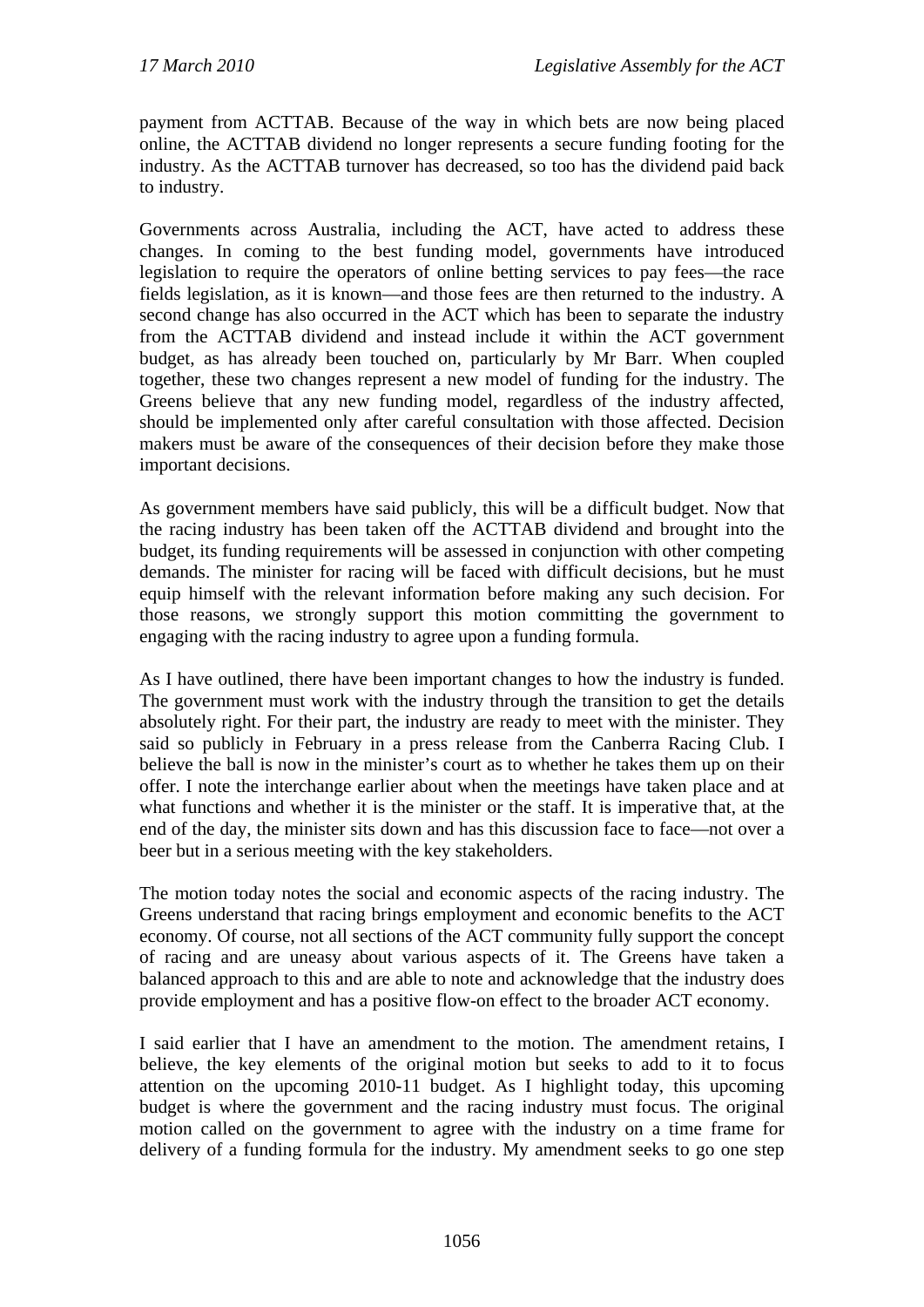payment from ACTTAB. Because of the way in which bets are now being placed online, the ACTTAB dividend no longer represents a secure funding footing for the industry. As the ACTTAB turnover has decreased, so too has the dividend paid back to industry.

Governments across Australia, including the ACT, have acted to address these changes. In coming to the best funding model, governments have introduced legislation to require the operators of online betting services to pay fees—the race fields legislation, as it is known—and those fees are then returned to the industry. A second change has also occurred in the ACT which has been to separate the industry from the ACTTAB dividend and instead include it within the ACT government budget, as has already been touched on, particularly by Mr Barr. When coupled together, these two changes represent a new model of funding for the industry. The Greens believe that any new funding model, regardless of the industry affected, should be implemented only after careful consultation with those affected. Decision makers must be aware of the consequences of their decision before they make those important decisions.

As government members have said publicly, this will be a difficult budget. Now that the racing industry has been taken off the ACTTAB dividend and brought into the budget, its funding requirements will be assessed in conjunction with other competing demands. The minister for racing will be faced with difficult decisions, but he must equip himself with the relevant information before making any such decision. For those reasons, we strongly support this motion committing the government to engaging with the racing industry to agree upon a funding formula.

As I have outlined, there have been important changes to how the industry is funded. The government must work with the industry through the transition to get the details absolutely right. For their part, the industry are ready to meet with the minister. They said so publicly in February in a press release from the Canberra Racing Club. I believe the ball is now in the minister's court as to whether he takes them up on their offer. I note the interchange earlier about when the meetings have taken place and at what functions and whether it is the minister or the staff. It is imperative that, at the end of the day, the minister sits down and has this discussion face to face—not over a beer but in a serious meeting with the key stakeholders.

The motion today notes the social and economic aspects of the racing industry. The Greens understand that racing brings employment and economic benefits to the ACT economy. Of course, not all sections of the ACT community fully support the concept of racing and are uneasy about various aspects of it. The Greens have taken a balanced approach to this and are able to note and acknowledge that the industry does provide employment and has a positive flow-on effect to the broader ACT economy.

I said earlier that I have an amendment to the motion. The amendment retains, I believe, the key elements of the original motion but seeks to add to it to focus attention on the upcoming 2010-11 budget. As I highlight today, this upcoming budget is where the government and the racing industry must focus. The original motion called on the government to agree with the industry on a time frame for delivery of a funding formula for the industry. My amendment seeks to go one step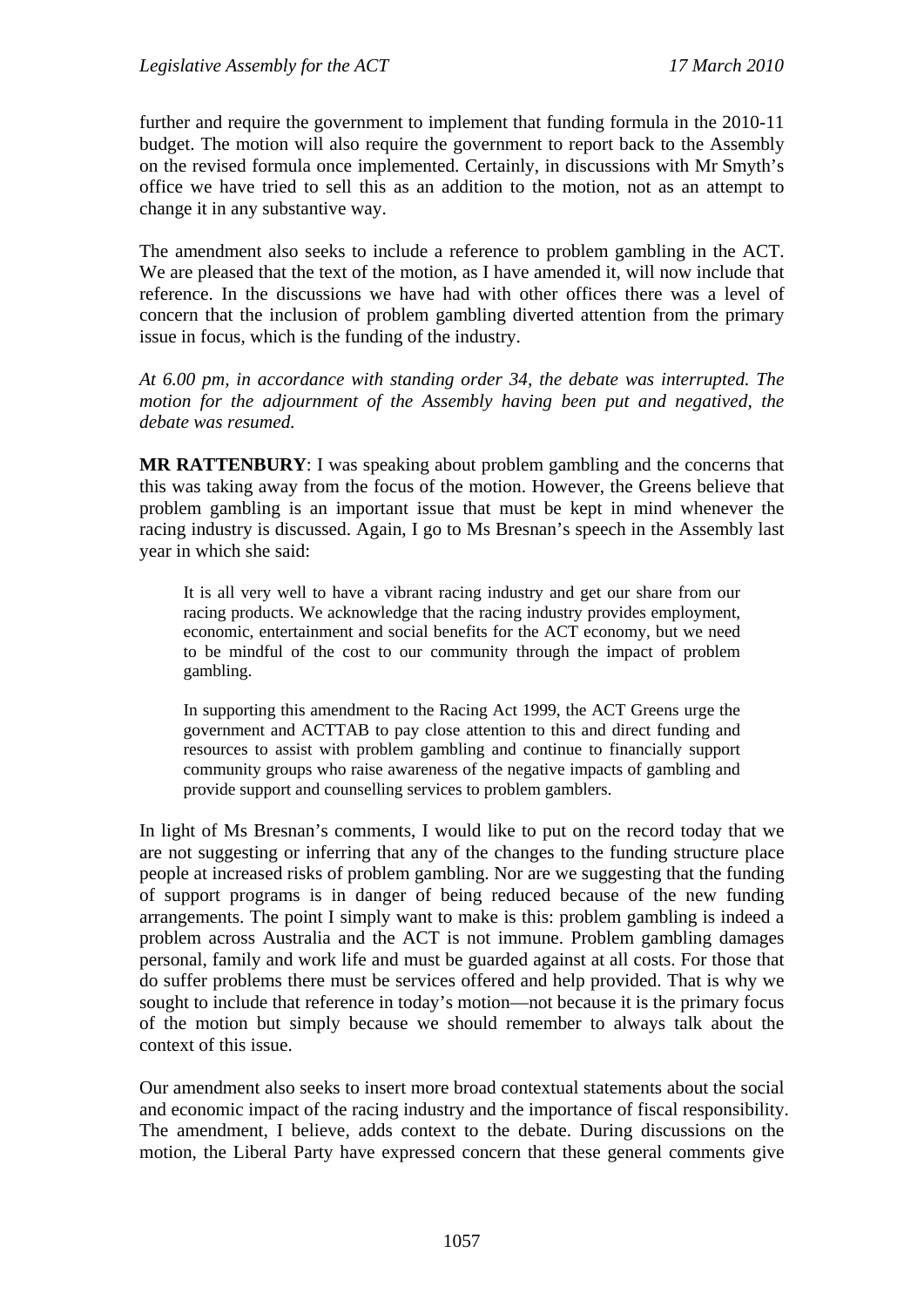further and require the government to implement that funding formula in the 2010-11 budget. The motion will also require the government to report back to the Assembly on the revised formula once implemented. Certainly, in discussions with Mr Smyth's office we have tried to sell this as an addition to the motion, not as an attempt to change it in any substantive way.

The amendment also seeks to include a reference to problem gambling in the ACT. We are pleased that the text of the motion, as I have amended it, will now include that reference. In the discussions we have had with other offices there was a level of concern that the inclusion of problem gambling diverted attention from the primary issue in focus, which is the funding of the industry.

*At 6.00 pm, in accordance with standing order 34, the debate was interrupted. The motion for the adjournment of the Assembly having been put and negatived, the debate was resumed.*

**MR RATTENBURY**: I was speaking about problem gambling and the concerns that this was taking away from the focus of the motion. However, the Greens believe that problem gambling is an important issue that must be kept in mind whenever the racing industry is discussed. Again, I go to Ms Bresnan's speech in the Assembly last year in which she said:

It is all very well to have a vibrant racing industry and get our share from our racing products. We acknowledge that the racing industry provides employment, economic, entertainment and social benefits for the ACT economy, but we need to be mindful of the cost to our community through the impact of problem gambling.

In supporting this amendment to the Racing Act 1999, the ACT Greens urge the government and ACTTAB to pay close attention to this and direct funding and resources to assist with problem gambling and continue to financially support community groups who raise awareness of the negative impacts of gambling and provide support and counselling services to problem gamblers.

In light of Ms Bresnan's comments, I would like to put on the record today that we are not suggesting or inferring that any of the changes to the funding structure place people at increased risks of problem gambling. Nor are we suggesting that the funding of support programs is in danger of being reduced because of the new funding arrangements. The point I simply want to make is this: problem gambling is indeed a problem across Australia and the ACT is not immune. Problem gambling damages personal, family and work life and must be guarded against at all costs. For those that do suffer problems there must be services offered and help provided. That is why we sought to include that reference in today's motion—not because it is the primary focus of the motion but simply because we should remember to always talk about the context of this issue.

Our amendment also seeks to insert more broad contextual statements about the social and economic impact of the racing industry and the importance of fiscal responsibility. The amendment, I believe, adds context to the debate. During discussions on the motion, the Liberal Party have expressed concern that these general comments give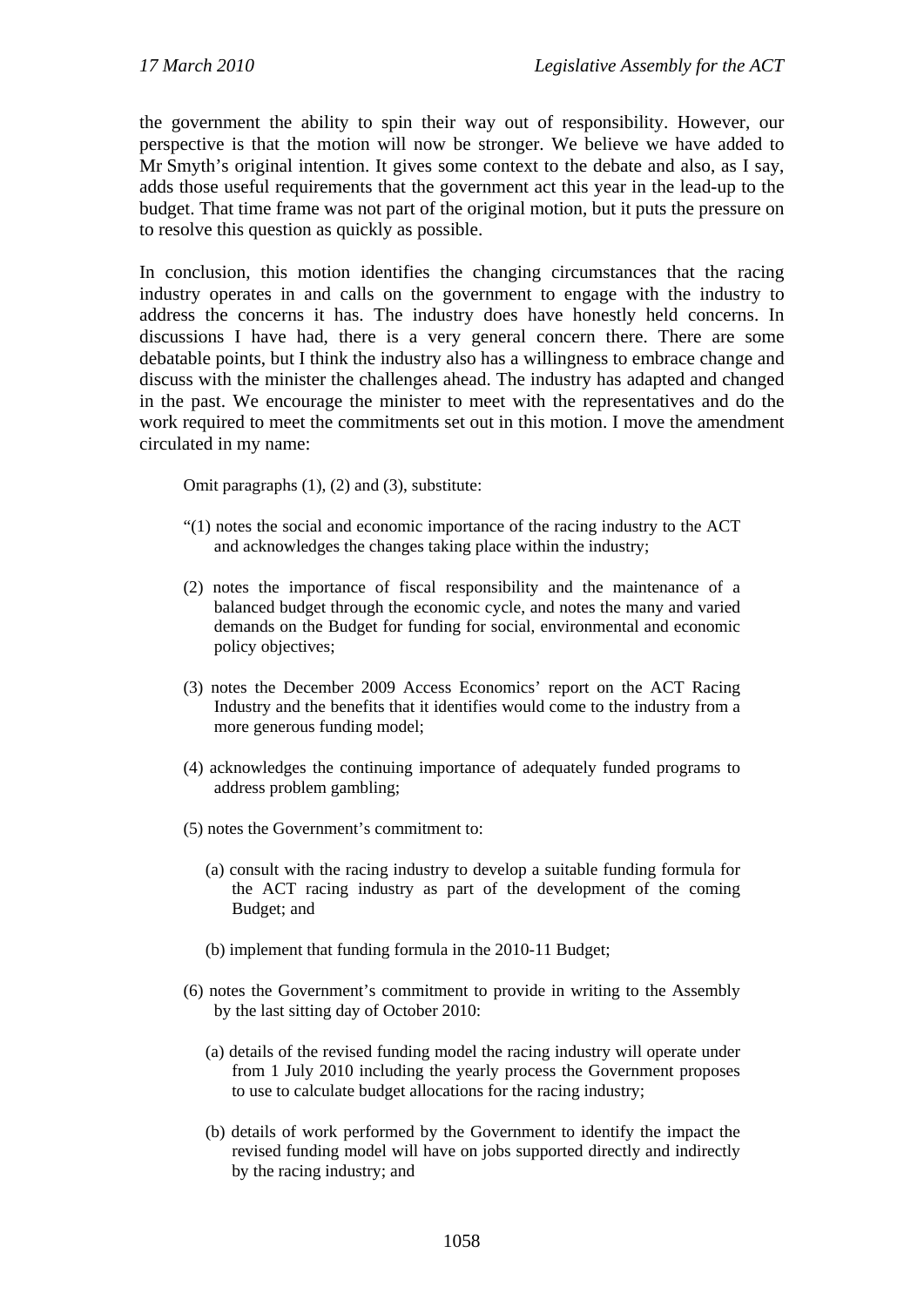the government the ability to spin their way out of responsibility. However, our perspective is that the motion will now be stronger. We believe we have added to Mr Smyth's original intention. It gives some context to the debate and also, as I say, adds those useful requirements that the government act this year in the lead-up to the budget. That time frame was not part of the original motion, but it puts the pressure on to resolve this question as quickly as possible.

In conclusion, this motion identifies the changing circumstances that the racing industry operates in and calls on the government to engage with the industry to address the concerns it has. The industry does have honestly held concerns. In discussions I have had, there is a very general concern there. There are some debatable points, but I think the industry also has a willingness to embrace change and discuss with the minister the challenges ahead. The industry has adapted and changed in the past. We encourage the minister to meet with the representatives and do the work required to meet the commitments set out in this motion. I move the amendment circulated in my name:

Omit paragraphs (1), (2) and (3), substitute:

- "(1) notes the social and economic importance of the racing industry to the ACT and acknowledges the changes taking place within the industry;
- (2) notes the importance of fiscal responsibility and the maintenance of a balanced budget through the economic cycle, and notes the many and varied demands on the Budget for funding for social, environmental and economic policy objectives;
- (3) notes the December 2009 Access Economics' report on the ACT Racing Industry and the benefits that it identifies would come to the industry from a more generous funding model;
- (4) acknowledges the continuing importance of adequately funded programs to address problem gambling;
- (5) notes the Government's commitment to:
	- (a) consult with the racing industry to develop a suitable funding formula for the ACT racing industry as part of the development of the coming Budget; and
	- (b) implement that funding formula in the 2010-11 Budget;
- (6) notes the Government's commitment to provide in writing to the Assembly by the last sitting day of October 2010:
	- (a) details of the revised funding model the racing industry will operate under from 1 July 2010 including the yearly process the Government proposes to use to calculate budget allocations for the racing industry;
	- (b) details of work performed by the Government to identify the impact the revised funding model will have on jobs supported directly and indirectly by the racing industry; and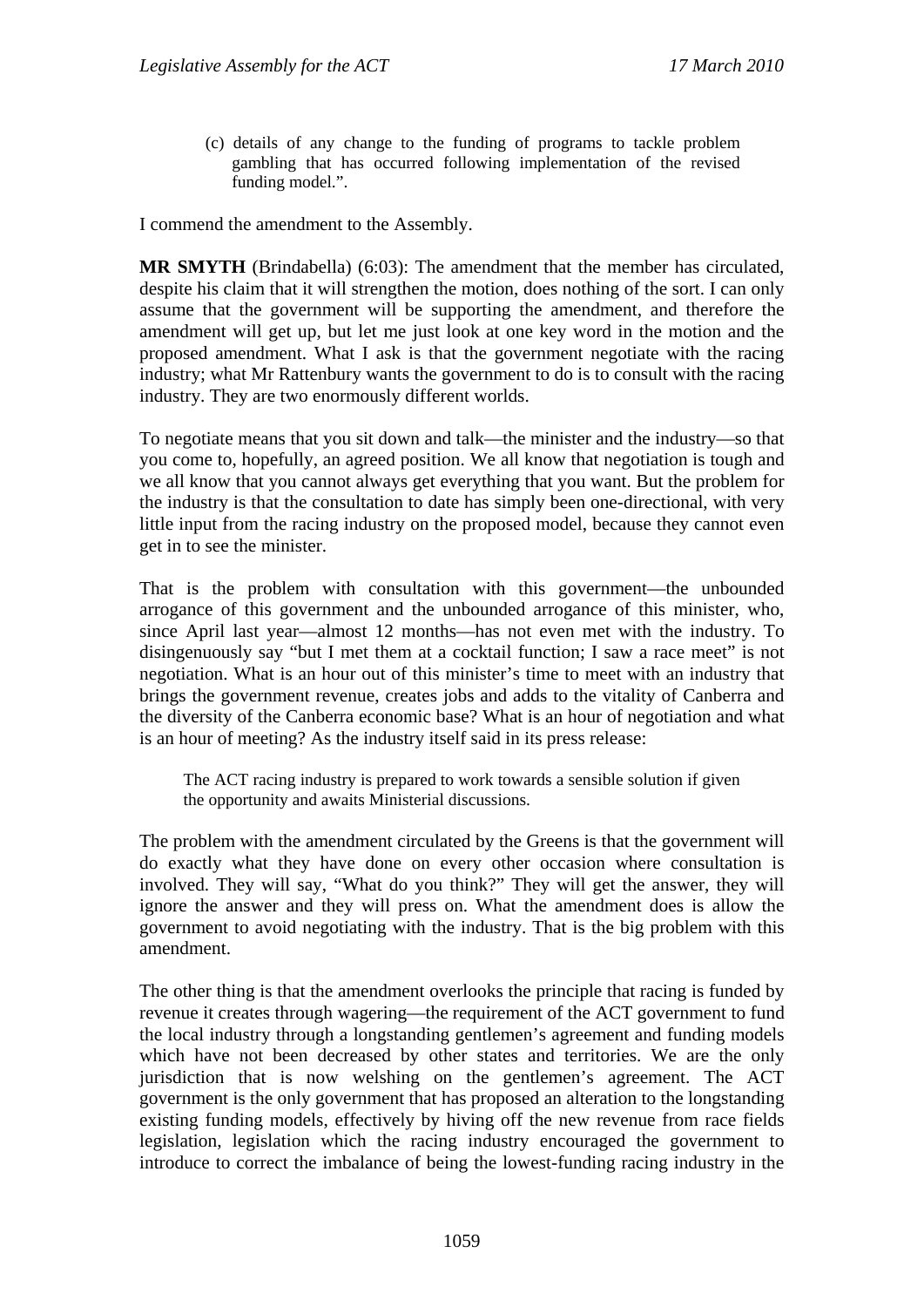(c) details of any change to the funding of programs to tackle problem gambling that has occurred following implementation of the revised funding model.".

I commend the amendment to the Assembly.

**MR SMYTH** (Brindabella) (6:03): The amendment that the member has circulated, despite his claim that it will strengthen the motion, does nothing of the sort. I can only assume that the government will be supporting the amendment, and therefore the amendment will get up, but let me just look at one key word in the motion and the proposed amendment. What I ask is that the government negotiate with the racing industry; what Mr Rattenbury wants the government to do is to consult with the racing industry. They are two enormously different worlds.

To negotiate means that you sit down and talk—the minister and the industry—so that you come to, hopefully, an agreed position. We all know that negotiation is tough and we all know that you cannot always get everything that you want. But the problem for the industry is that the consultation to date has simply been one-directional, with very little input from the racing industry on the proposed model, because they cannot even get in to see the minister.

That is the problem with consultation with this government—the unbounded arrogance of this government and the unbounded arrogance of this minister, who, since April last year—almost 12 months—has not even met with the industry. To disingenuously say "but I met them at a cocktail function; I saw a race meet" is not negotiation. What is an hour out of this minister's time to meet with an industry that brings the government revenue, creates jobs and adds to the vitality of Canberra and the diversity of the Canberra economic base? What is an hour of negotiation and what is an hour of meeting? As the industry itself said in its press release:

The ACT racing industry is prepared to work towards a sensible solution if given the opportunity and awaits Ministerial discussions.

The problem with the amendment circulated by the Greens is that the government will do exactly what they have done on every other occasion where consultation is involved. They will say, "What do you think?" They will get the answer, they will ignore the answer and they will press on. What the amendment does is allow the government to avoid negotiating with the industry. That is the big problem with this amendment.

The other thing is that the amendment overlooks the principle that racing is funded by revenue it creates through wagering—the requirement of the ACT government to fund the local industry through a longstanding gentlemen's agreement and funding models which have not been decreased by other states and territories. We are the only jurisdiction that is now welshing on the gentlemen's agreement. The ACT government is the only government that has proposed an alteration to the longstanding existing funding models, effectively by hiving off the new revenue from race fields legislation, legislation which the racing industry encouraged the government to introduce to correct the imbalance of being the lowest-funding racing industry in the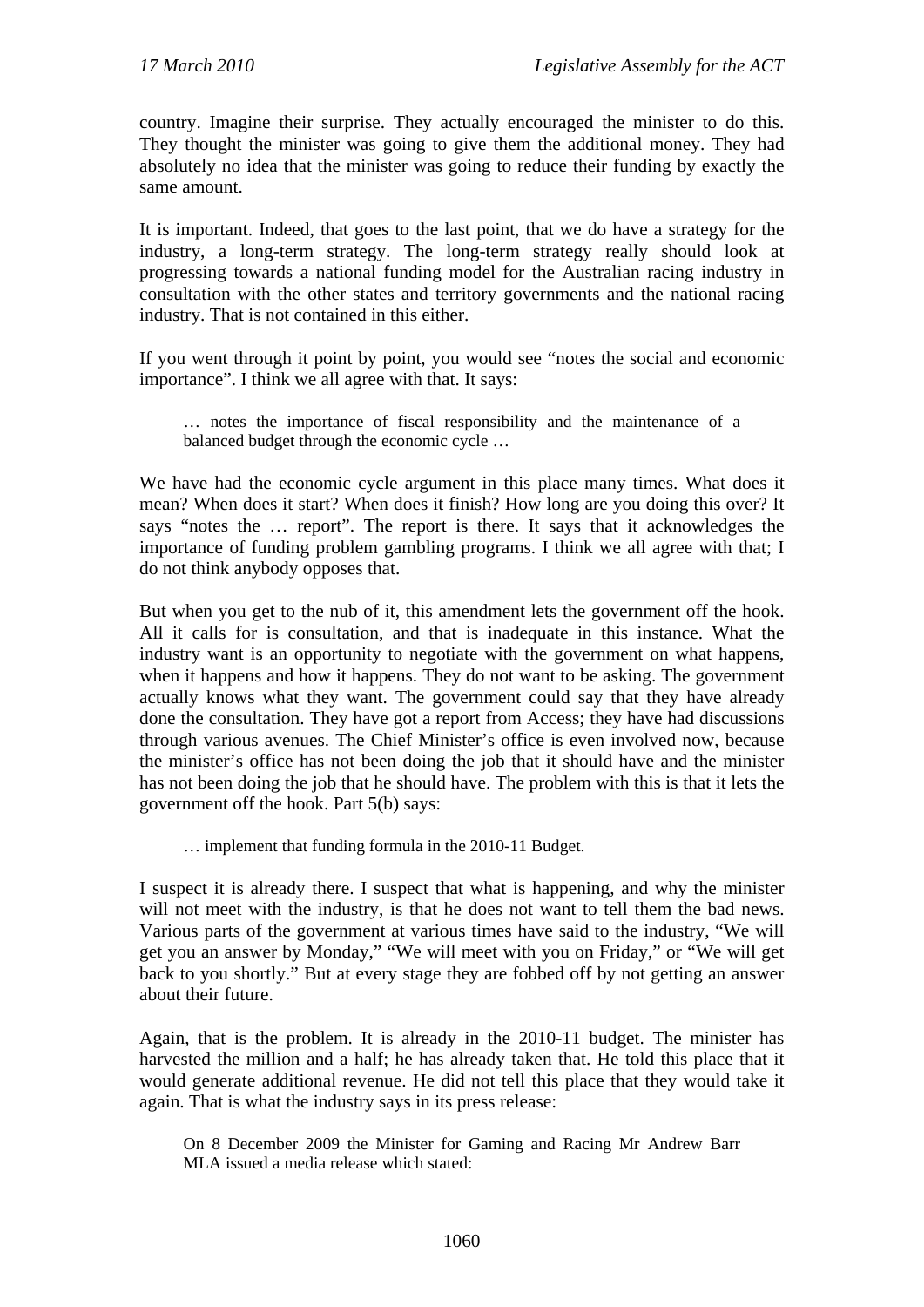country. Imagine their surprise. They actually encouraged the minister to do this. They thought the minister was going to give them the additional money. They had absolutely no idea that the minister was going to reduce their funding by exactly the same amount.

It is important. Indeed, that goes to the last point, that we do have a strategy for the industry, a long-term strategy. The long-term strategy really should look at progressing towards a national funding model for the Australian racing industry in consultation with the other states and territory governments and the national racing industry. That is not contained in this either.

If you went through it point by point, you would see "notes the social and economic importance". I think we all agree with that. It says:

… notes the importance of fiscal responsibility and the maintenance of a balanced budget through the economic cycle …

We have had the economic cycle argument in this place many times. What does it mean? When does it start? When does it finish? How long are you doing this over? It says "notes the … report". The report is there. It says that it acknowledges the importance of funding problem gambling programs. I think we all agree with that; I do not think anybody opposes that.

But when you get to the nub of it, this amendment lets the government off the hook. All it calls for is consultation, and that is inadequate in this instance. What the industry want is an opportunity to negotiate with the government on what happens, when it happens and how it happens. They do not want to be asking. The government actually knows what they want. The government could say that they have already done the consultation. They have got a report from Access; they have had discussions through various avenues. The Chief Minister's office is even involved now, because the minister's office has not been doing the job that it should have and the minister has not been doing the job that he should have. The problem with this is that it lets the government off the hook. Part 5(b) says:

… implement that funding formula in the 2010-11 Budget.

I suspect it is already there. I suspect that what is happening, and why the minister will not meet with the industry, is that he does not want to tell them the bad news. Various parts of the government at various times have said to the industry, "We will get you an answer by Monday," "We will meet with you on Friday," or "We will get back to you shortly." But at every stage they are fobbed off by not getting an answer about their future.

Again, that is the problem. It is already in the 2010-11 budget. The minister has harvested the million and a half; he has already taken that. He told this place that it would generate additional revenue. He did not tell this place that they would take it again. That is what the industry says in its press release:

On 8 December 2009 the Minister for Gaming and Racing Mr Andrew Barr MLA issued a media release which stated: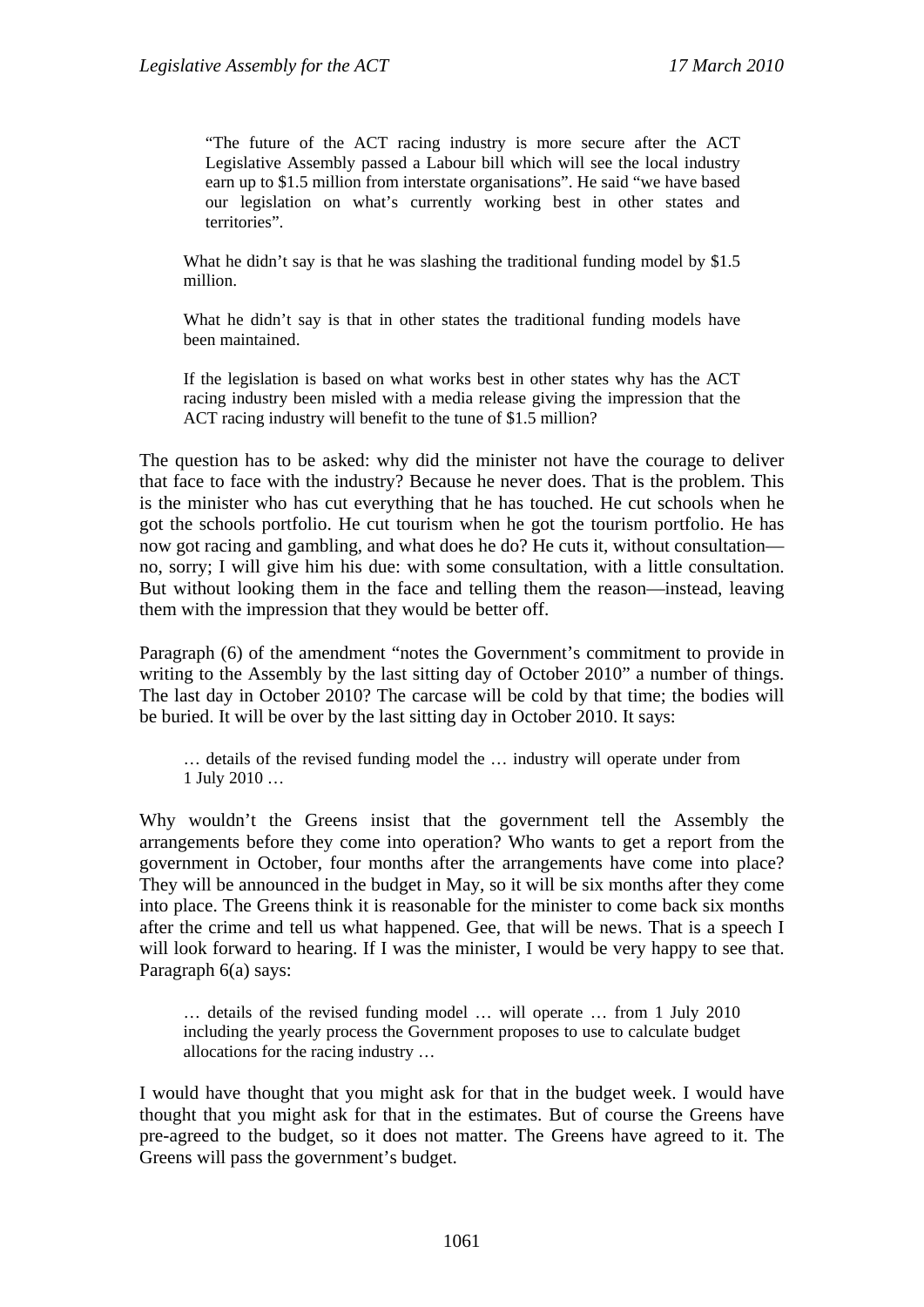"The future of the ACT racing industry is more secure after the ACT Legislative Assembly passed a Labour bill which will see the local industry earn up to \$1.5 million from interstate organisations". He said "we have based our legislation on what's currently working best in other states and territories".

What he didn't say is that he was slashing the traditional funding model by \$1.5 million.

What he didn't say is that in other states the traditional funding models have been maintained.

If the legislation is based on what works best in other states why has the ACT racing industry been misled with a media release giving the impression that the ACT racing industry will benefit to the tune of \$1.5 million?

The question has to be asked: why did the minister not have the courage to deliver that face to face with the industry? Because he never does. That is the problem. This is the minister who has cut everything that he has touched. He cut schools when he got the schools portfolio. He cut tourism when he got the tourism portfolio. He has now got racing and gambling, and what does he do? He cuts it, without consultation no, sorry; I will give him his due: with some consultation, with a little consultation. But without looking them in the face and telling them the reason—instead, leaving them with the impression that they would be better off.

Paragraph (6) of the amendment "notes the Government's commitment to provide in writing to the Assembly by the last sitting day of October 2010" a number of things. The last day in October 2010? The carcase will be cold by that time; the bodies will be buried. It will be over by the last sitting day in October 2010. It says:

… details of the revised funding model the … industry will operate under from 1 July 2010 …

Why wouldn't the Greens insist that the government tell the Assembly the arrangements before they come into operation? Who wants to get a report from the government in October, four months after the arrangements have come into place? They will be announced in the budget in May, so it will be six months after they come into place. The Greens think it is reasonable for the minister to come back six months after the crime and tell us what happened. Gee, that will be news. That is a speech I will look forward to hearing. If I was the minister, I would be very happy to see that. Paragraph 6(a) says:

… details of the revised funding model … will operate … from 1 July 2010 including the yearly process the Government proposes to use to calculate budget allocations for the racing industry …

I would have thought that you might ask for that in the budget week. I would have thought that you might ask for that in the estimates. But of course the Greens have pre-agreed to the budget, so it does not matter. The Greens have agreed to it. The Greens will pass the government's budget.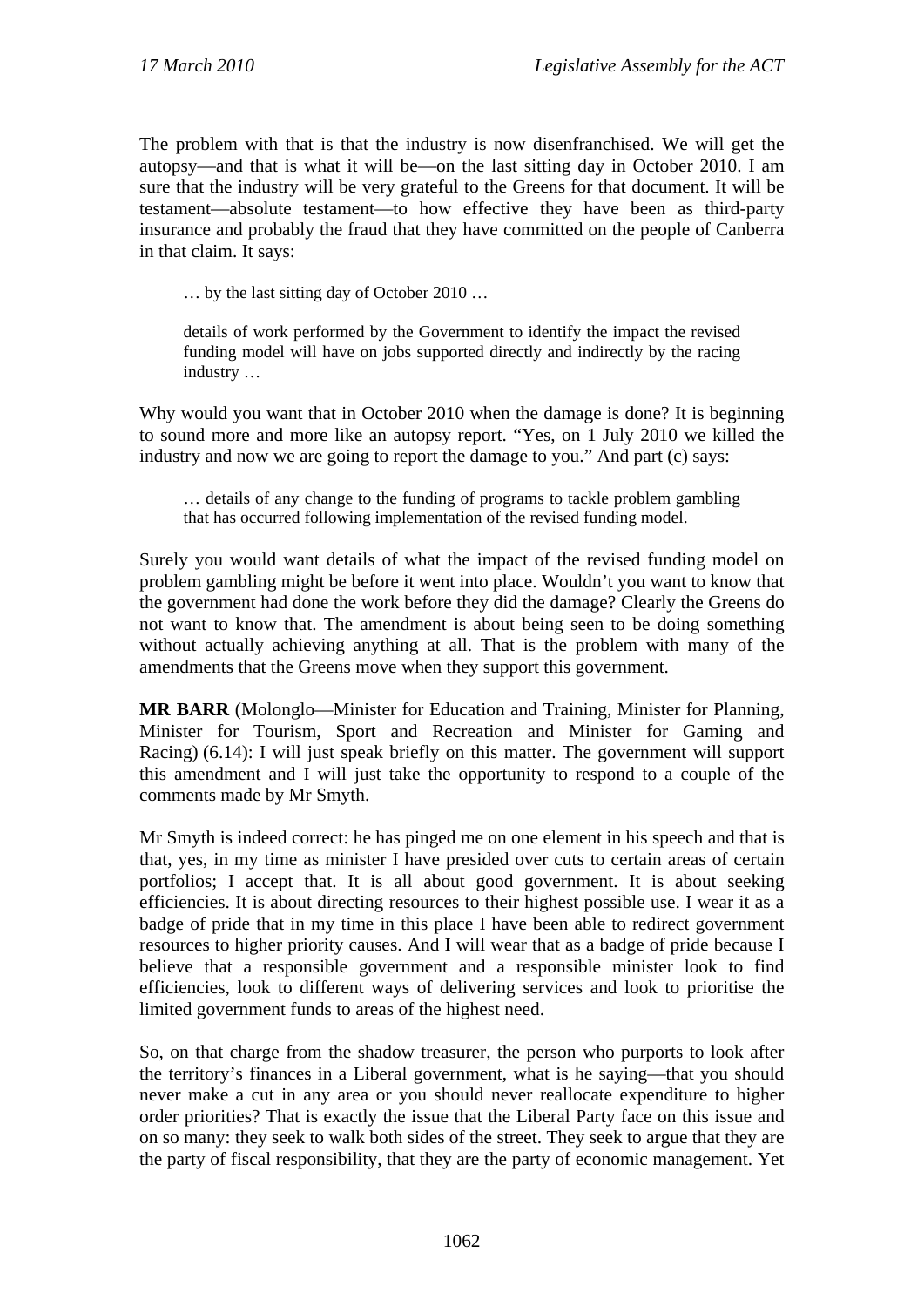The problem with that is that the industry is now disenfranchised. We will get the autopsy—and that is what it will be—on the last sitting day in October 2010. I am sure that the industry will be very grateful to the Greens for that document. It will be testament—absolute testament—to how effective they have been as third-party insurance and probably the fraud that they have committed on the people of Canberra in that claim. It says:

… by the last sitting day of October 2010 …

details of work performed by the Government to identify the impact the revised funding model will have on jobs supported directly and indirectly by the racing industry …

Why would you want that in October 2010 when the damage is done? It is beginning to sound more and more like an autopsy report. "Yes, on 1 July 2010 we killed the industry and now we are going to report the damage to you." And part (c) says:

… details of any change to the funding of programs to tackle problem gambling that has occurred following implementation of the revised funding model.

Surely you would want details of what the impact of the revised funding model on problem gambling might be before it went into place. Wouldn't you want to know that the government had done the work before they did the damage? Clearly the Greens do not want to know that. The amendment is about being seen to be doing something without actually achieving anything at all. That is the problem with many of the amendments that the Greens move when they support this government.

**MR BARR** (Molonglo—Minister for Education and Training, Minister for Planning, Minister for Tourism, Sport and Recreation and Minister for Gaming and Racing) (6.14): I will just speak briefly on this matter. The government will support this amendment and I will just take the opportunity to respond to a couple of the comments made by Mr Smyth.

Mr Smyth is indeed correct: he has pinged me on one element in his speech and that is that, yes, in my time as minister I have presided over cuts to certain areas of certain portfolios; I accept that. It is all about good government. It is about seeking efficiencies. It is about directing resources to their highest possible use. I wear it as a badge of pride that in my time in this place I have been able to redirect government resources to higher priority causes. And I will wear that as a badge of pride because I believe that a responsible government and a responsible minister look to find efficiencies, look to different ways of delivering services and look to prioritise the limited government funds to areas of the highest need.

So, on that charge from the shadow treasurer, the person who purports to look after the territory's finances in a Liberal government, what is he saying—that you should never make a cut in any area or you should never reallocate expenditure to higher order priorities? That is exactly the issue that the Liberal Party face on this issue and on so many: they seek to walk both sides of the street. They seek to argue that they are the party of fiscal responsibility, that they are the party of economic management. Yet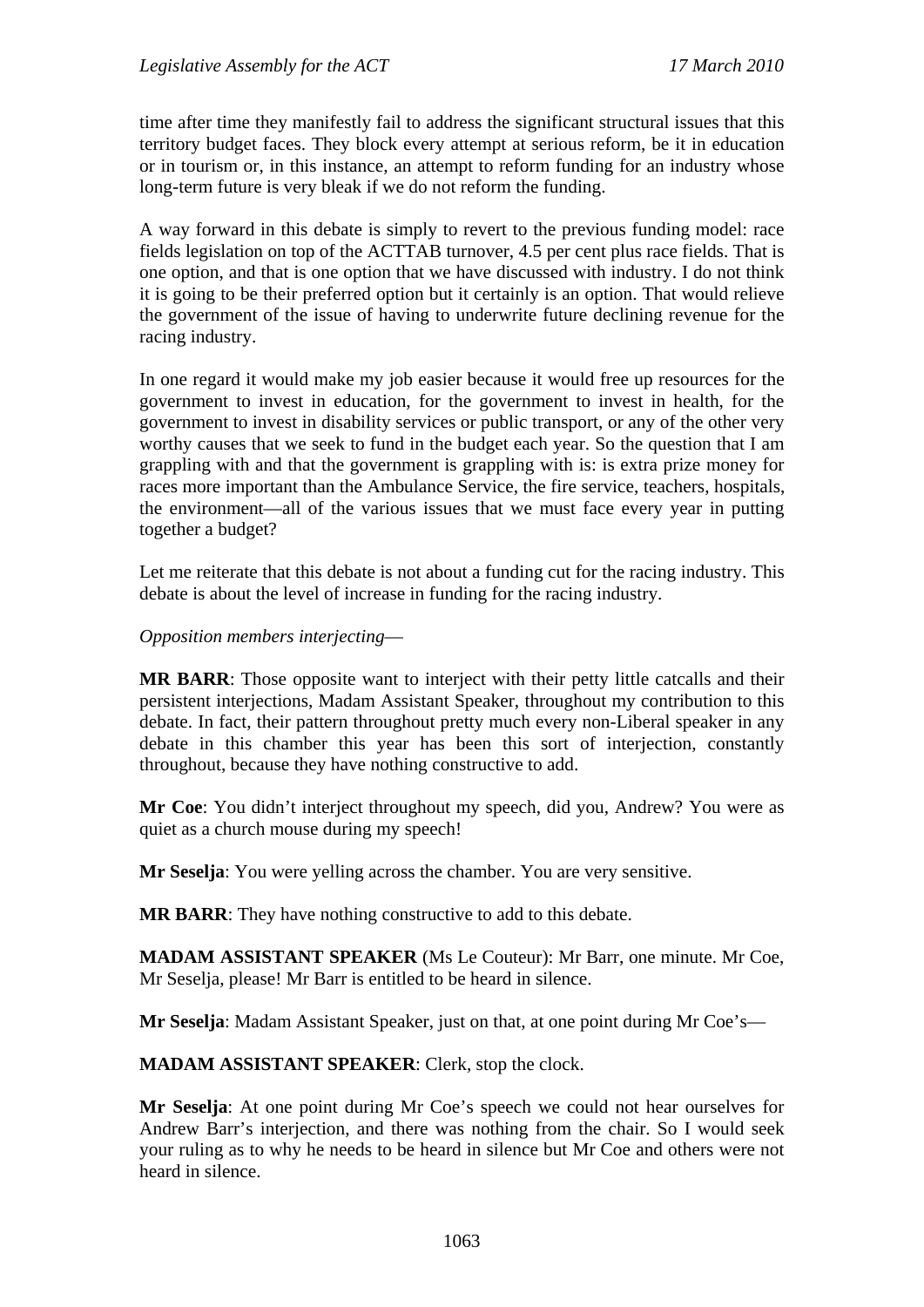time after time they manifestly fail to address the significant structural issues that this territory budget faces. They block every attempt at serious reform, be it in education or in tourism or, in this instance, an attempt to reform funding for an industry whose long-term future is very bleak if we do not reform the funding.

A way forward in this debate is simply to revert to the previous funding model: race fields legislation on top of the ACTTAB turnover, 4.5 per cent plus race fields. That is one option, and that is one option that we have discussed with industry. I do not think it is going to be their preferred option but it certainly is an option. That would relieve the government of the issue of having to underwrite future declining revenue for the racing industry.

In one regard it would make my job easier because it would free up resources for the government to invest in education, for the government to invest in health, for the government to invest in disability services or public transport, or any of the other very worthy causes that we seek to fund in the budget each year. So the question that I am grappling with and that the government is grappling with is: is extra prize money for races more important than the Ambulance Service, the fire service, teachers, hospitals, the environment—all of the various issues that we must face every year in putting together a budget?

Let me reiterate that this debate is not about a funding cut for the racing industry. This debate is about the level of increase in funding for the racing industry.

*Opposition members interjecting*—

**MR BARR**: Those opposite want to interject with their petty little catcalls and their persistent interjections, Madam Assistant Speaker, throughout my contribution to this debate. In fact, their pattern throughout pretty much every non-Liberal speaker in any debate in this chamber this year has been this sort of interjection, constantly throughout, because they have nothing constructive to add.

**Mr Coe**: You didn't interject throughout my speech, did you, Andrew? You were as quiet as a church mouse during my speech!

**Mr Seselja**: You were yelling across the chamber. You are very sensitive.

**MR BARR**: They have nothing constructive to add to this debate.

**MADAM ASSISTANT SPEAKER** (Ms Le Couteur): Mr Barr, one minute. Mr Coe, Mr Seselja, please! Mr Barr is entitled to be heard in silence.

**Mr Seselja**: Madam Assistant Speaker, just on that, at one point during Mr Coe's—

**MADAM ASSISTANT SPEAKER**: Clerk, stop the clock.

**Mr Seselja**: At one point during Mr Coe's speech we could not hear ourselves for Andrew Barr's interjection, and there was nothing from the chair. So I would seek your ruling as to why he needs to be heard in silence but Mr Coe and others were not heard in silence.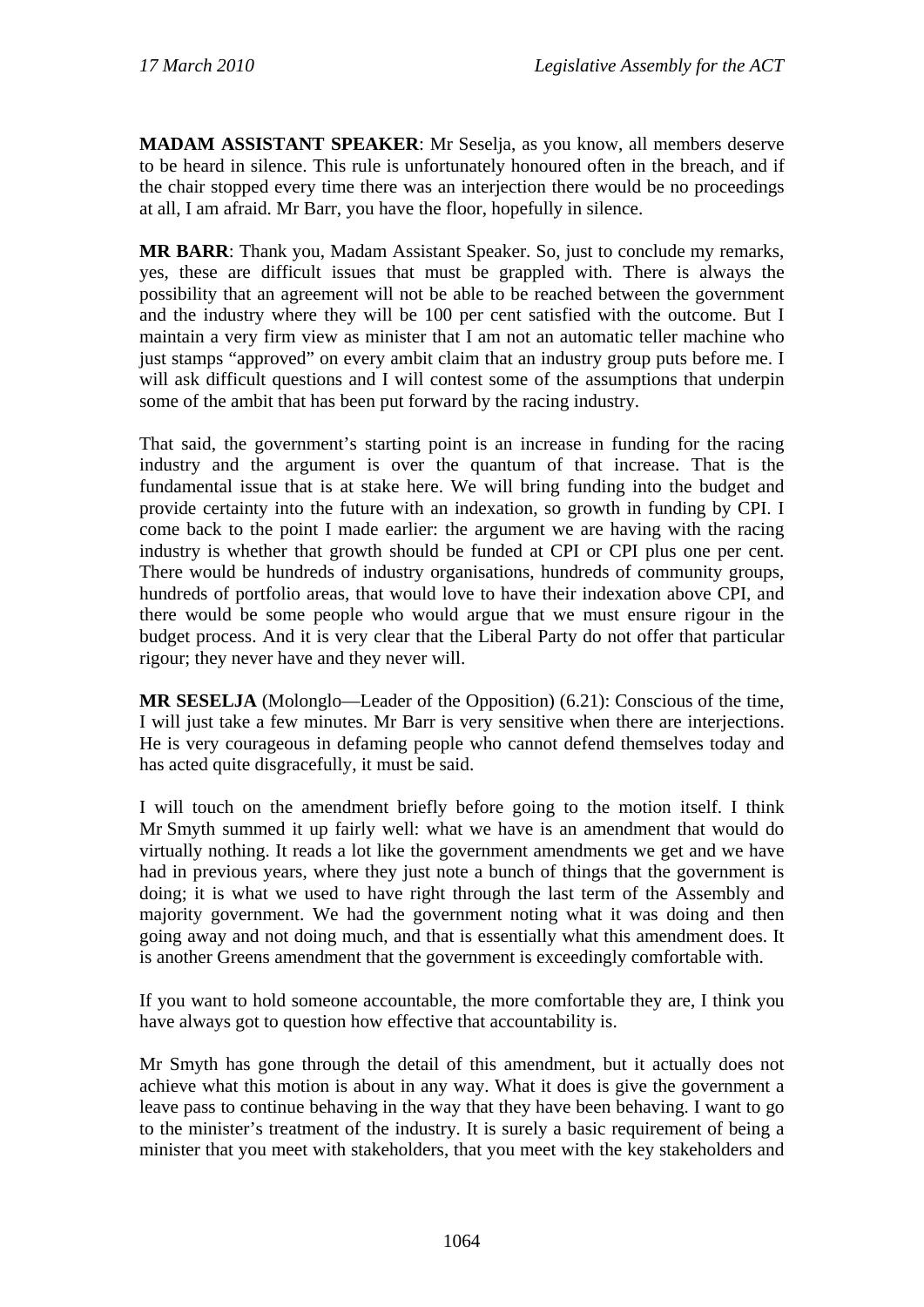**MADAM ASSISTANT SPEAKER**: Mr Seselja, as you know, all members deserve to be heard in silence. This rule is unfortunately honoured often in the breach, and if the chair stopped every time there was an interjection there would be no proceedings at all, I am afraid. Mr Barr, you have the floor, hopefully in silence.

**MR BARR**: Thank you, Madam Assistant Speaker. So, just to conclude my remarks, yes, these are difficult issues that must be grappled with. There is always the possibility that an agreement will not be able to be reached between the government and the industry where they will be 100 per cent satisfied with the outcome. But I maintain a very firm view as minister that I am not an automatic teller machine who just stamps "approved" on every ambit claim that an industry group puts before me. I will ask difficult questions and I will contest some of the assumptions that underpin some of the ambit that has been put forward by the racing industry.

That said, the government's starting point is an increase in funding for the racing industry and the argument is over the quantum of that increase. That is the fundamental issue that is at stake here. We will bring funding into the budget and provide certainty into the future with an indexation, so growth in funding by CPI. I come back to the point I made earlier: the argument we are having with the racing industry is whether that growth should be funded at CPI or CPI plus one per cent. There would be hundreds of industry organisations, hundreds of community groups, hundreds of portfolio areas, that would love to have their indexation above CPI, and there would be some people who would argue that we must ensure rigour in the budget process. And it is very clear that the Liberal Party do not offer that particular rigour; they never have and they never will.

**MR SESELJA** (Molonglo—Leader of the Opposition) (6.21): Conscious of the time, I will just take a few minutes. Mr Barr is very sensitive when there are interjections. He is very courageous in defaming people who cannot defend themselves today and has acted quite disgracefully, it must be said.

I will touch on the amendment briefly before going to the motion itself. I think Mr Smyth summed it up fairly well: what we have is an amendment that would do virtually nothing. It reads a lot like the government amendments we get and we have had in previous years, where they just note a bunch of things that the government is doing; it is what we used to have right through the last term of the Assembly and majority government. We had the government noting what it was doing and then going away and not doing much, and that is essentially what this amendment does. It is another Greens amendment that the government is exceedingly comfortable with.

If you want to hold someone accountable, the more comfortable they are, I think you have always got to question how effective that accountability is.

Mr Smyth has gone through the detail of this amendment, but it actually does not achieve what this motion is about in any way. What it does is give the government a leave pass to continue behaving in the way that they have been behaving. I want to go to the minister's treatment of the industry. It is surely a basic requirement of being a minister that you meet with stakeholders, that you meet with the key stakeholders and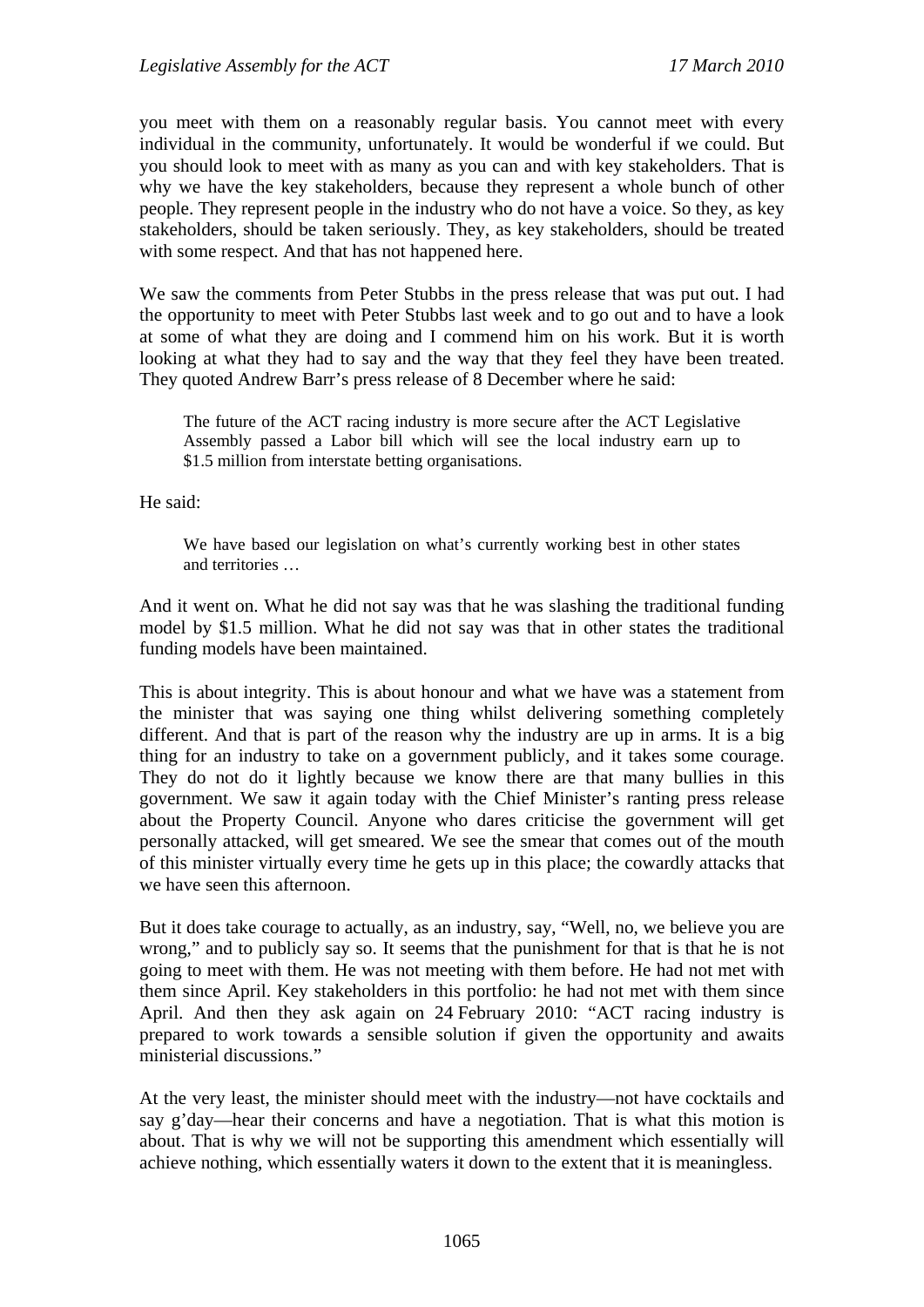you meet with them on a reasonably regular basis. You cannot meet with every individual in the community, unfortunately. It would be wonderful if we could. But you should look to meet with as many as you can and with key stakeholders. That is why we have the key stakeholders, because they represent a whole bunch of other people. They represent people in the industry who do not have a voice. So they, as key stakeholders, should be taken seriously. They, as key stakeholders, should be treated with some respect. And that has not happened here.

We saw the comments from Peter Stubbs in the press release that was put out. I had the opportunity to meet with Peter Stubbs last week and to go out and to have a look at some of what they are doing and I commend him on his work. But it is worth looking at what they had to say and the way that they feel they have been treated. They quoted Andrew Barr's press release of 8 December where he said:

The future of the ACT racing industry is more secure after the ACT Legislative Assembly passed a Labor bill which will see the local industry earn up to \$1.5 million from interstate betting organisations.

He said:

We have based our legislation on what's currently working best in other states and territories …

And it went on. What he did not say was that he was slashing the traditional funding model by \$1.5 million. What he did not say was that in other states the traditional funding models have been maintained.

This is about integrity. This is about honour and what we have was a statement from the minister that was saying one thing whilst delivering something completely different. And that is part of the reason why the industry are up in arms. It is a big thing for an industry to take on a government publicly, and it takes some courage. They do not do it lightly because we know there are that many bullies in this government. We saw it again today with the Chief Minister's ranting press release about the Property Council. Anyone who dares criticise the government will get personally attacked, will get smeared. We see the smear that comes out of the mouth of this minister virtually every time he gets up in this place; the cowardly attacks that we have seen this afternoon.

But it does take courage to actually, as an industry, say, "Well, no, we believe you are wrong," and to publicly say so. It seems that the punishment for that is that he is not going to meet with them. He was not meeting with them before. He had not met with them since April. Key stakeholders in this portfolio: he had not met with them since April. And then they ask again on 24 February 2010: "ACT racing industry is prepared to work towards a sensible solution if given the opportunity and awaits ministerial discussions."

At the very least, the minister should meet with the industry—not have cocktails and say g'day—hear their concerns and have a negotiation. That is what this motion is about. That is why we will not be supporting this amendment which essentially will achieve nothing, which essentially waters it down to the extent that it is meaningless.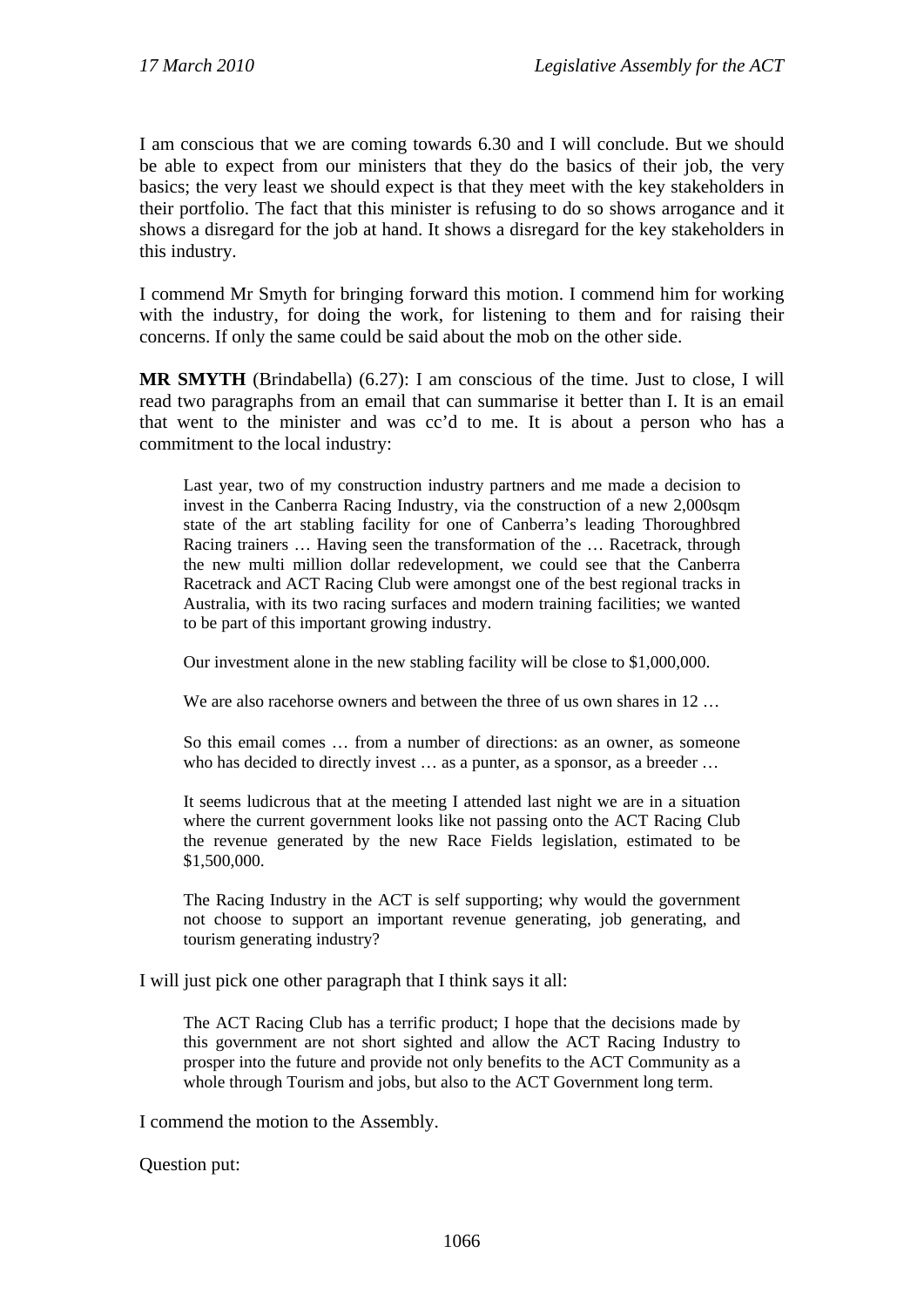I am conscious that we are coming towards 6.30 and I will conclude. But we should be able to expect from our ministers that they do the basics of their job, the very basics; the very least we should expect is that they meet with the key stakeholders in their portfolio. The fact that this minister is refusing to do so shows arrogance and it shows a disregard for the job at hand. It shows a disregard for the key stakeholders in this industry.

I commend Mr Smyth for bringing forward this motion. I commend him for working with the industry, for doing the work, for listening to them and for raising their concerns. If only the same could be said about the mob on the other side.

**MR SMYTH** (Brindabella) (6.27): I am conscious of the time. Just to close, I will read two paragraphs from an email that can summarise it better than I. It is an email that went to the minister and was cc'd to me. It is about a person who has a commitment to the local industry:

Last year, two of my construction industry partners and me made a decision to invest in the Canberra Racing Industry, via the construction of a new 2,000sqm state of the art stabling facility for one of Canberra's leading Thoroughbred Racing trainers … Having seen the transformation of the … Racetrack, through the new multi million dollar redevelopment, we could see that the Canberra Racetrack and ACT Racing Club were amongst one of the best regional tracks in Australia, with its two racing surfaces and modern training facilities; we wanted to be part of this important growing industry.

Our investment alone in the new stabling facility will be close to \$1,000,000.

We are also racehorse owners and between the three of us own shares in 12...

So this email comes … from a number of directions: as an owner, as someone who has decided to directly invest ... as a punter, as a sponsor, as a breeder ...

It seems ludicrous that at the meeting I attended last night we are in a situation where the current government looks like not passing onto the ACT Racing Club the revenue generated by the new Race Fields legislation, estimated to be \$1,500,000.

The Racing Industry in the ACT is self supporting; why would the government not choose to support an important revenue generating, job generating, and tourism generating industry?

I will just pick one other paragraph that I think says it all:

The ACT Racing Club has a terrific product; I hope that the decisions made by this government are not short sighted and allow the ACT Racing Industry to prosper into the future and provide not only benefits to the ACT Community as a whole through Tourism and jobs, but also to the ACT Government long term.

I commend the motion to the Assembly.

Question put: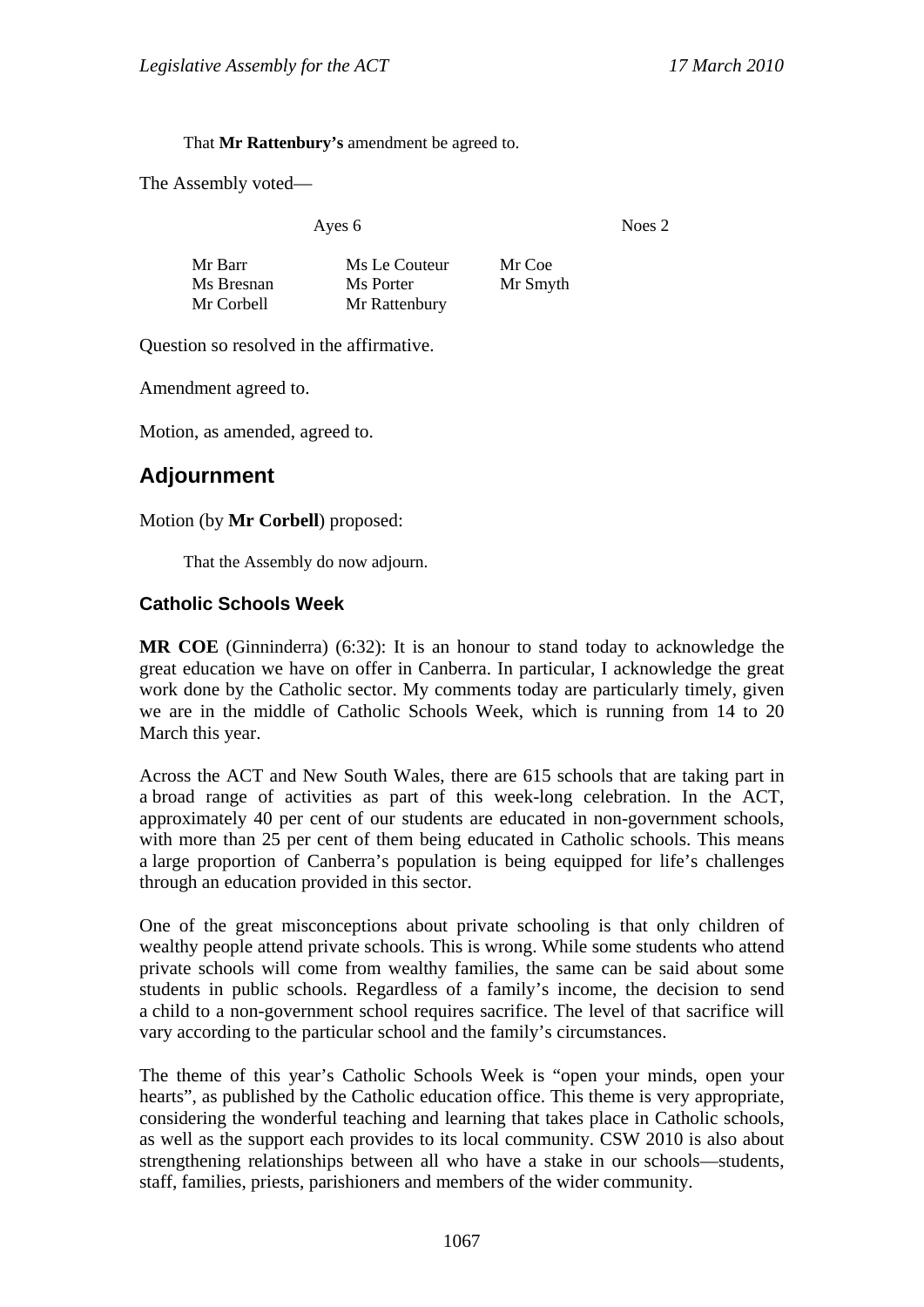That **Mr Rattenbury's** amendment be agreed to.

The Assembly voted—

Ayes 6 Noes 2

| Mr Barr    | Ms Le Couteur | Mr Coe   |
|------------|---------------|----------|
| Ms Bresnan | Ms Porter     | Mr Smyth |
| Mr Corbell | Mr Rattenbury |          |

Question so resolved in the affirmative.

Amendment agreed to.

Motion, as amended, agreed to.

## **Adjournment**

#### Motion (by **Mr Corbell**) proposed:

That the Assembly do now adjourn.

#### **Catholic Schools Week**

**MR COE** (Ginninderra) (6:32): It is an honour to stand today to acknowledge the great education we have on offer in Canberra. In particular, I acknowledge the great work done by the Catholic sector. My comments today are particularly timely, given we are in the middle of Catholic Schools Week, which is running from 14 to 20 March this year.

Across the ACT and New South Wales, there are 615 schools that are taking part in a broad range of activities as part of this week-long celebration. In the ACT, approximately 40 per cent of our students are educated in non-government schools, with more than 25 per cent of them being educated in Catholic schools. This means a large proportion of Canberra's population is being equipped for life's challenges through an education provided in this sector.

One of the great misconceptions about private schooling is that only children of wealthy people attend private schools. This is wrong. While some students who attend private schools will come from wealthy families, the same can be said about some students in public schools. Regardless of a family's income, the decision to send a child to a non-government school requires sacrifice. The level of that sacrifice will vary according to the particular school and the family's circumstances.

The theme of this year's Catholic Schools Week is "open your minds, open your hearts", as published by the Catholic education office. This theme is very appropriate, considering the wonderful teaching and learning that takes place in Catholic schools, as well as the support each provides to its local community. CSW 2010 is also about strengthening relationships between all who have a stake in our schools—students, staff, families, priests, parishioners and members of the wider community.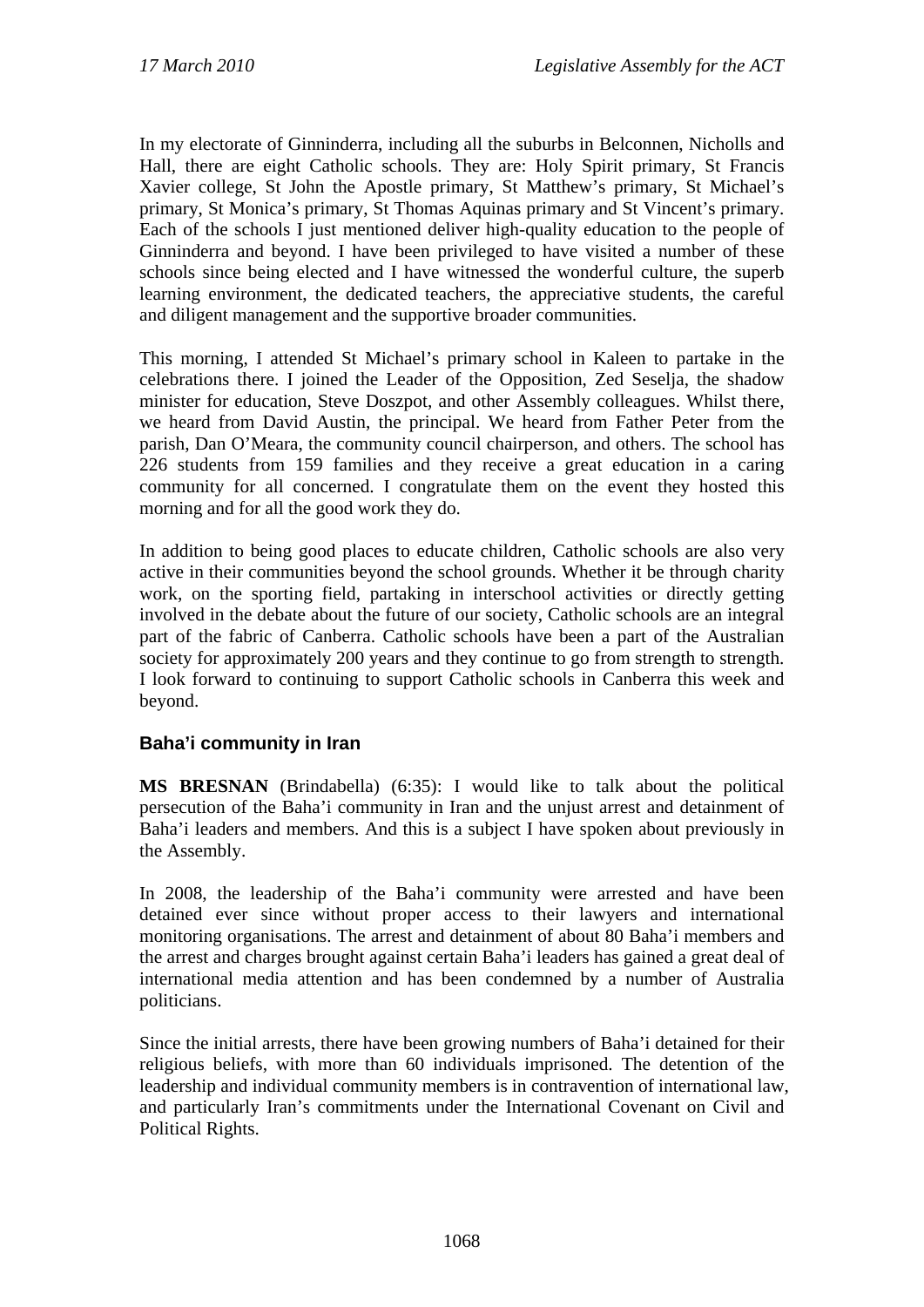In my electorate of Ginninderra, including all the suburbs in Belconnen, Nicholls and Hall, there are eight Catholic schools. They are: Holy Spirit primary, St Francis Xavier college, St John the Apostle primary, St Matthew's primary, St Michael's primary, St Monica's primary, St Thomas Aquinas primary and St Vincent's primary. Each of the schools I just mentioned deliver high-quality education to the people of Ginninderra and beyond. I have been privileged to have visited a number of these schools since being elected and I have witnessed the wonderful culture, the superb learning environment, the dedicated teachers, the appreciative students, the careful and diligent management and the supportive broader communities.

This morning, I attended St Michael's primary school in Kaleen to partake in the celebrations there. I joined the Leader of the Opposition, Zed Seselja, the shadow minister for education, Steve Doszpot, and other Assembly colleagues. Whilst there, we heard from David Austin, the principal. We heard from Father Peter from the parish, Dan O'Meara, the community council chairperson, and others. The school has 226 students from 159 families and they receive a great education in a caring community for all concerned. I congratulate them on the event they hosted this morning and for all the good work they do.

In addition to being good places to educate children, Catholic schools are also very active in their communities beyond the school grounds. Whether it be through charity work, on the sporting field, partaking in interschool activities or directly getting involved in the debate about the future of our society, Catholic schools are an integral part of the fabric of Canberra. Catholic schools have been a part of the Australian society for approximately 200 years and they continue to go from strength to strength. I look forward to continuing to support Catholic schools in Canberra this week and beyond.

### **Baha'i community in Iran**

**MS BRESNAN** (Brindabella) (6:35): I would like to talk about the political persecution of the Baha'i community in Iran and the unjust arrest and detainment of Baha'i leaders and members. And this is a subject I have spoken about previously in the Assembly.

In 2008, the leadership of the Baha'i community were arrested and have been detained ever since without proper access to their lawyers and international monitoring organisations. The arrest and detainment of about 80 Baha'i members and the arrest and charges brought against certain Baha'i leaders has gained a great deal of international media attention and has been condemned by a number of Australia politicians.

Since the initial arrests, there have been growing numbers of Baha'i detained for their religious beliefs, with more than 60 individuals imprisoned. The detention of the leadership and individual community members is in contravention of international law, and particularly Iran's commitments under the International Covenant on Civil and Political Rights.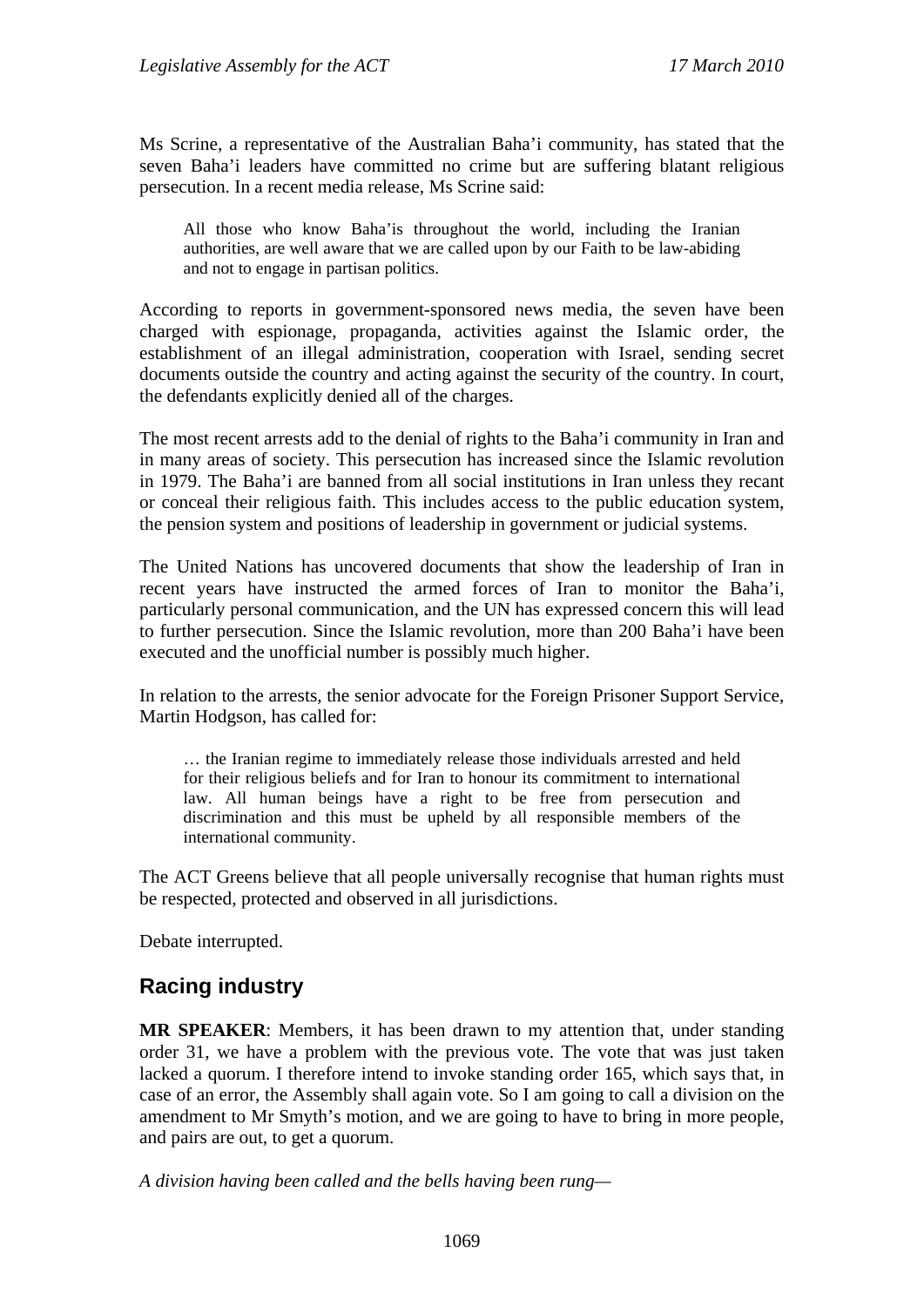Ms Scrine, a representative of the Australian Baha'i community, has stated that the seven Baha'i leaders have committed no crime but are suffering blatant religious persecution. In a recent media release, Ms Scrine said:

All those who know Baha'is throughout the world, including the Iranian authorities, are well aware that we are called upon by our Faith to be law-abiding and not to engage in partisan politics.

According to reports in government-sponsored news media, the seven have been charged with espionage, propaganda, activities against the Islamic order, the establishment of an illegal administration, cooperation with Israel, sending secret documents outside the country and acting against the security of the country. In court, the defendants explicitly denied all of the charges.

The most recent arrests add to the denial of rights to the Baha'i community in Iran and in many areas of society. This persecution has increased since the Islamic revolution in 1979. The Baha'i are banned from all social institutions in Iran unless they recant or conceal their religious faith. This includes access to the public education system, the pension system and positions of leadership in government or judicial systems.

The United Nations has uncovered documents that show the leadership of Iran in recent years have instructed the armed forces of Iran to monitor the Baha'i, particularly personal communication, and the UN has expressed concern this will lead to further persecution. Since the Islamic revolution, more than 200 Baha'i have been executed and the unofficial number is possibly much higher.

In relation to the arrests, the senior advocate for the Foreign Prisoner Support Service, Martin Hodgson, has called for:

… the Iranian regime to immediately release those individuals arrested and held for their religious beliefs and for Iran to honour its commitment to international law. All human beings have a right to be free from persecution and discrimination and this must be upheld by all responsible members of the international community.

The ACT Greens believe that all people universally recognise that human rights must be respected, protected and observed in all jurisdictions.

Debate interrupted.

# **Racing industry**

**MR SPEAKER**: Members, it has been drawn to my attention that, under standing order 31, we have a problem with the previous vote. The vote that was just taken lacked a quorum. I therefore intend to invoke standing order 165, which says that, in case of an error, the Assembly shall again vote. So I am going to call a division on the amendment to Mr Smyth's motion, and we are going to have to bring in more people, and pairs are out, to get a quorum.

*A division having been called and the bells having been rung—*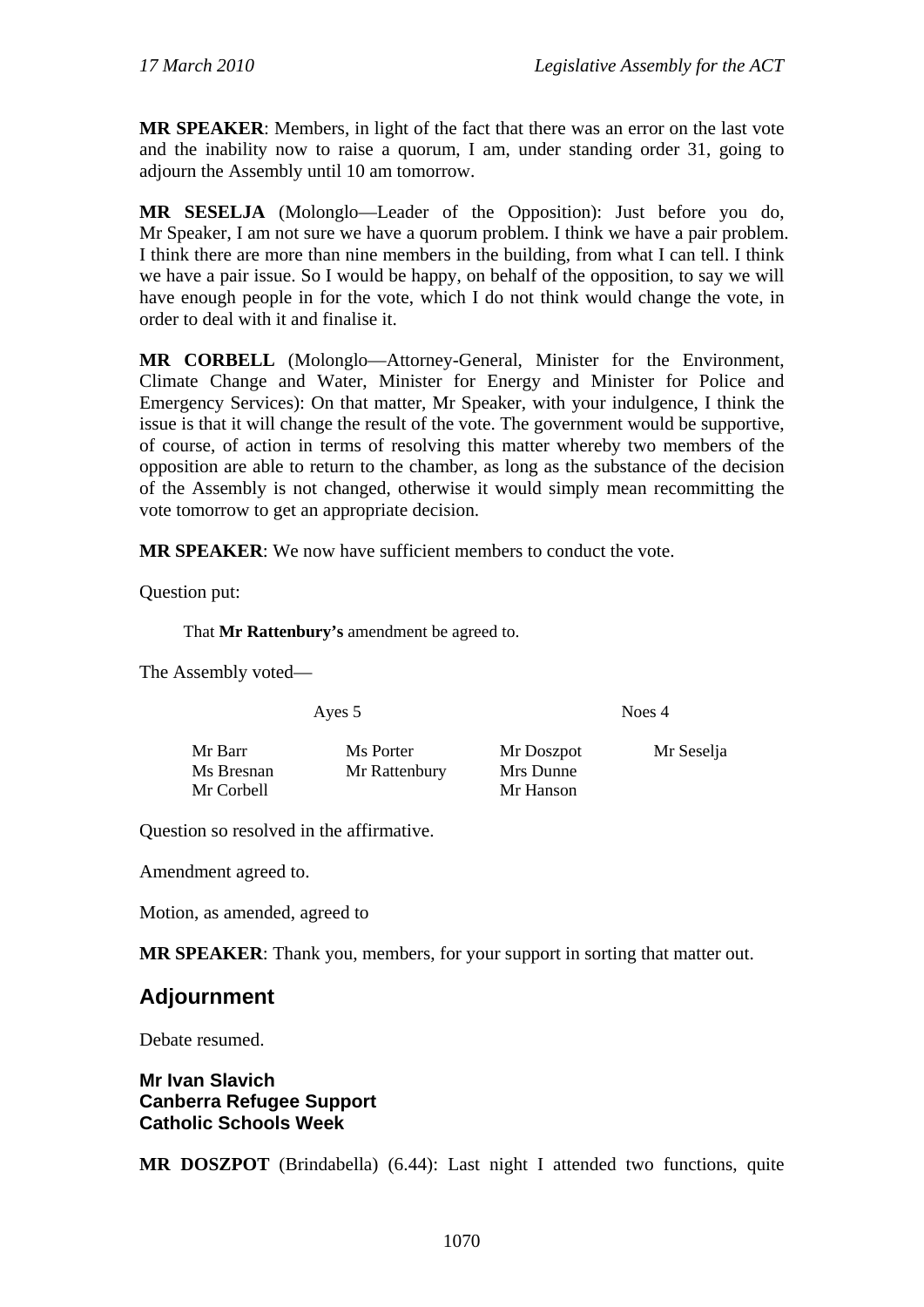**MR SPEAKER**: Members, in light of the fact that there was an error on the last vote and the inability now to raise a quorum, I am, under standing order 31, going to adjourn the Assembly until 10 am tomorrow.

**MR SESELJA** (Molonglo—Leader of the Opposition): Just before you do, Mr Speaker, I am not sure we have a quorum problem. I think we have a pair problem. I think there are more than nine members in the building, from what I can tell. I think we have a pair issue. So I would be happy, on behalf of the opposition, to say we will have enough people in for the vote, which I do not think would change the vote, in order to deal with it and finalise it.

**MR CORBELL** (Molonglo—Attorney-General, Minister for the Environment, Climate Change and Water, Minister for Energy and Minister for Police and Emergency Services): On that matter, Mr Speaker, with your indulgence, I think the issue is that it will change the result of the vote. The government would be supportive, of course, of action in terms of resolving this matter whereby two members of the opposition are able to return to the chamber, as long as the substance of the decision of the Assembly is not changed, otherwise it would simply mean recommitting the vote tomorrow to get an appropriate decision.

**MR SPEAKER**: We now have sufficient members to conduct the vote.

Question put:

That **Mr Rattenbury's** amendment be agreed to.

The Assembly voted—

Ayes 5 Noes 4

Mr Barr Ms Porter Mr Doszpot Mr Seselja Ms Bresnan Mr Rattenbury Mrs Dunne Mr Corbell Mr Hanson

Question so resolved in the affirmative.

Amendment agreed to.

Motion, as amended, agreed to

**MR SPEAKER**: Thank you, members, for your support in sorting that matter out.

# **Adjournment**

Debate resumed.

**Mr Ivan Slavich Canberra Refugee Support Catholic Schools Week** 

**MR DOSZPOT** (Brindabella) (6.44): Last night I attended two functions, quite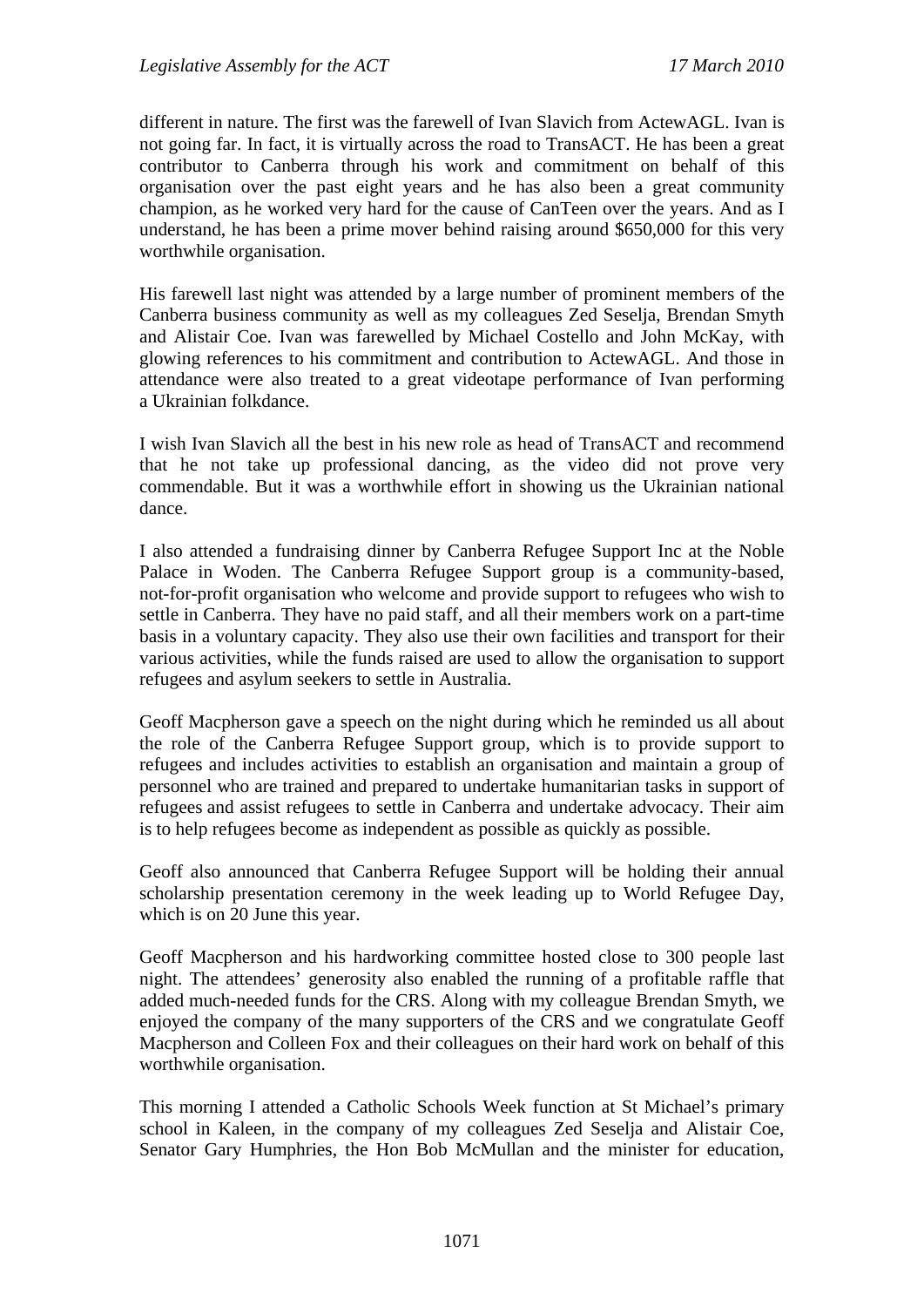different in nature. The first was the farewell of Ivan Slavich from ActewAGL. Ivan is not going far. In fact, it is virtually across the road to TransACT. He has been a great contributor to Canberra through his work and commitment on behalf of this organisation over the past eight years and he has also been a great community champion, as he worked very hard for the cause of CanTeen over the years. And as I understand, he has been a prime mover behind raising around \$650,000 for this very worthwhile organisation.

His farewell last night was attended by a large number of prominent members of the Canberra business community as well as my colleagues Zed Seselja, Brendan Smyth and Alistair Coe. Ivan was farewelled by Michael Costello and John McKay, with glowing references to his commitment and contribution to ActewAGL. And those in attendance were also treated to a great videotape performance of Ivan performing a Ukrainian folkdance.

I wish Ivan Slavich all the best in his new role as head of TransACT and recommend that he not take up professional dancing, as the video did not prove very commendable. But it was a worthwhile effort in showing us the Ukrainian national dance.

I also attended a fundraising dinner by Canberra Refugee Support Inc at the Noble Palace in Woden. The Canberra Refugee Support group is a community-based, not-for-profit organisation who welcome and provide support to refugees who wish to settle in Canberra. They have no paid staff, and all their members work on a part-time basis in a voluntary capacity. They also use their own facilities and transport for their various activities, while the funds raised are used to allow the organisation to support refugees and asylum seekers to settle in Australia.

Geoff Macpherson gave a speech on the night during which he reminded us all about the role of the Canberra Refugee Support group, which is to provide support to refugees and includes activities to establish an organisation and maintain a group of personnel who are trained and prepared to undertake humanitarian tasks in support of refugees and assist refugees to settle in Canberra and undertake advocacy. Their aim is to help refugees become as independent as possible as quickly as possible.

Geoff also announced that Canberra Refugee Support will be holding their annual scholarship presentation ceremony in the week leading up to World Refugee Day, which is on 20 June this year.

Geoff Macpherson and his hardworking committee hosted close to 300 people last night. The attendees' generosity also enabled the running of a profitable raffle that added much-needed funds for the CRS. Along with my colleague Brendan Smyth, we enjoyed the company of the many supporters of the CRS and we congratulate Geoff Macpherson and Colleen Fox and their colleagues on their hard work on behalf of this worthwhile organisation.

This morning I attended a Catholic Schools Week function at St Michael's primary school in Kaleen, in the company of my colleagues Zed Seselja and Alistair Coe, Senator Gary Humphries, the Hon Bob McMullan and the minister for education,